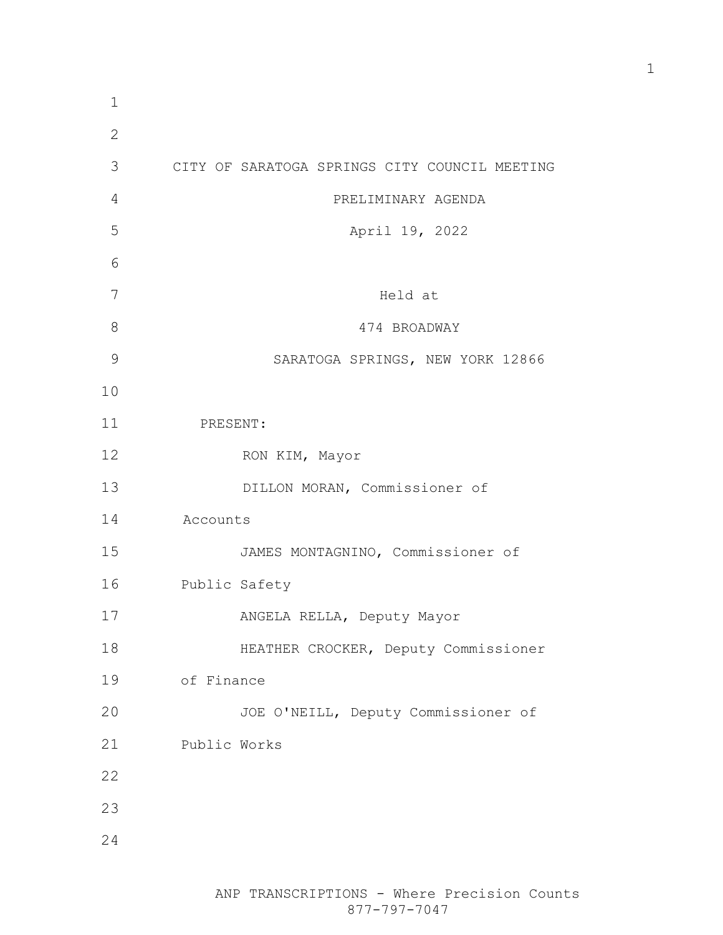| $\mathbf 1$  |                                               |
|--------------|-----------------------------------------------|
| $\mathbf{2}$ |                                               |
| 3            | CITY OF SARATOGA SPRINGS CITY COUNCIL MEETING |
| 4            | PRELIMINARY AGENDA                            |
| 5            | April 19, 2022                                |
| 6            |                                               |
| 7            | Held at                                       |
| 8            | 474 BROADWAY                                  |
| 9            | SARATOGA SPRINGS, NEW YORK 12866              |
| 10           |                                               |
| 11           | PRESENT:                                      |
| 12           | RON KIM, Mayor                                |
| 13           | DILLON MORAN, Commissioner of                 |
| 14           | Accounts                                      |
| 15           | JAMES MONTAGNINO, Commissioner of             |
| 16           | Public Safety                                 |
| 17           | ANGELA RELLA, Deputy Mayor                    |
| 18           | HEATHER CROCKER, Deputy Commissioner          |
| 19           | of Finance                                    |
| 20           | JOE O'NEILL, Deputy Commissioner of           |
| 21           | Public Works                                  |
| 22           |                                               |
| 23           |                                               |
| 24           |                                               |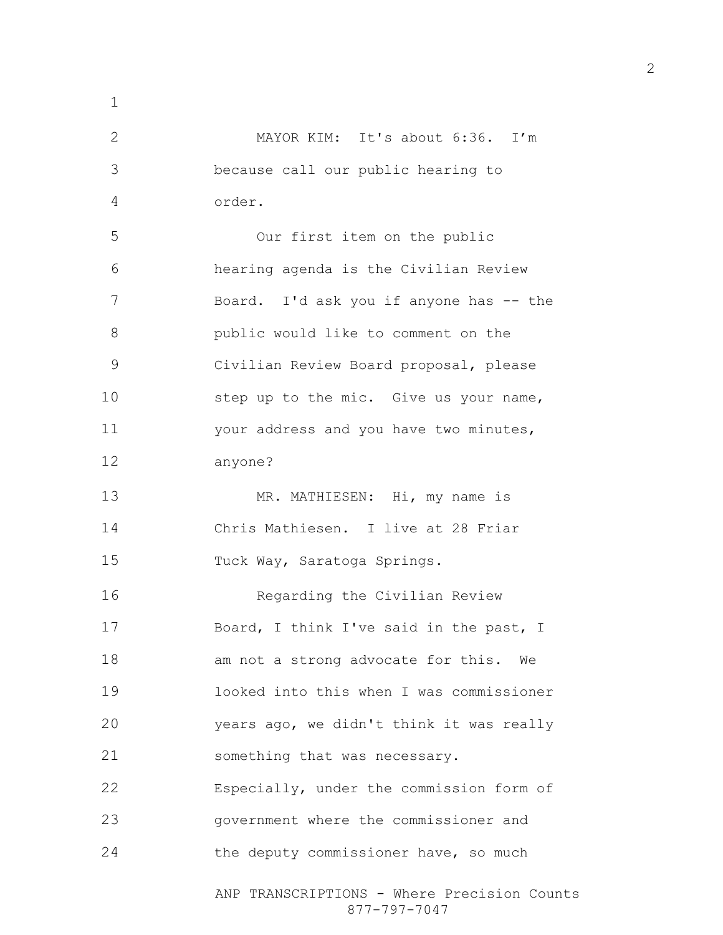ANP TRANSCRIPTIONS - Where Precision Counts 877-797-7047 MAYOR KIM: It's about 6:36. I'm because call our public hearing to order. Our first item on the public hearing agenda is the Civilian Review 7 Board. I'd ask you if anyone has -- the public would like to comment on the Civilian Review Board proposal, please 10 step up to the mic. Give us your name, your address and you have two minutes, anyone? 13 MR. MATHIESEN: Hi, my name is Chris Mathiesen. I live at 28 Friar Tuck Way, Saratoga Springs. Regarding the Civilian Review Board, I think I've said in the past, I am not a strong advocate for this. We looked into this when I was commissioner years ago, we didn't think it was really something that was necessary. Especially, under the commission form of government where the commissioner and the deputy commissioner have, so much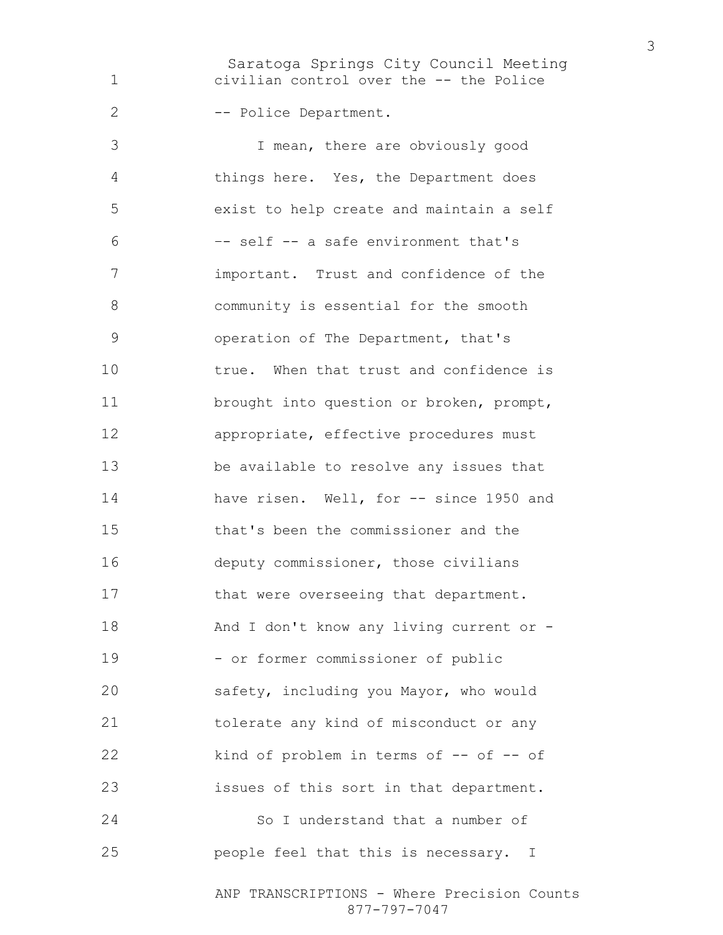Saratoga Springs City Council Meeting civilian control over the -- the Police 2 -- Police Department.

I mean, there are obviously good things here. Yes, the Department does exist to help create and maintain a self –- self -- a safe environment that's important. Trust and confidence of the community is essential for the smooth operation of The Department, that's true. When that trust and confidence is 11 brought into question or broken, prompt, appropriate, effective procedures must be available to resolve any issues that have risen. Well, for -- since 1950 and that's been the commissioner and the deputy commissioner, those civilians 17 that were overseeing that department. 18 And I don't know any living current or -19 - or former commissioner of public safety, including you Mayor, who would tolerate any kind of misconduct or any 22 kind of problem in terms of -- of -- of issues of this sort in that department. So I understand that a number of people feel that this is necessary. I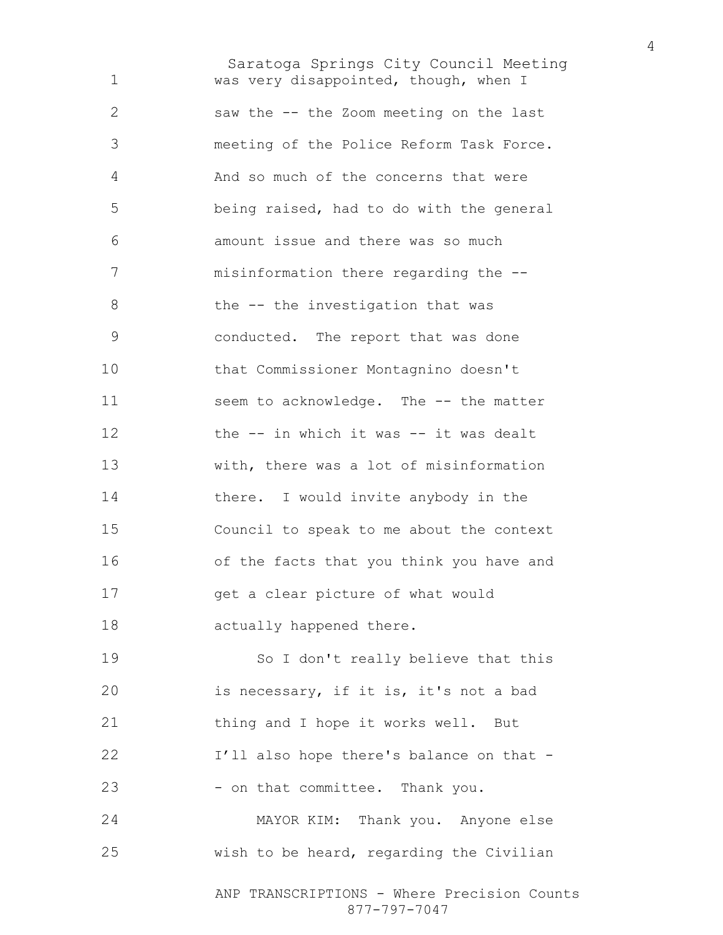Saratoga Springs City Council Meeting ANP TRANSCRIPTIONS - Where Precision Counts was very disappointed, though, when I saw the -- the Zoom meeting on the last meeting of the Police Reform Task Force. And so much of the concerns that were being raised, had to do with the general amount issue and there was so much misinformation there regarding the -- 8 the -- the investigation that was conducted. The report that was done that Commissioner Montagnino doesn't 11 seem to acknowledge. The -- the matter 12 the -- in which it was -- it was dealt with, there was a lot of misinformation there. I would invite anybody in the Council to speak to me about the context of the facts that you think you have and get a clear picture of what would actually happened there. So I don't really believe that this is necessary, if it is, it's not a bad 21 thing and I hope it works well. But 22 I'll also hope there's balance on that -23 - on that committee. Thank you. MAYOR KIM: Thank you. Anyone else wish to be heard, regarding the Civilian

877-797-7047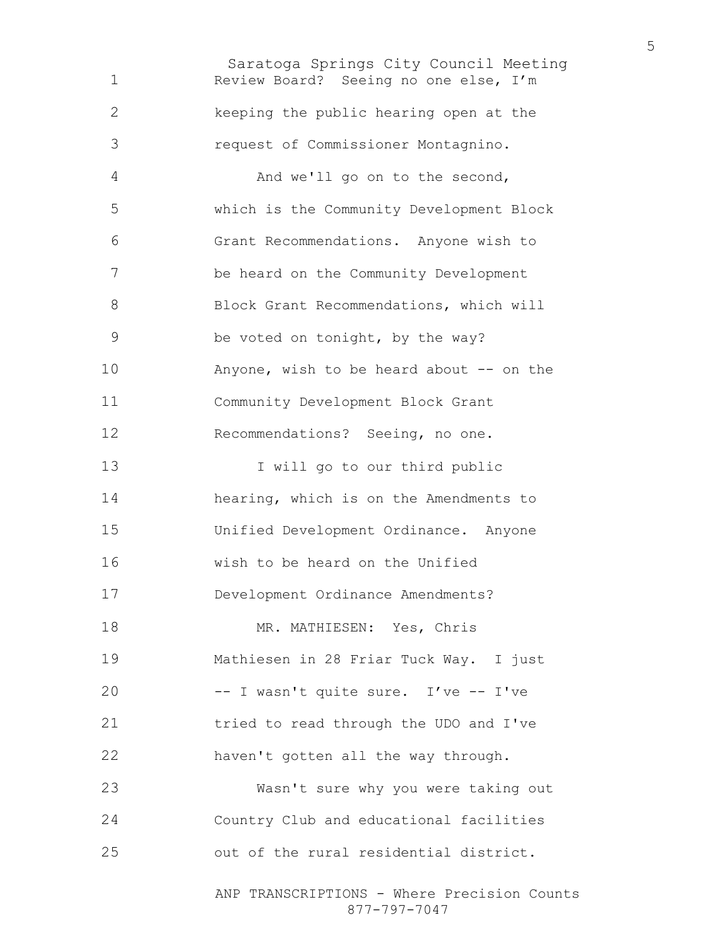Saratoga Springs City Council Meeting Review Board? Seeing no one else, I'm keeping the public hearing open at the request of Commissioner Montagnino. And we'll go on to the second, which is the Community Development Block Grant Recommendations. Anyone wish to be heard on the Community Development Block Grant Recommendations, which will be voted on tonight, by the way? 10 Anyone, wish to be heard about -- on the Community Development Block Grant Recommendations? Seeing, no one. 13 I will go to our third public hearing, which is on the Amendments to Unified Development Ordinance. Anyone wish to be heard on the Unified Development Ordinance Amendments? MR. MATHIESEN: Yes, Chris Mathiesen in 28 Friar Tuck Way. I just -- I wasn't quite sure. I've -- I've tried to read through the UDO and I've haven't gotten all the way through. Wasn't sure why you were taking out Country Club and educational facilities out of the rural residential district.

ANP TRANSCRIPTIONS - Where Precision Counts 877-797-7047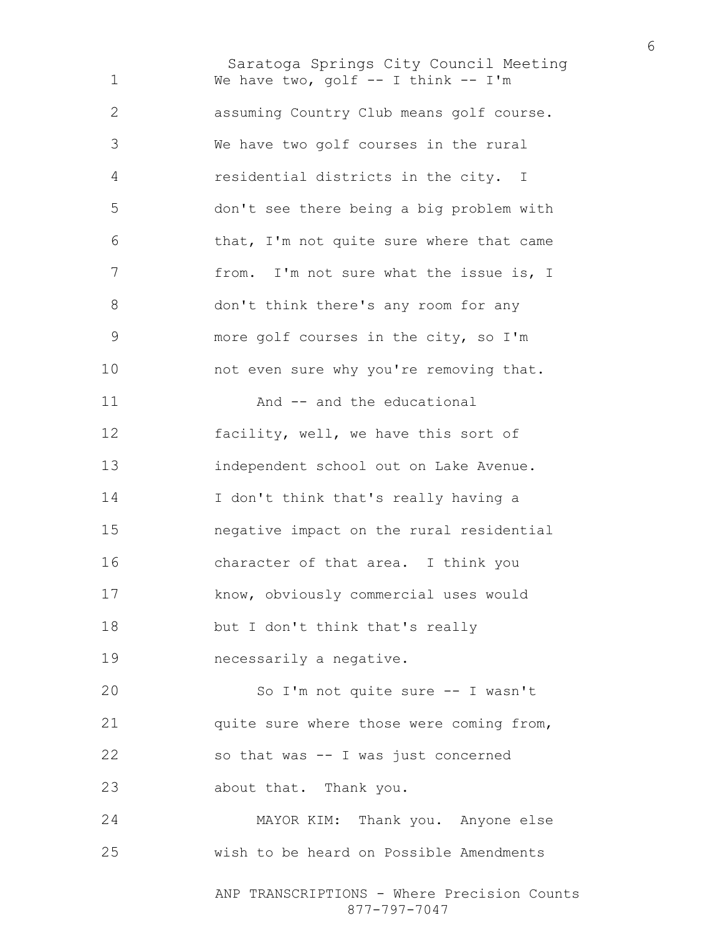Saratoga Springs City Council Meeting ANP TRANSCRIPTIONS - Where Precision Counts 1 We have two, golf -- I think -- I'm assuming Country Club means golf course. We have two golf courses in the rural residential districts in the city. I don't see there being a big problem with that, I'm not quite sure where that came 7 from. I'm not sure what the issue is, I don't think there's any room for any more golf courses in the city, so I'm 10 not even sure why you're removing that. 11 And -- and the educational facility, well, we have this sort of independent school out on Lake Avenue. I don't think that's really having a negative impact on the rural residential character of that area. I think you know, obviously commercial uses would but I don't think that's really necessarily a negative. So I'm not quite sure -- I wasn't quite sure where those were coming from, so that was -- I was just concerned about that. Thank you. MAYOR KIM: Thank you. Anyone else wish to be heard on Possible Amendments

877-797-7047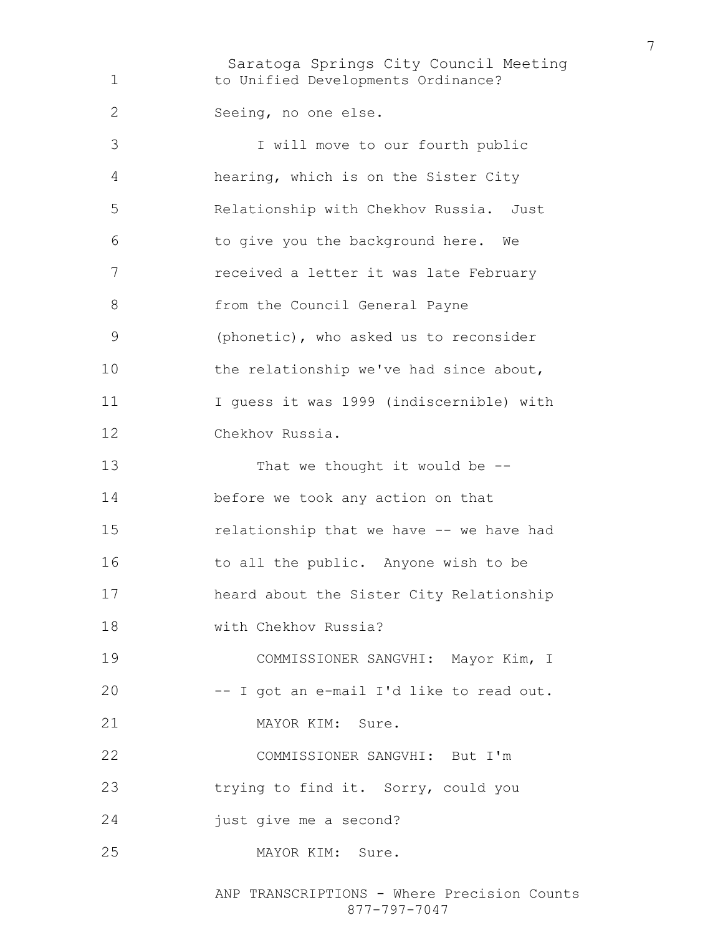Saratoga Springs City Council Meeting 1 to Unified Developments Ordinance? Seeing, no one else. I will move to our fourth public hearing, which is on the Sister City Relationship with Chekhov Russia. Just to give you the background here. We received a letter it was late February from the Council General Payne (phonetic), who asked us to reconsider 10 the relationship we've had since about, I guess it was 1999 (indiscernible) with Chekhov Russia. 13 That we thought it would be --before we took any action on that relationship that we have -- we have had 16 to all the public. Anyone wish to be heard about the Sister City Relationship with Chekhov Russia? COMMISSIONER SANGVHI: Mayor Kim, I -- I got an e-mail I'd like to read out. 21 MAYOR KIM: Sure. COMMISSIONER SANGVHI: But I'm trying to find it. Sorry, could you just give me a second? MAYOR KIM: Sure.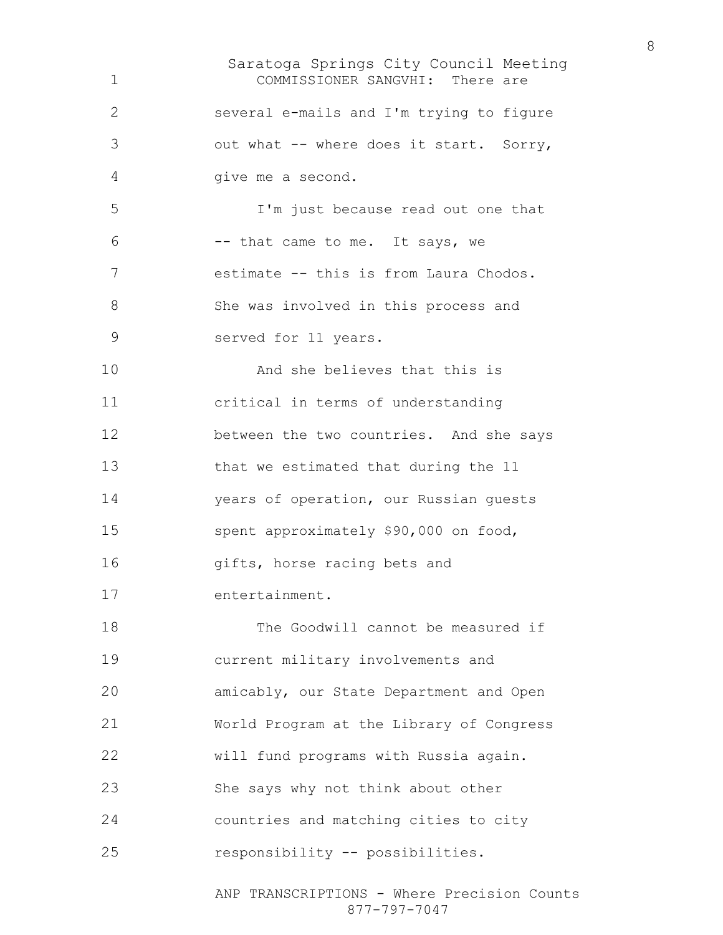Saratoga Springs City Council Meeting COMMISSIONER SANGVHI: There are several e-mails and I'm trying to figure out what -- where does it start. Sorry, give me a second. I'm just because read out one that -- that came to me. It says, we estimate -- this is from Laura Chodos. She was involved in this process and served for 11 years. And she believes that this is critical in terms of understanding between the two countries. And she says that we estimated that during the 11 years of operation, our Russian guests spent approximately \$90,000 on food, gifts, horse racing bets and entertainment. The Goodwill cannot be measured if current military involvements and amicably, our State Department and Open World Program at the Library of Congress will fund programs with Russia again. She says why not think about other countries and matching cities to city responsibility -- possibilities.

ANP TRANSCRIPTIONS - Where Precision Counts 877-797-7047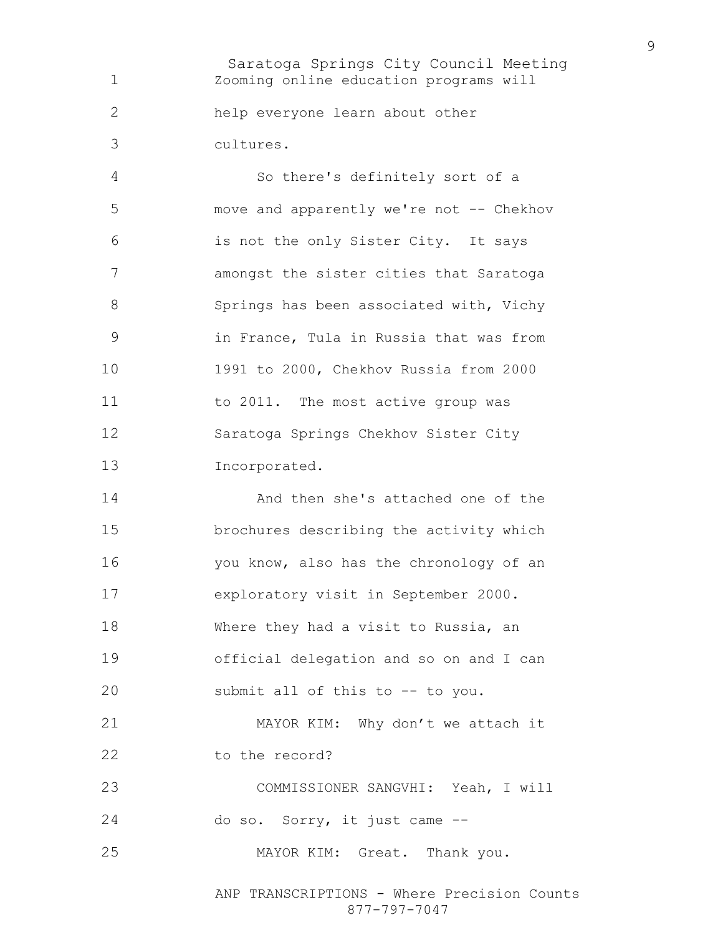Saratoga Springs City Council Meeting Zooming online education programs will help everyone learn about other cultures. So there's definitely sort of a

move and apparently we're not -- Chekhov is not the only Sister City. It says amongst the sister cities that Saratoga 8 Springs has been associated with, Vichy in France, Tula in Russia that was from 1991 to 2000, Chekhov Russia from 2000 11 to 2011. The most active group was Saratoga Springs Chekhov Sister City Incorporated.

And then she's attached one of the brochures describing the activity which you know, also has the chronology of an exploratory visit in September 2000. Where they had a visit to Russia, an official delegation and so on and I can submit all of this to -- to you. MAYOR KIM: Why don't we attach it 22 to the record? COMMISSIONER SANGVHI: Yeah, I will do so. Sorry, it just came --

MAYOR KIM: Great. Thank you.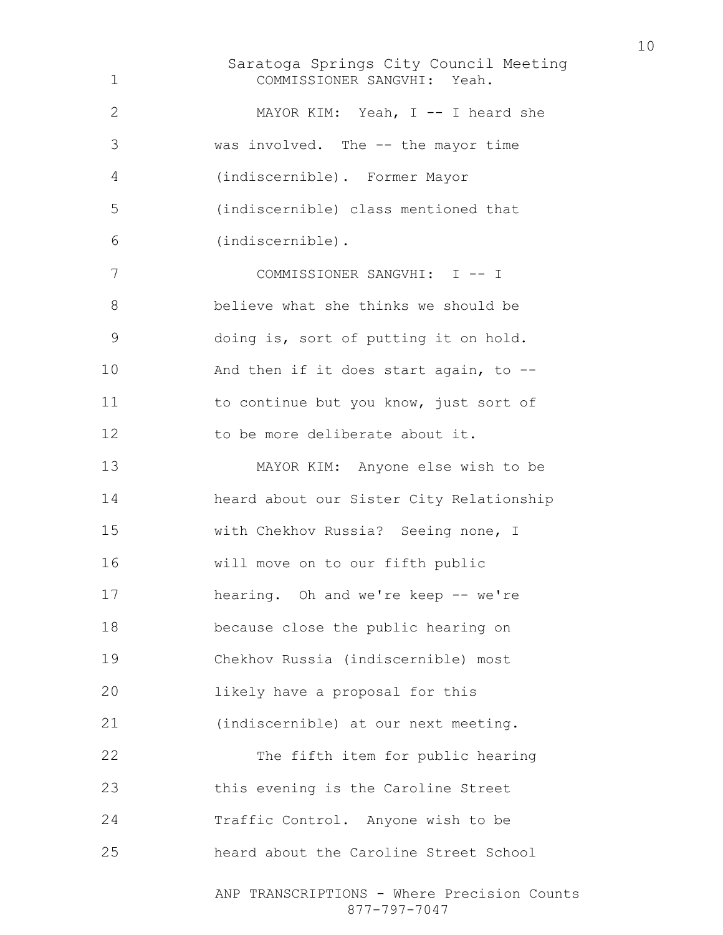Saratoga Springs City Council Meeting ANP TRANSCRIPTIONS - Where Precision Counts COMMISSIONER SANGVHI: Yeah. MAYOR KIM: Yeah, I -- I heard she was involved. The -- the mayor time (indiscernible). Former Mayor (indiscernible) class mentioned that (indiscernible). COMMISSIONER SANGVHI: I -- I believe what she thinks we should be doing is, sort of putting it on hold. And then if it does start again, to -- to continue but you know, just sort of 12 to be more deliberate about it. MAYOR KIM: Anyone else wish to be heard about our Sister City Relationship with Chekhov Russia? Seeing none, I will move on to our fifth public hearing. Oh and we're keep -- we're because close the public hearing on Chekhov Russia (indiscernible) most likely have a proposal for this (indiscernible) at our next meeting. The fifth item for public hearing this evening is the Caroline Street Traffic Control. Anyone wish to be heard about the Caroline Street School

877-797-7047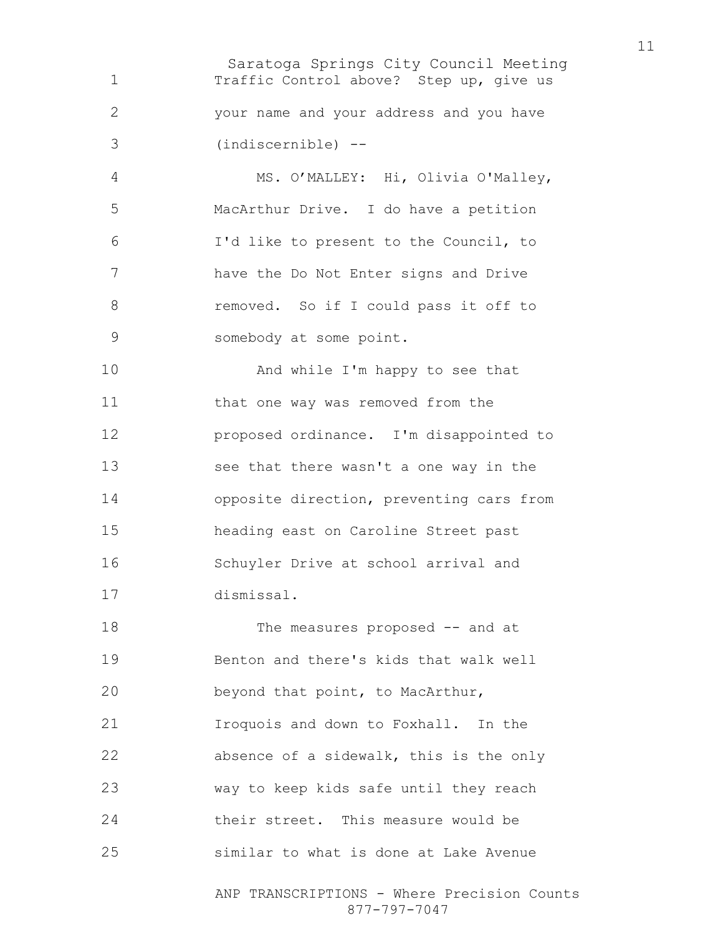Saratoga Springs City Council Meeting Traffic Control above? Step up, give us your name and your address and you have (indiscernible) --

MS. O'MALLEY: Hi, Olivia O'Malley, MacArthur Drive. I do have a petition I'd like to present to the Council, to have the Do Not Enter signs and Drive 8 removed. So if I could pass it off to somebody at some point.

10 And while I'm happy to see that 11 that one way was removed from the proposed ordinance. I'm disappointed to see that there wasn't a one way in the opposite direction, preventing cars from heading east on Caroline Street past Schuyler Drive at school arrival and dismissal.

ANP TRANSCRIPTIONS - Where Precision Counts 18 The measures proposed -- and at Benton and there's kids that walk well beyond that point, to MacArthur, Iroquois and down to Foxhall. In the absence of a sidewalk, this is the only way to keep kids safe until they reach their street. This measure would be similar to what is done at Lake Avenue

877-797-7047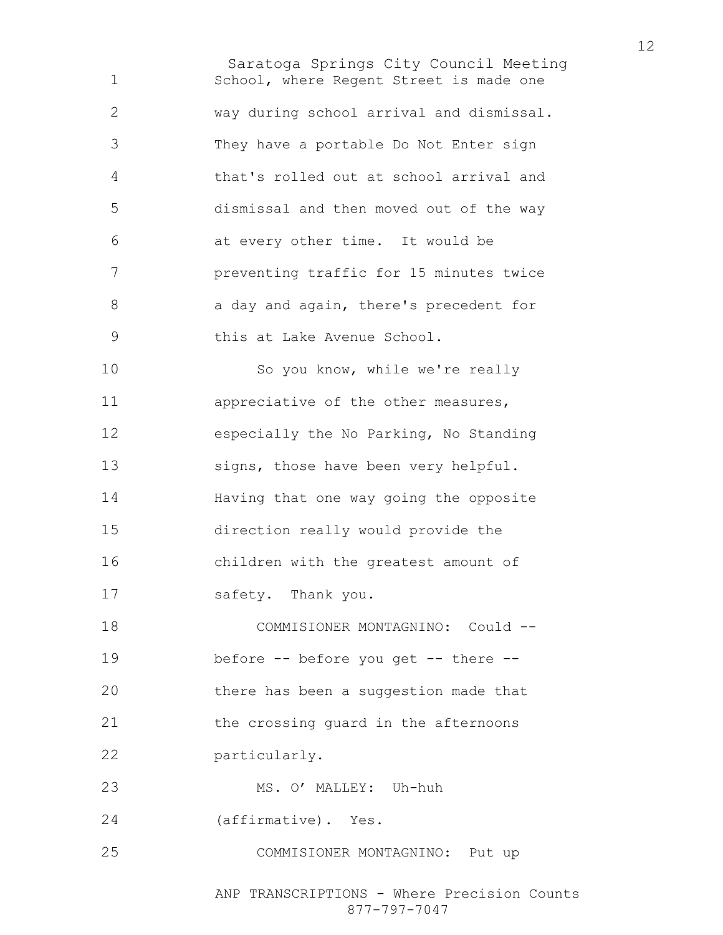Saratoga Springs City Council Meeting School, where Regent Street is made one way during school arrival and dismissal. They have a portable Do Not Enter sign that's rolled out at school arrival and dismissal and then moved out of the way at every other time. It would be preventing traffic for 15 minutes twice 8 a day and again, there's precedent for this at Lake Avenue School. 10 So you know, while we're really appreciative of the other measures, especially the No Parking, No Standing signs, those have been very helpful. Having that one way going the opposite direction really would provide the children with the greatest amount of safety. Thank you. COMMISIONER MONTAGNINO: Could -- before -- before you get -- there -- there has been a suggestion made that the crossing guard in the afternoons particularly. MS. O' MALLEY: Uh-huh (affirmative). Yes. COMMISIONER MONTAGNINO: Put up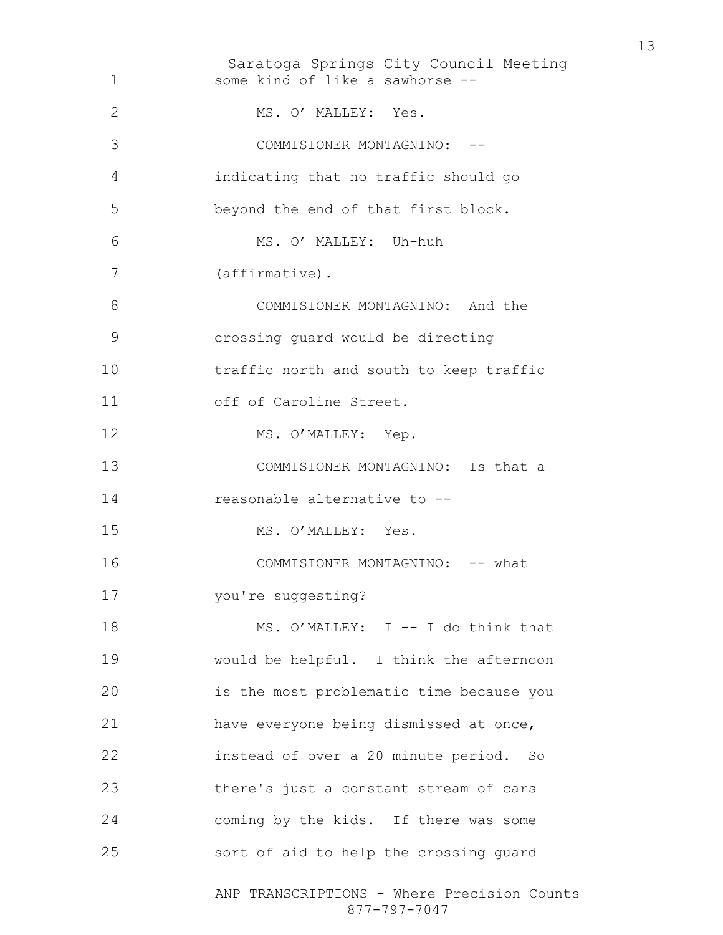Saratoga Springs City Council Meeting ANP TRANSCRIPTIONS - Where Precision Counts 877-797-7047 some kind of like a sawhorse -- 2 MS. O' MALLEY: Yes. COMMISIONER MONTAGNINO: -- indicating that no traffic should go beyond the end of that first block. MS. O' MALLEY: Uh-huh (affirmative). COMMISIONER MONTAGNINO: And the crossing guard would be directing traffic north and south to keep traffic 11 off of Caroline Street. 12 MS. O'MALLEY: Yep. COMMISIONER MONTAGNINO: Is that a reasonable alternative to -- 15 MS. O'MALLEY: Yes. 16 COMMISIONER MONTAGNINO: -- what 17 you're suggesting? 18 MS. O'MALLEY: I -- I do think that would be helpful. I think the afternoon is the most problematic time because you have everyone being dismissed at once, instead of over a 20 minute period. So there's just a constant stream of cars coming by the kids. If there was some sort of aid to help the crossing guard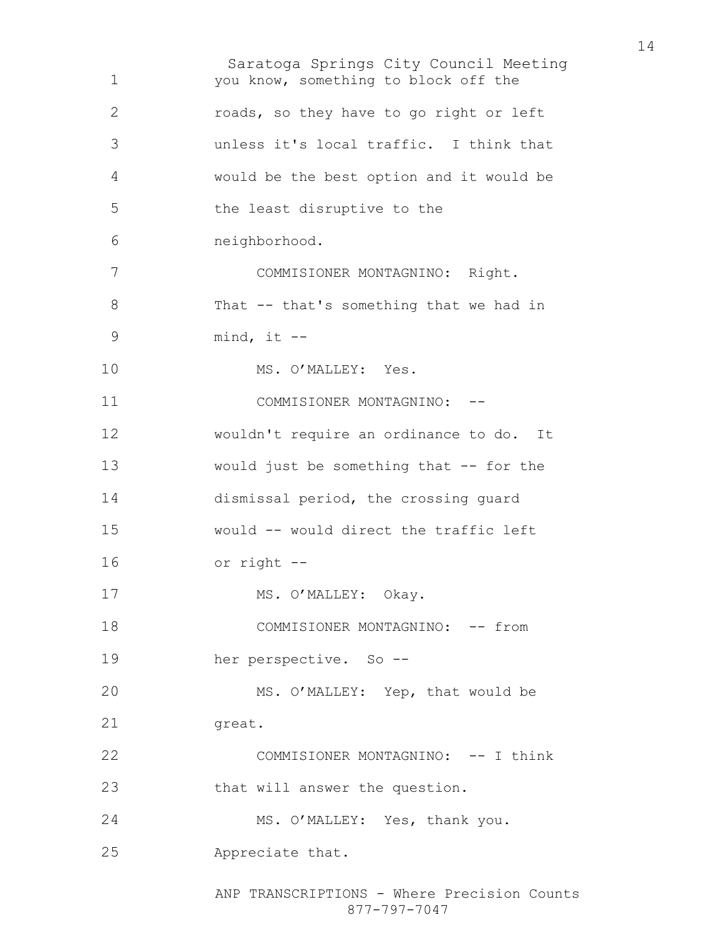Saratoga Springs City Council Meeting ANP TRANSCRIPTIONS - Where Precision Counts 877-797-7047 you know, something to block off the roads, so they have to go right or left unless it's local traffic. I think that would be the best option and it would be the least disruptive to the neighborhood. COMMISIONER MONTAGNINO: Right. That -- that's something that we had in mind, it -- 10 MS. O'MALLEY: Yes. 11 COMMISIONER MONTAGNINO: --wouldn't require an ordinance to do. It 13 would just be something that -- for the dismissal period, the crossing guard would -- would direct the traffic left or right -- 17 MS. O'MALLEY: Okay. COMMISIONER MONTAGNINO: -- from her perspective. So -- MS. O'MALLEY: Yep, that would be 21 great. COMMISIONER MONTAGNINO: -- I think that will answer the question. MS. O'MALLEY: Yes, thank you. Appreciate that.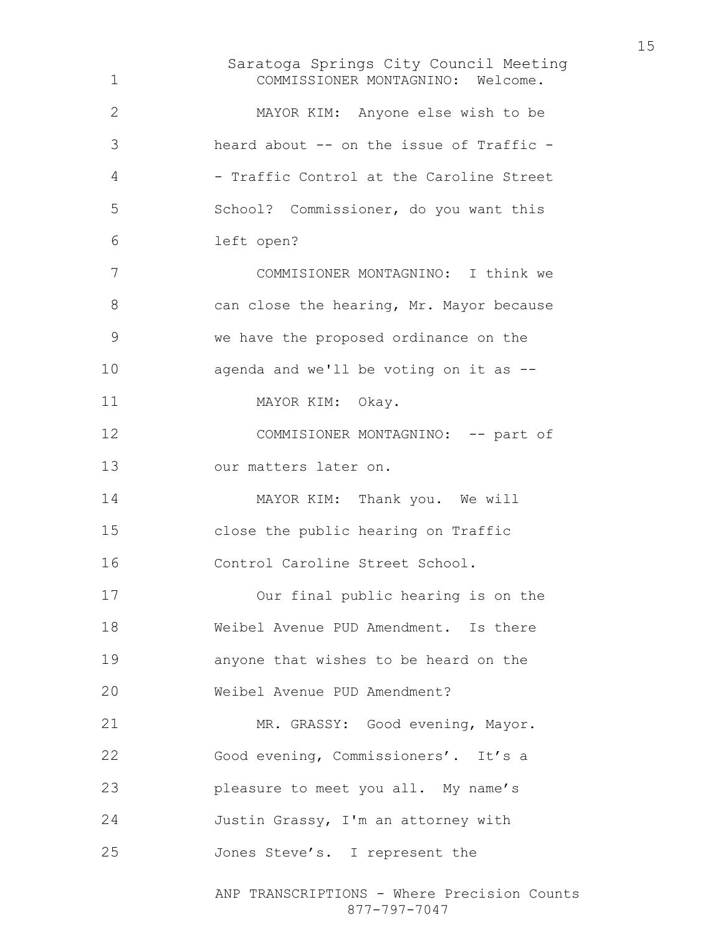Saratoga Springs City Council Meeting ANP TRANSCRIPTIONS - Where Precision Counts COMMISSIONER MONTAGNINO: Welcome. MAYOR KIM: Anyone else wish to be heard about -- on the issue of Traffic - 4 - Traffic Control at the Caroline Street School? Commissioner, do you want this left open? COMMISIONER MONTAGNINO: I think we 8 can close the hearing, Mr. Mayor because we have the proposed ordinance on the agenda and we'll be voting on it as -- 11 MAYOR KIM: Okay. 12 COMMISIONER MONTAGNINO: -- part of our matters later on. 14 MAYOR KIM: Thank you. We will close the public hearing on Traffic Control Caroline Street School. Our final public hearing is on the Weibel Avenue PUD Amendment. Is there anyone that wishes to be heard on the Weibel Avenue PUD Amendment? 21 MR. GRASSY: Good evening, Mayor. Good evening, Commissioners'. It's a pleasure to meet you all. My name's Justin Grassy, I'm an attorney with Jones Steve's. I represent the

877-797-7047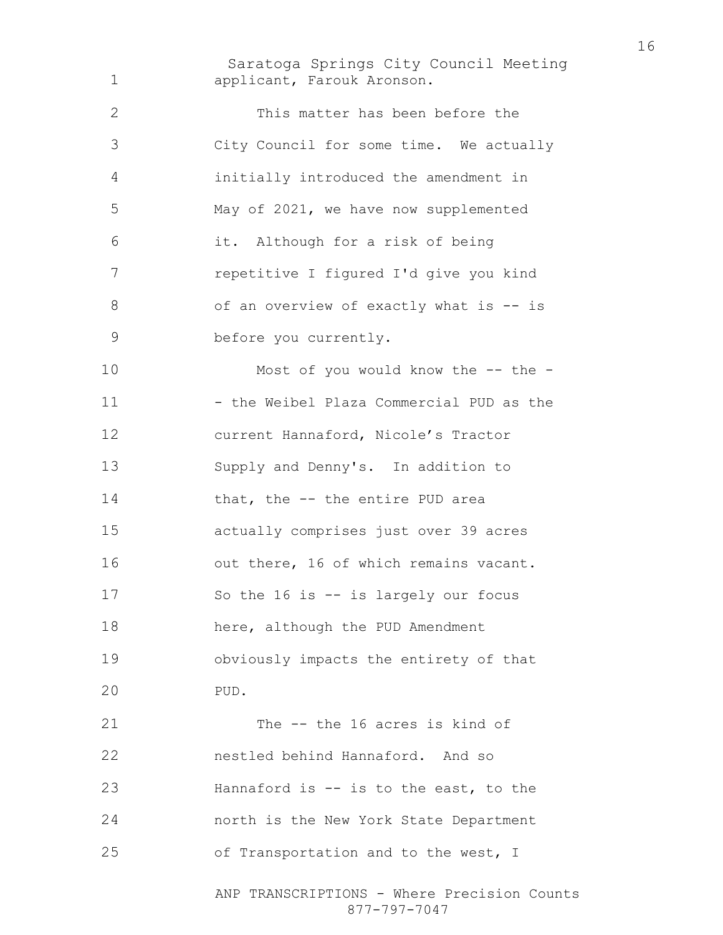Saratoga Springs City Council Meeting ANP TRANSCRIPTIONS - Where Precision Counts applicant, Farouk Aronson. This matter has been before the City Council for some time. We actually initially introduced the amendment in May of 2021, we have now supplemented it. Although for a risk of being repetitive I figured I'd give you kind 8 of an overview of exactly what is -- is before you currently. Most of you would know the -- the - 11 - the Weibel Plaza Commercial PUD as the current Hannaford, Nicole's Tractor Supply and Denny's. In addition to 14 that, the -- the entire PUD area actually comprises just over 39 acres 16 out there, 16 of which remains vacant. So the 16 is -- is largely our focus here, although the PUD Amendment obviously impacts the entirety of that PUD. The -- the 16 acres is kind of nestled behind Hannaford. And so Hannaford is -- is to the east, to the north is the New York State Department of Transportation and to the west, I

877-797-7047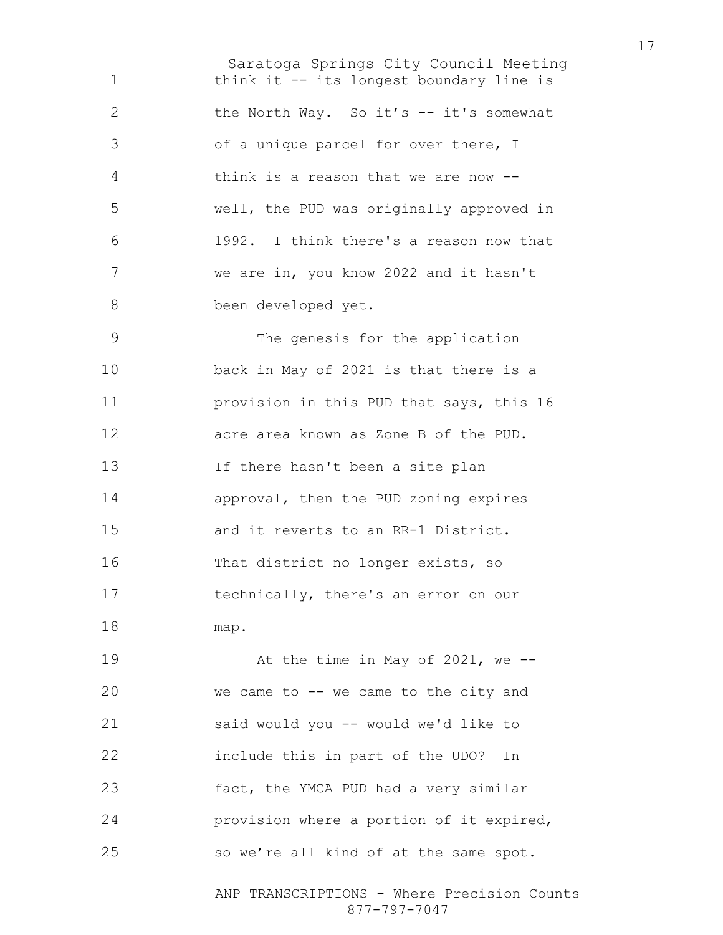Saratoga Springs City Council Meeting 1 think it -- its longest boundary line is 2 the North Way. So it's -- it's somewhat of a unique parcel for over there, I think is a reason that we are now -- well, the PUD was originally approved in 1992. I think there's a reason now that we are in, you know 2022 and it hasn't been developed yet. The genesis for the application back in May of 2021 is that there is a provision in this PUD that says, this 16 acre area known as Zone B of the PUD. If there hasn't been a site plan approval, then the PUD zoning expires and it reverts to an RR-1 District. That district no longer exists, so technically, there's an error on our map. At the time in May of 2021, we -- we came to -- we came to the city and said would you -- would we'd like to include this in part of the UDO? In fact, the YMCA PUD had a very similar provision where a portion of it expired, so we're all kind of at the same spot.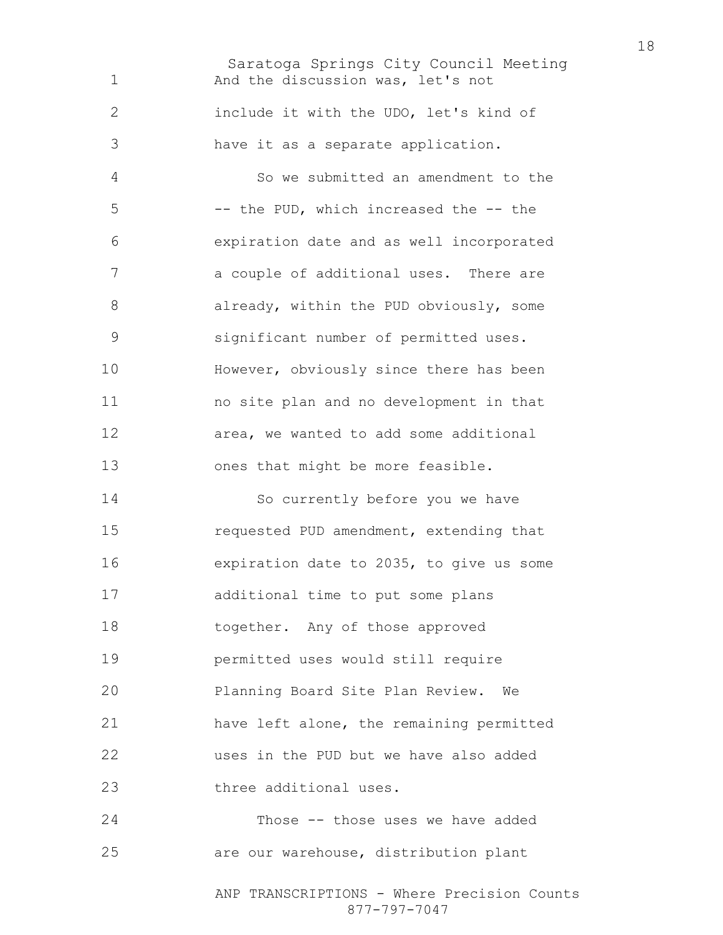Saratoga Springs City Council Meeting ANP TRANSCRIPTIONS - Where Precision Counts And the discussion was, let's not include it with the UDO, let's kind of have it as a separate application. So we submitted an amendment to the -- the PUD, which increased the -- the expiration date and as well incorporated a couple of additional uses. There are 8 already, within the PUD obviously, some significant number of permitted uses. However, obviously since there has been no site plan and no development in that area, we wanted to add some additional ones that might be more feasible. So currently before you we have requested PUD amendment, extending that expiration date to 2035, to give us some additional time to put some plans together. Any of those approved permitted uses would still require Planning Board Site Plan Review. We have left alone, the remaining permitted uses in the PUD but we have also added three additional uses. Those -- those uses we have added are our warehouse, distribution plant

877-797-7047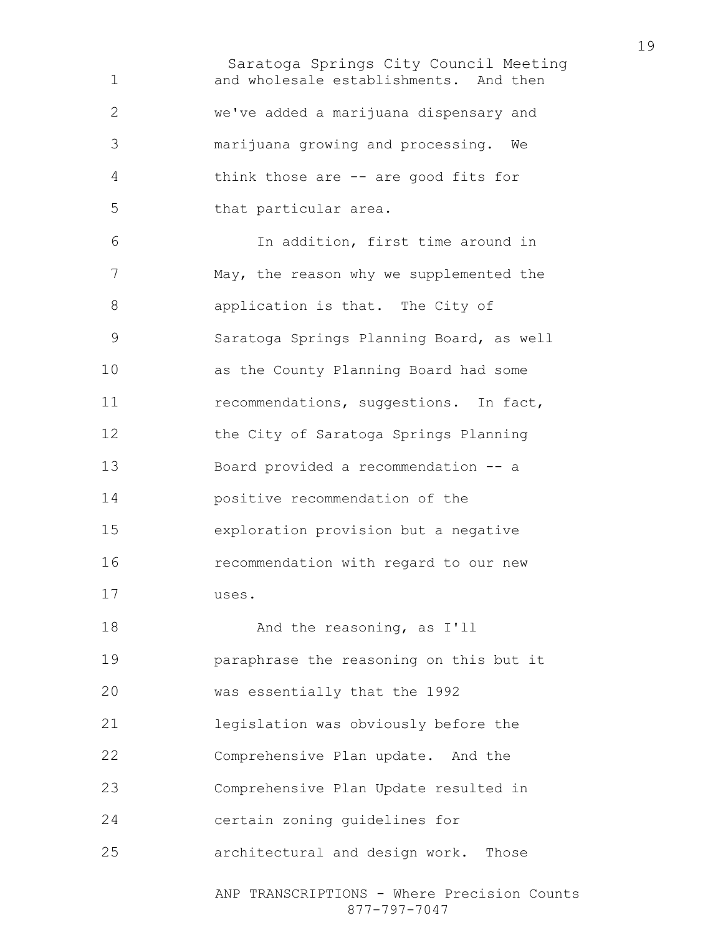Saratoga Springs City Council Meeting ANP TRANSCRIPTIONS - Where Precision Counts and wholesale establishments. And then we've added a marijuana dispensary and marijuana growing and processing. We think those are -- are good fits for that particular area. In addition, first time around in May, the reason why we supplemented the application is that. The City of Saratoga Springs Planning Board, as well as the County Planning Board had some 11 recommendations, suggestions. In fact, the City of Saratoga Springs Planning Board provided a recommendation -- a positive recommendation of the exploration provision but a negative recommendation with regard to our new uses. And the reasoning, as I'll paraphrase the reasoning on this but it was essentially that the 1992 legislation was obviously before the Comprehensive Plan update. And the Comprehensive Plan Update resulted in certain zoning guidelines for architectural and design work. Those

877-797-7047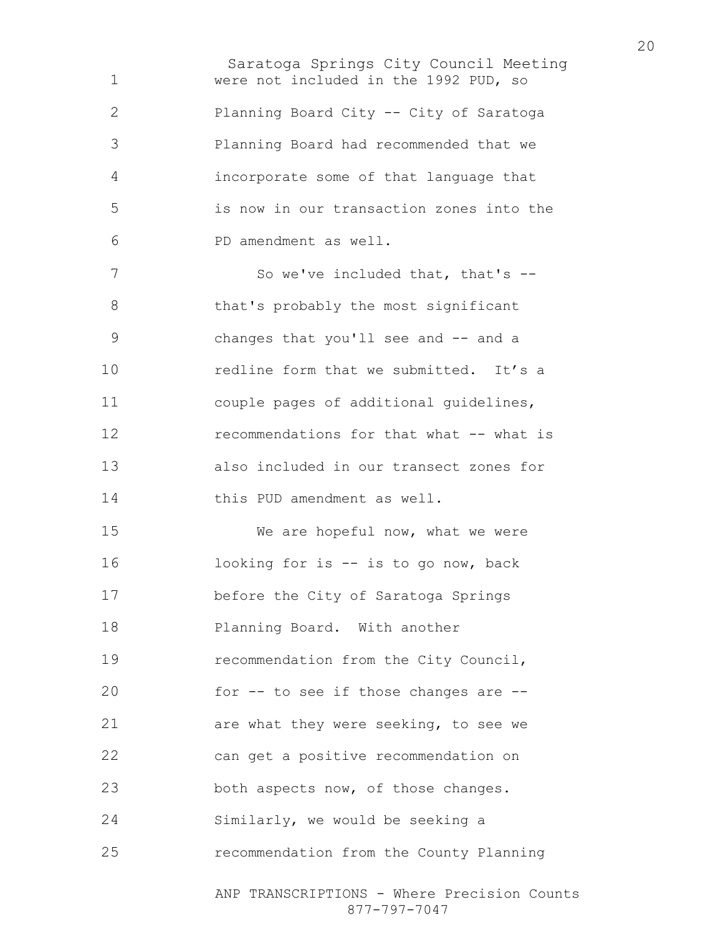Saratoga Springs City Council Meeting ANP TRANSCRIPTIONS - Where Precision Counts were not included in the 1992 PUD, so Planning Board City -- City of Saratoga Planning Board had recommended that we incorporate some of that language that is now in our transaction zones into the PD amendment as well. 7 So we've included that, that's --8 that's probably the most significant changes that you'll see and -- and a **redline form that we submitted.** It's a couple pages of additional guidelines, **recommendations for that what -- what is** also included in our transect zones for this PUD amendment as well. We are hopeful now, what we were looking for is -- is to go now, back before the City of Saratoga Springs Planning Board. With another recommendation from the City Council, for -- to see if those changes are -- are what they were seeking, to see we can get a positive recommendation on 23 both aspects now, of those changes. Similarly, we would be seeking a recommendation from the County Planning

877-797-7047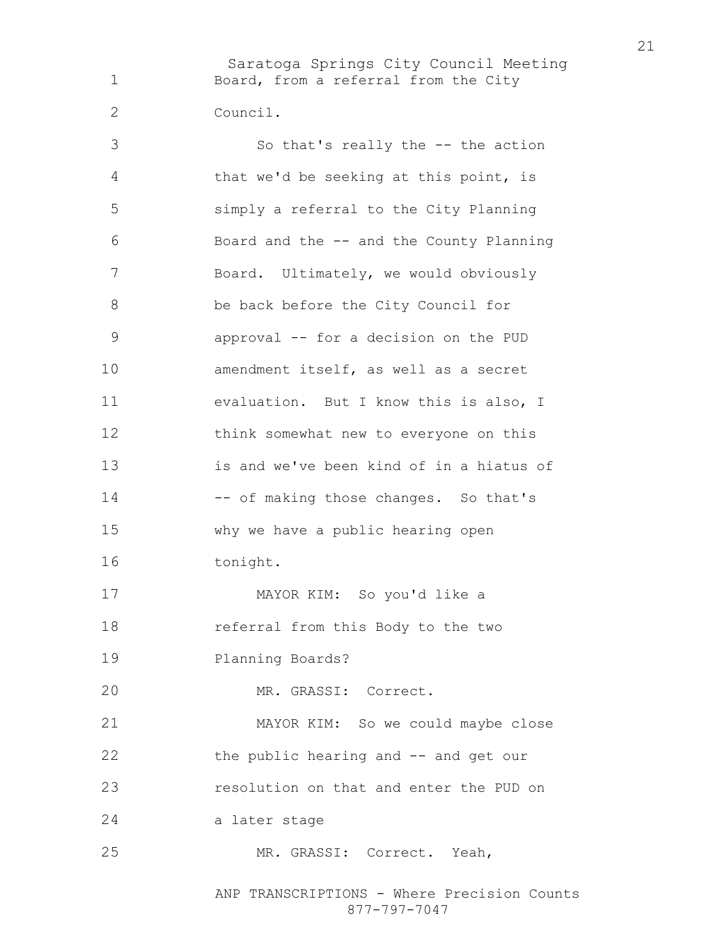Saratoga Springs City Council Meeting Board, from a referral from the City Council.

So that's really the -- the action that we'd be seeking at this point, is simply a referral to the City Planning Board and the -- and the County Planning Board. Ultimately, we would obviously be back before the City Council for approval -- for a decision on the PUD amendment itself, as well as a secret evaluation. But I know this is also, I think somewhat new to everyone on this is and we've been kind of in a hiatus of 14 -- of making those changes. So that's why we have a public hearing open 16 tonight. MAYOR KIM: So you'd like a referral from this Body to the two Planning Boards? MR. GRASSI: Correct. MAYOR KIM: So we could maybe close the public hearing and -- and get our resolution on that and enter the PUD on a later stage MR. GRASSI: Correct. Yeah,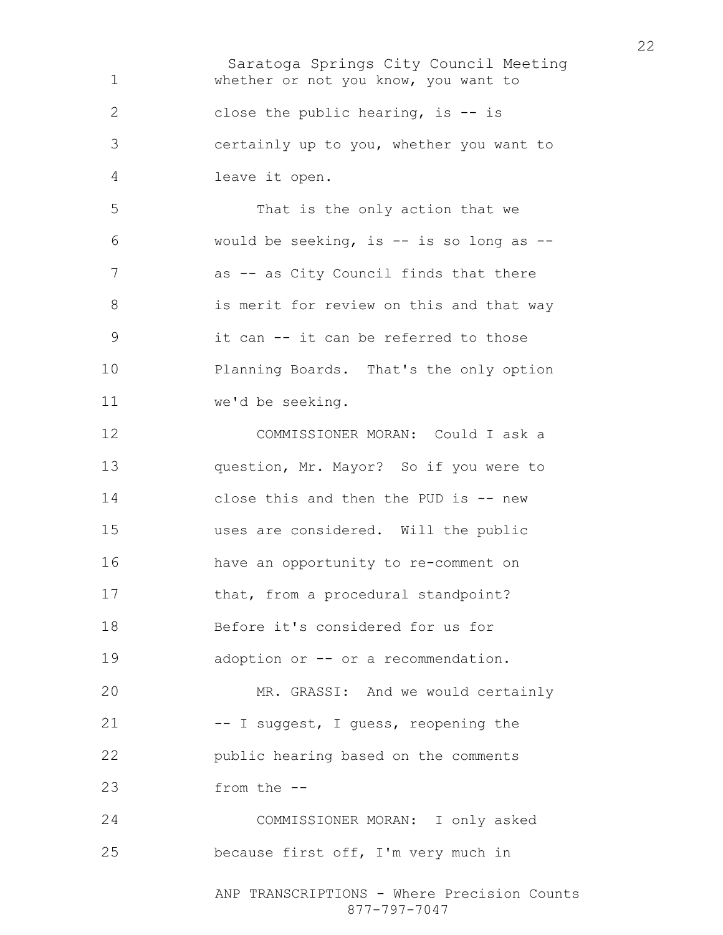Saratoga Springs City Council Meeting whether or not you know, you want to close the public hearing, is -- is certainly up to you, whether you want to leave it open. That is the only action that we would be seeking, is -- is so long as -- 7 as -- as City Council finds that there 8 is merit for review on this and that way it can -- it can be referred to those Planning Boards. That's the only option we'd be seeking. COMMISSIONER MORAN: Could I ask a question, Mr. Mayor? So if you were to 14 close this and then the PUD is -- new uses are considered. Will the public have an opportunity to re-comment on 17 that, from a procedural standpoint? Before it's considered for us for 19 adoption or -- or a recommendation. MR. GRASSI: And we would certainly 21 -- I suggest, I guess, reopening the public hearing based on the comments from the -- COMMISSIONER MORAN: I only asked because first off, I'm very much in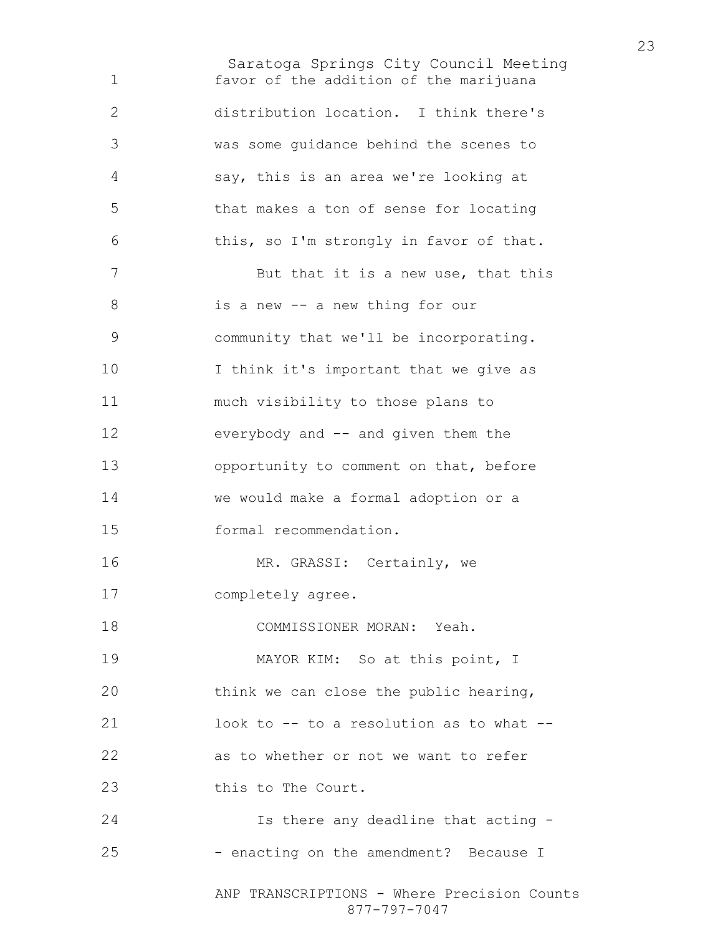Saratoga Springs City Council Meeting ANP TRANSCRIPTIONS - Where Precision Counts 877-797-7047 favor of the addition of the marijuana distribution location. I think there's was some guidance behind the scenes to say, this is an area we're looking at that makes a ton of sense for locating this, so I'm strongly in favor of that. 7 But that it is a new use, that this is a new -- a new thing for our community that we'll be incorporating. 10 I think it's important that we give as much visibility to those plans to everybody and -- and given them the 13 opportunity to comment on that, before we would make a formal adoption or a formal recommendation. MR. GRASSI: Certainly, we completely agree. COMMISSIONER MORAN: Yeah. 19 MAYOR KIM: So at this point, I think we can close the public hearing, look to -- to a resolution as to what -- as to whether or not we want to refer 23 this to The Court. Is there any deadline that acting - 25 - enacting on the amendment? Because I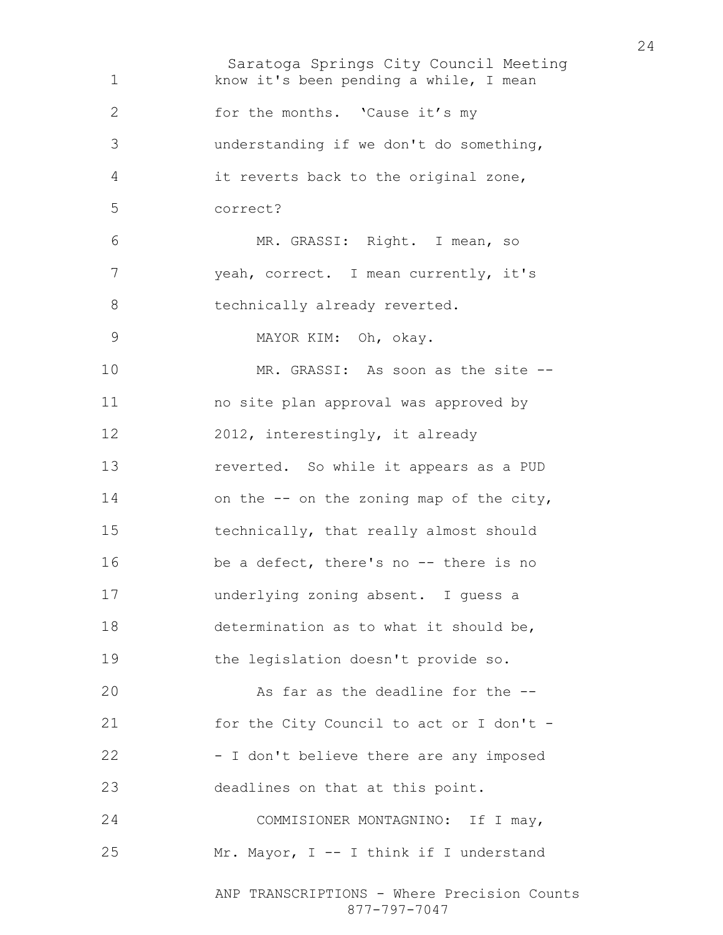Saratoga Springs City Council Meeting ANP TRANSCRIPTIONS - Where Precision Counts 877-797-7047 know it's been pending a while, I mean 2 for the months. 'Cause it's my understanding if we don't do something, it reverts back to the original zone, correct? MR. GRASSI: Right. I mean, so yeah, correct. I mean currently, it's 8 technically already reverted. MAYOR KIM: Oh, okay. MR. GRASSI: As soon as the site -- no site plan approval was approved by 12 2012, interestingly, it already reverted. So while it appears as a PUD 14 on the -- on the zoning map of the city, technically, that really almost should be a defect, there's no -- there is no underlying zoning absent. I guess a determination as to what it should be, the legislation doesn't provide so. 20 As far as the deadline for the  $-$ 21 for the City Council to act or I don't -22 - I don't believe there are any imposed deadlines on that at this point. 24 COMMISIONER MONTAGNINO: If I may, Mr. Mayor, I -- I think if I understand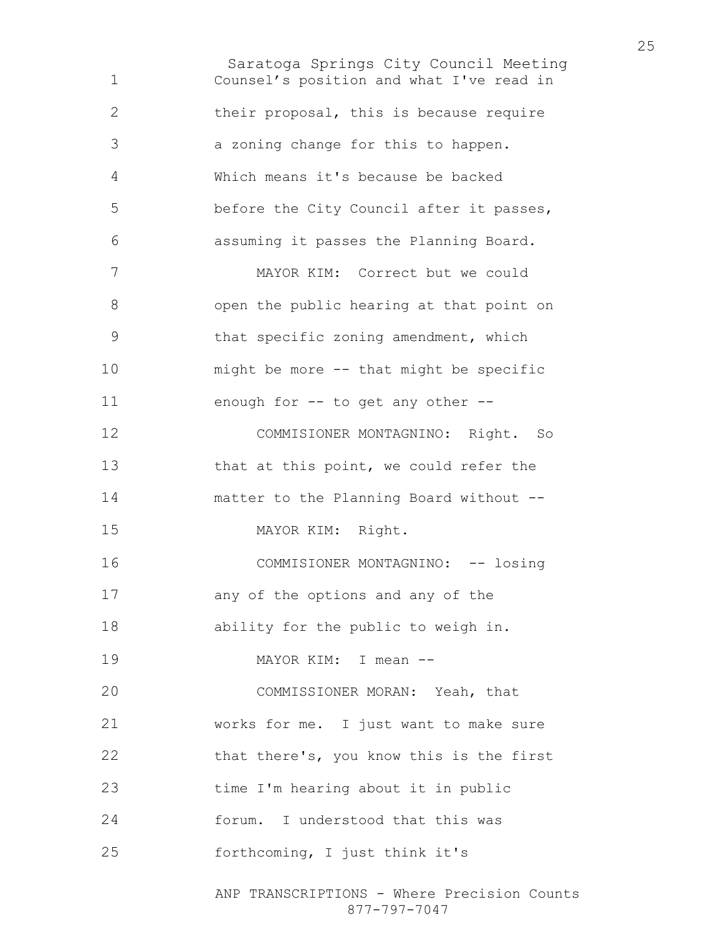Saratoga Springs City Council Meeting Counsel's position and what I've read in their proposal, this is because require a zoning change for this to happen. Which means it's because be backed before the City Council after it passes, assuming it passes the Planning Board. MAYOR KIM: Correct but we could open the public hearing at that point on that specific zoning amendment, which might be more -- that might be specific enough for -- to get any other -- COMMISIONER MONTAGNINO: Right. So 13 that at this point, we could refer the matter to the Planning Board without -- MAYOR KIM: Right. 16 COMMISIONER MONTAGNINO: -- losing any of the options and any of the ability for the public to weigh in. MAYOR KIM: I mean -- COMMISSIONER MORAN: Yeah, that works for me. I just want to make sure 22 that there's, you know this is the first time I'm hearing about it in public forum. I understood that this was forthcoming, I just think it's

ANP TRANSCRIPTIONS - Where Precision Counts 877-797-7047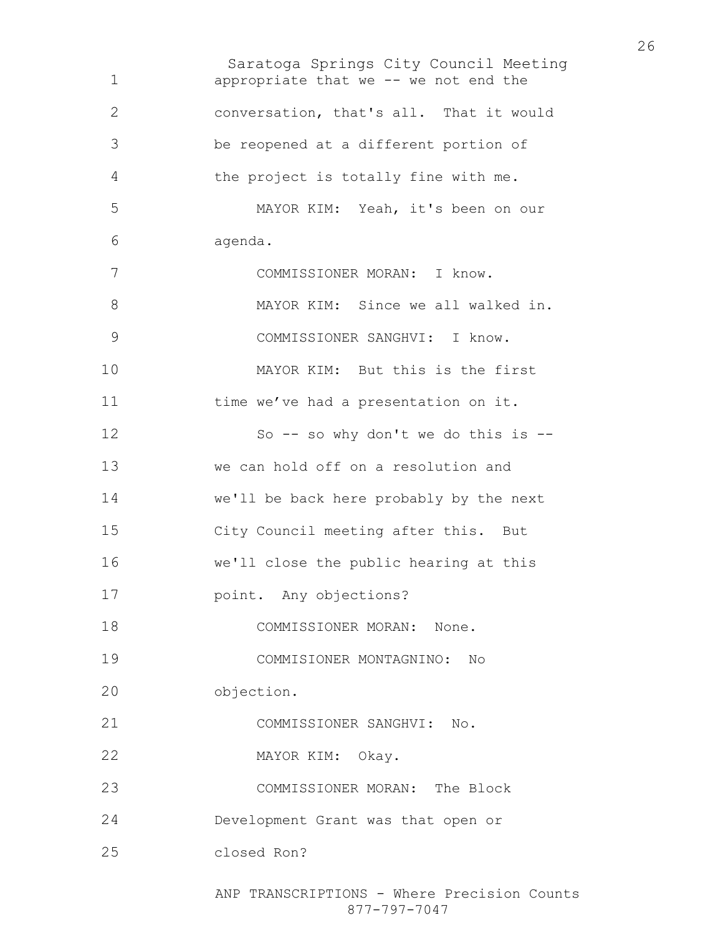Saratoga Springs City Council Meeting appropriate that we -- we not end the conversation, that's all. That it would be reopened at a different portion of the project is totally fine with me. MAYOR KIM: Yeah, it's been on our agenda. COMMISSIONER MORAN: I know. 8 MAYOR KIM: Since we all walked in. COMMISSIONER SANGHVI: I know. MAYOR KIM: But this is the first 11 time we've had a presentation on it. 12 So -- so why don't we do this is --we can hold off on a resolution and we'll be back here probably by the next City Council meeting after this. But we'll close the public hearing at this point. Any objections? COMMISSIONER MORAN: None. COMMISIONER MONTAGNINO: No objection. COMMISSIONER SANGHVI: No. MAYOR KIM: Okay. COMMISSIONER MORAN: The Block Development Grant was that open or closed Ron?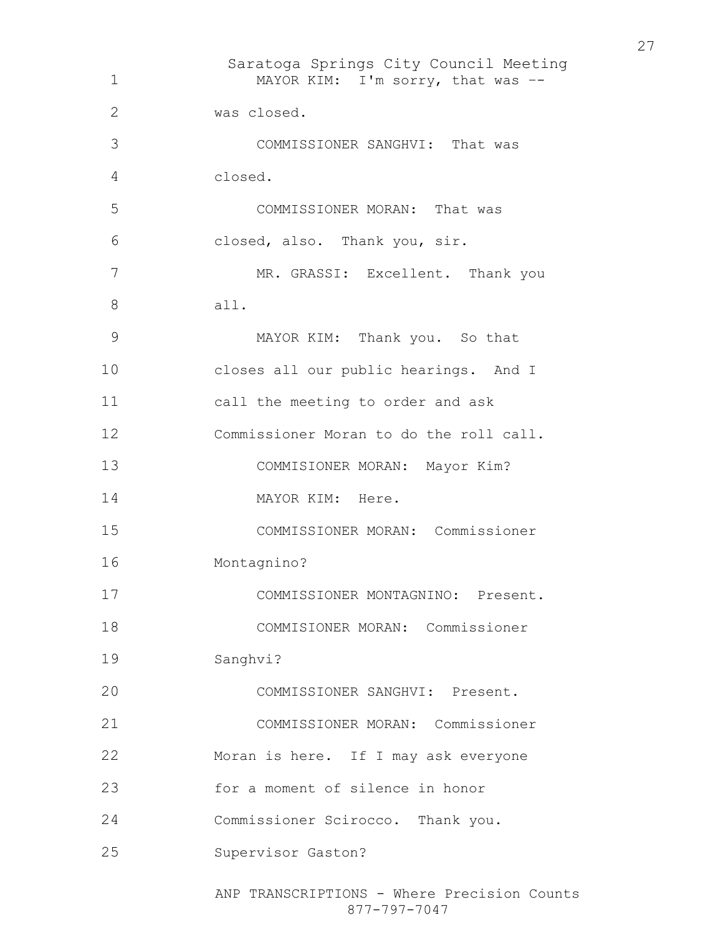Saratoga Springs City Council Meeting ANP TRANSCRIPTIONS - Where Precision Counts 877-797-7047 1 MAYOR KIM: I'm sorry, that was --was closed. COMMISSIONER SANGHVI: That was closed. COMMISSIONER MORAN: That was closed, also. Thank you, sir. MR. GRASSI: Excellent. Thank you all. MAYOR KIM: Thank you. So that closes all our public hearings. And I call the meeting to order and ask Commissioner Moran to do the roll call. COMMISIONER MORAN: Mayor Kim? 14 MAYOR KIM: Here. COMMISSIONER MORAN: Commissioner Montagnino? COMMISSIONER MONTAGNINO: Present. COMMISIONER MORAN: Commissioner Sanghvi? COMMISSIONER SANGHVI: Present. COMMISSIONER MORAN: Commissioner Moran is here. If I may ask everyone for a moment of silence in honor Commissioner Scirocco. Thank you. Supervisor Gaston?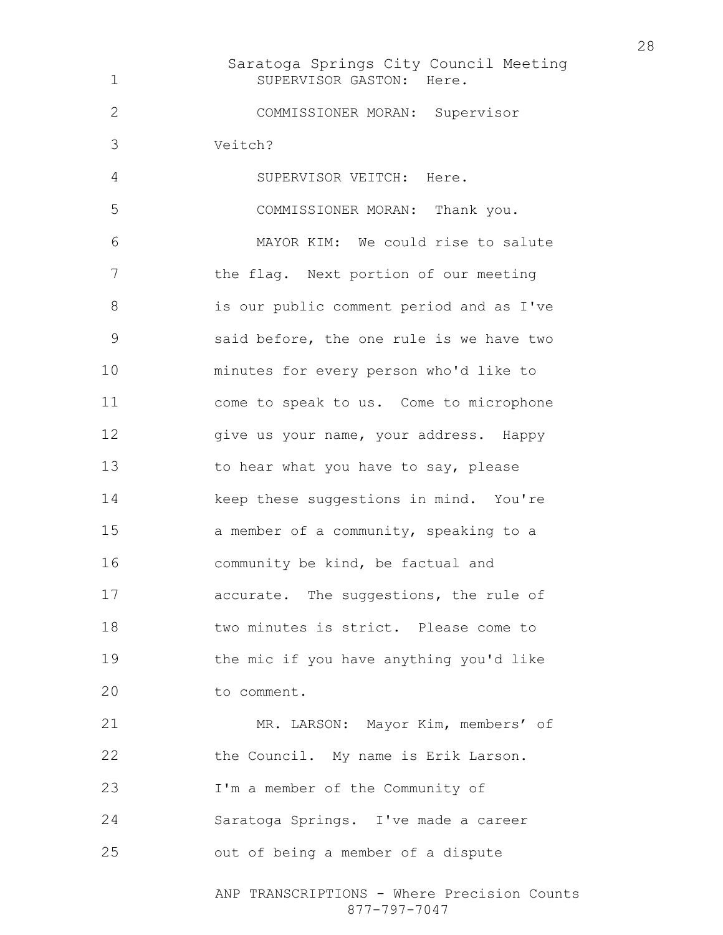Saratoga Springs City Council Meeting 1 SUPERVISOR GASTON: Here. COMMISSIONER MORAN: Supervisor Veitch? SUPERVISOR VEITCH: Here. COMMISSIONER MORAN: Thank you. MAYOR KIM: We could rise to salute the flag. Next portion of our meeting is our public comment period and as I've said before, the one rule is we have two minutes for every person who'd like to come to speak to us. Come to microphone 12 give us your name, your address. Happy 13 to hear what you have to say, please 14 keep these suggestions in mind. You're a member of a community, speaking to a community be kind, be factual and accurate. The suggestions, the rule of two minutes is strict. Please come to the mic if you have anything you'd like to comment. MR. LARSON: Mayor Kim, members' of the Council. My name is Erik Larson. I'm a member of the Community of Saratoga Springs. I've made a career

out of being a member of a dispute

ANP TRANSCRIPTIONS - Where Precision Counts 877-797-7047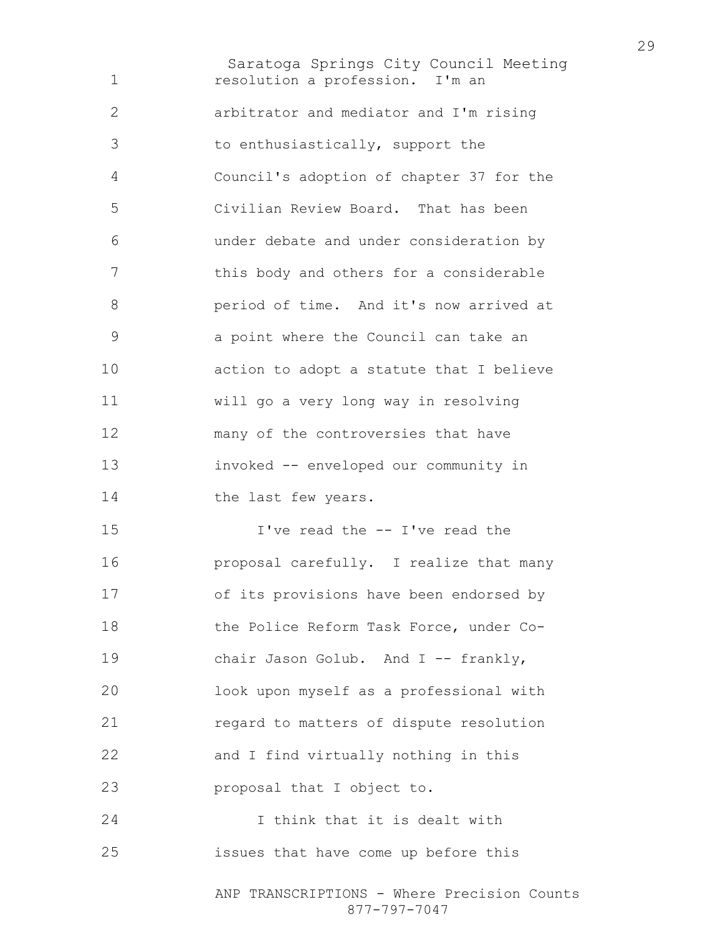Saratoga Springs City Council Meeting resolution a profession. I'm an arbitrator and mediator and I'm rising to enthusiastically, support the Council's adoption of chapter 37 for the Civilian Review Board. That has been under debate and under consideration by this body and others for a considerable period of time. And it's now arrived at a point where the Council can take an action to adopt a statute that I believe will go a very long way in resolving many of the controversies that have invoked -- enveloped our community in 14 the last few years. I've read the -- I've read the proposal carefully. I realize that many of its provisions have been endorsed by the Police Reform Task Force, under Co-19 chair Jason Golub. And I -- frankly, look upon myself as a professional with regard to matters of dispute resolution and I find virtually nothing in this proposal that I object to. I think that it is dealt with issues that have come up before this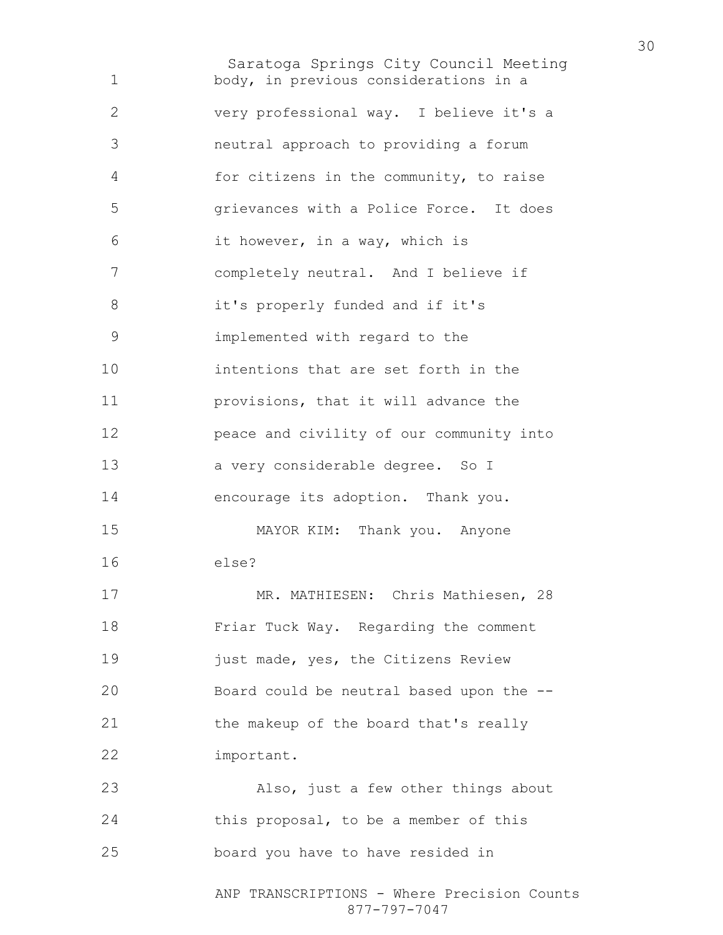Saratoga Springs City Council Meeting ANP TRANSCRIPTIONS - Where Precision Counts body, in previous considerations in a very professional way. I believe it's a neutral approach to providing a forum for citizens in the community, to raise grievances with a Police Force. It does it however, in a way, which is completely neutral. And I believe if it's properly funded and if it's implemented with regard to the intentions that are set forth in the provisions, that it will advance the peace and civility of our community into a very considerable degree. So I encourage its adoption. Thank you. MAYOR KIM: Thank you. Anyone else? MR. MATHIESEN: Chris Mathiesen, 28 Friar Tuck Way. Regarding the comment **just made, yes, the Citizens Review** Board could be neutral based upon the -- the makeup of the board that's really important. Also, just a few other things about this proposal, to be a member of this board you have to have resided in

877-797-7047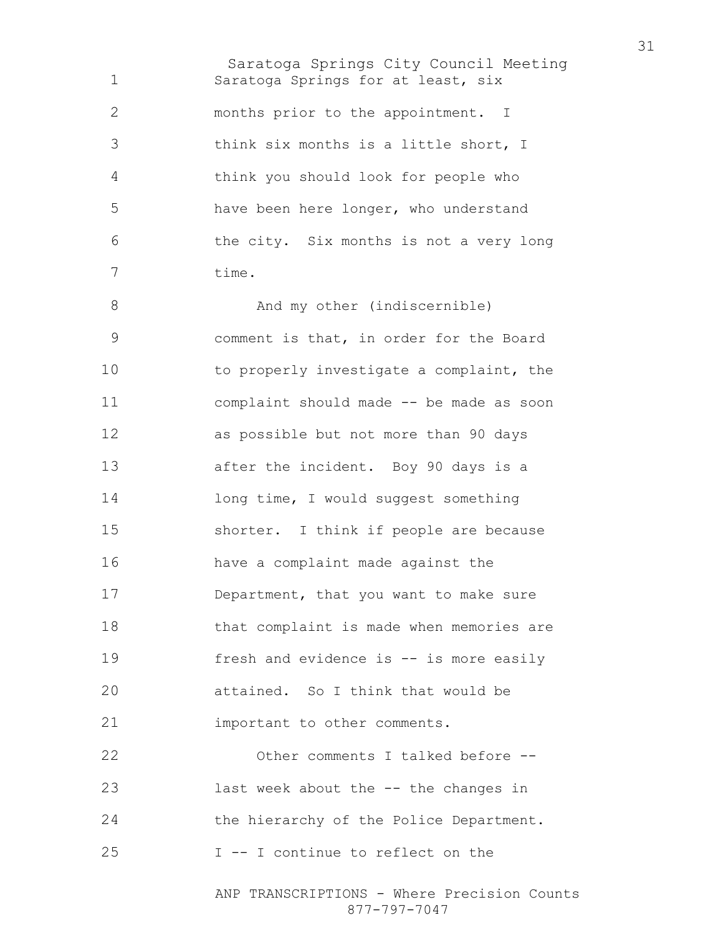Saratoga Springs City Council Meeting Saratoga Springs for at least, six months prior to the appointment. I think six months is a little short, I think you should look for people who have been here longer, who understand the city. Six months is not a very long time. 8 And my other (indiscernible) comment is that, in order for the Board to properly investigate a complaint, the complaint should made -- be made as soon as possible but not more than 90 days after the incident. Boy 90 days is a 14 long time, I would suggest something shorter. I think if people are because have a complaint made against the Department, that you want to make sure that complaint is made when memories are 19 fresh and evidence is -- is more easily attained. So I think that would be **important** to other comments. Other comments I talked before --

last week about the -- the changes in the hierarchy of the Police Department.

I -- I continue to reflect on the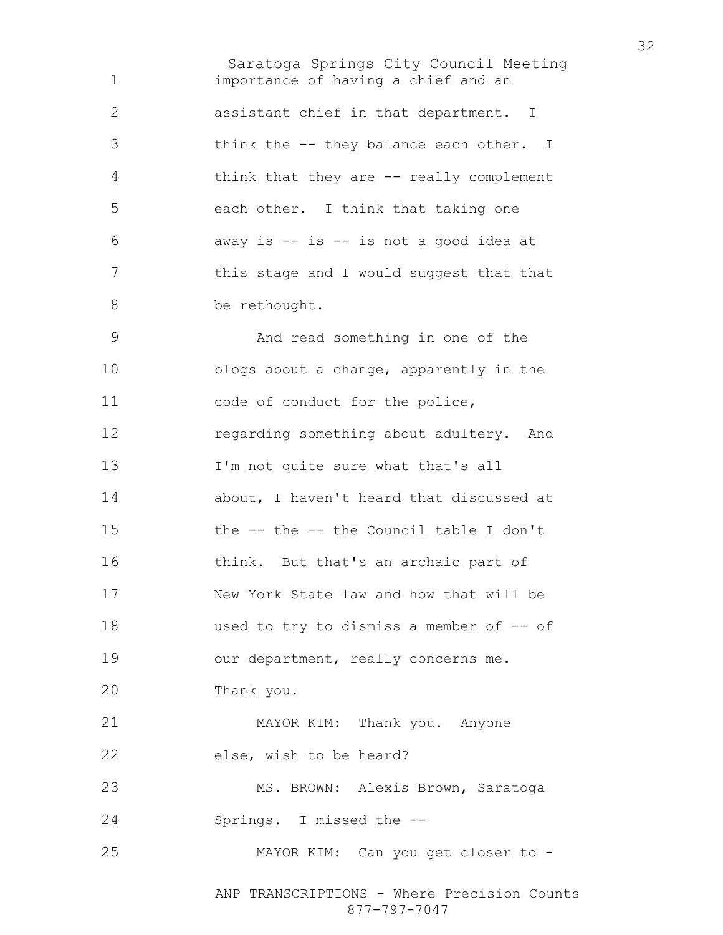Saratoga Springs City Council Meeting importance of having a chief and an assistant chief in that department. I think the -- they balance each other. I think that they are -- really complement each other. I think that taking one away is -- is -- is not a good idea at 7 this stage and I would suggest that that 8 be rethought. And read something in one of the blogs about a change, apparently in the code of conduct for the police, regarding something about adultery. And I'm not quite sure what that's all about, I haven't heard that discussed at the -- the -- the Council table I don't think. But that's an archaic part of New York State law and how that will be 18 used to try to dismiss a member of -- of 19 our department, really concerns me. Thank you. MAYOR KIM: Thank you. Anyone else, wish to be heard? 23 MS. BROWN: Alexis Brown, Saratoga Springs. I missed the -- MAYOR KIM: Can you get closer to -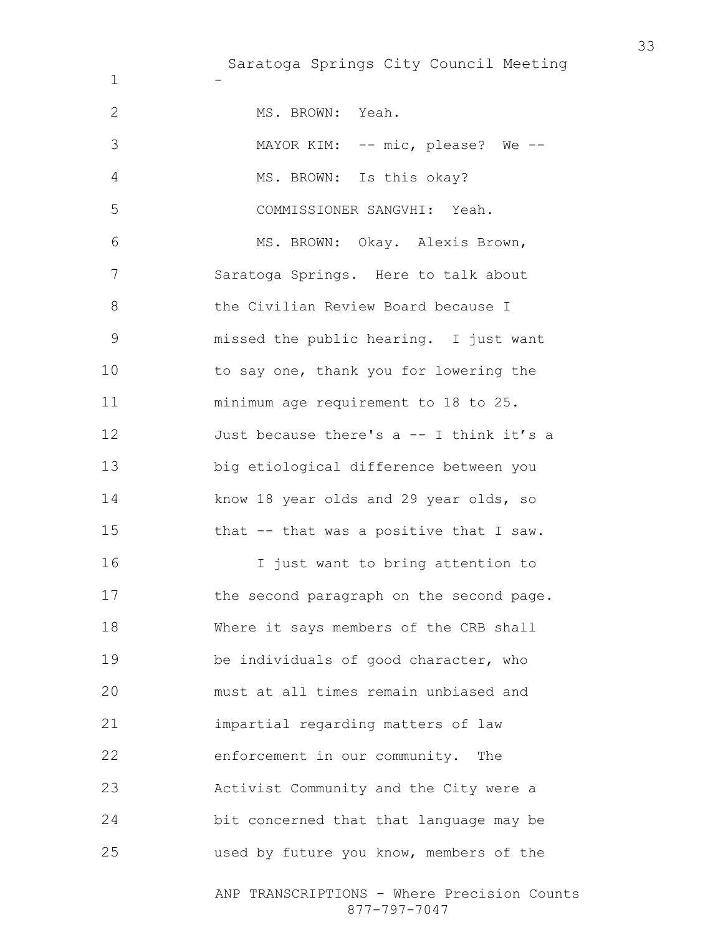Saratoga Springs City Council Meeting

-

| 2             | MS. BROWN: Yeah.                                            |
|---------------|-------------------------------------------------------------|
| 3             | MAYOR KIM: -- mic, please? We --                            |
| 4             | MS. BROWN: Is this okay?                                    |
| 5             | COMMISSIONER SANGVHI: Yeah.                                 |
| 6             | MS. BROWN: Okay. Alexis Brown,                              |
| 7             | Saratoga Springs. Here to talk about                        |
| 8             | the Civilian Review Board because I                         |
| $\mathcal{G}$ | missed the public hearing. I just want                      |
| 10            | to say one, thank you for lowering the                      |
| 11            | minimum age requirement to 18 to 25.                        |
| 12            | Just because there's a -- I think it's a                    |
| 13            | big etiological difference between you                      |
| 14            | know 18 year olds and 29 year olds, so                      |
| 15            | that -- that was a positive that I saw.                     |
| 16            | I just want to bring attention to                           |
| 17            | the second paragraph on the second page.                    |
| 18            | Where it says members of the CRB shall                      |
| 19            | be individuals of good character, who                       |
| 20            | must at all times remain unbiased and                       |
| 21            | impartial regarding matters of law                          |
| 22            | enforcement in our community. The                           |
| 23            | Activist Community and the City were a                      |
| 24            | bit concerned that that language may be                     |
| 25            | used by future you know, members of the                     |
|               | ANP TRANSCRIPTIONS - Where Precision Counts<br>877-797-7047 |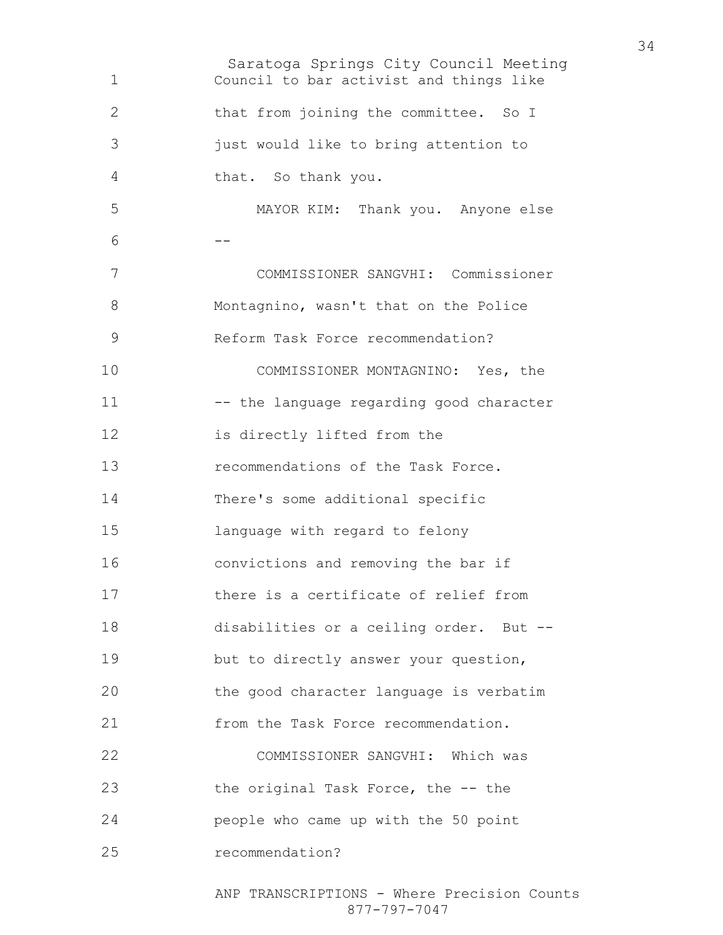Saratoga Springs City Council Meeting Council to bar activist and things like that from joining the committee. So I just would like to bring attention to that. So thank you. MAYOR KIM: Thank you. Anyone else --COMMISSIONER SANGVHI: Commissioner Montagnino, wasn't that on the Police Reform Task Force recommendation? COMMISSIONER MONTAGNINO: Yes, the 11 -- the language regarding good character is directly lifted from the recommendations of the Task Force. There's some additional specific language with regard to felony convictions and removing the bar if there is a certificate of relief from disabilities or a ceiling order. But -- but to directly answer your question, the good character language is verbatim **from the Task Force recommendation.** COMMISSIONER SANGVHI: Which was the original Task Force, the -- the people who came up with the 50 point recommendation?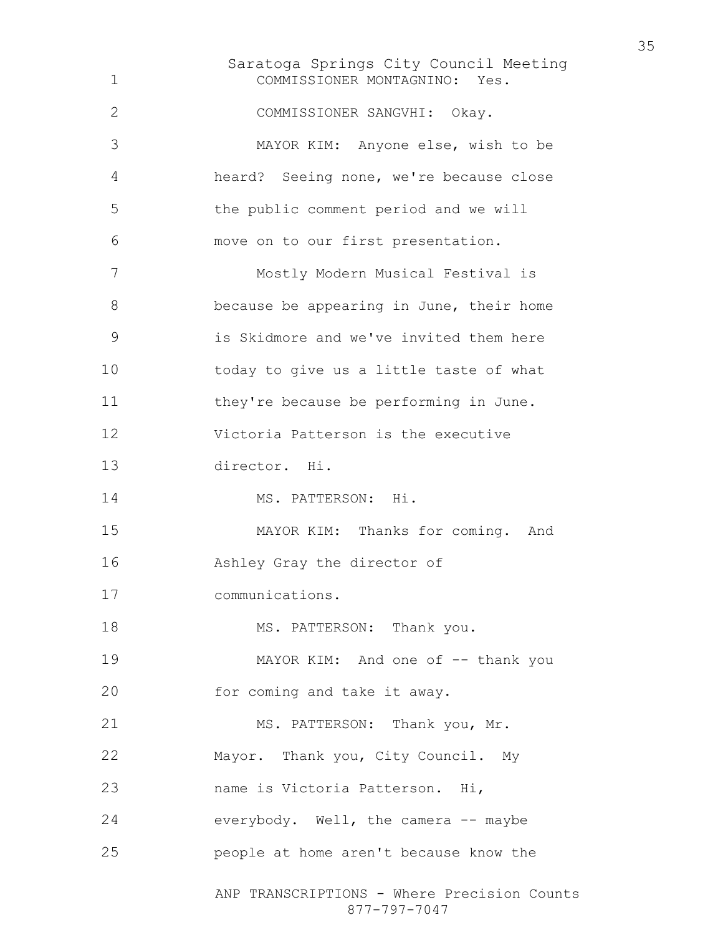Saratoga Springs City Council Meeting ANP TRANSCRIPTIONS - Where Precision Counts COMMISSIONER MONTAGNINO: Yes. COMMISSIONER SANGVHI: Okay. MAYOR KIM: Anyone else, wish to be heard? Seeing none, we're because close the public comment period and we will move on to our first presentation. Mostly Modern Musical Festival is because be appearing in June, their home is Skidmore and we've invited them here today to give us a little taste of what they're because be performing in June. Victoria Patterson is the executive director. Hi. 14 MS. PATTERSON: Hi. MAYOR KIM: Thanks for coming. And Ashley Gray the director of communications. 18 MS. PATTERSON: Thank you. 19 MAYOR KIM: And one of -- thank you 20 for coming and take it away. 21 MS. PATTERSON: Thank you, Mr. Mayor. Thank you, City Council. My name is Victoria Patterson. Hi, everybody. Well, the camera -- maybe people at home aren't because know the

877-797-7047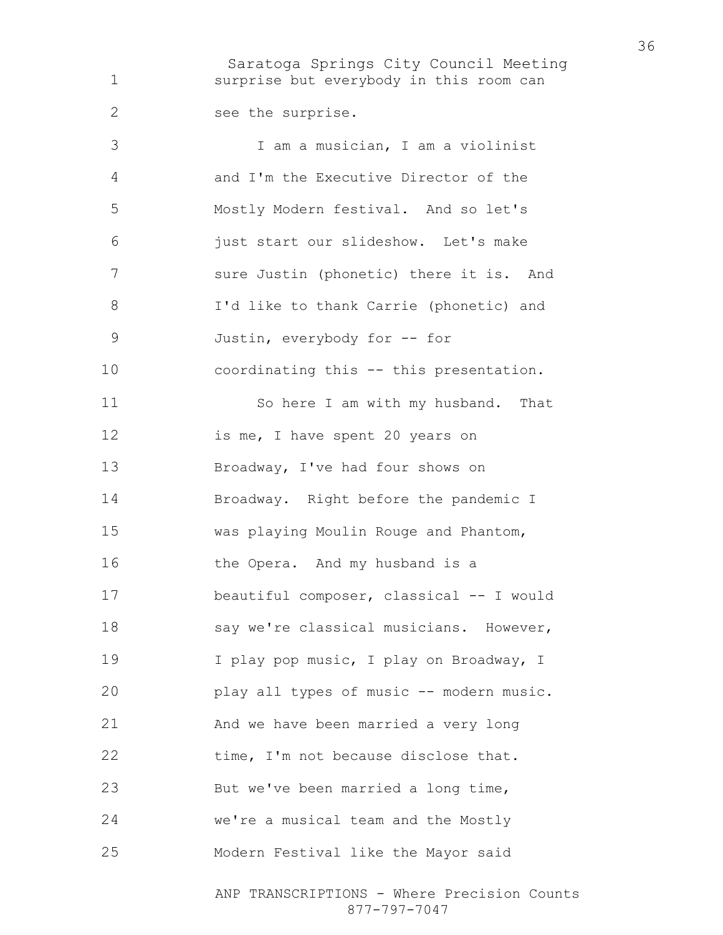Saratoga Springs City Council Meeting surprise but everybody in this room can see the surprise. I am a musician, I am a violinist and I'm the Executive Director of the Mostly Modern festival. And so let's just start our slideshow. Let's make 7 sure Justin (phonetic) there it is. And I'd like to thank Carrie (phonetic) and Justin, everybody for -- for coordinating this -- this presentation. So here I am with my husband. That 12 is me, I have spent 20 years on Broadway, I've had four shows on Broadway. Right before the pandemic I was playing Moulin Rouge and Phantom, 16 the Opera. And my husband is a beautiful composer, classical -- I would 18 say we're classical musicians. However, 19 I play pop music, I play on Broadway, I play all types of music -- modern music.

And we have been married a very long 22 time, I'm not because disclose that. But we've been married a long time, we're a musical team and the Mostly Modern Festival like the Mayor said

> ANP TRANSCRIPTIONS - Where Precision Counts 877-797-7047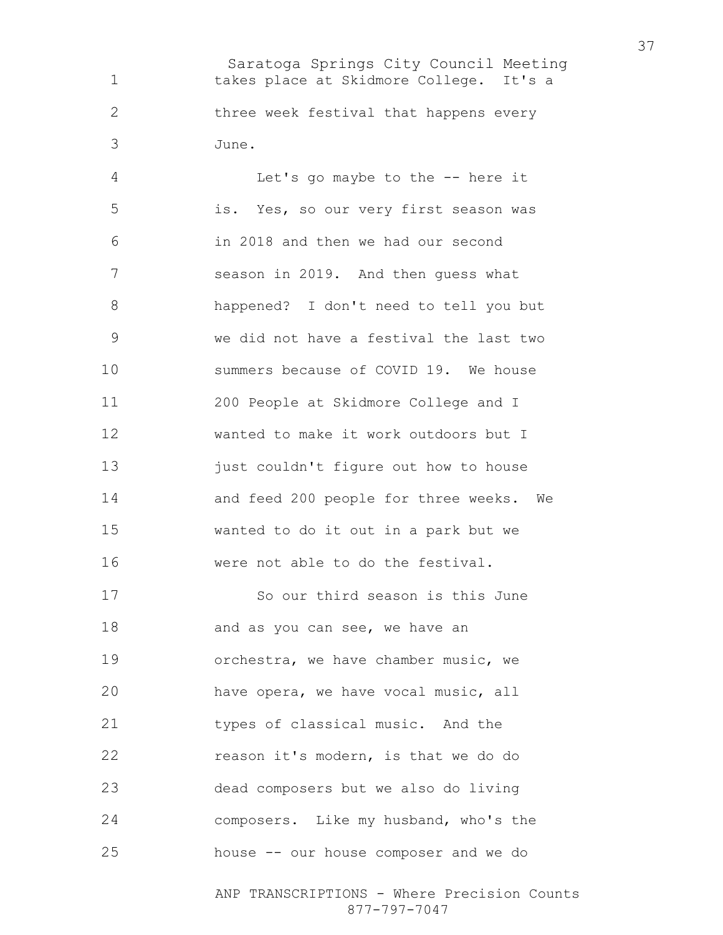Saratoga Springs City Council Meeting takes place at Skidmore College. It's a three week festival that happens every June.

Let's go maybe to the -- here it is. Yes, so our very first season was in 2018 and then we had our second season in 2019. And then guess what happened? I don't need to tell you but we did not have a festival the last two summers because of COVID 19. We house 200 People at Skidmore College and I wanted to make it work outdoors but I 13 just couldn't figure out how to house and feed 200 people for three weeks. We wanted to do it out in a park but we were not able to do the festival.

So our third season is this June 18 and as you can see, we have an orchestra, we have chamber music, we have opera, we have vocal music, all 21 types of classical music. And the reason it's modern, is that we do do dead composers but we also do living composers. Like my husband, who's the house -- our house composer and we do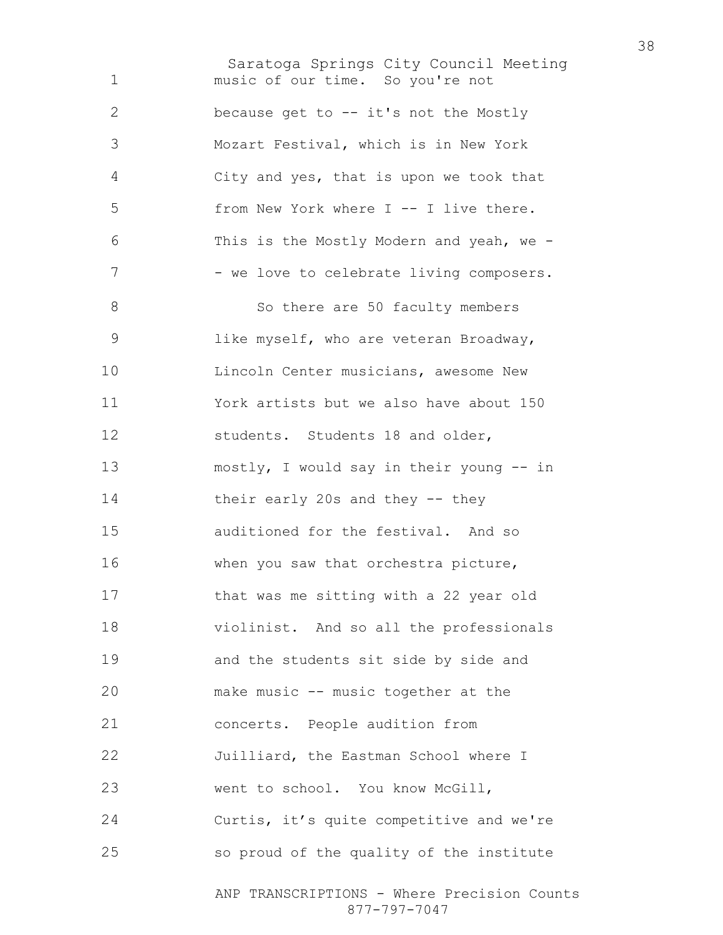Saratoga Springs City Council Meeting ANP TRANSCRIPTIONS - Where Precision Counts music of our time. So you're not because get to -- it's not the Mostly Mozart Festival, which is in New York City and yes, that is upon we took that from New York where I -- I live there. This is the Mostly Modern and yeah, we - 7 - we love to celebrate living composers. 8 So there are 50 faculty members like myself, who are veteran Broadway, **Lincoln Center musicians, awesome New** York artists but we also have about 150 12 students. Students 18 and older, mostly, I would say in their young -- in their early 20s and they -- they auditioned for the festival. And so when you saw that orchestra picture, that was me sitting with a 22 year old violinist. And so all the professionals and the students sit side by side and make music -- music together at the concerts. People audition from Juilliard, the Eastman School where I 23 went to school. You know McGill, Curtis, it's quite competitive and we're so proud of the quality of the institute

877-797-7047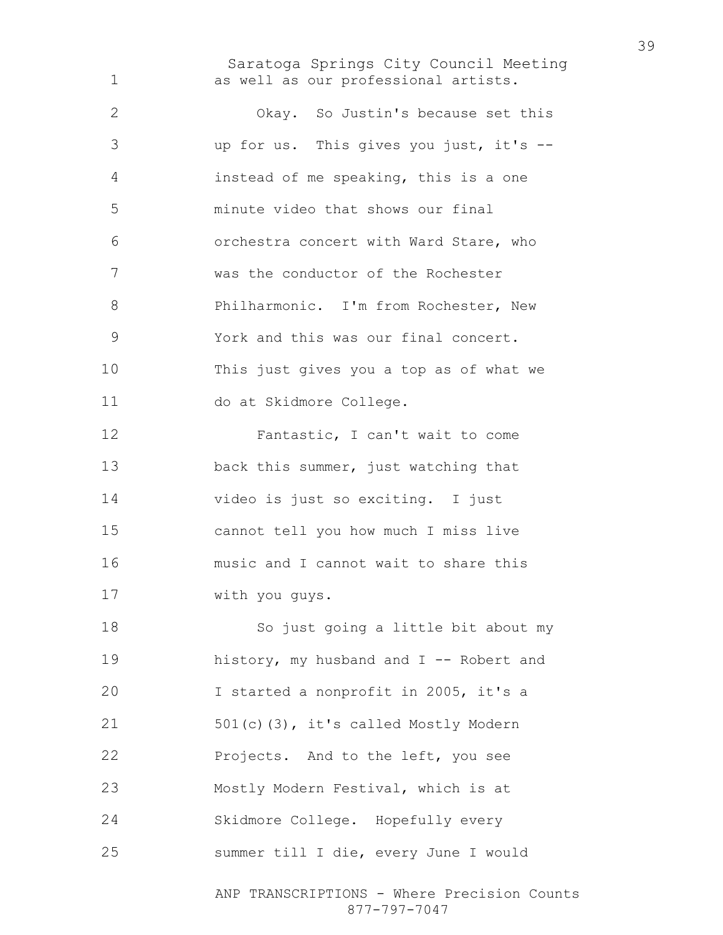Saratoga Springs City Council Meeting as well as our professional artists.

Okay. So Justin's because set this up for us. This gives you just, it's -- instead of me speaking, this is a one minute video that shows our final orchestra concert with Ward Stare, who was the conductor of the Rochester 8 Philharmonic. I'm from Rochester, New York and this was our final concert. This just gives you a top as of what we do at Skidmore College. Fantastic, I can't wait to come back this summer, just watching that video is just so exciting. I just cannot tell you how much I miss live music and I cannot wait to share this with you guys. So just going a little bit about my 19 history, my husband and I -- Robert and I started a nonprofit in 2005, it's a 501(c)(3), it's called Mostly Modern Projects. And to the left, you see Mostly Modern Festival, which is at Skidmore College. Hopefully every summer till I die, every June I would

> ANP TRANSCRIPTIONS - Where Precision Counts 877-797-7047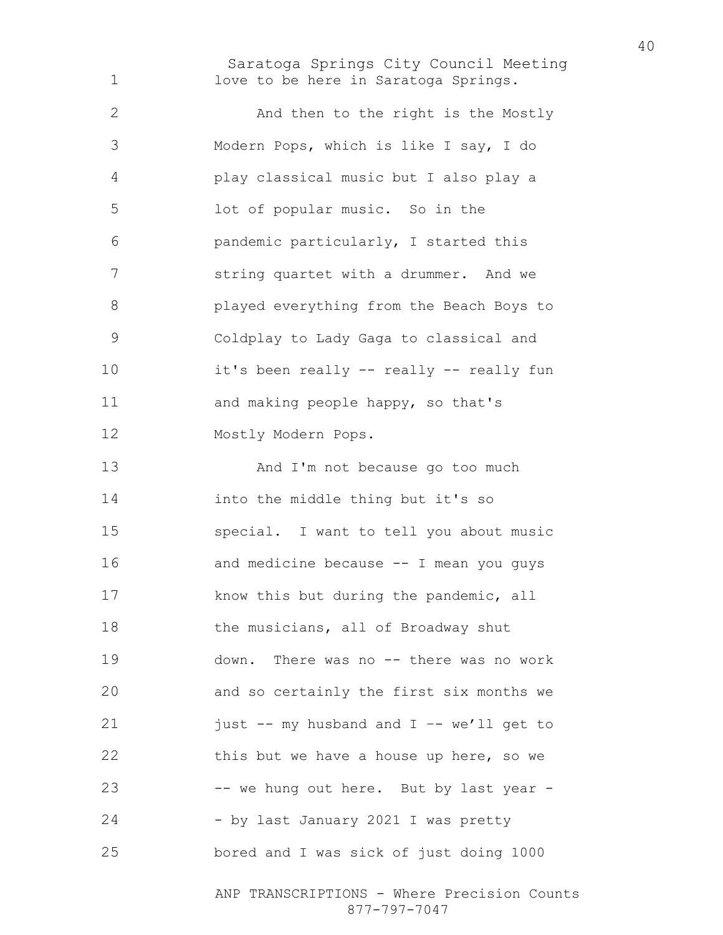Saratoga Springs City Council Meeting 1 love to be here in Saratoga Springs.

2 And then to the right is the Mostly Modern Pops, which is like I say, I do play classical music but I also play a lot of popular music. So in the pandemic particularly, I started this string quartet with a drummer. And we played everything from the Beach Boys to Coldplay to Lady Gaga to classical and it's been really -- really -- really fun 11 and making people happy, so that's Mostly Modern Pops.

13 And I'm not because go too much into the middle thing but it's so special. I want to tell you about music and medicine because -- I mean you guys **know this but during the pandemic, all** 18 the musicians, all of Broadway shut down. There was no -- there was no work and so certainly the first six months we 21 just -- my husband and I -- we'll get to this but we have a house up here, so we -- we hung out here. But by last year - 24 - by last January 2021 I was pretty bored and I was sick of just doing 1000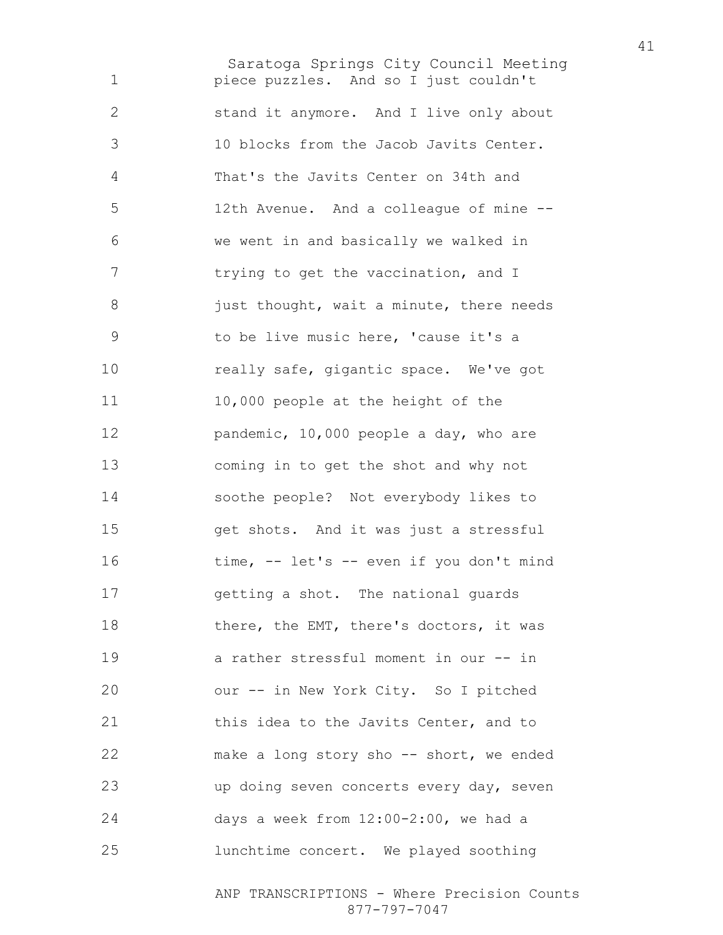Saratoga Springs City Council Meeting piece puzzles. And so I just couldn't stand it anymore. And I live only about 10 blocks from the Jacob Javits Center. That's the Javits Center on 34th and 12th Avenue. And a colleague of mine -- we went in and basically we walked in 7 trying to get the vaccination, and I 8 just thought, wait a minute, there needs to be live music here, 'cause it's a really safe, gigantic space. We've got 11 10,000 people at the height of the 12 pandemic, 10,000 people a day, who are coming in to get the shot and why not soothe people? Not everybody likes to get shots. And it was just a stressful 16 time, -- let's -- even if you don't mind getting a shot. The national guards 18 there, the EMT, there's doctors, it was a rather stressful moment in our -- in our -- in New York City. So I pitched 21 this idea to the Javits Center, and to make a long story sho -- short, we ended up doing seven concerts every day, seven days a week from 12:00-2:00, we had a lunchtime concert. We played soothing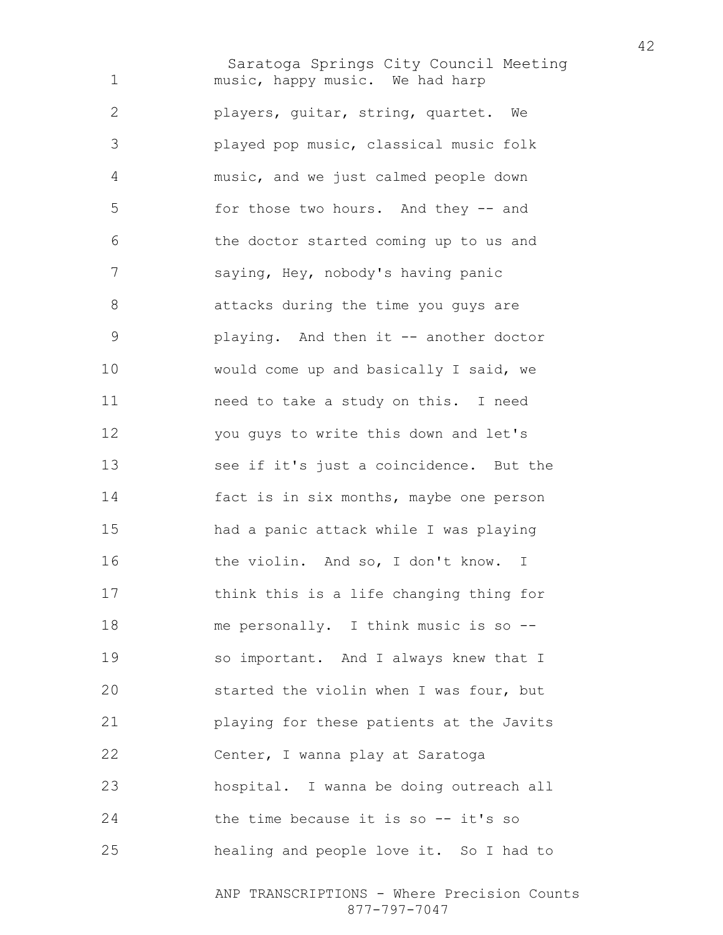Saratoga Springs City Council Meeting music, happy music. We had harp players, guitar, string, quartet. We played pop music, classical music folk music, and we just calmed people down for those two hours. And they -- and the doctor started coming up to us and saying, Hey, nobody's having panic attacks during the time you guys are playing. And then it -- another doctor would come up and basically I said, we need to take a study on this. I need you guys to write this down and let's see if it's just a coincidence. But the fact is in six months, maybe one person had a panic attack while I was playing 16 the violin. And so, I don't know. I think this is a life changing thing for me personally. I think music is so -- so important. And I always knew that I started the violin when I was four, but playing for these patients at the Javits Center, I wanna play at Saratoga hospital. I wanna be doing outreach all 24 the time because it is so -- it's so healing and people love it. So I had to

> ANP TRANSCRIPTIONS - Where Precision Counts 877-797-7047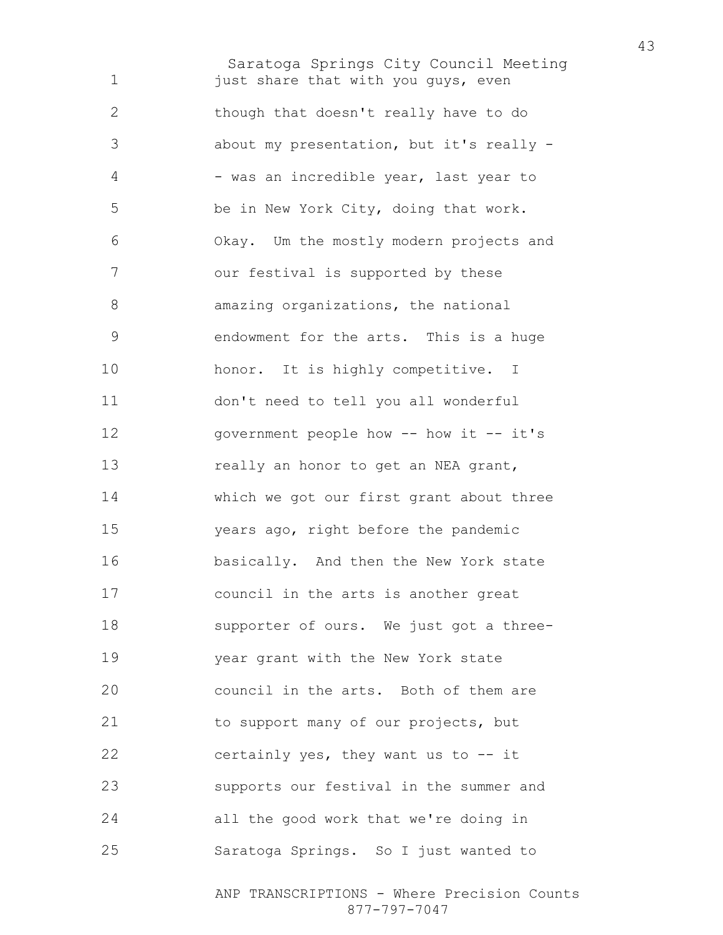Saratoga Springs City Council Meeting 1 just share that with you guys, even though that doesn't really have to do about my presentation, but it's really - 4 - was an incredible year, last year to be in New York City, doing that work. Okay. Um the mostly modern projects and our festival is supported by these amazing organizations, the national endowment for the arts. This is a huge 10 honor. It is highly competitive. I don't need to tell you all wonderful 12 government people how -- how it -- it's 13 really an honor to get an NEA grant, which we got our first grant about three years ago, right before the pandemic 16 basically. And then the New York state council in the arts is another great supporter of ours. We just got a three-year grant with the New York state council in the arts. Both of them are 21 to support many of our projects, but certainly yes, they want us to -- it supports our festival in the summer and all the good work that we're doing in Saratoga Springs. So I just wanted to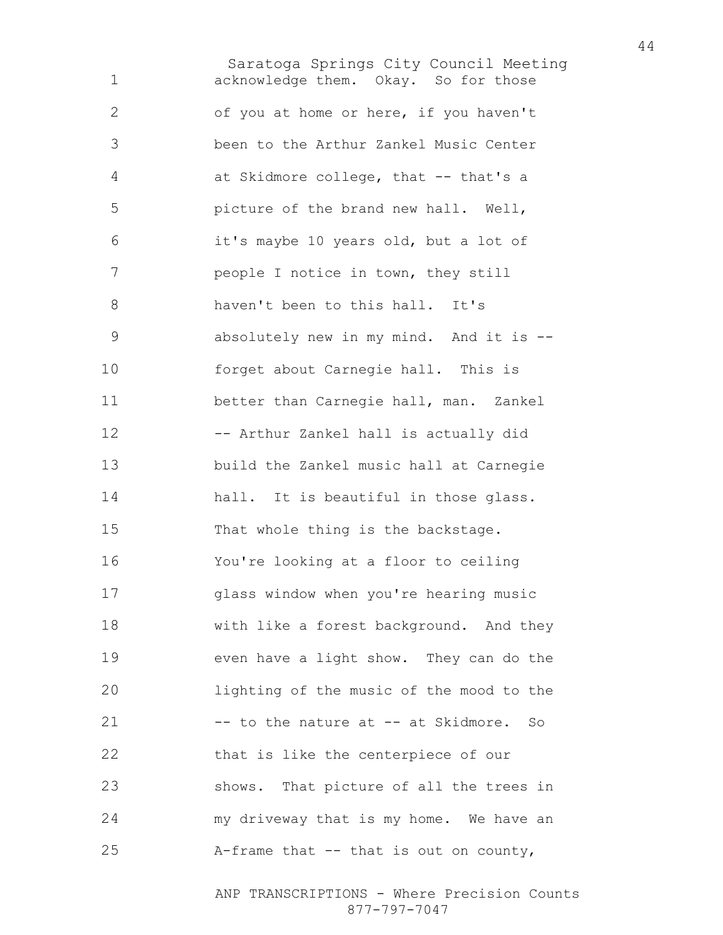Saratoga Springs City Council Meeting acknowledge them. Okay. So for those of you at home or here, if you haven't been to the Arthur Zankel Music Center at Skidmore college, that -- that's a picture of the brand new hall. Well, it's maybe 10 years old, but a lot of people I notice in town, they still haven't been to this hall. It's absolutely new in my mind. And it is -- forget about Carnegie hall. This is better than Carnegie hall, man. Zankel -- Arthur Zankel hall is actually did build the Zankel music hall at Carnegie hall. It is beautiful in those glass. 15 That whole thing is the backstage. You're looking at a floor to ceiling glass window when you're hearing music with like a forest background. And they even have a light show. They can do the lighting of the music of the mood to the 21 -- to the nature at -- at Skidmore. So that is like the centerpiece of our shows. That picture of all the trees in my driveway that is my home. We have an A-frame that -- that is out on county,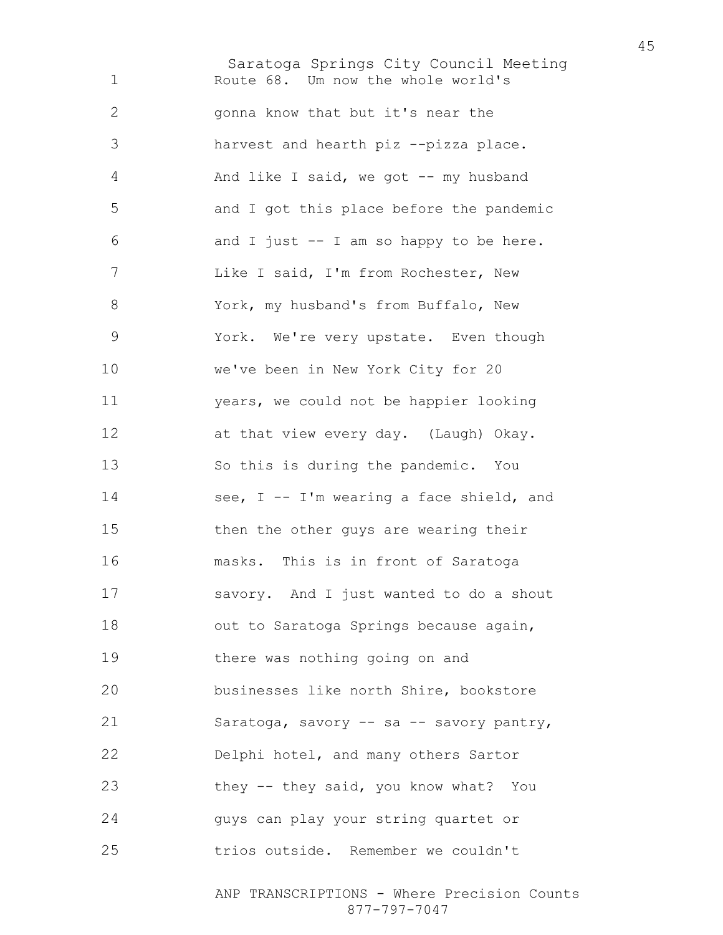Saratoga Springs City Council Meeting Route 68. Um now the whole world's gonna know that but it's near the harvest and hearth piz --pizza place. And like I said, we got -- my husband and I got this place before the pandemic and I just  $-$  I am so happy to be here. Like I said, I'm from Rochester, New York, my husband's from Buffalo, New York. We're very upstate. Even though we've been in New York City for 20 years, we could not be happier looking at that view every day. (Laugh) Okay. So this is during the pandemic. You 14 see, I -- I'm wearing a face shield, and then the other guys are wearing their masks. This is in front of Saratoga savory. And I just wanted to do a shout 18 out to Saratoga Springs because again, there was nothing going on and businesses like north Shire, bookstore Saratoga, savory -- sa -- savory pantry, Delphi hotel, and many others Sartor they -- they said, you know what? You guys can play your string quartet or trios outside. Remember we couldn't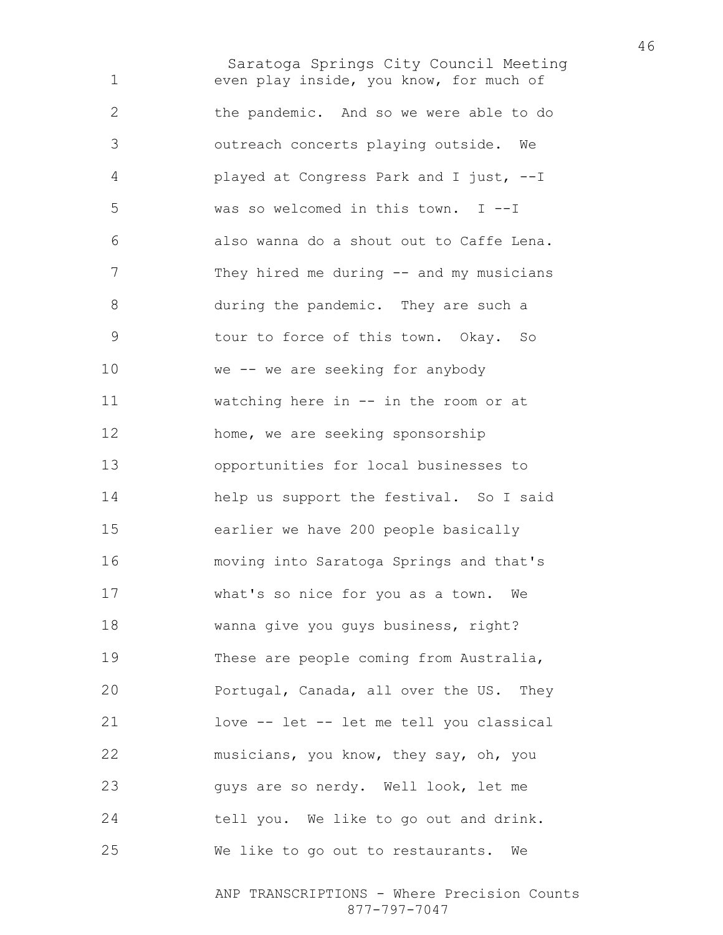Saratoga Springs City Council Meeting even play inside, you know, for much of the pandemic. And so we were able to do outreach concerts playing outside. We played at Congress Park and I just, --I was so welcomed in this town. I --I also wanna do a shout out to Caffe Lena. 7 They hired me during -- and my musicians during the pandemic. They are such a tour to force of this town. Okay. So we -- we are seeking for anybody watching here in -- in the room or at home, we are seeking sponsorship opportunities for local businesses to help us support the festival. So I said earlier we have 200 people basically moving into Saratoga Springs and that's what's so nice for you as a town. We wanna give you guys business, right? These are people coming from Australia, Portugal, Canada, all over the US. They love -- let -- let me tell you classical musicians, you know, they say, oh, you guys are so nerdy. Well look, let me tell you. We like to go out and drink. We like to go out to restaurants. We

> ANP TRANSCRIPTIONS - Where Precision Counts 877-797-7047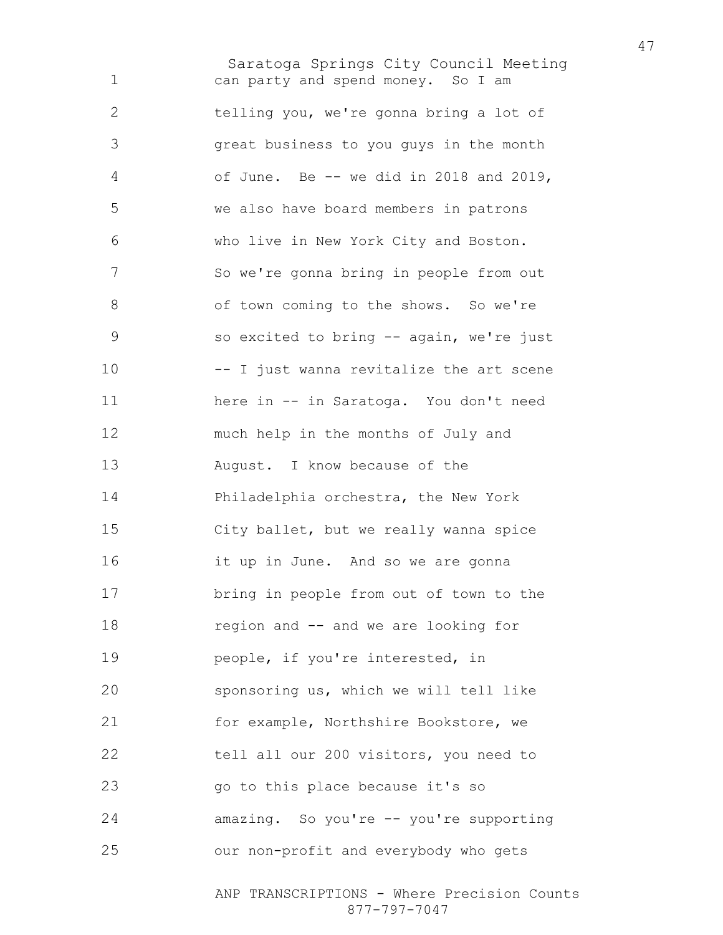Saratoga Springs City Council Meeting can party and spend money. So I am telling you, we're gonna bring a lot of great business to you guys in the month of June. Be -- we did in 2018 and 2019, we also have board members in patrons who live in New York City and Boston. So we're gonna bring in people from out 8 of town coming to the shows. So we're so excited to bring -- again, we're just -- I just wanna revitalize the art scene here in -- in Saratoga. You don't need much help in the months of July and August. I know because of the Philadelphia orchestra, the New York City ballet, but we really wanna spice it up in June. And so we are gonna bring in people from out of town to the region and -- and we are looking for people, if you're interested, in sponsoring us, which we will tell like for example, Northshire Bookstore, we tell all our 200 visitors, you need to go to this place because it's so amazing. So you're -- you're supporting our non-profit and everybody who gets

> ANP TRANSCRIPTIONS - Where Precision Counts 877-797-7047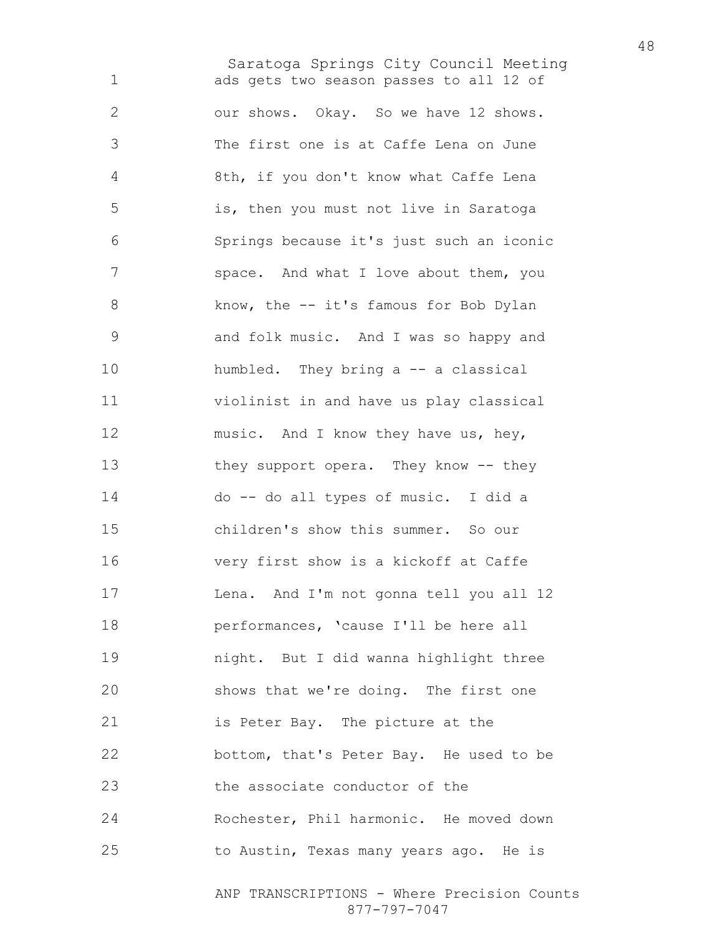Saratoga Springs City Council Meeting ads gets two season passes to all 12 of our shows. Okay. So we have 12 shows. The first one is at Caffe Lena on June 8th, if you don't know what Caffe Lena is, then you must not live in Saratoga Springs because it's just such an iconic 7 space. And what I love about them, you 8 know, the -- it's famous for Bob Dylan and folk music. And I was so happy and humbled. They bring a -- a classical violinist in and have us play classical 12 music. And I know they have us, hey, 13 they support opera. They know -- they do -- do all types of music. I did a children's show this summer. So our very first show is a kickoff at Caffe Lena. And I'm not gonna tell you all 12 performances, 'cause I'll be here all night. But I did wanna highlight three shows that we're doing. The first one is Peter Bay. The picture at the bottom, that's Peter Bay. He used to be the associate conductor of the Rochester, Phil harmonic. He moved down to Austin, Texas many years ago. He is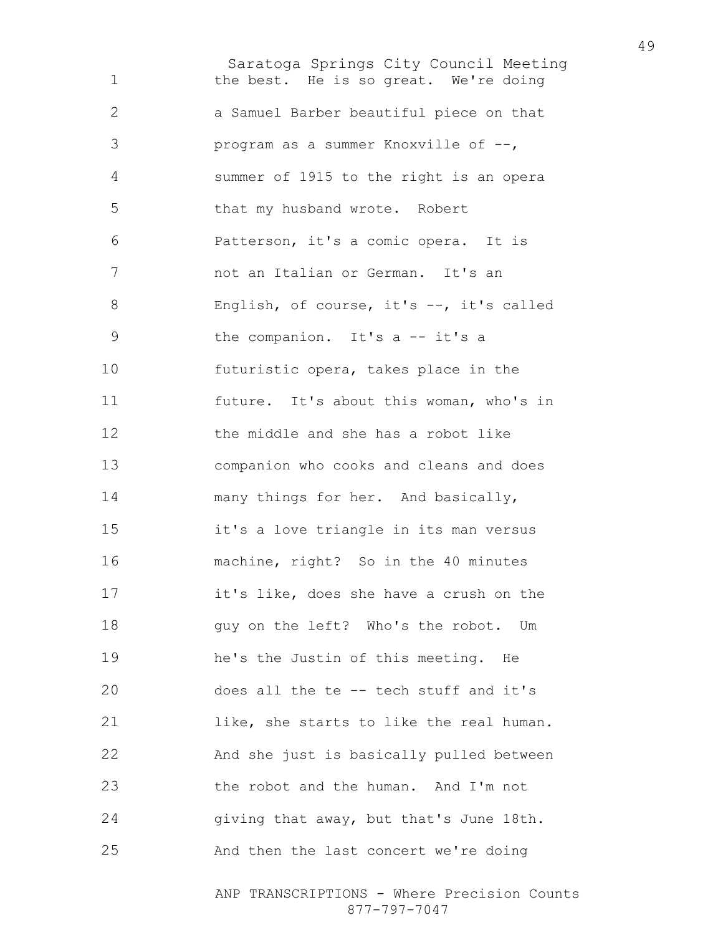Saratoga Springs City Council Meeting 1 the best. He is so great. We're doing a Samuel Barber beautiful piece on that program as a summer Knoxville of --, summer of 1915 to the right is an opera that my husband wrote. Robert Patterson, it's a comic opera. It is not an Italian or German. It's an English, of course, it's --, it's called the companion. It's a -- it's a futuristic opera, takes place in the future. It's about this woman, who's in the middle and she has a robot like companion who cooks and cleans and does 14 many things for her. And basically, it's a love triangle in its man versus machine, right? So in the 40 minutes it's like, does she have a crush on the guy on the left? Who's the robot. Um he's the Justin of this meeting. He does all the te -- tech stuff and it's like, she starts to like the real human. And she just is basically pulled between the robot and the human. And I'm not giving that away, but that's June 18th. And then the last concert we're doing

> ANP TRANSCRIPTIONS - Where Precision Counts 877-797-7047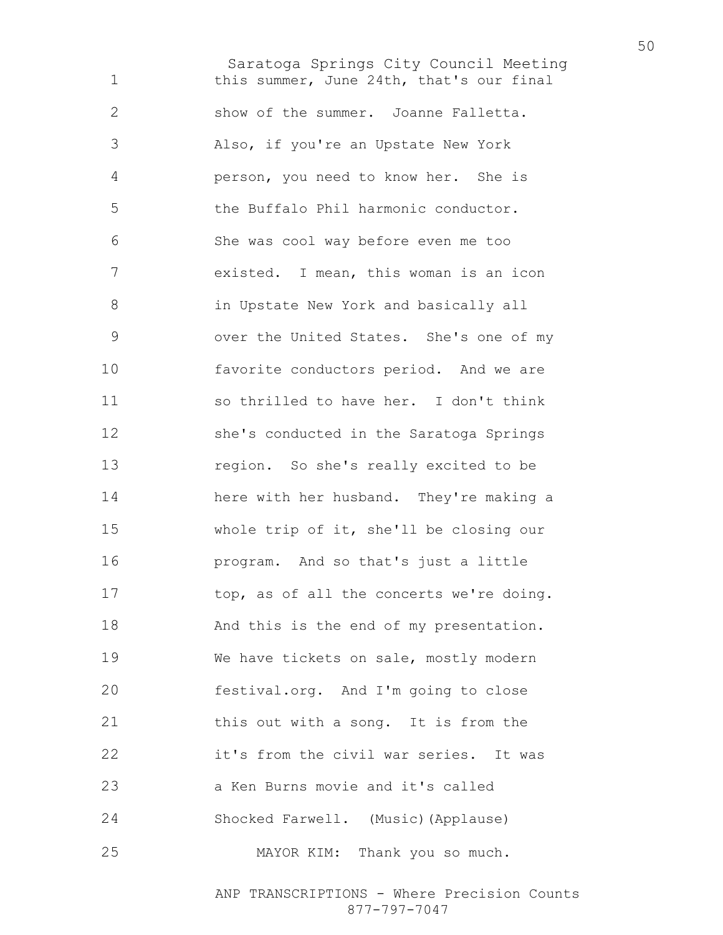Saratoga Springs City Council Meeting 1 this summer, June 24th, that's our final show of the summer. Joanne Falletta. Also, if you're an Upstate New York person, you need to know her. She is the Buffalo Phil harmonic conductor. She was cool way before even me too existed. I mean, this woman is an icon in Upstate New York and basically all over the United States. She's one of my favorite conductors period. And we are so thrilled to have her. I don't think she's conducted in the Saratoga Springs region. So she's really excited to be here with her husband. They're making a whole trip of it, she'll be closing our program. And so that's just a little 17 top, as of all the concerts we're doing. 18 And this is the end of my presentation. We have tickets on sale, mostly modern festival.org. And I'm going to close 21 this out with a song. It is from the it's from the civil war series. It was a Ken Burns movie and it's called Shocked Farwell. (Music)(Applause) MAYOR KIM: Thank you so much.

> ANP TRANSCRIPTIONS - Where Precision Counts 877-797-7047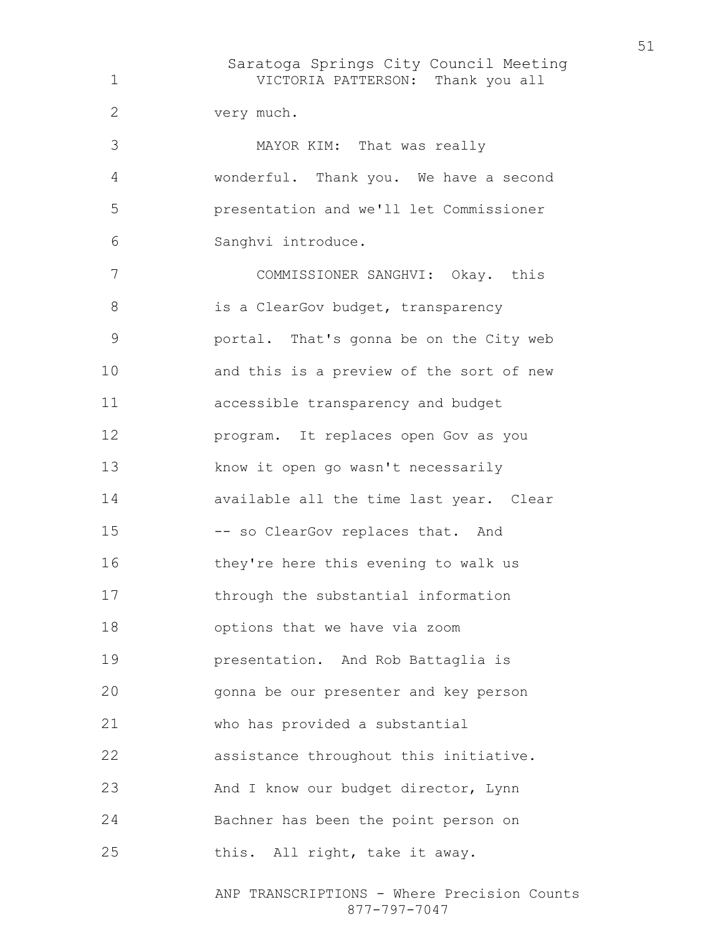Saratoga Springs City Council Meeting VICTORIA PATTERSON: Thank you all very much. MAYOR KIM: That was really wonderful. Thank you. We have a second presentation and we'll let Commissioner Sanghvi introduce. COMMISSIONER SANGHVI: Okay. this 8 is a ClearGov budget, transparency portal. That's gonna be on the City web and this is a preview of the sort of new accessible transparency and budget program. It replaces open Gov as you know it open go wasn't necessarily available all the time last year. Clear -- so ClearGov replaces that. And they're here this evening to walk us through the substantial information options that we have via zoom presentation. And Rob Battaglia is gonna be our presenter and key person who has provided a substantial assistance throughout this initiative. 23 And I know our budget director, Lynn Bachner has been the point person on 25 this. All right, take it away.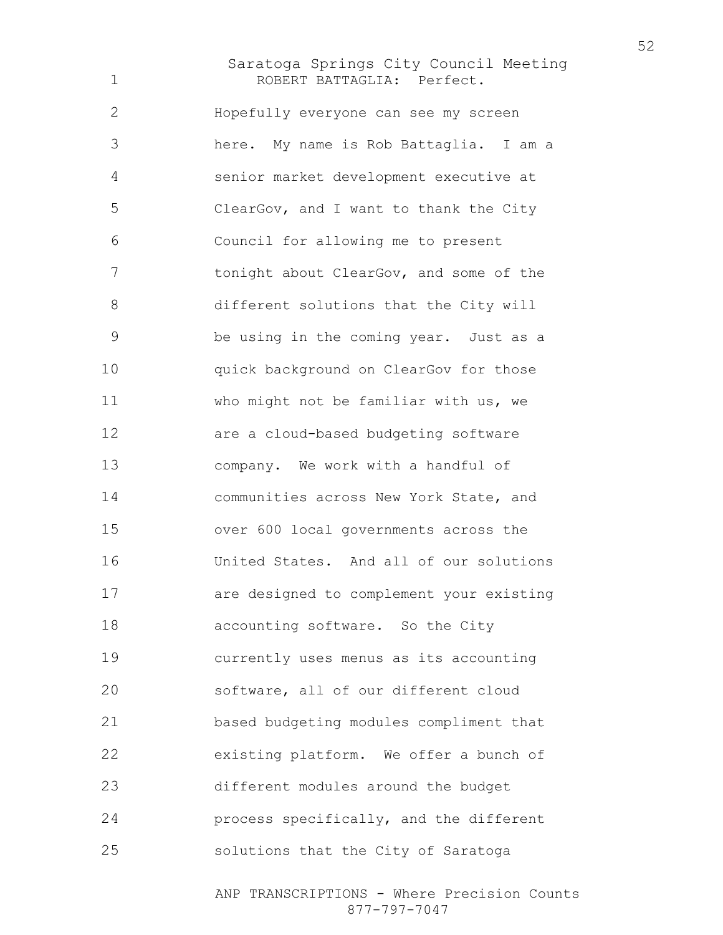## Saratoga Springs City Council Meeting ROBERT BATTAGLIA: Perfect.

Hopefully everyone can see my screen here. My name is Rob Battaglia. I am a senior market development executive at ClearGov, and I want to thank the City Council for allowing me to present 7 tonight about ClearGov, and some of the different solutions that the City will be using in the coming year. Just as a quick background on ClearGov for those who might not be familiar with us, we are a cloud-based budgeting software company. We work with a handful of communities across New York State, and over 600 local governments across the United States. And all of our solutions are designed to complement your existing **accounting software.** So the City currently uses menus as its accounting software, all of our different cloud based budgeting modules compliment that existing platform. We offer a bunch of different modules around the budget process specifically, and the different solutions that the City of Saratoga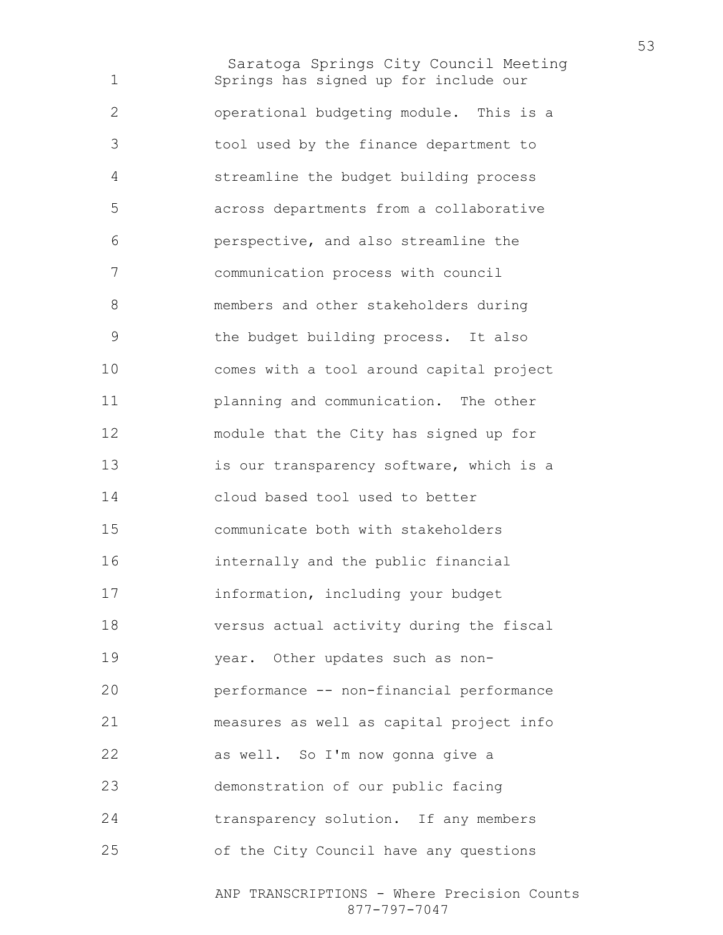Saratoga Springs City Council Meeting Springs has signed up for include our operational budgeting module. This is a tool used by the finance department to streamline the budget building process across departments from a collaborative perspective, and also streamline the communication process with council members and other stakeholders during the budget building process. It also comes with a tool around capital project planning and communication. The other module that the City has signed up for 13 is our transparency software, which is a cloud based tool used to better communicate both with stakeholders internally and the public financial information, including your budget versus actual activity during the fiscal year. Other updates such as non-performance -- non-financial performance measures as well as capital project info as well. So I'm now gonna give a demonstration of our public facing transparency solution. If any members of the City Council have any questions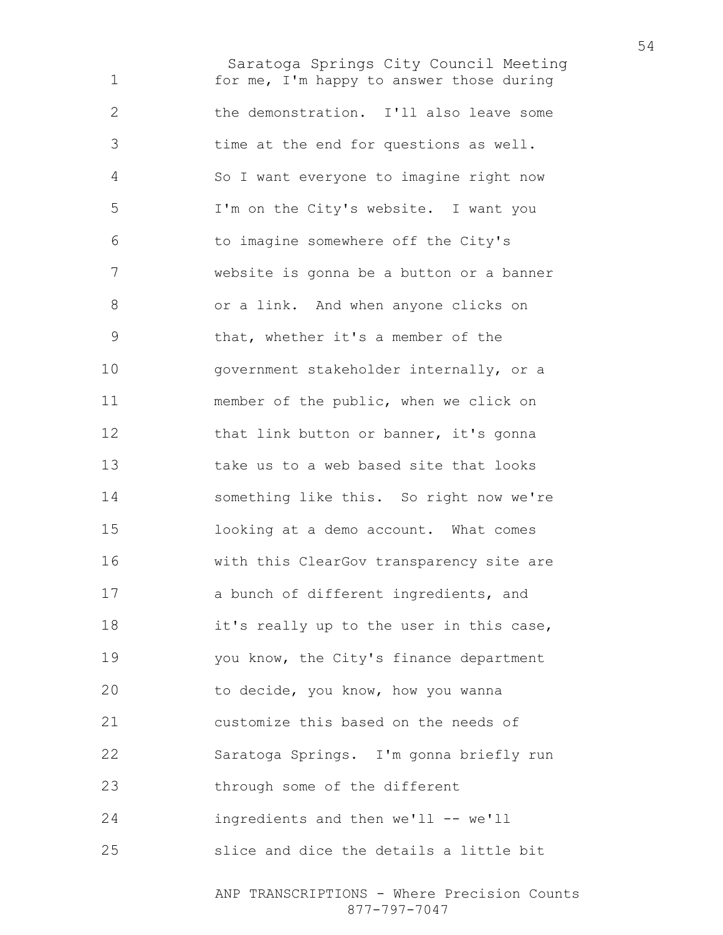Saratoga Springs City Council Meeting for me, I'm happy to answer those during the demonstration. I'll also leave some time at the end for questions as well. So I want everyone to imagine right now I'm on the City's website. I want you to imagine somewhere off the City's website is gonna be a button or a banner or a link. And when anyone clicks on that, whether it's a member of the government stakeholder internally, or a member of the public, when we click on 12 that link button or banner, it's gonna take us to a web based site that looks something like this. So right now we're looking at a demo account. What comes with this ClearGov transparency site are a bunch of different ingredients, and it's really up to the user in this case, 19 you know, the City's finance department to decide, you know, how you wanna customize this based on the needs of Saratoga Springs. I'm gonna briefly run through some of the different ingredients and then we'll -- we'll slice and dice the details a little bit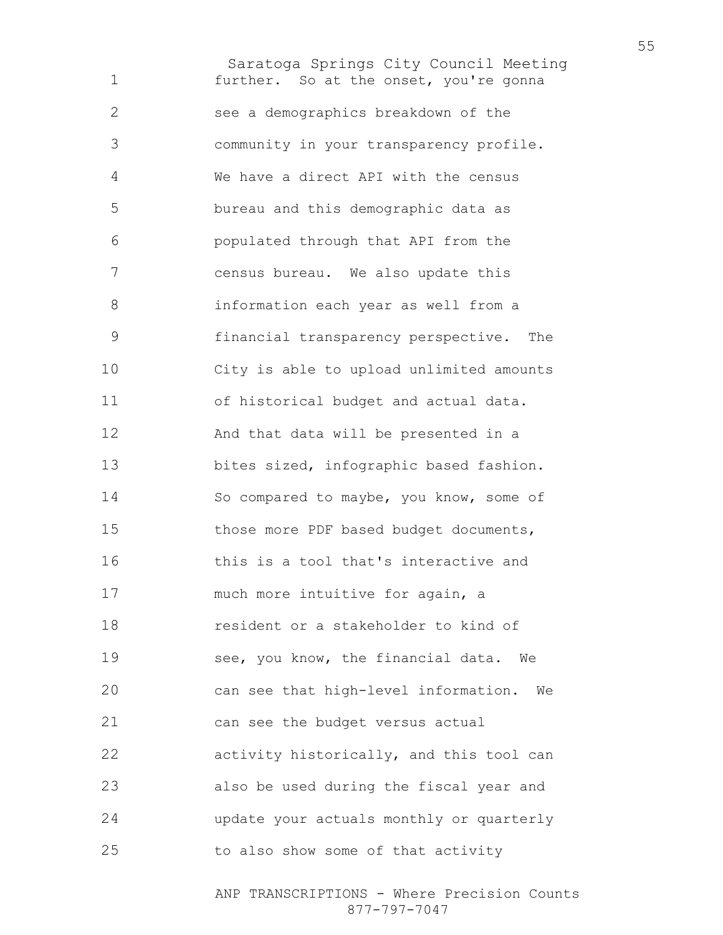Saratoga Springs City Council Meeting further. So at the onset, you're gonna see a demographics breakdown of the community in your transparency profile. We have a direct API with the census bureau and this demographic data as populated through that API from the census bureau. We also update this information each year as well from a financial transparency perspective. The City is able to upload unlimited amounts of historical budget and actual data. And that data will be presented in a bites sized, infographic based fashion. So compared to maybe, you know, some of those more PDF based budget documents, this is a tool that's interactive and much more intuitive for again, a resident or a stakeholder to kind of see, you know, the financial data. We can see that high-level information. We can see the budget versus actual 22 activity historically, and this tool can also be used during the fiscal year and update your actuals monthly or quarterly to also show some of that activity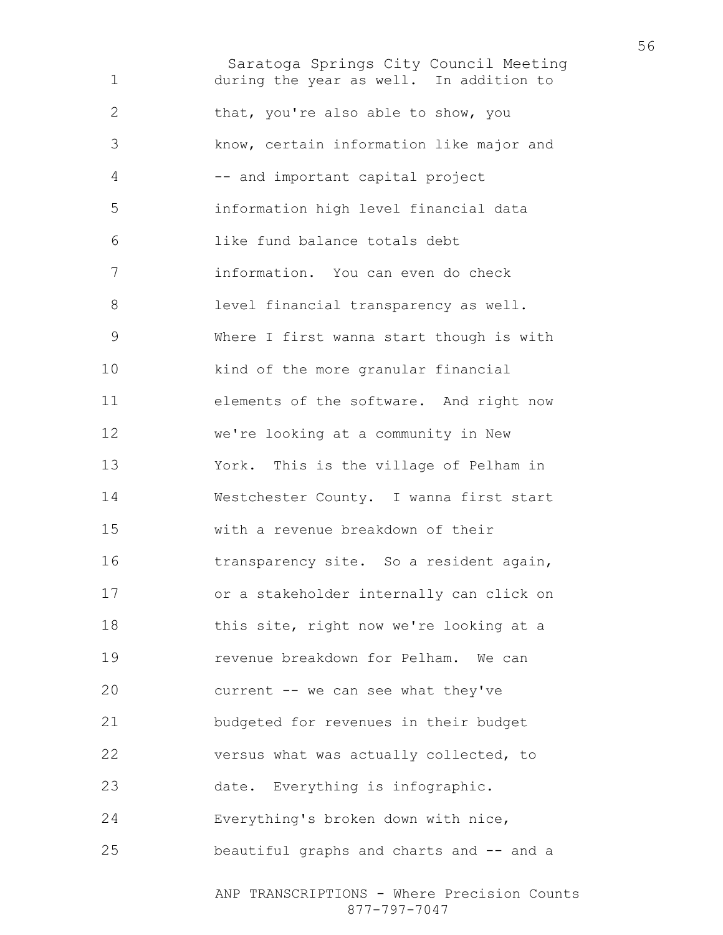Saratoga Springs City Council Meeting during the year as well. In addition to 2 that, you're also able to show, you know, certain information like major and -- and important capital project information high level financial data like fund balance totals debt information. You can even do check level financial transparency as well. Where I first wanna start though is with kind of the more granular financial elements of the software. And right now we're looking at a community in New York. This is the village of Pelham in Westchester County. I wanna first start with a revenue breakdown of their 16 transparency site. So a resident again, or a stakeholder internally can click on 18 this site, right now we're looking at a revenue breakdown for Pelham. We can current -- we can see what they've budgeted for revenues in their budget versus what was actually collected, to date. Everything is infographic. Everything's broken down with nice, beautiful graphs and charts and -- and a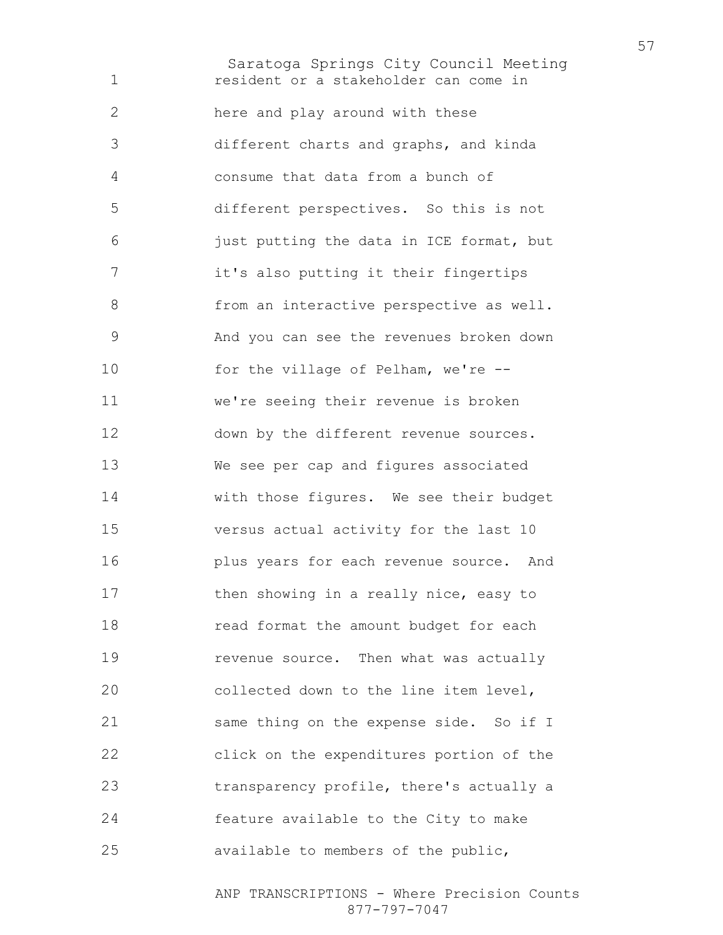Saratoga Springs City Council Meeting resident or a stakeholder can come in here and play around with these different charts and graphs, and kinda consume that data from a bunch of different perspectives. So this is not just putting the data in ICE format, but it's also putting it their fingertips 8 from an interactive perspective as well. And you can see the revenues broken down for the village of Pelham, we're -- we're seeing their revenue is broken down by the different revenue sources. We see per cap and figures associated with those figures. We see their budget versus actual activity for the last 10 plus years for each revenue source. And 17 then showing in a really nice, easy to read format the amount budget for each **revenue source.** Then what was actually collected down to the line item level, same thing on the expense side. So if I click on the expenditures portion of the transparency profile, there's actually a feature available to the City to make available to members of the public,

> ANP TRANSCRIPTIONS - Where Precision Counts 877-797-7047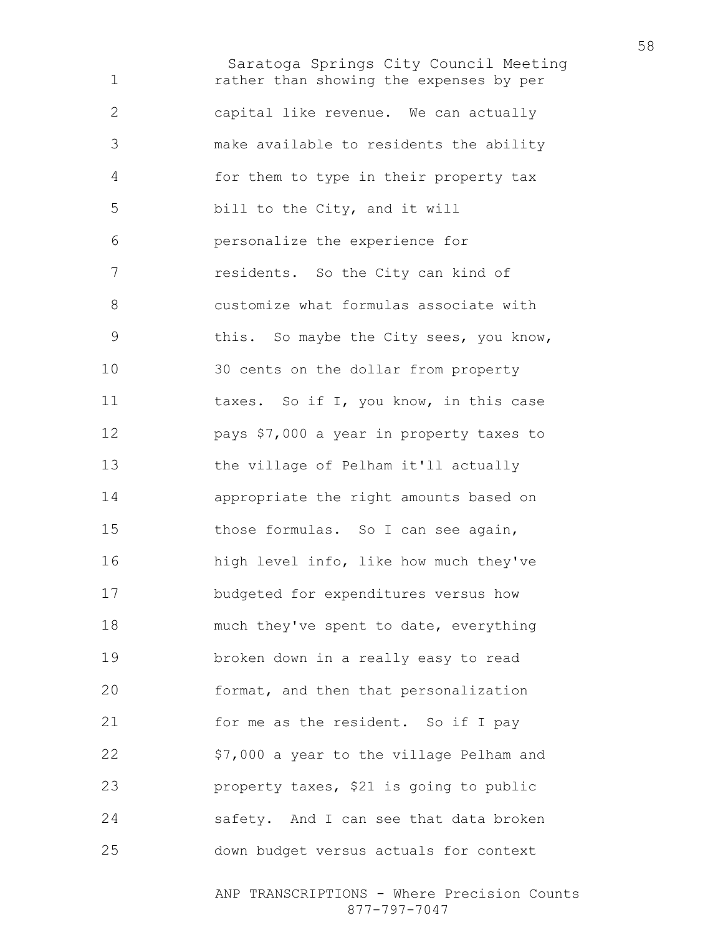Saratoga Springs City Council Meeting rather than showing the expenses by per capital like revenue. We can actually make available to residents the ability for them to type in their property tax bill to the City, and it will personalize the experience for residents. So the City can kind of customize what formulas associate with this. So maybe the City sees, you know, 30 cents on the dollar from property 11 taxes. So if I, you know, in this case pays \$7,000 a year in property taxes to the village of Pelham it'll actually appropriate the right amounts based on 15 those formulas. So I can see again, high level info, like how much they've budgeted for expenditures versus how much they've spent to date, everything broken down in a really easy to read format, and then that personalization 21 for me as the resident. So if I pay \$7,000 a year to the village Pelham and property taxes, \$21 is going to public safety. And I can see that data broken down budget versus actuals for context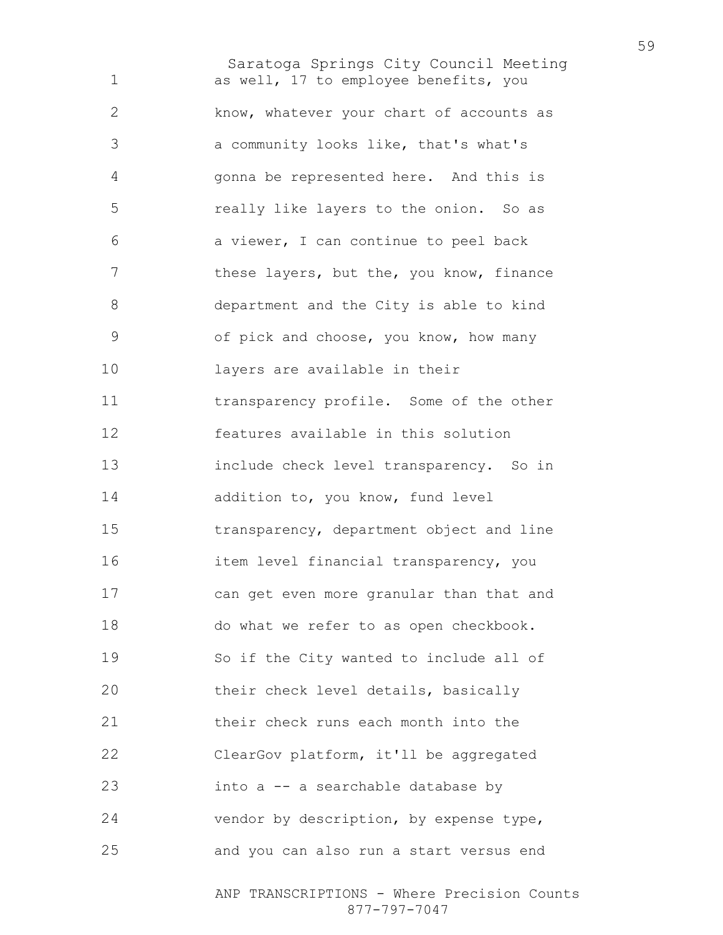Saratoga Springs City Council Meeting as well, 17 to employee benefits, you know, whatever your chart of accounts as a community looks like, that's what's gonna be represented here. And this is really like layers to the onion. So as a viewer, I can continue to peel back 7 these layers, but the, you know, finance department and the City is able to kind of pick and choose, you know, how many layers are available in their transparency profile. Some of the other features available in this solution include check level transparency. So in 14 addition to, you know, fund level transparency, department object and line item level financial transparency, you can get even more granular than that and do what we refer to as open checkbook. So if the City wanted to include all of their check level details, basically their check runs each month into the ClearGov platform, it'll be aggregated into a -- a searchable database by vendor by description, by expense type, and you can also run a start versus end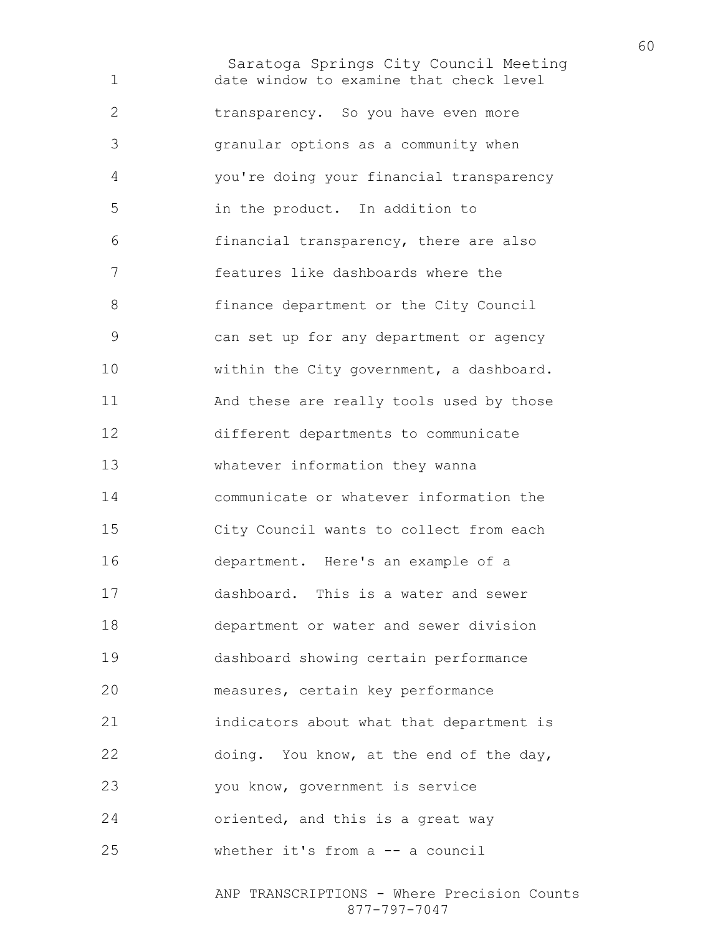Saratoga Springs City Council Meeting date window to examine that check level transparency. So you have even more granular options as a community when you're doing your financial transparency in the product. In addition to financial transparency, there are also features like dashboards where the finance department or the City Council can set up for any department or agency 10 within the City government, a dashboard. And these are really tools used by those different departments to communicate whatever information they wanna communicate or whatever information the City Council wants to collect from each department. Here's an example of a dashboard. This is a water and sewer department or water and sewer division dashboard showing certain performance measures, certain key performance indicators about what that department is doing. You know, at the end of the day, you know, government is service 24 oriented, and this is a great way whether it's from a -- a council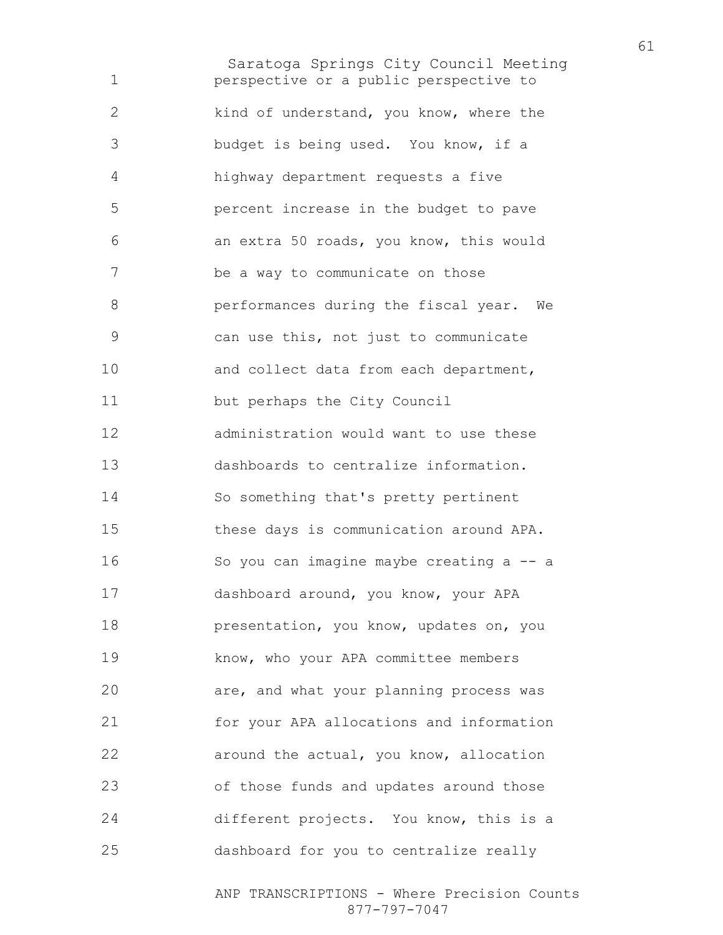Saratoga Springs City Council Meeting perspective or a public perspective to 2 kind of understand, you know, where the budget is being used. You know, if a highway department requests a five percent increase in the budget to pave an extra 50 roads, you know, this would be a way to communicate on those performances during the fiscal year. We can use this, not just to communicate 10 and collect data from each department, but perhaps the City Council administration would want to use these dashboards to centralize information. So something that's pretty pertinent these days is communication around APA. So you can imagine maybe creating a -- a dashboard around, you know, your APA presentation, you know, updates on, you know, who your APA committee members are, and what your planning process was for your APA allocations and information around the actual, you know, allocation of those funds and updates around those different projects. You know, this is a dashboard for you to centralize really

> ANP TRANSCRIPTIONS - Where Precision Counts 877-797-7047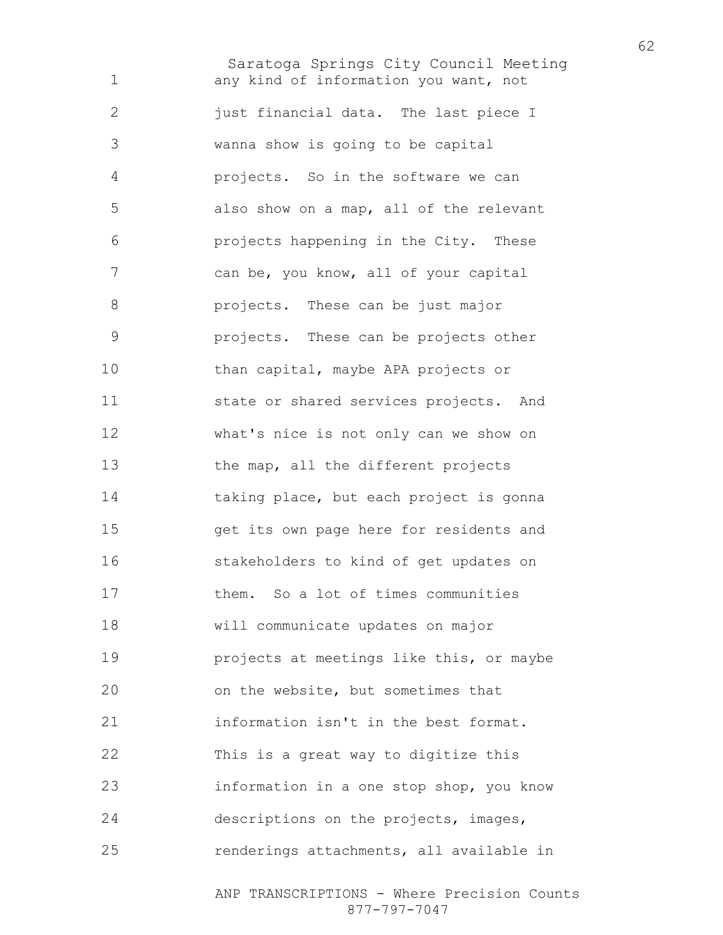Saratoga Springs City Council Meeting any kind of information you want, not just financial data. The last piece I wanna show is going to be capital projects. So in the software we can also show on a map, all of the relevant projects happening in the City. These can be, you know, all of your capital projects. These can be just major projects. These can be projects other 10 than capital, maybe APA projects or state or shared services projects. And what's nice is not only can we show on the map, all the different projects taking place, but each project is gonna get its own page here for residents and stakeholders to kind of get updates on them. So a lot of times communities will communicate updates on major projects at meetings like this, or maybe on the website, but sometimes that information isn't in the best format. This is a great way to digitize this information in a one stop shop, you know descriptions on the projects, images, renderings attachments, all available in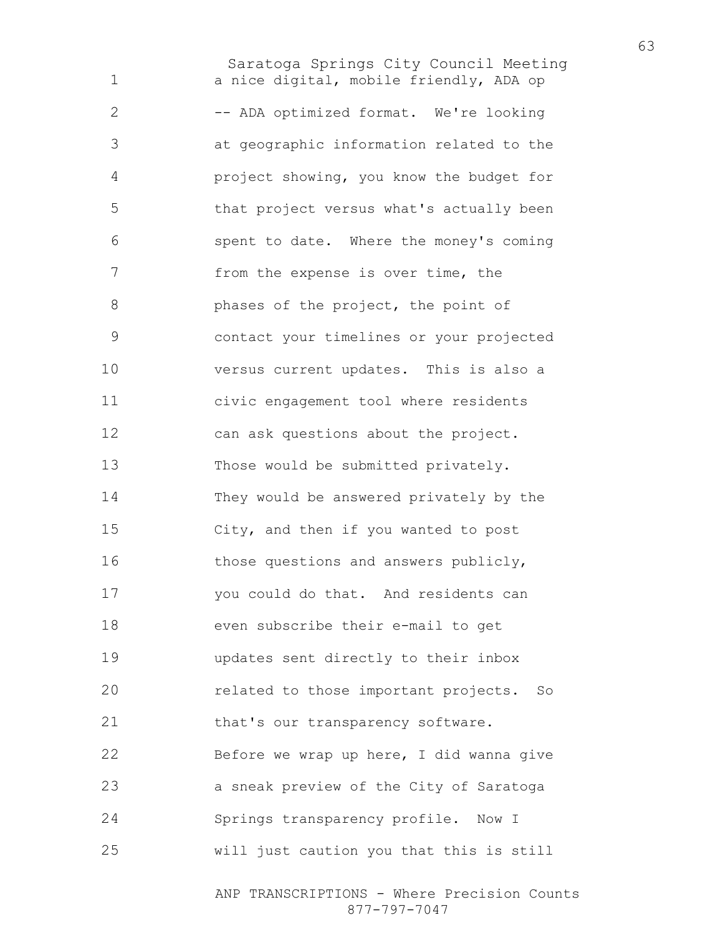Saratoga Springs City Council Meeting a nice digital, mobile friendly, ADA op 2 -- ADA optimized format. We're looking at geographic information related to the project showing, you know the budget for that project versus what's actually been spent to date. Where the money's coming from the expense is over time, the **phases of the project, the point of** contact your timelines or your projected versus current updates. This is also a civic engagement tool where residents can ask questions about the project. Those would be submitted privately. They would be answered privately by the City, and then if you wanted to post those questions and answers publicly, you could do that. And residents can even subscribe their e-mail to get updates sent directly to their inbox related to those important projects. So 21 that's our transparency software. Before we wrap up here, I did wanna give a sneak preview of the City of Saratoga Springs transparency profile. Now I will just caution you that this is still

> ANP TRANSCRIPTIONS - Where Precision Counts 877-797-7047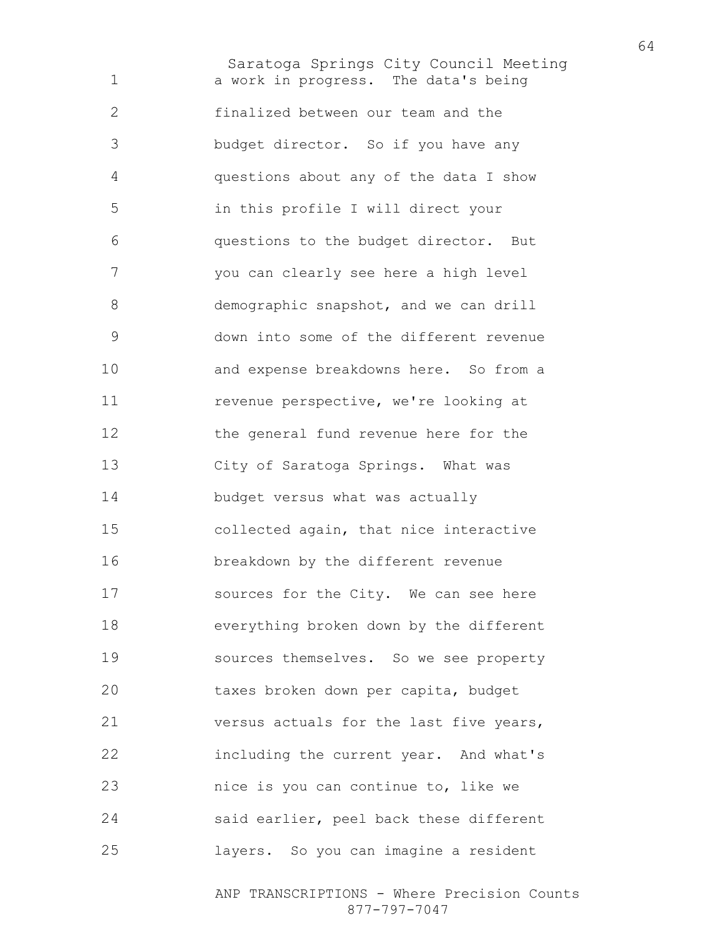Saratoga Springs City Council Meeting a work in progress. The data's being finalized between our team and the budget director. So if you have any questions about any of the data I show in this profile I will direct your questions to the budget director. But you can clearly see here a high level demographic snapshot, and we can drill down into some of the different revenue and expense breakdowns here. So from a revenue perspective, we're looking at 12 the general fund revenue here for the City of Saratoga Springs. What was budget versus what was actually collected again, that nice interactive breakdown by the different revenue sources for the City. We can see here everything broken down by the different sources themselves. So we see property taxes broken down per capita, budget versus actuals for the last five years, including the current year. And what's nice is you can continue to, like we said earlier, peel back these different layers. So you can imagine a resident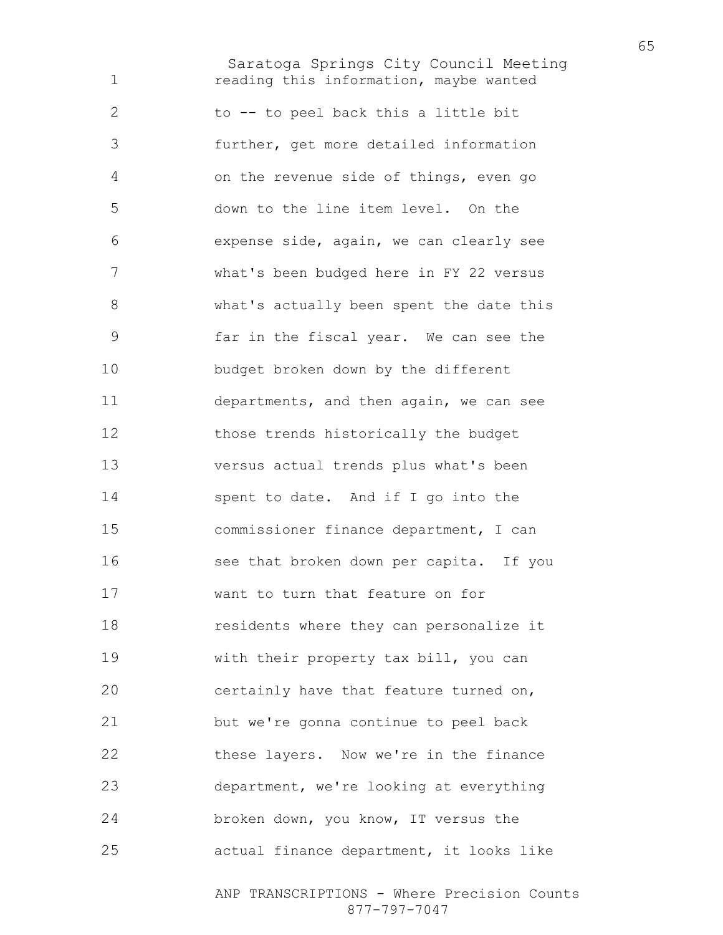Saratoga Springs City Council Meeting reading this information, maybe wanted to -- to peel back this a little bit further, get more detailed information on the revenue side of things, even go down to the line item level. On the expense side, again, we can clearly see what's been budged here in FY 22 versus what's actually been spent the date this far in the fiscal year. We can see the budget broken down by the different departments, and then again, we can see those trends historically the budget versus actual trends plus what's been spent to date. And if I go into the commissioner finance department, I can see that broken down per capita. If you want to turn that feature on for residents where they can personalize it with their property tax bill, you can certainly have that feature turned on, but we're gonna continue to peel back 22 these layers. Now we're in the finance department, we're looking at everything broken down, you know, IT versus the actual finance department, it looks like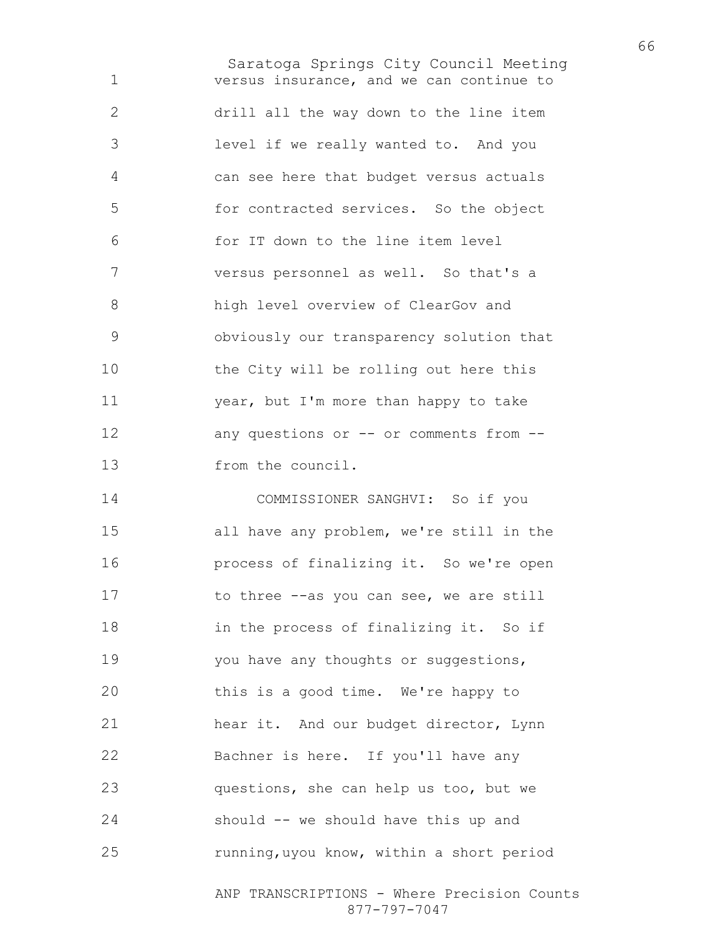Saratoga Springs City Council Meeting versus insurance, and we can continue to drill all the way down to the line item level if we really wanted to. And you can see here that budget versus actuals for contracted services. So the object for IT down to the line item level versus personnel as well. So that's a high level overview of ClearGov and obviously our transparency solution that the City will be rolling out here this year, but I'm more than happy to take 12 any questions or -- or comments from --from the council. COMMISSIONER SANGHVI: So if you all have any problem, we're still in the process of finalizing it. So we're open

17 to three --as you can see, we are still in the process of finalizing it. So if 19 you have any thoughts or suggestions, this is a good time. We're happy to hear it. And our budget director, Lynn Bachner is here. If you'll have any questions, she can help us too, but we should -- we should have this up and running,uyou know, within a short period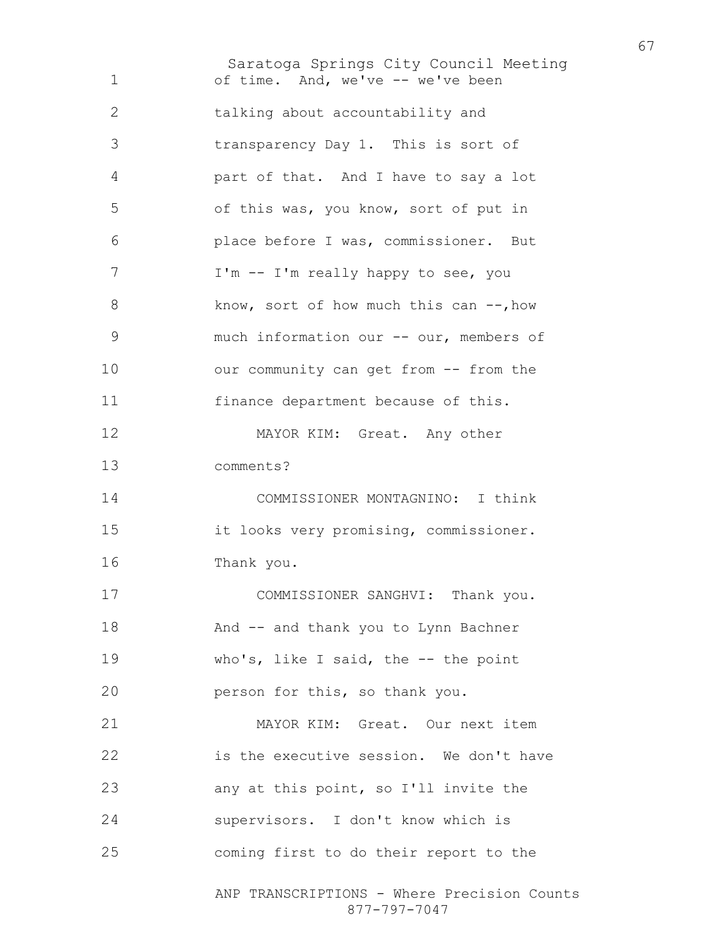Saratoga Springs City Council Meeting ANP TRANSCRIPTIONS - Where Precision Counts of time. And, we've -- we've been talking about accountability and transparency Day 1. This is sort of part of that. And I have to say a lot of this was, you know, sort of put in place before I was, commissioner. But 7 I'm -- I'm really happy to see, you 8 know, sort of how much this can  $-$ , how much information our -- our, members of 10 our community can get from -- from the 11 finance department because of this. 12 MAYOR KIM: Great. Any other comments? COMMISSIONER MONTAGNINO: I think it looks very promising, commissioner. Thank you. 17 COMMISSIONER SANGHVI: Thank you. And -- and thank you to Lynn Bachner who's, like I said, the -- the point person for this, so thank you. MAYOR KIM: Great. Our next item is the executive session. We don't have any at this point, so I'll invite the supervisors. I don't know which is coming first to do their report to the

877-797-7047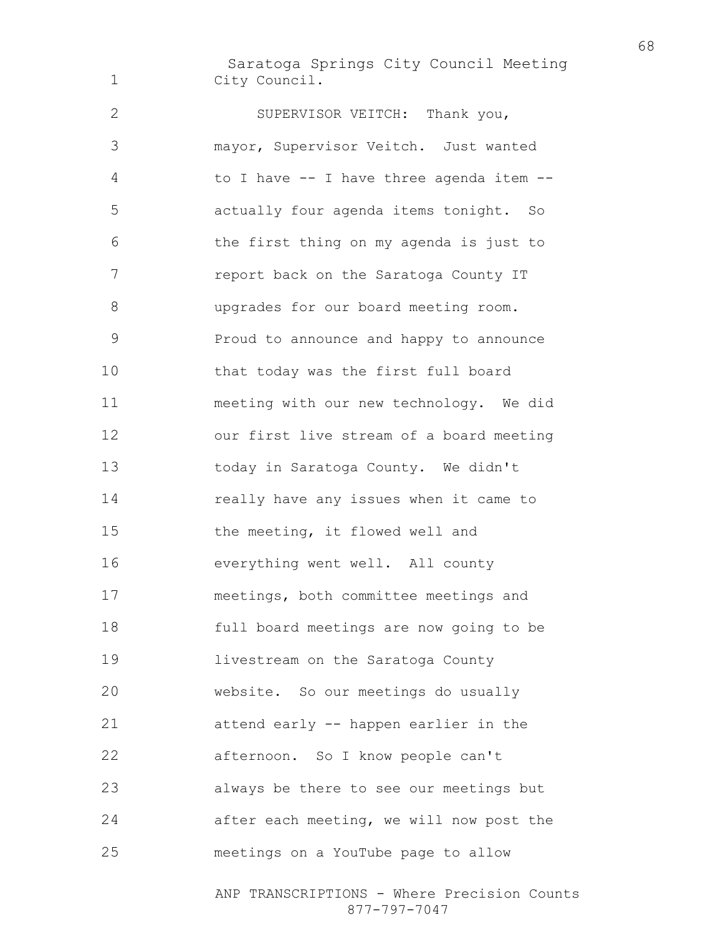Saratoga Springs City Council Meeting City Council.

SUPERVISOR VEITCH: Thank you, mayor, Supervisor Veitch. Just wanted to I have -- I have three agenda item -- actually four agenda items tonight. So the first thing on my agenda is just to 7 report back on the Saratoga County IT upgrades for our board meeting room. Proud to announce and happy to announce that today was the first full board meeting with our new technology. We did our first live stream of a board meeting today in Saratoga County. We didn't really have any issues when it came to the meeting, it flowed well and everything went well. All county meetings, both committee meetings and full board meetings are now going to be livestream on the Saratoga County website. So our meetings do usually attend early -- happen earlier in the afternoon. So I know people can't always be there to see our meetings but after each meeting, we will now post the meetings on a YouTube page to allow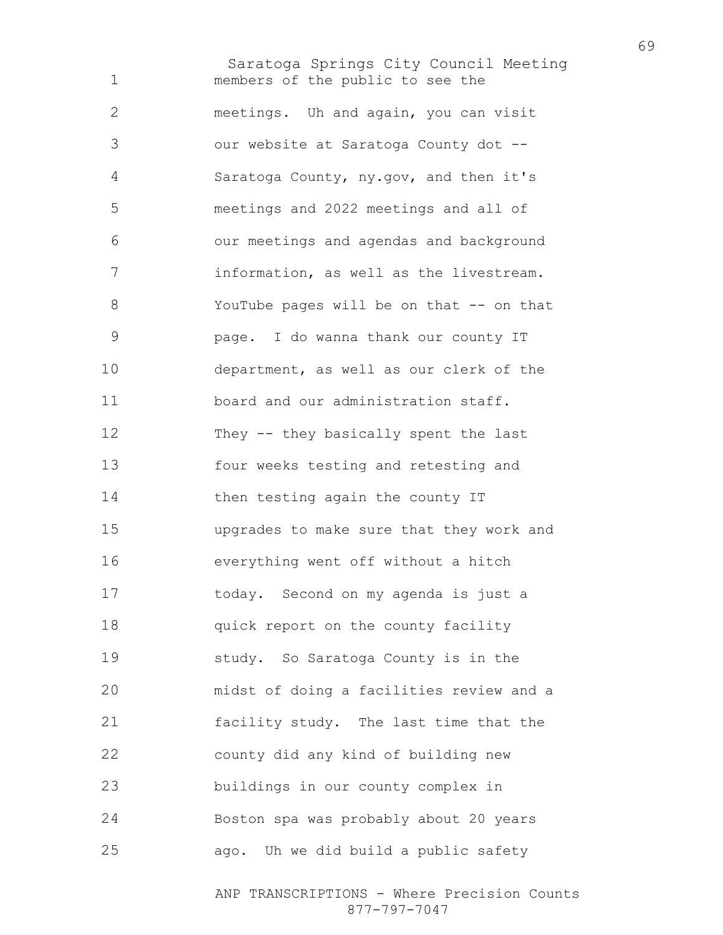Saratoga Springs City Council Meeting members of the public to see the meetings. Uh and again, you can visit our website at Saratoga County dot -- Saratoga County, ny.gov, and then it's meetings and 2022 meetings and all of our meetings and agendas and background information, as well as the livestream. 8 YouTube pages will be on that -- on that page. I do wanna thank our county IT department, as well as our clerk of the board and our administration staff. They -- they basically spent the last four weeks testing and retesting and 14 then testing again the county IT upgrades to make sure that they work and everything went off without a hitch today. Second on my agenda is just a **quick report on the county facility** study. So Saratoga County is in the midst of doing a facilities review and a facility study. The last time that the county did any kind of building new buildings in our county complex in Boston spa was probably about 20 years ago. Uh we did build a public safety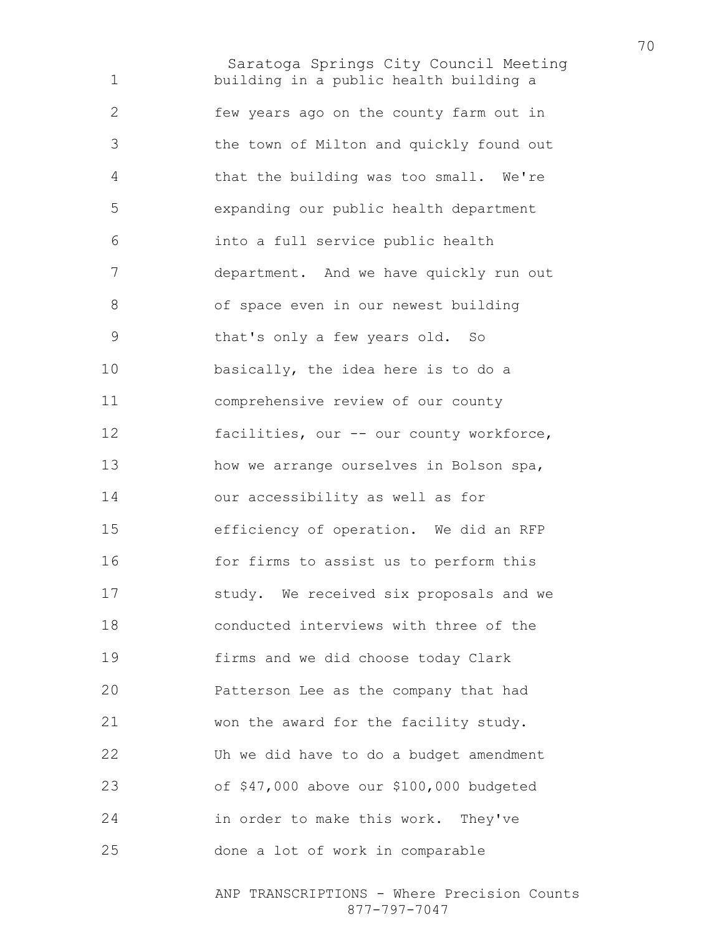Saratoga Springs City Council Meeting building in a public health building a few years ago on the county farm out in the town of Milton and quickly found out that the building was too small. We're expanding our public health department into a full service public health department. And we have quickly run out of space even in our newest building that's only a few years old. So basically, the idea here is to do a comprehensive review of our county 12 facilities, our -- our county workforce, 13 how we arrange ourselves in Bolson spa, our accessibility as well as for efficiency of operation. We did an RFP 16 for firms to assist us to perform this study. We received six proposals and we conducted interviews with three of the firms and we did choose today Clark Patterson Lee as the company that had won the award for the facility study. Uh we did have to do a budget amendment of \$47,000 above our \$100,000 budgeted in order to make this work. They've done a lot of work in comparable

> ANP TRANSCRIPTIONS - Where Precision Counts 877-797-7047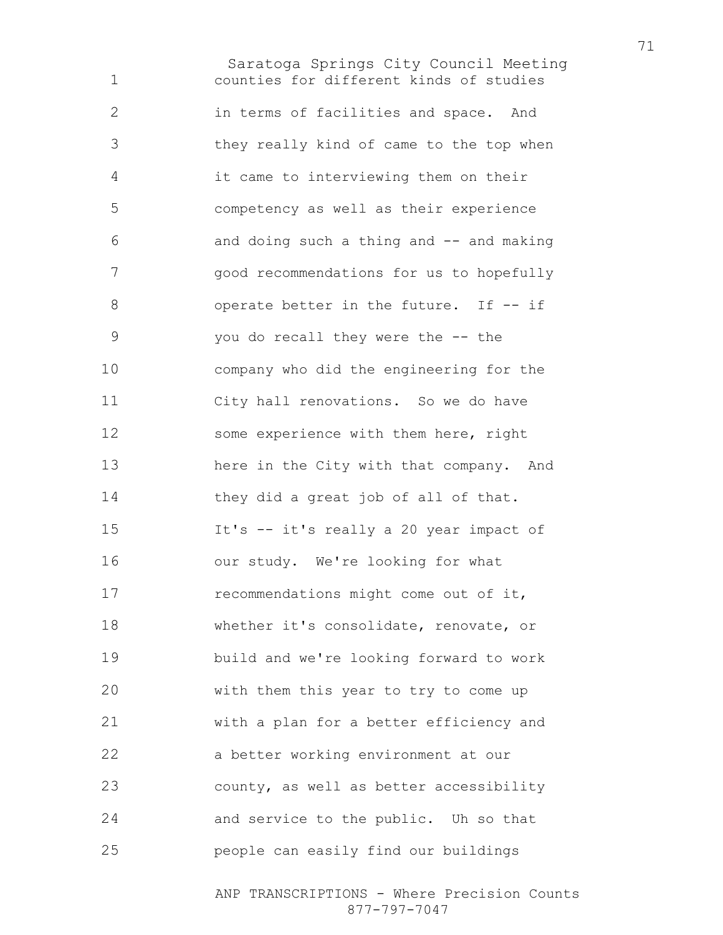Saratoga Springs City Council Meeting counties for different kinds of studies in terms of facilities and space. And they really kind of came to the top when it came to interviewing them on their competency as well as their experience 6 and doing such a thing and -- and making good recommendations for us to hopefully 8 operate better in the future. If -- if you do recall they were the -- the company who did the engineering for the City hall renovations. So we do have some experience with them here, right here in the City with that company. And they did a great job of all of that. It's -- it's really a 20 year impact of 16 our study. We're looking for what 17 recommendations might come out of it, whether it's consolidate, renovate, or build and we're looking forward to work with them this year to try to come up with a plan for a better efficiency and a better working environment at our county, as well as better accessibility and service to the public. Uh so that people can easily find our buildings

> ANP TRANSCRIPTIONS - Where Precision Counts 877-797-7047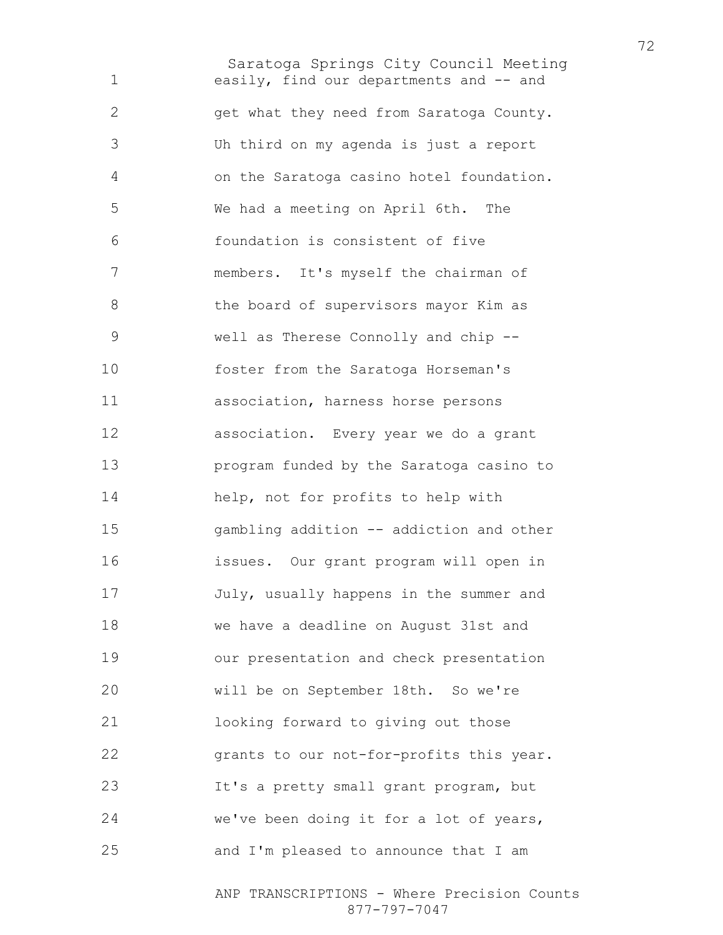Saratoga Springs City Council Meeting easily, find our departments and -- and get what they need from Saratoga County. Uh third on my agenda is just a report on the Saratoga casino hotel foundation. We had a meeting on April 6th. The foundation is consistent of five members. It's myself the chairman of the board of supervisors mayor Kim as well as Therese Connolly and chip -- foster from the Saratoga Horseman's association, harness horse persons association. Every year we do a grant program funded by the Saratoga casino to help, not for profits to help with gambling addition -- addiction and other issues. Our grant program will open in July, usually happens in the summer and we have a deadline on August 31st and our presentation and check presentation will be on September 18th. So we're looking forward to giving out those grants to our not-for-profits this year. It's a pretty small grant program, but we've been doing it for a lot of years, and I'm pleased to announce that I am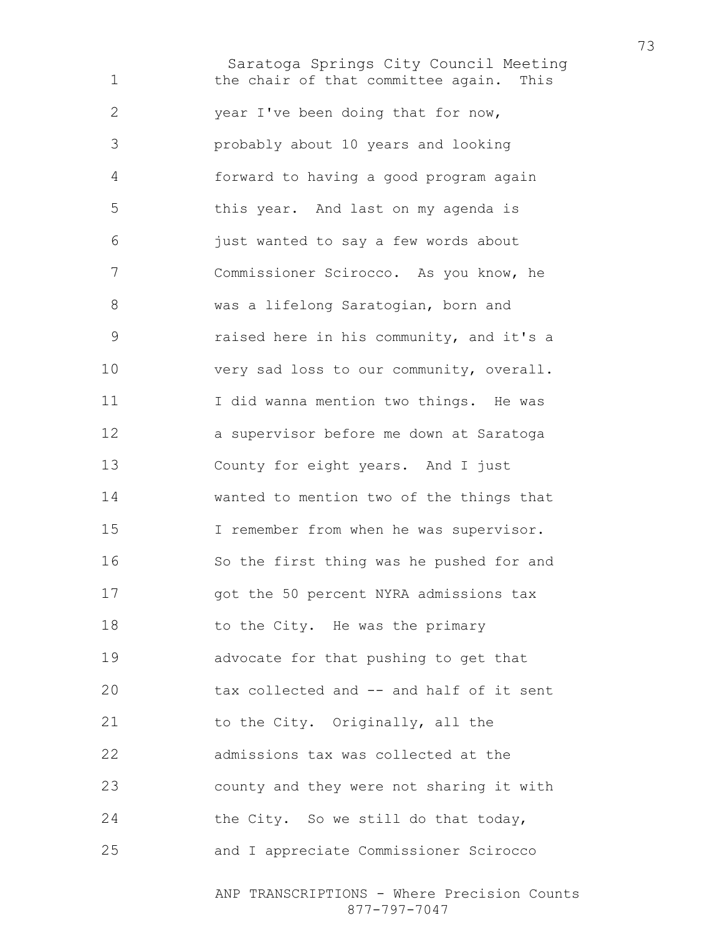Saratoga Springs City Council Meeting the chair of that committee again. This year I've been doing that for now, probably about 10 years and looking forward to having a good program again this year. And last on my agenda is just wanted to say a few words about Commissioner Scirocco. As you know, he was a lifelong Saratogian, born and raised here in his community, and it's a 10 very sad loss to our community, overall. I did wanna mention two things. He was a supervisor before me down at Saratoga County for eight years. And I just wanted to mention two of the things that I remember from when he was supervisor. So the first thing was he pushed for and 17 got the 50 percent NYRA admissions tax 18 to the City. He was the primary advocate for that pushing to get that tax collected and -- and half of it sent 21 to the City. Originally, all the admissions tax was collected at the county and they were not sharing it with 24 the City. So we still do that today, and I appreciate Commissioner Scirocco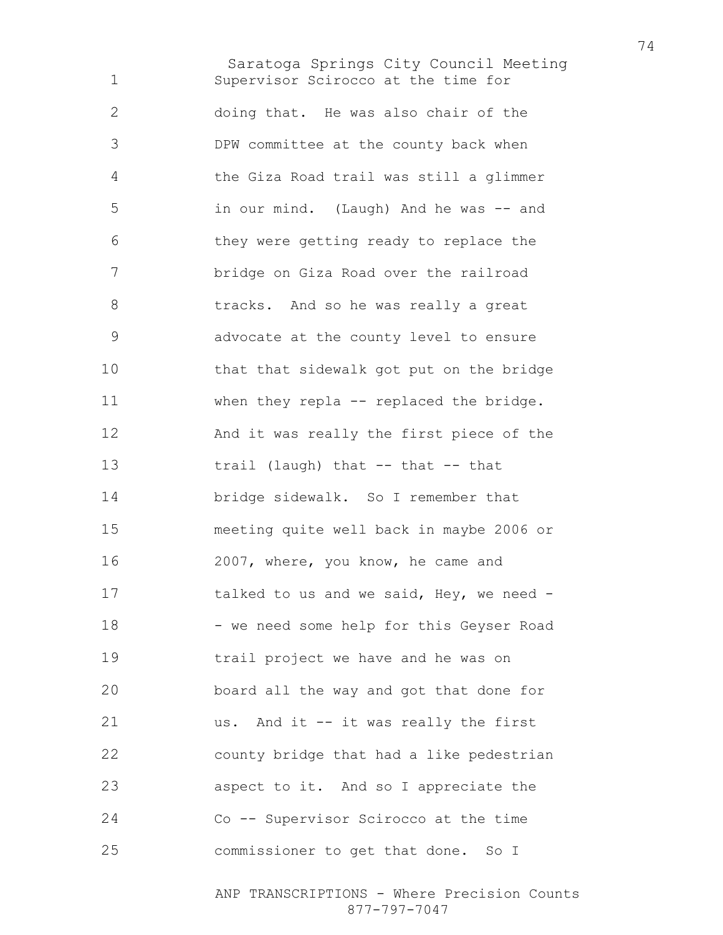Saratoga Springs City Council Meeting Supervisor Scirocco at the time for doing that. He was also chair of the DPW committee at the county back when the Giza Road trail was still a glimmer in our mind. (Laugh) And he was -- and they were getting ready to replace the bridge on Giza Road over the railroad tracks. And so he was really a great advocate at the county level to ensure that that sidewalk got put on the bridge when they repla -- replaced the bridge. And it was really the first piece of the trail (laugh) that -- that -- that bridge sidewalk. So I remember that meeting quite well back in maybe 2006 or 2007, where, you know, he came and talked to us and we said, Hey, we need - 18 - we need some help for this Geyser Road trail project we have and he was on board all the way and got that done for us. And it -- it was really the first county bridge that had a like pedestrian aspect to it. And so I appreciate the Co -- Supervisor Scirocco at the time commissioner to get that done. So I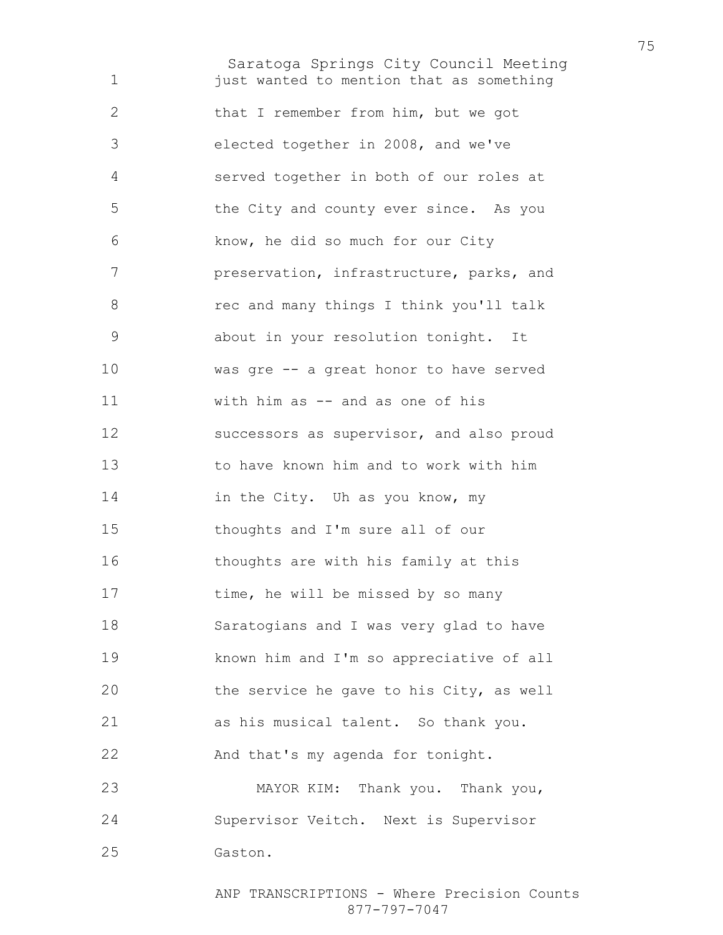Saratoga Springs City Council Meeting **just wanted to mention that as something** that I remember from him, but we got elected together in 2008, and we've served together in both of our roles at the City and county ever since. As you know, he did so much for our City preservation, infrastructure, parks, and rec and many things I think you'll talk about in your resolution tonight. It was gre -- a great honor to have served with him as -- and as one of his successors as supervisor, and also proud to have known him and to work with him 14 in the City. Uh as you know, my thoughts and I'm sure all of our thoughts are with his family at this 17 time, he will be missed by so many Saratogians and I was very glad to have known him and I'm so appreciative of all the service he gave to his City, as well as his musical talent. So thank you. And that's my agenda for tonight. MAYOR KIM: Thank you. Thank you, Supervisor Veitch. Next is Supervisor

Gaston.

ANP TRANSCRIPTIONS - Where Precision Counts 877-797-7047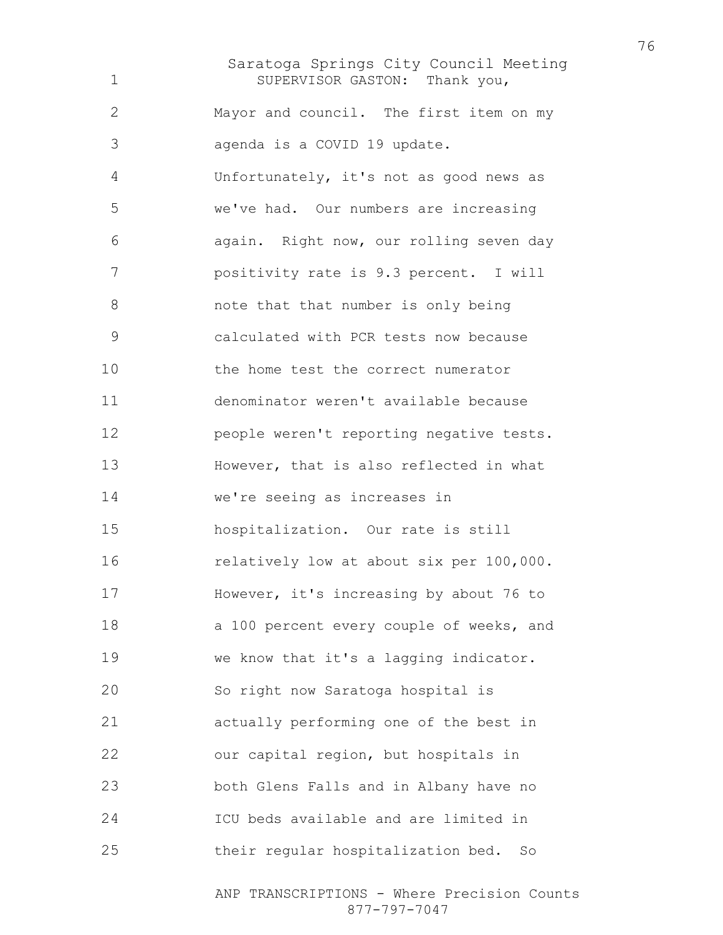Saratoga Springs City Council Meeting SUPERVISOR GASTON: Thank you, Mayor and council. The first item on my agenda is a COVID 19 update. Unfortunately, it's not as good news as we've had. Our numbers are increasing again. Right now, our rolling seven day positivity rate is 9.3 percent. I will note that that number is only being calculated with PCR tests now because the home test the correct numerator denominator weren't available because people weren't reporting negative tests. However, that is also reflected in what we're seeing as increases in hospitalization. Our rate is still relatively low at about six per 100,000. 17 However, it's increasing by about 76 to 18 a 100 percent every couple of weeks, and we know that it's a lagging indicator. So right now Saratoga hospital is actually performing one of the best in our capital region, but hospitals in both Glens Falls and in Albany have no ICU beds available and are limited in their regular hospitalization bed. So

> ANP TRANSCRIPTIONS - Where Precision Counts 877-797-7047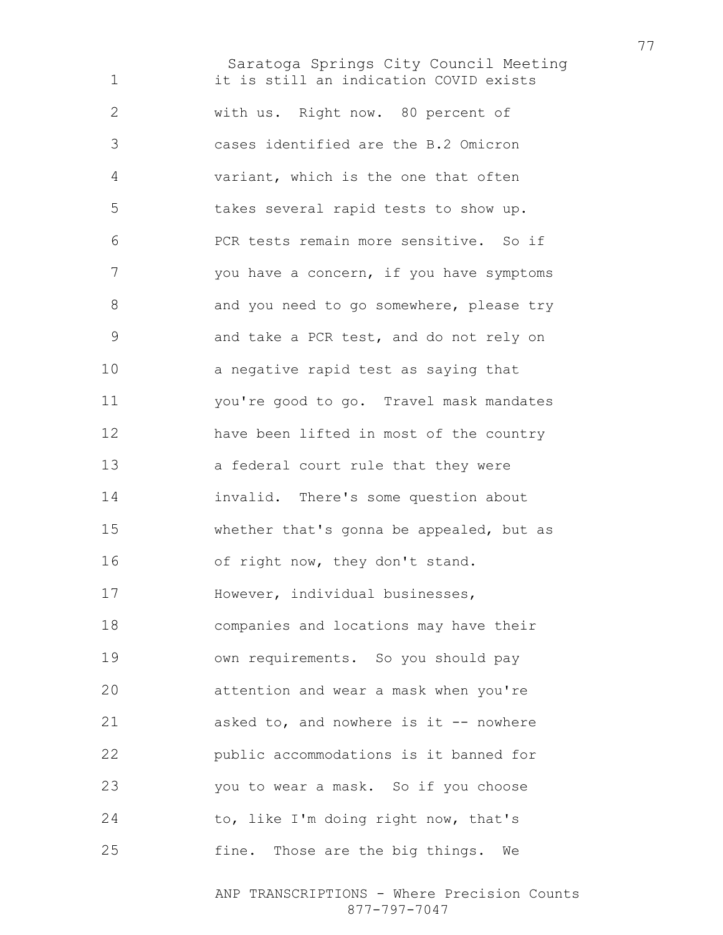Saratoga Springs City Council Meeting 1 it is still an indication COVID exists with us. Right now. 80 percent of cases identified are the B.2 Omicron variant, which is the one that often takes several rapid tests to show up. PCR tests remain more sensitive. So if you have a concern, if you have symptoms 8 and you need to go somewhere, please try and take a PCR test, and do not rely on a negative rapid test as saying that you're good to go. Travel mask mandates have been lifted in most of the country a federal court rule that they were invalid. There's some question about whether that's gonna be appealed, but as 16 of right now, they don't stand. However, individual businesses, companies and locations may have their own requirements. So you should pay attention and wear a mask when you're asked to, and nowhere is it -- nowhere public accommodations is it banned for you to wear a mask. So if you choose to, like I'm doing right now, that's fine. Those are the big things. We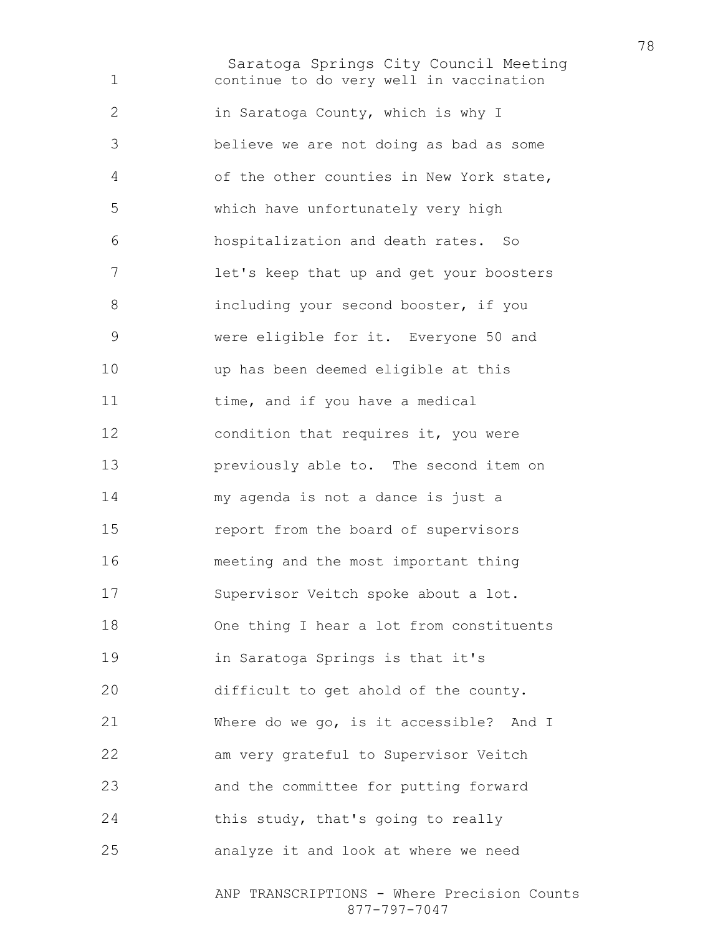Saratoga Springs City Council Meeting continue to do very well in vaccination in Saratoga County, which is why I believe we are not doing as bad as some of the other counties in New York state, which have unfortunately very high hospitalization and death rates. So let's keep that up and get your boosters including your second booster, if you were eligible for it. Everyone 50 and up has been deemed eligible at this 11 time, and if you have a medical 12 condition that requires it, you were previously able to. The second item on my agenda is not a dance is just a report from the board of supervisors meeting and the most important thing Supervisor Veitch spoke about a lot. 18 One thing I hear a lot from constituents in Saratoga Springs is that it's difficult to get ahold of the county. Where do we go, is it accessible? And I am very grateful to Supervisor Veitch and the committee for putting forward 24 this study, that's going to really analyze it and look at where we need

> ANP TRANSCRIPTIONS - Where Precision Counts 877-797-7047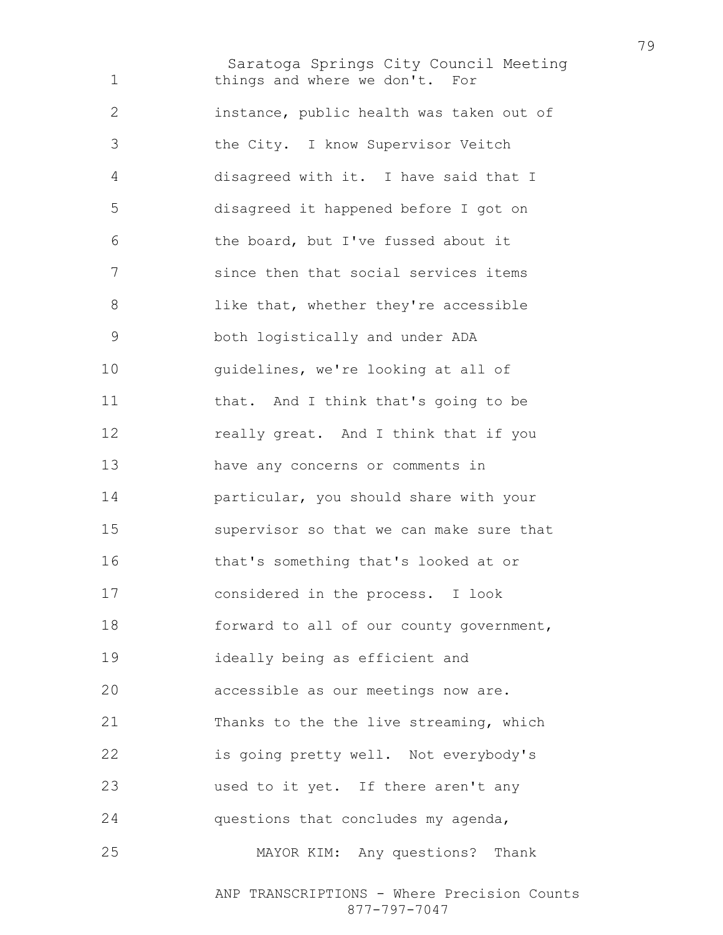Saratoga Springs City Council Meeting things and where we don't. For instance, public health was taken out of the City. I know Supervisor Veitch disagreed with it. I have said that I disagreed it happened before I got on the board, but I've fussed about it since then that social services items 8 like that, whether they're accessible both logistically and under ADA 10 guidelines, we're looking at all of 11 that. And I think that's going to be 12 really great. And I think that if you have any concerns or comments in particular, you should share with your supervisor so that we can make sure that that's something that's looked at or considered in the process. I look 18 forward to all of our county government, ideally being as efficient and accessible as our meetings now are. Thanks to the the live streaming, which is going pretty well. Not everybody's used to it yet. If there aren't any questions that concludes my agenda, MAYOR KIM: Any questions? Thank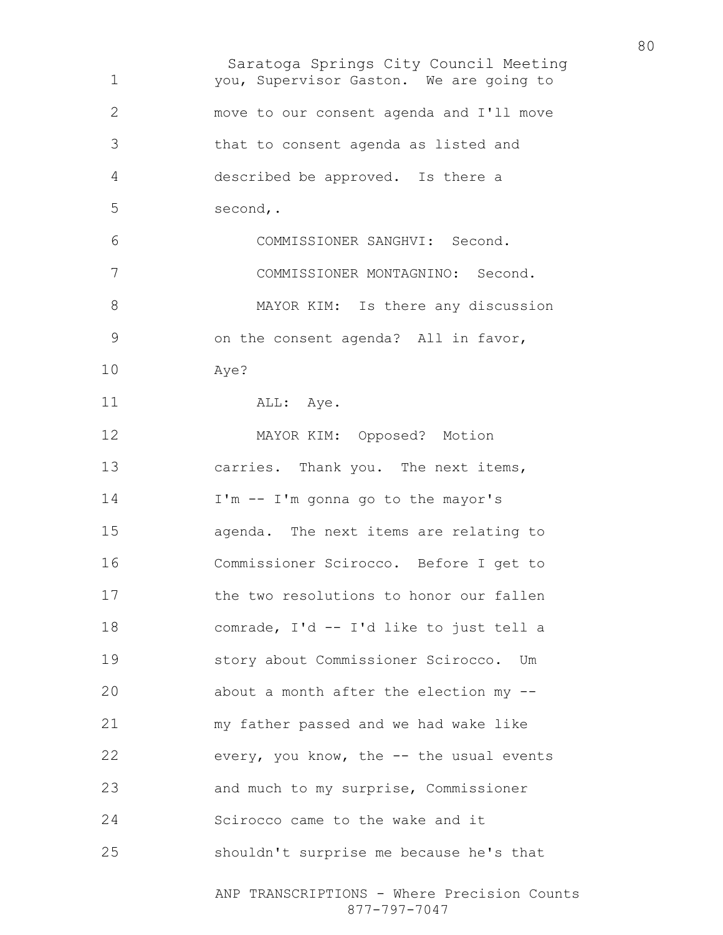Saratoga Springs City Council Meeting ANP TRANSCRIPTIONS - Where Precision Counts 877-797-7047 you, Supervisor Gaston. We are going to move to our consent agenda and I'll move that to consent agenda as listed and described be approved. Is there a second,. COMMISSIONER SANGHVI: Second. COMMISSIONER MONTAGNINO: Second. 8 MAYOR KIM: Is there any discussion on the consent agenda? All in favor, Aye? 11 ALL: Aye. MAYOR KIM: Opposed? Motion carries. Thank you. The next items, I'm -- I'm gonna go to the mayor's agenda. The next items are relating to Commissioner Scirocco. Before I get to **the two resolutions to honor our fallen** comrade, I'd -- I'd like to just tell a story about Commissioner Scirocco. Um about a month after the election my -- my father passed and we had wake like every, you know, the -- the usual events and much to my surprise, Commissioner Scirocco came to the wake and it shouldn't surprise me because he's that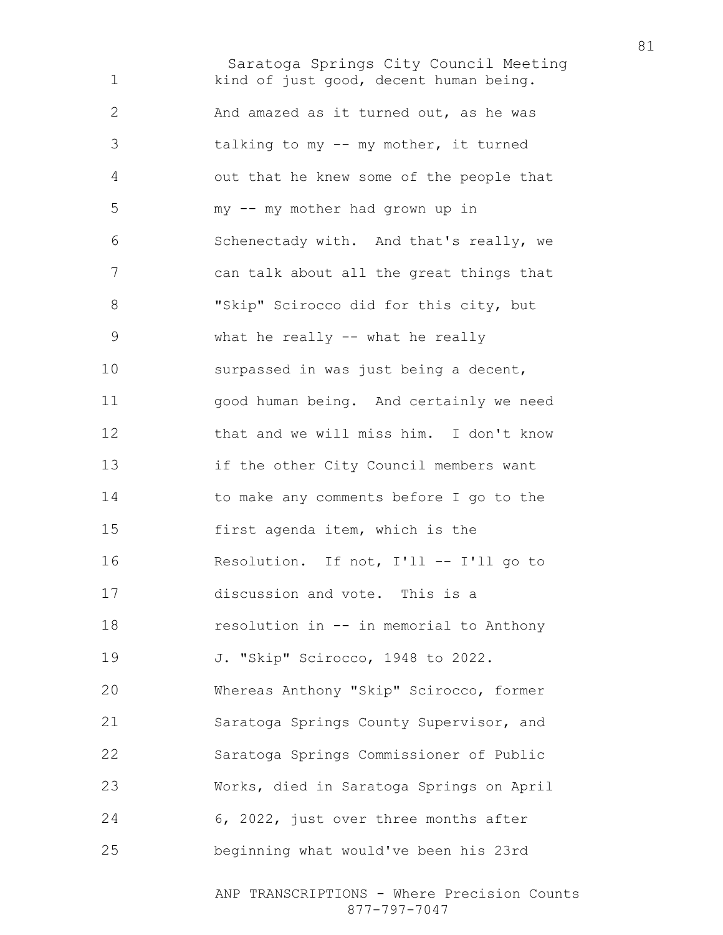Saratoga Springs City Council Meeting 1 kind of just good, decent human being. And amazed as it turned out, as he was talking to my -- my mother, it turned out that he knew some of the people that my -- my mother had grown up in Schenectady with. And that's really, we can talk about all the great things that "Skip" Scirocco did for this city, but what he really -- what he really surpassed in was just being a decent, good human being. And certainly we need that and we will miss him. I don't know if the other City Council members want to make any comments before I go to the first agenda item, which is the Resolution. If not, I'll -- I'll go to discussion and vote. This is a resolution in -- in memorial to Anthony J. "Skip" Scirocco, 1948 to 2022. Whereas Anthony "Skip" Scirocco, former Saratoga Springs County Supervisor, and Saratoga Springs Commissioner of Public Works, died in Saratoga Springs on April 6, 2022, just over three months after beginning what would've been his 23rd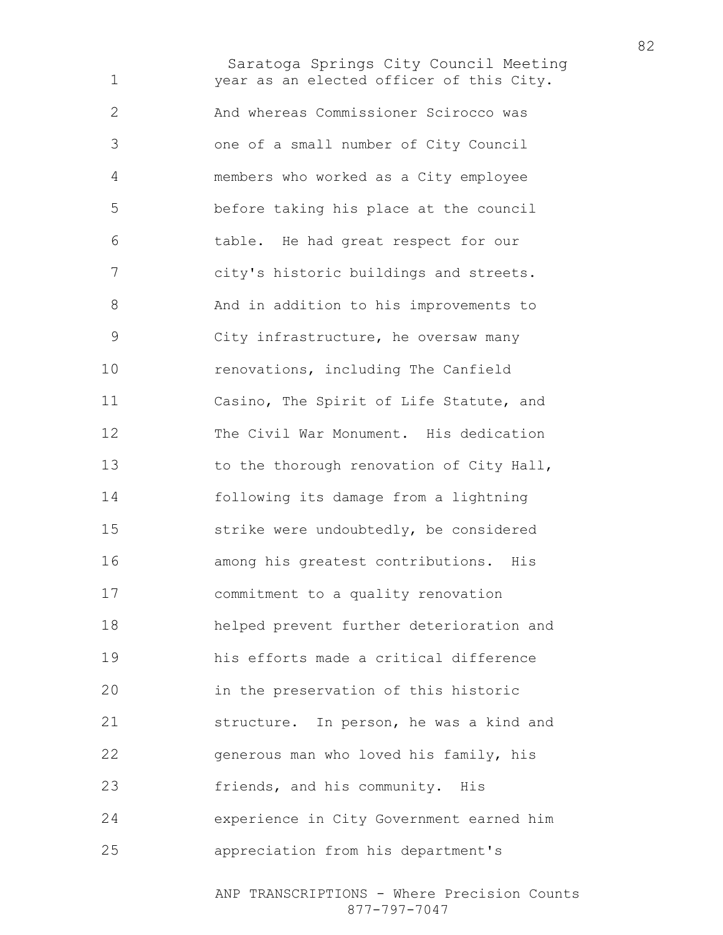Saratoga Springs City Council Meeting year as an elected officer of this City. And whereas Commissioner Scirocco was one of a small number of City Council members who worked as a City employee before taking his place at the council table. He had great respect for our city's historic buildings and streets. And in addition to his improvements to City infrastructure, he oversaw many renovations, including The Canfield Casino, The Spirit of Life Statute, and The Civil War Monument. His dedication 13 to the thorough renovation of City Hall, following its damage from a lightning strike were undoubtedly, be considered among his greatest contributions. His commitment to a quality renovation helped prevent further deterioration and his efforts made a critical difference in the preservation of this historic structure. In person, he was a kind and generous man who loved his family, his friends, and his community. His experience in City Government earned him appreciation from his department's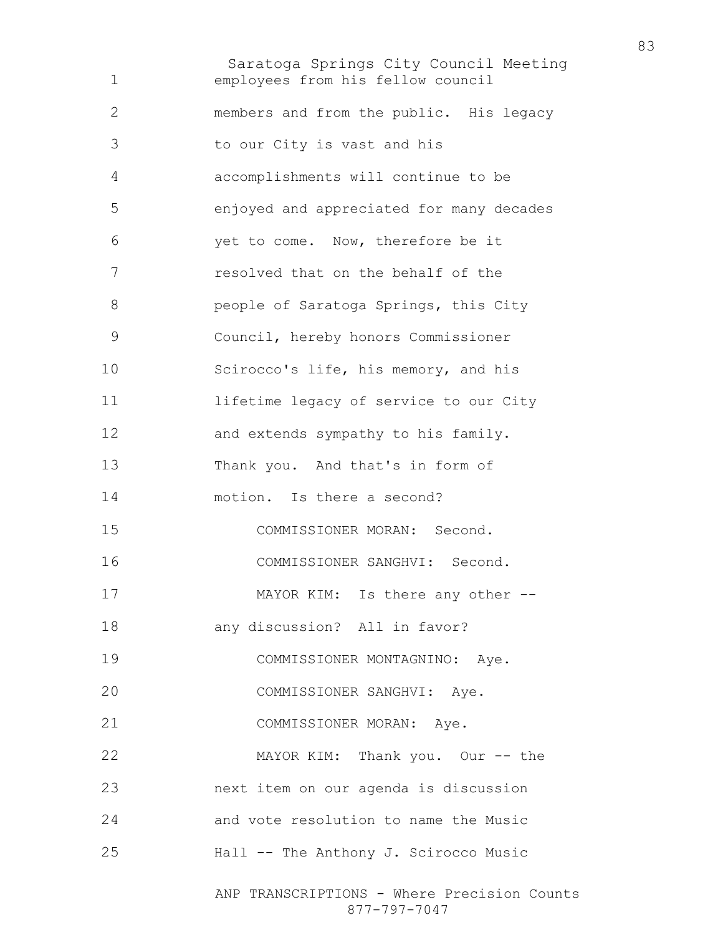Saratoga Springs City Council Meeting employees from his fellow council members and from the public. His legacy to our City is vast and his accomplishments will continue to be enjoyed and appreciated for many decades yet to come. Now, therefore be it resolved that on the behalf of the **people of Saratoga Springs, this City** Council, hereby honors Commissioner Scirocco's life, his memory, and his lifetime legacy of service to our City 12 and extends sympathy to his family. Thank you. And that's in form of motion. Is there a second? COMMISSIONER MORAN: Second. COMMISSIONER SANGHVI: Second. 17 MAYOR KIM: Is there any other --any discussion? All in favor? COMMISSIONER MONTAGNINO: Aye. COMMISSIONER SANGHVI: Aye. COMMISSIONER MORAN: Aye. MAYOR KIM: Thank you. Our -- the next item on our agenda is discussion and vote resolution to name the Music Hall -- The Anthony J. Scirocco Music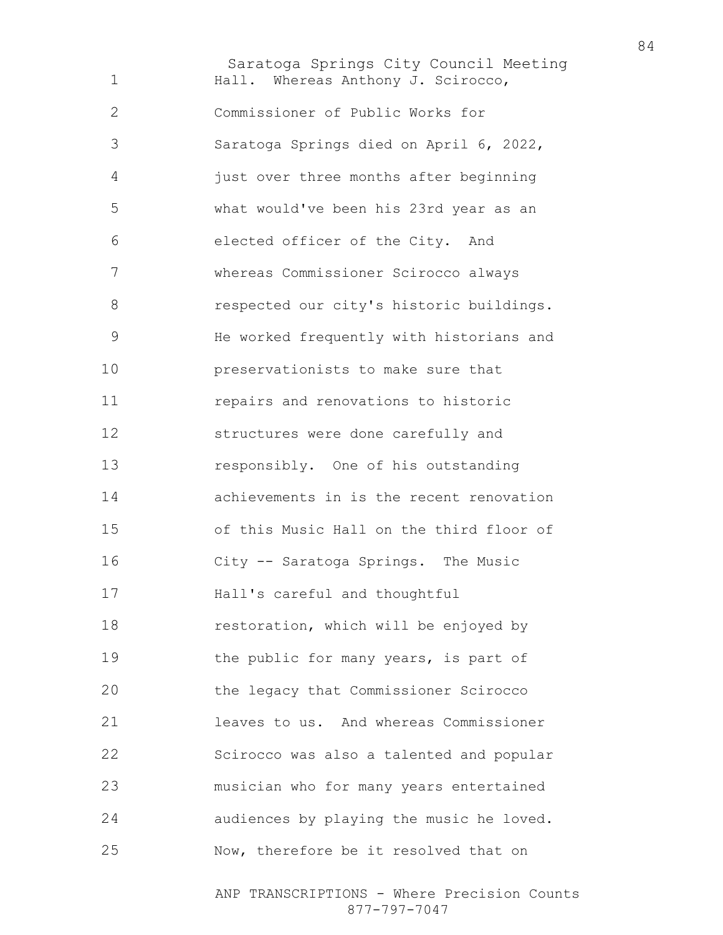Saratoga Springs City Council Meeting 1 Hall. Whereas Anthony J. Scirocco, Commissioner of Public Works for Saratoga Springs died on April 6, 2022, just over three months after beginning what would've been his 23rd year as an elected officer of the City. And whereas Commissioner Scirocco always 8 respected our city's historic buildings. He worked frequently with historians and preservationists to make sure that repairs and renovations to historic structures were done carefully and responsibly. One of his outstanding achievements in is the recent renovation of this Music Hall on the third floor of City -- Saratoga Springs. The Music Hall's careful and thoughtful restoration, which will be enjoyed by 19 the public for many years, is part of the legacy that Commissioner Scirocco leaves to us. And whereas Commissioner Scirocco was also a talented and popular musician who for many years entertained audiences by playing the music he loved. Now, therefore be it resolved that on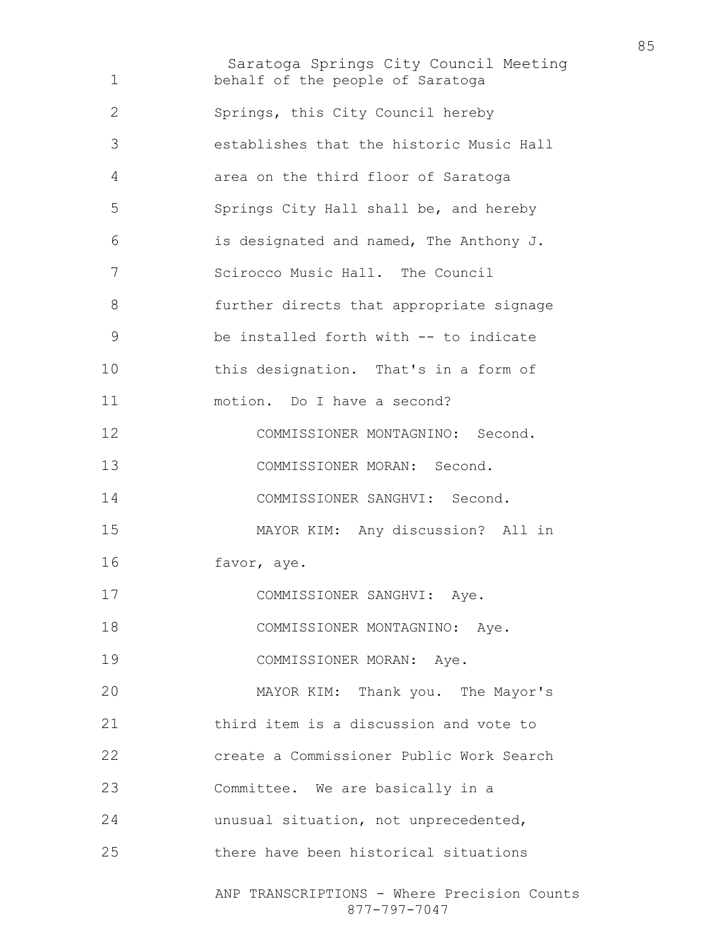Saratoga Springs City Council Meeting ANP TRANSCRIPTIONS - Where Precision Counts behalf of the people of Saratoga Springs, this City Council hereby establishes that the historic Music Hall area on the third floor of Saratoga Springs City Hall shall be, and hereby is designated and named, The Anthony J. Scirocco Music Hall. The Council further directs that appropriate signage be installed forth with -- to indicate this designation. That's in a form of motion. Do I have a second? COMMISSIONER MONTAGNINO: Second. COMMISSIONER MORAN: Second. COMMISSIONER SANGHVI: Second. MAYOR KIM: Any discussion? All in favor, aye. COMMISSIONER SANGHVI: Aye. 18 COMMISSIONER MONTAGNINO: Aye. COMMISSIONER MORAN: Aye. MAYOR KIM: Thank you. The Mayor's third item is a discussion and vote to create a Commissioner Public Work Search Committee. We are basically in a unusual situation, not unprecedented, there have been historical situations

877-797-7047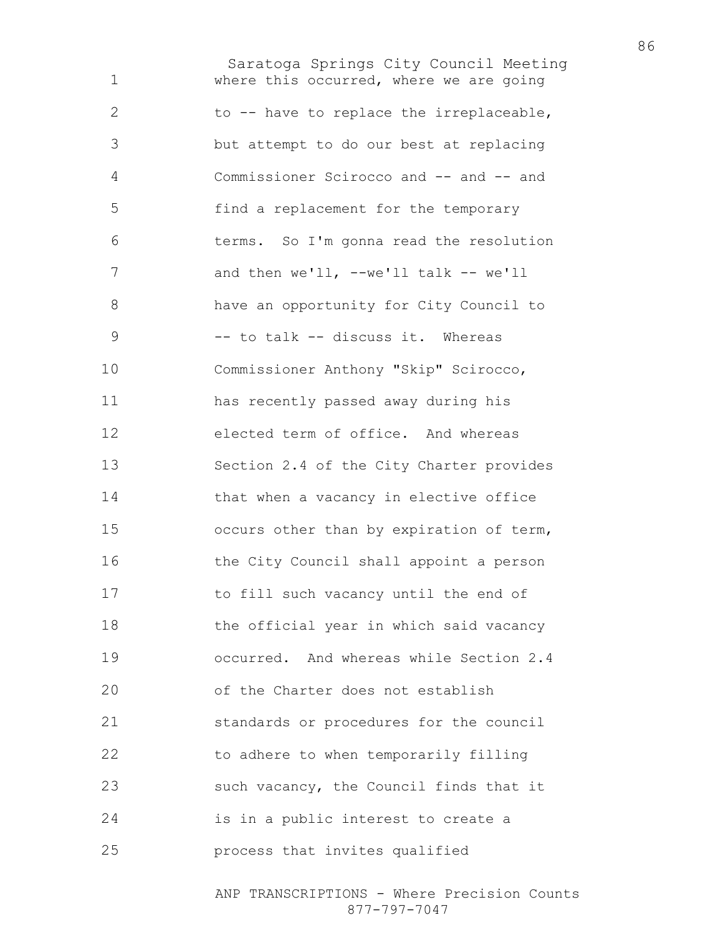Saratoga Springs City Council Meeting where this occurred, where we are going to -- have to replace the irreplaceable, but attempt to do our best at replacing Commissioner Scirocco and -- and -- and find a replacement for the temporary terms. So I'm gonna read the resolution 7 and then we'll, --we'll talk -- we'll have an opportunity for City Council to 9 -- to talk -- discuss it. Whereas Commissioner Anthony "Skip" Scirocco, has recently passed away during his elected term of office. And whereas Section 2.4 of the City Charter provides that when a vacancy in elective office occurs other than by expiration of term, the City Council shall appoint a person to fill such vacancy until the end of 18 the official year in which said vacancy occurred. And whereas while Section 2.4 of the Charter does not establish standards or procedures for the council 22 to adhere to when temporarily filling such vacancy, the Council finds that it is in a public interest to create a process that invites qualified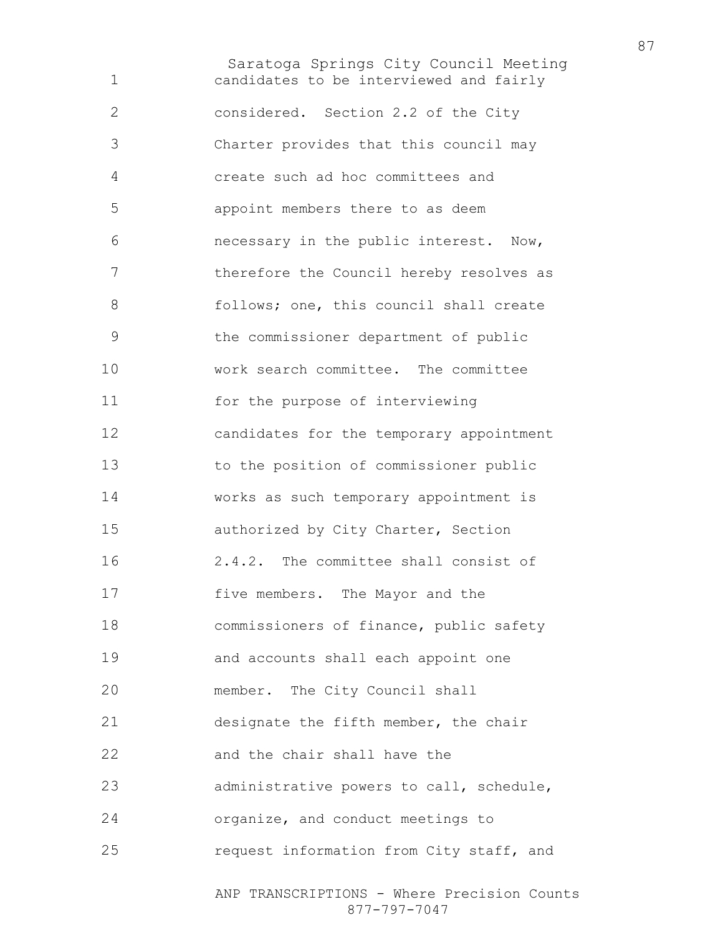Saratoga Springs City Council Meeting candidates to be interviewed and fairly considered. Section 2.2 of the City Charter provides that this council may create such ad hoc committees and appoint members there to as deem necessary in the public interest. Now, therefore the Council hereby resolves as 8 follows; one, this council shall create the commissioner department of public work search committee. The committee for the purpose of interviewing candidates for the temporary appointment to the position of commissioner public works as such temporary appointment is authorized by City Charter, Section 2.4.2. The committee shall consist of five members. The Mayor and the commissioners of finance, public safety and accounts shall each appoint one member. The City Council shall designate the fifth member, the chair and the chair shall have the administrative powers to call, schedule, organize, and conduct meetings to request information from City staff, and

ANP TRANSCRIPTIONS - Where Precision Counts 877-797-7047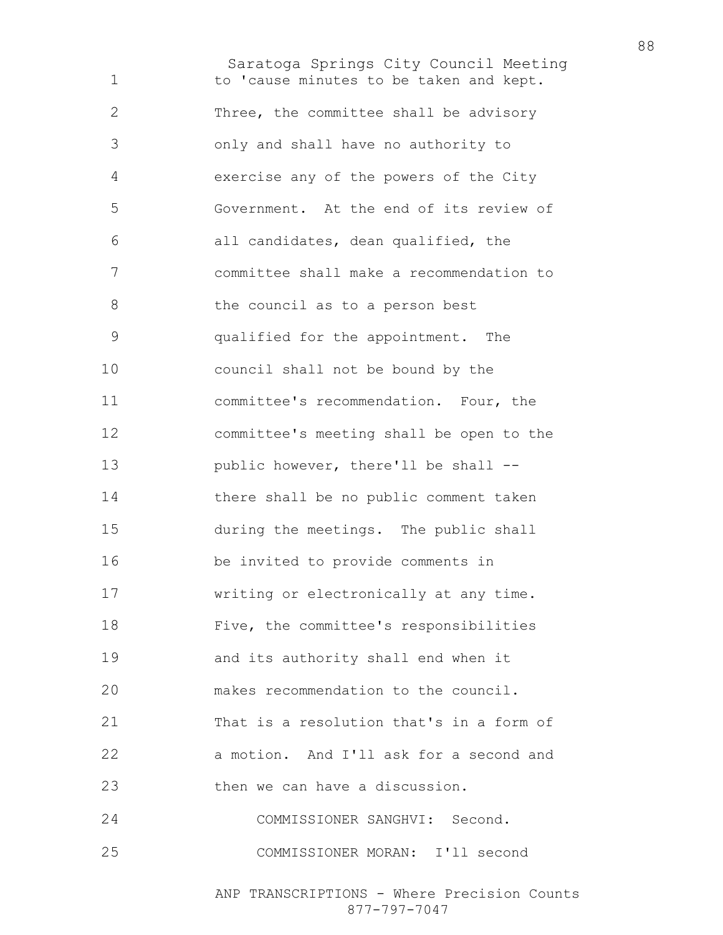Saratoga Springs City Council Meeting to 'cause minutes to be taken and kept. Three, the committee shall be advisory only and shall have no authority to exercise any of the powers of the City Government. At the end of its review of all candidates, dean qualified, the committee shall make a recommendation to 8 the council as to a person best qualified for the appointment. The council shall not be bound by the committee's recommendation. Four, the committee's meeting shall be open to the public however, there'll be shall -- there shall be no public comment taken during the meetings. The public shall be invited to provide comments in writing or electronically at any time. Five, the committee's responsibilities and its authority shall end when it makes recommendation to the council. That is a resolution that's in a form of a motion. And I'll ask for a second and then we can have a discussion. COMMISSIONER SANGHVI: Second. COMMISSIONER MORAN: I'll second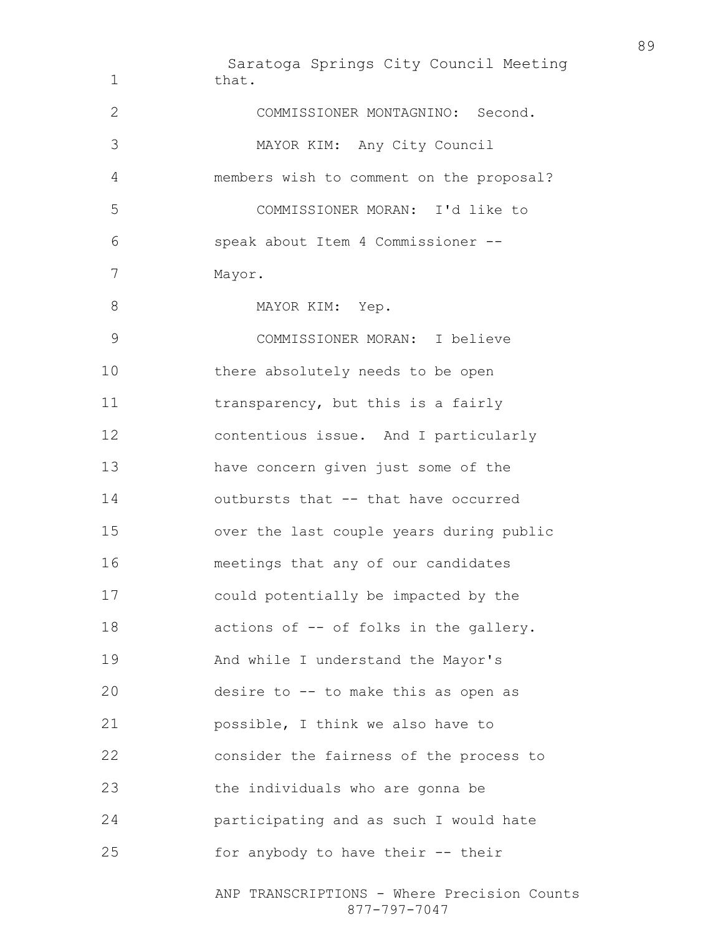Saratoga Springs City Council Meeting ANP TRANSCRIPTIONS - Where Precision Counts 1 that. COMMISSIONER MONTAGNINO: Second. MAYOR KIM: Any City Council members wish to comment on the proposal? COMMISSIONER MORAN: I'd like to speak about Item 4 Commissioner -- Mayor. 8 MAYOR KIM: Yep. COMMISSIONER MORAN: I believe there absolutely needs to be open 11 transparency, but this is a fairly contentious issue. And I particularly have concern given just some of the outbursts that -- that have occurred over the last couple years during public meetings that any of our candidates could potentially be impacted by the 18 actions of -- of folks in the gallery. And while I understand the Mayor's desire to -- to make this as open as possible, I think we also have to consider the fairness of the process to the individuals who are gonna be participating and as such I would hate for anybody to have their -- their

877-797-7047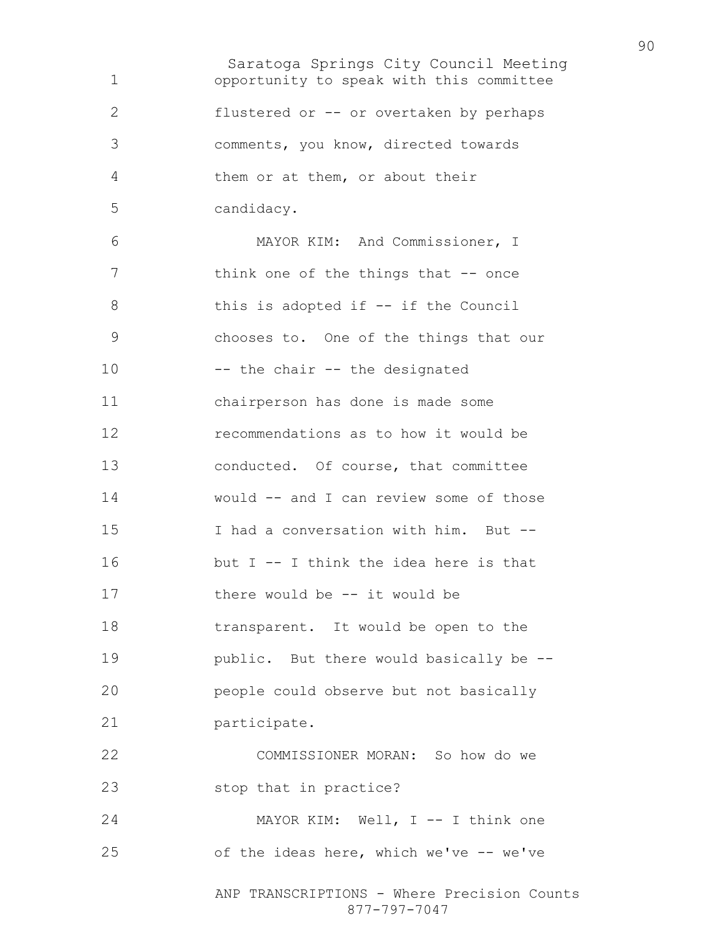Saratoga Springs City Council Meeting ANP TRANSCRIPTIONS - Where Precision Counts 877-797-7047 opportunity to speak with this committee flustered or -- or overtaken by perhaps comments, you know, directed towards them or at them, or about their candidacy. MAYOR KIM: And Commissioner, I 7 think one of the things that -- once 8 this is adopted if -- if the Council chooses to. One of the things that our -- the chair -- the designated chairperson has done is made some recommendations as to how it would be conducted. Of course, that committee would -- and I can review some of those I had a conversation with him. But -- but I -- I think the idea here is that there would be -- it would be transparent. It would be open to the public. But there would basically be -- people could observe but not basically participate. COMMISSIONER MORAN: So how do we stop that in practice? 24 MAYOR KIM: Well, I -- I think one of the ideas here, which we've -- we've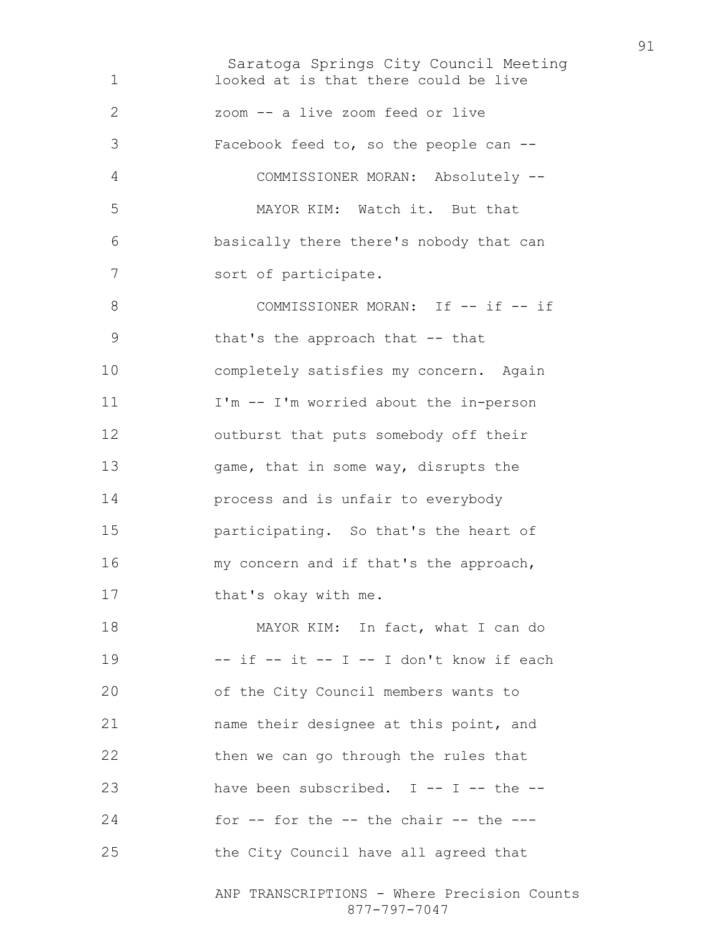Saratoga Springs City Council Meeting looked at is that there could be live zoom -- a live zoom feed or live Facebook feed to, so the people can -- COMMISSIONER MORAN: Absolutely -- MAYOR KIM: Watch it. But that basically there there's nobody that can sort of participate. 8 COMMISSIONER MORAN: If -- if -- if that's the approach that -- that completely satisfies my concern. Again I'm -- I'm worried about the in-person outburst that puts somebody off their 13 game, that in some way, disrupts the process and is unfair to everybody participating. So that's the heart of my concern and if that's the approach, that's okay with me. 18 MAYOR KIM: In fact, what I can do -- if -- it -- I -- I don't know if each of the City Council members wants to name their designee at this point, and 22 then we can go through the rules that have been subscribed. I -- I -- the -- for  $-$  for the  $-$  the chair  $-$  the  $-$ -the City Council have all agreed that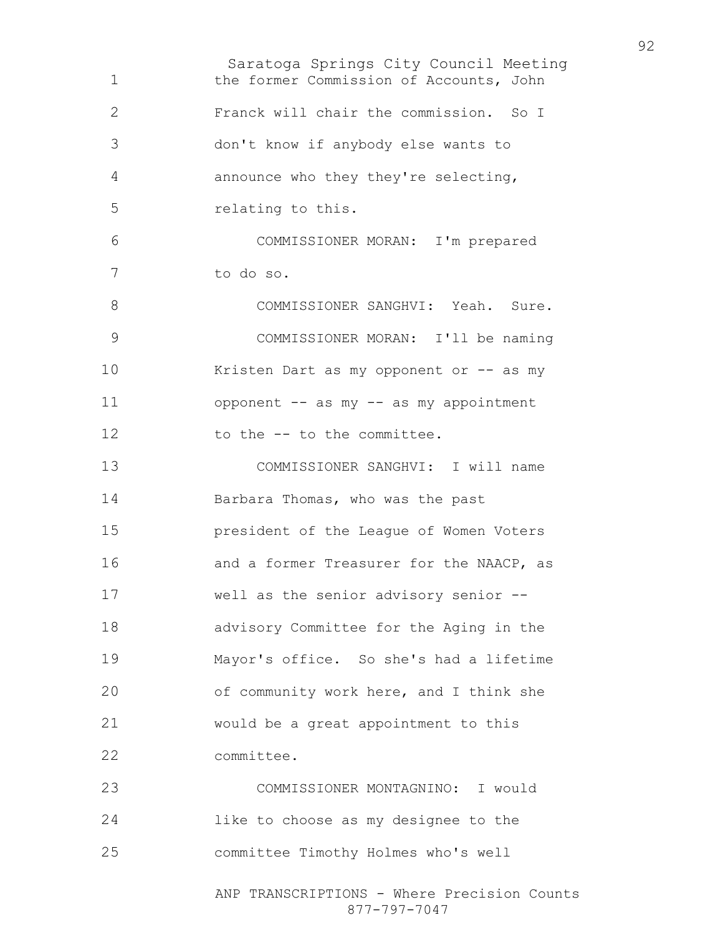Saratoga Springs City Council Meeting ANP TRANSCRIPTIONS - Where Precision Counts the former Commission of Accounts, John Franck will chair the commission. So I don't know if anybody else wants to announce who they they're selecting, relating to this. COMMISSIONER MORAN: I'm prepared to do so. COMMISSIONER SANGHVI: Yeah. Sure. COMMISSIONER MORAN: I'll be naming 10 Kristen Dart as my opponent or -- as my opponent -- as my -- as my appointment 12 to the -- to the committee. COMMISSIONER SANGHVI: I will name Barbara Thomas, who was the past president of the League of Women Voters and a former Treasurer for the NAACP, as well as the senior advisory senior -- advisory Committee for the Aging in the Mayor's office. So she's had a lifetime of community work here, and I think she would be a great appointment to this committee. COMMISSIONER MONTAGNINO: I would like to choose as my designee to the committee Timothy Holmes who's well

877-797-7047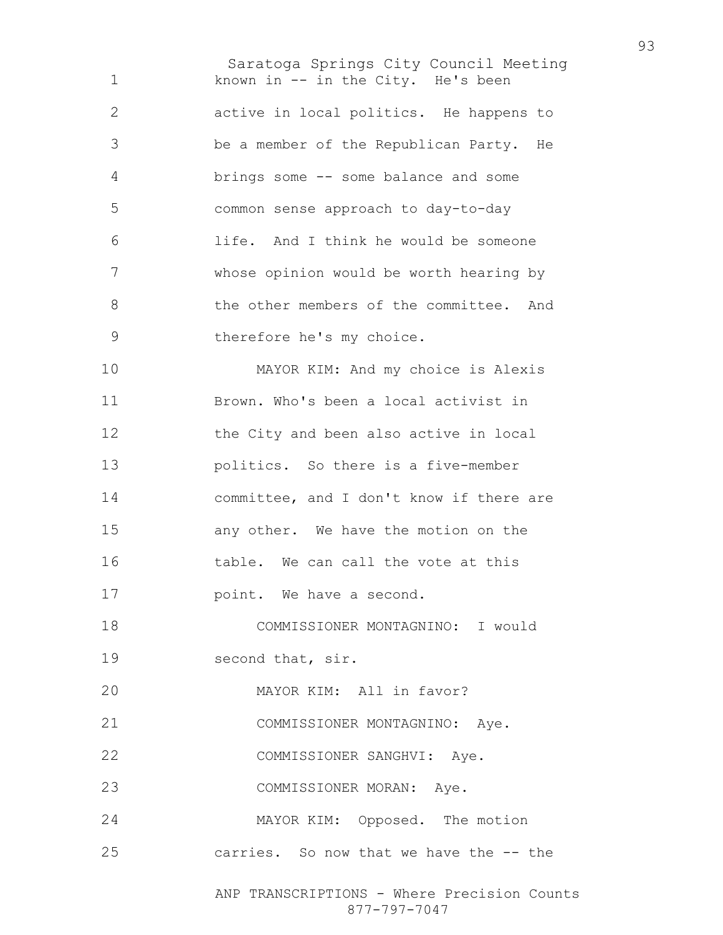Saratoga Springs City Council Meeting ANP TRANSCRIPTIONS - Where Precision Counts 1 known in -- in the City. He's been active in local politics. He happens to be a member of the Republican Party. He brings some -- some balance and some common sense approach to day-to-day life. And I think he would be someone whose opinion would be worth hearing by the other members of the committee. And therefore he's my choice. MAYOR KIM: And my choice is Alexis Brown. Who's been a local activist in the City and been also active in local politics. So there is a five-member committee, and I don't know if there are any other. We have the motion on the 16 table. We can call the vote at this **point.** We have a second. COMMISSIONER MONTAGNINO: I would 19 second that, sir. MAYOR KIM: All in favor? COMMISSIONER MONTAGNINO: Aye. COMMISSIONER SANGHVI: Aye. COMMISSIONER MORAN: Aye. MAYOR KIM: Opposed. The motion carries. So now that we have the -- the

877-797-7047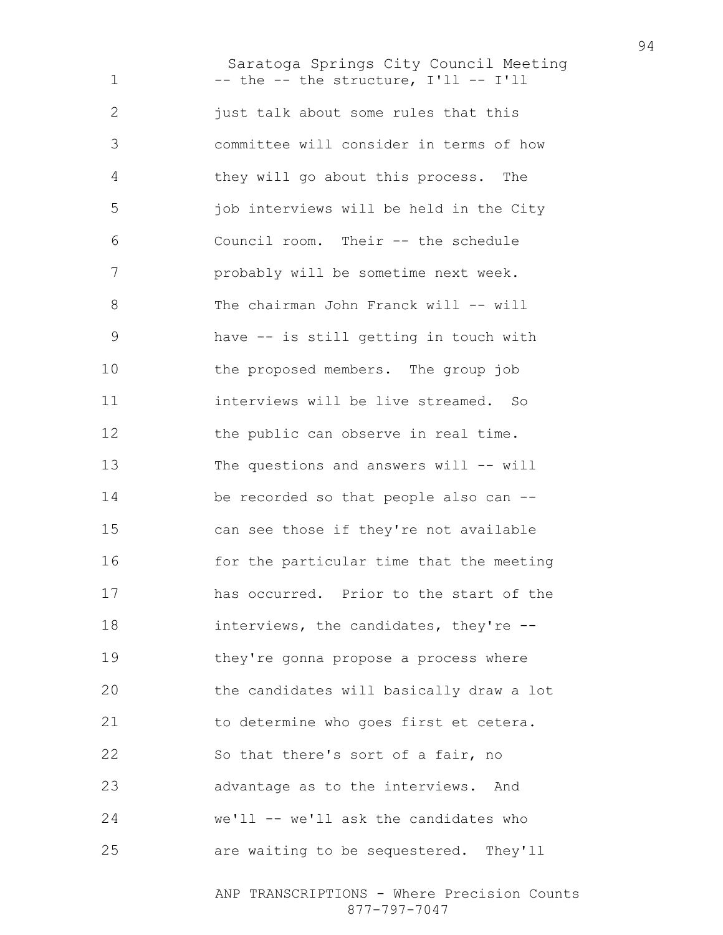Saratoga Springs City Council Meeting 1 -- the -- the structure, I'll -- I'll **just talk about some rules that this** committee will consider in terms of how they will go about this process. The job interviews will be held in the City Council room. Their -- the schedule probably will be sometime next week. 8 The chairman John Franck will -- will have -- is still getting in touch with the proposed members. The group job interviews will be live streamed. So 12 the public can observe in real time. The questions and answers will -- will be recorded so that people also can -- can see those if they're not available 16 for the particular time that the meeting has occurred. Prior to the start of the interviews, the candidates, they're -- they're gonna propose a process where the candidates will basically draw a lot to determine who goes first et cetera. So that there's sort of a fair, no advantage as to the interviews. And we'll -- we'll ask the candidates who are waiting to be sequestered. They'll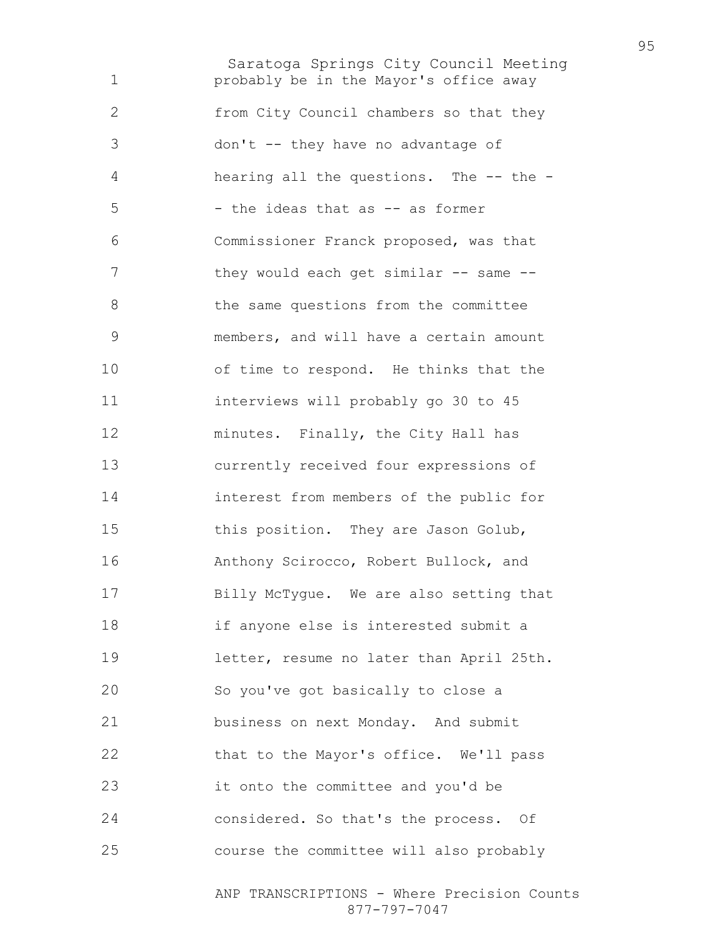Saratoga Springs City Council Meeting probably be in the Mayor's office away from City Council chambers so that they don't -- they have no advantage of hearing all the questions. The -- the - - the ideas that as -- as former Commissioner Franck proposed, was that 7 they would each get similar -- same --8 the same questions from the committee members, and will have a certain amount of time to respond. He thinks that the interviews will probably go 30 to 45 minutes. Finally, the City Hall has currently received four expressions of interest from members of the public for this position. They are Jason Golub, Anthony Scirocco, Robert Bullock, and Billy McTygue. We are also setting that if anyone else is interested submit a letter, resume no later than April 25th. So you've got basically to close a business on next Monday. And submit 22 that to the Mayor's office. We'll pass it onto the committee and you'd be considered. So that's the process. Of course the committee will also probably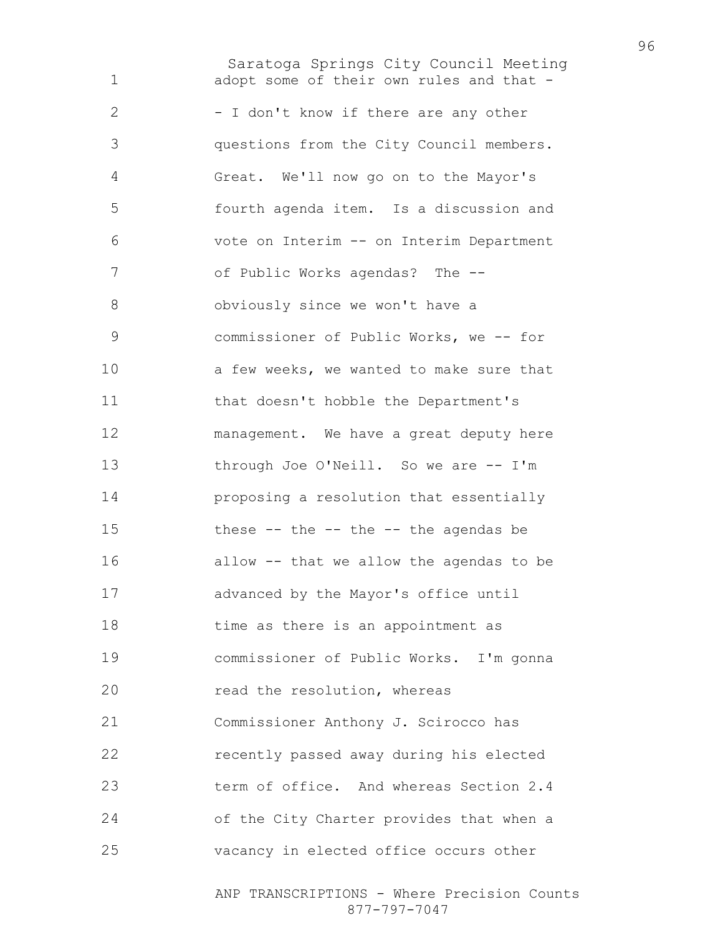Saratoga Springs City Council Meeting 1 adopt some of their own rules and that -2 - I don't know if there are any other questions from the City Council members. Great. We'll now go on to the Mayor's fourth agenda item. Is a discussion and vote on Interim -- on Interim Department of Public Works agendas? The -- obviously since we won't have a commissioner of Public Works, we -- for 10 a few weeks, we wanted to make sure that that doesn't hobble the Department's management. We have a great deputy here through Joe O'Neill. So we are -- I'm proposing a resolution that essentially these -- the -- the -- the agendas be allow -- that we allow the agendas to be advanced by the Mayor's office until 18 time as there is an appointment as commissioner of Public Works. I'm gonna **read the resolution, whereas** Commissioner Anthony J. Scirocco has recently passed away during his elected term of office. And whereas Section 2.4 of the City Charter provides that when a vacancy in elected office occurs other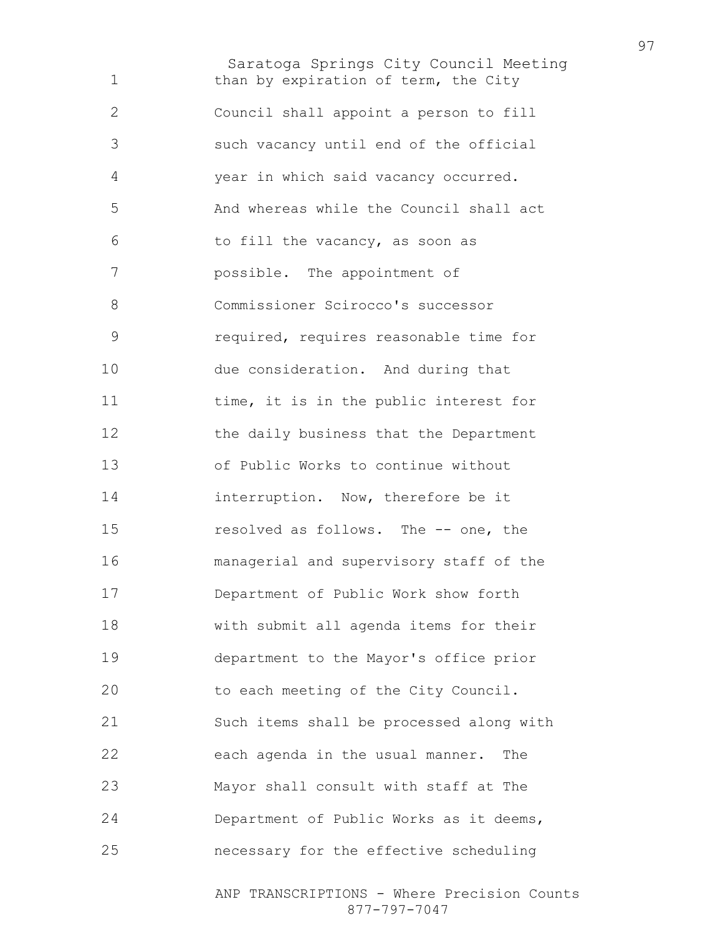Saratoga Springs City Council Meeting 1 than by expiration of term, the City Council shall appoint a person to fill such vacancy until end of the official year in which said vacancy occurred. And whereas while the Council shall act to fill the vacancy, as soon as possible. The appointment of Commissioner Scirocco's successor required, requires reasonable time for due consideration. And during that 11 time, it is in the public interest for the daily business that the Department of Public Works to continue without **interruption.** Now, therefore be it resolved as follows. The -- one, the managerial and supervisory staff of the Department of Public Work show forth with submit all agenda items for their department to the Mayor's office prior to each meeting of the City Council. Such items shall be processed along with each agenda in the usual manner. The Mayor shall consult with staff at The Department of Public Works as it deems, necessary for the effective scheduling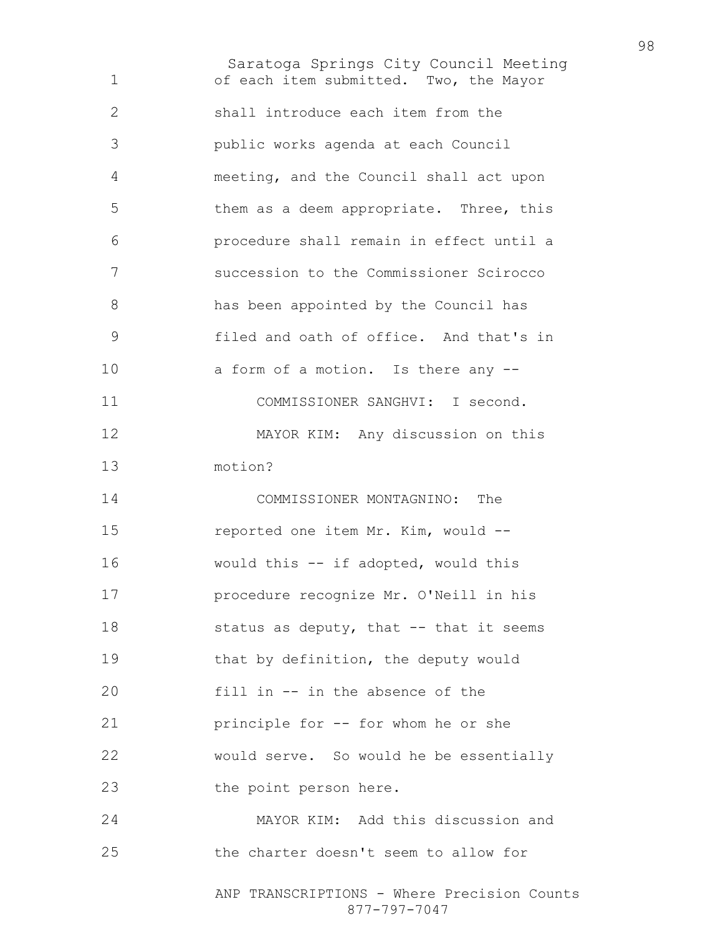Saratoga Springs City Council Meeting ANP TRANSCRIPTIONS - Where Precision Counts of each item submitted. Two, the Mayor shall introduce each item from the public works agenda at each Council meeting, and the Council shall act upon them as a deem appropriate. Three, this procedure shall remain in effect until a succession to the Commissioner Scirocco has been appointed by the Council has filed and oath of office. And that's in 10 a form of a motion. Is there any --COMMISSIONER SANGHVI: I second. MAYOR KIM: Any discussion on this motion? COMMISSIONER MONTAGNINO: The reported one item Mr. Kim, would -- would this -- if adopted, would this procedure recognize Mr. O'Neill in his 18 status as deputy, that -- that it seems 19 that by definition, the deputy would fill in -- in the absence of the principle for -- for whom he or she would serve. So would he be essentially the point person here. MAYOR KIM: Add this discussion and the charter doesn't seem to allow for

877-797-7047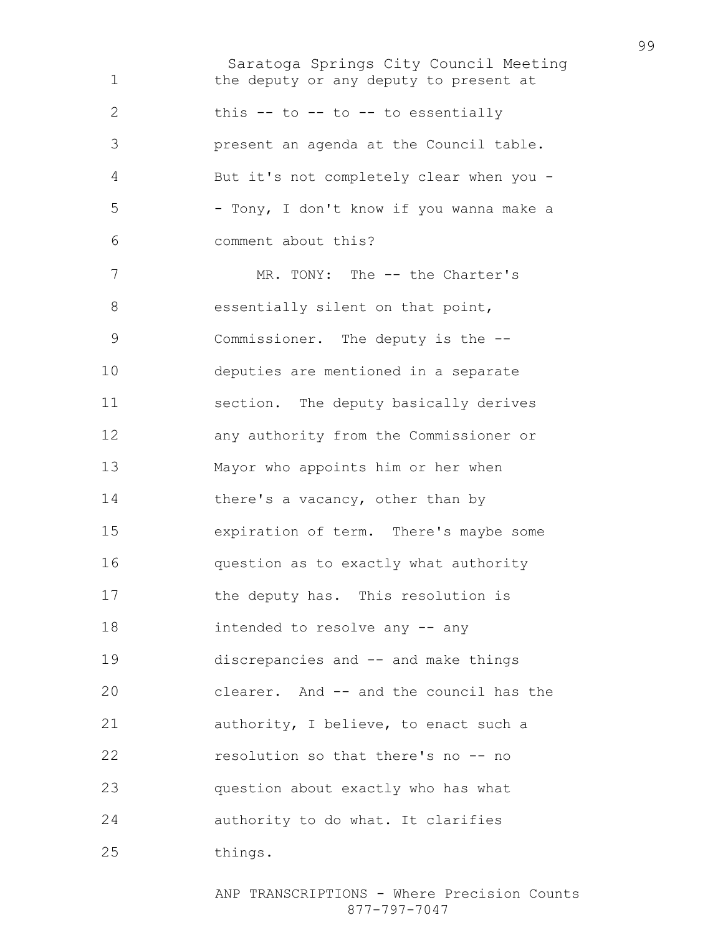Saratoga Springs City Council Meeting the deputy or any deputy to present at 2 this -- to -- to -- to essentially present an agenda at the Council table. But it's not completely clear when you - - Tony, I don't know if you wanna make a comment about this? 7 MR. TONY: The -- the Charter's 8 essentially silent on that point, Commissioner. The deputy is the -- deputies are mentioned in a separate section. The deputy basically derives any authority from the Commissioner or Mayor who appoints him or her when 14 there's a vacancy, other than by expiration of term. There's maybe some question as to exactly what authority 17 the deputy has. This resolution is intended to resolve any -- any discrepancies and -- and make things clearer. And -- and the council has the authority, I believe, to enact such a resolution so that there's no -- no question about exactly who has what authority to do what. It clarifies things.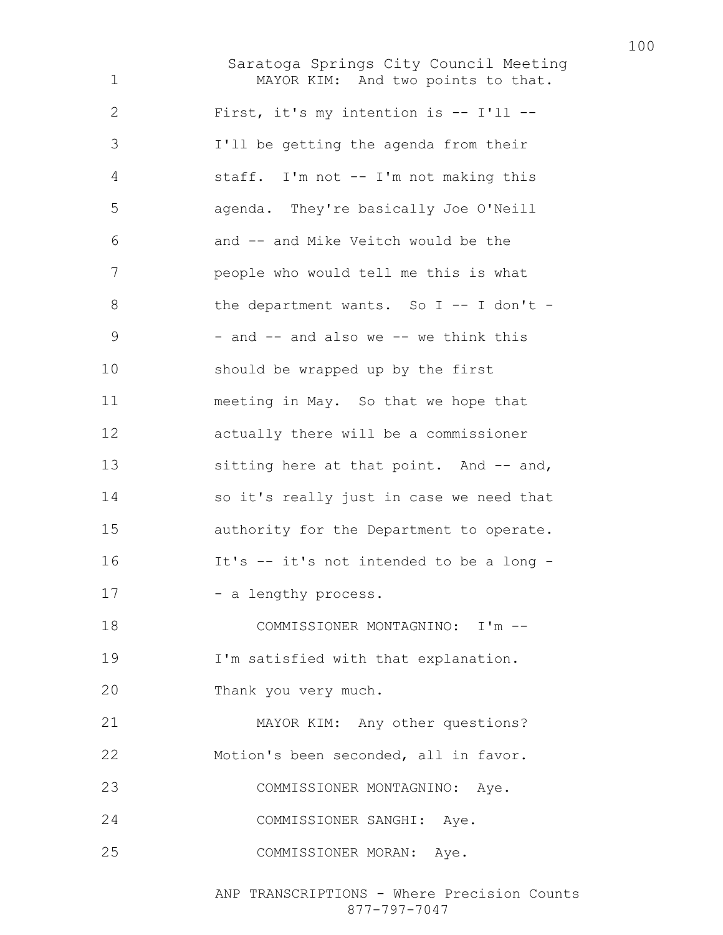Saratoga Springs City Council Meeting MAYOR KIM: And two points to that. First, it's my intention is -- I'll -- I'll be getting the agenda from their staff. I'm not -- I'm not making this agenda. They're basically Joe O'Neill and -- and Mike Veitch would be the people who would tell me this is what 8 the department wants. So I -- I don't - $9 - and - and also we -- we think this$ should be wrapped up by the first meeting in May. So that we hope that actually there will be a commissioner 13 sitting here at that point. And -- and, so it's really just in case we need that authority for the Department to operate. It's -- it's not intended to be a long - 17 - a lengthy process. COMMISSIONER MONTAGNINO: I'm -- I'm satisfied with that explanation. Thank you very much. MAYOR KIM: Any other questions? Motion's been seconded, all in favor. COMMISSIONER MONTAGNINO: Aye. COMMISSIONER SANGHI: Aye. COMMISSIONER MORAN: Aye.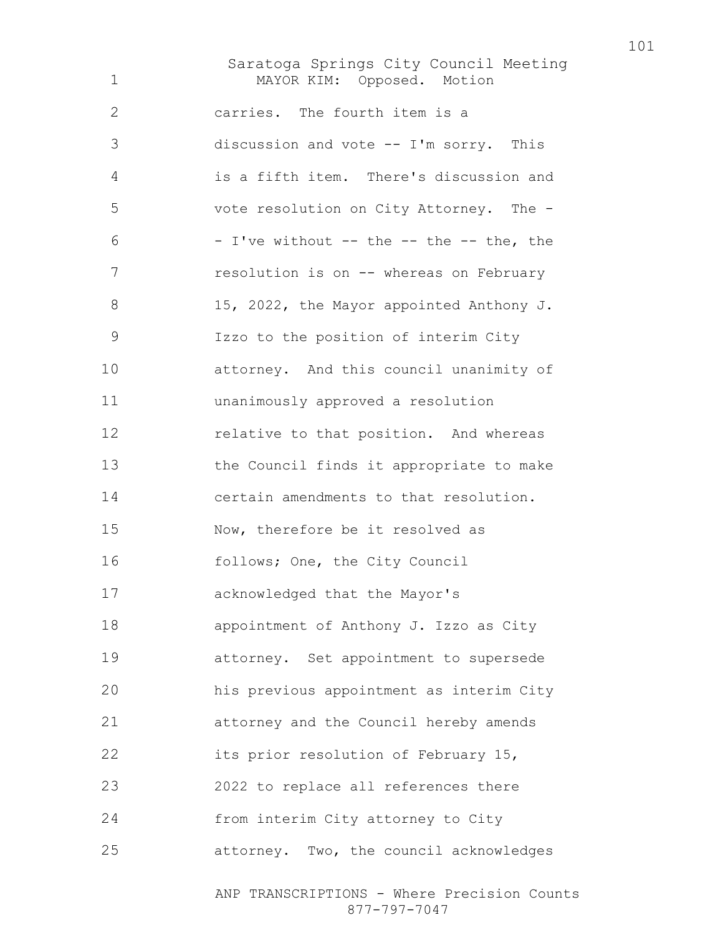Saratoga Springs City Council Meeting MAYOR KIM: Opposed. Motion carries. The fourth item is a discussion and vote -- I'm sorry. This is a fifth item. There's discussion and vote resolution on City Attorney. The -  $6 - I've without -- the -- the -- the, the$ 7 resolution is on -- whereas on February 8 15, 2022, the Mayor appointed Anthony J. Izzo to the position of interim City attorney. And this council unanimity of unanimously approved a resolution **relative to that position.** And whereas the Council finds it appropriate to make certain amendments to that resolution. Now, therefore be it resolved as follows; One, the City Council acknowledged that the Mayor's appointment of Anthony J. Izzo as City attorney. Set appointment to supersede his previous appointment as interim City attorney and the Council hereby amends 22 its prior resolution of February 15, 2022 to replace all references there from interim City attorney to City attorney. Two, the council acknowledges

ANP TRANSCRIPTIONS - Where Precision Counts 877-797-7047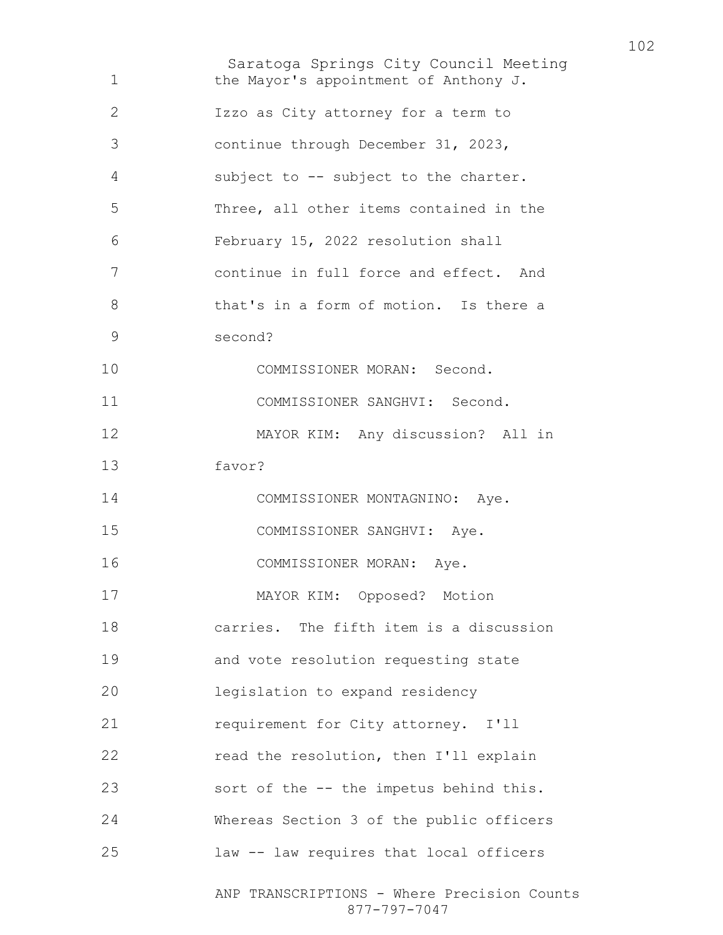Saratoga Springs City Council Meeting ANP TRANSCRIPTIONS - Where Precision Counts 877-797-7047 the Mayor's appointment of Anthony J. Izzo as City attorney for a term to continue through December 31, 2023, subject to -- subject to the charter. Three, all other items contained in the February 15, 2022 resolution shall continue in full force and effect. And that's in a form of motion. Is there a second? COMMISSIONER MORAN: Second. COMMISSIONER SANGHVI: Second. MAYOR KIM: Any discussion? All in favor? COMMISSIONER MONTAGNINO: Aye. COMMISSIONER SANGHVI: Aye. COMMISSIONER MORAN: Aye. MAYOR KIM: Opposed? Motion carries. The fifth item is a discussion and vote resolution requesting state legislation to expand residency requirement for City attorney. I'll read the resolution, then I'll explain sort of the -- the impetus behind this. Whereas Section 3 of the public officers law -- law requires that local officers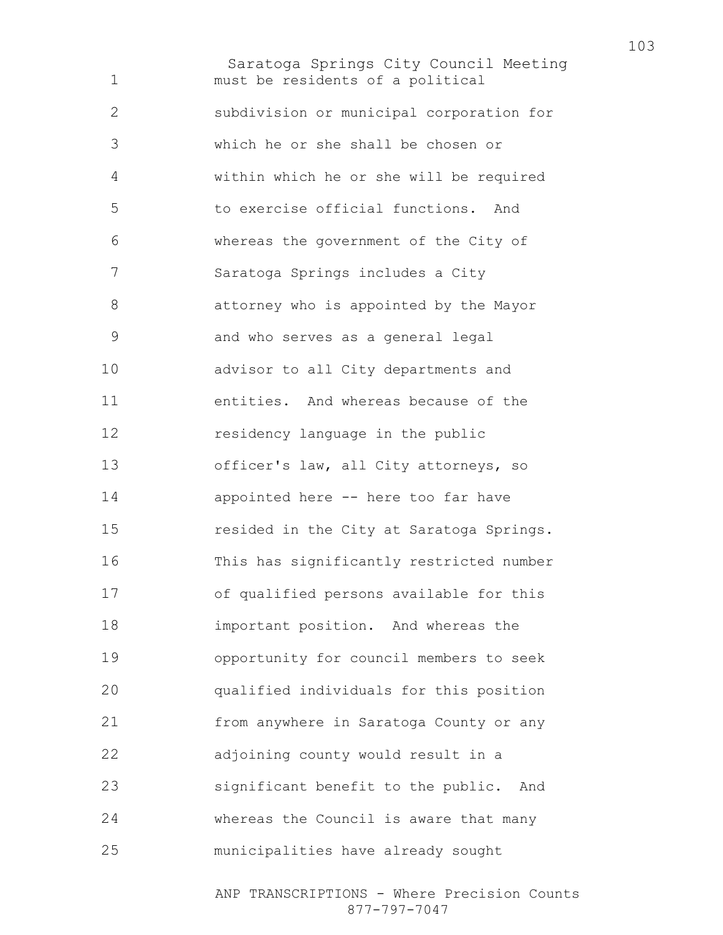Saratoga Springs City Council Meeting must be residents of a political subdivision or municipal corporation for which he or she shall be chosen or within which he or she will be required to exercise official functions. And whereas the government of the City of Saratoga Springs includes a City attorney who is appointed by the Mayor and who serves as a general legal advisor to all City departments and entities. And whereas because of the residency language in the public officer's law, all City attorneys, so appointed here -- here too far have resided in the City at Saratoga Springs. This has significantly restricted number of qualified persons available for this important position. And whereas the opportunity for council members to seek qualified individuals for this position from anywhere in Saratoga County or any adjoining county would result in a significant benefit to the public. And whereas the Council is aware that many municipalities have already sought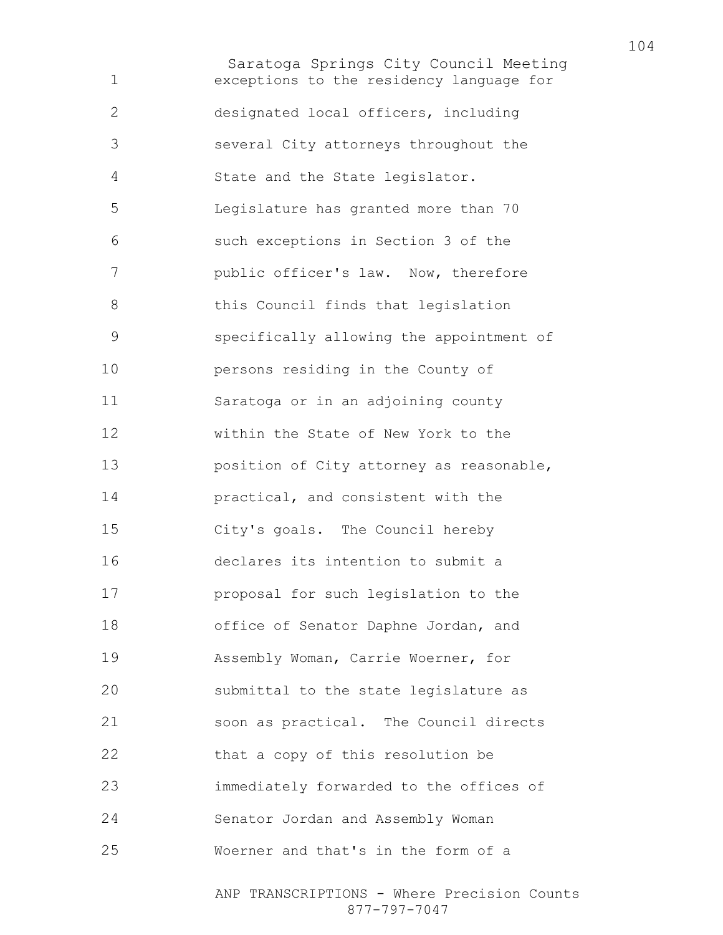Saratoga Springs City Council Meeting exceptions to the residency language for designated local officers, including several City attorneys throughout the State and the State legislator. Legislature has granted more than 70 such exceptions in Section 3 of the public officer's law. Now, therefore 8 this Council finds that legislation specifically allowing the appointment of persons residing in the County of Saratoga or in an adjoining county within the State of New York to the position of City attorney as reasonable, practical, and consistent with the City's goals. The Council hereby declares its intention to submit a proposal for such legislation to the office of Senator Daphne Jordan, and Assembly Woman, Carrie Woerner, for submittal to the state legislature as soon as practical. The Council directs 22 that a copy of this resolution be immediately forwarded to the offices of Senator Jordan and Assembly Woman Woerner and that's in the form of a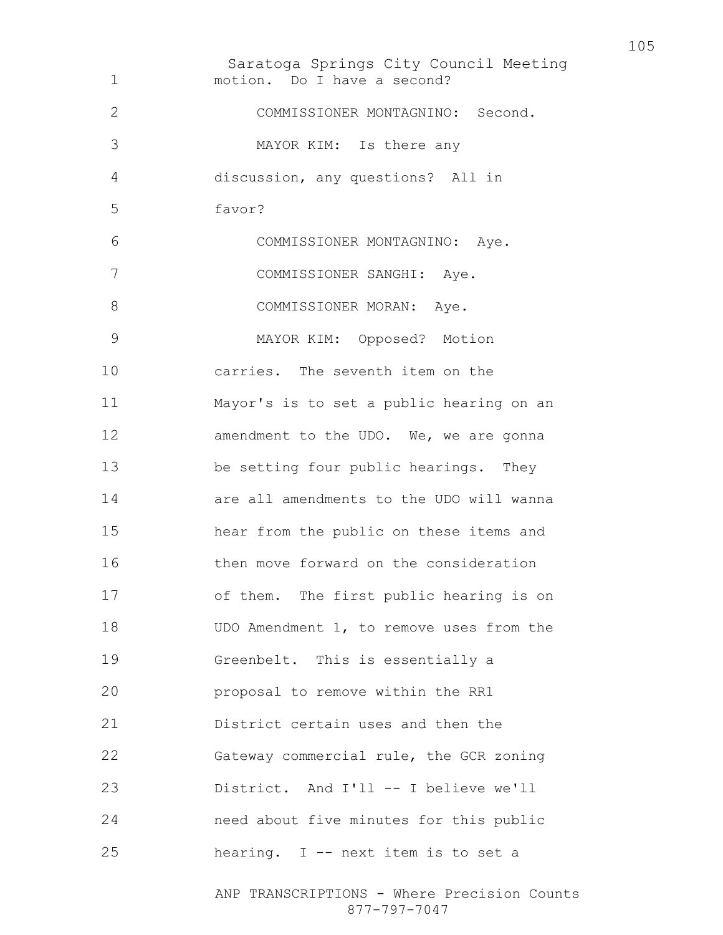Saratoga Springs City Council Meeting motion. Do I have a second? COMMISSIONER MONTAGNINO: Second. MAYOR KIM: Is there any discussion, any questions? All in favor? COMMISSIONER MONTAGNINO: Aye. COMMISSIONER SANGHI: Aye. 8 COMMISSIONER MORAN: Aye. MAYOR KIM: Opposed? Motion carries. The seventh item on the Mayor's is to set a public hearing on an 12 amendment to the UDO. We, we are gonna be setting four public hearings. They are all amendments to the UDO will wanna hear from the public on these items and then move forward on the consideration of them. The first public hearing is on 18 UDO Amendment 1, to remove uses from the Greenbelt. This is essentially a proposal to remove within the RR1 District certain uses and then the Gateway commercial rule, the GCR zoning District. And I'll -- I believe we'll need about five minutes for this public hearing. I -- next item is to set a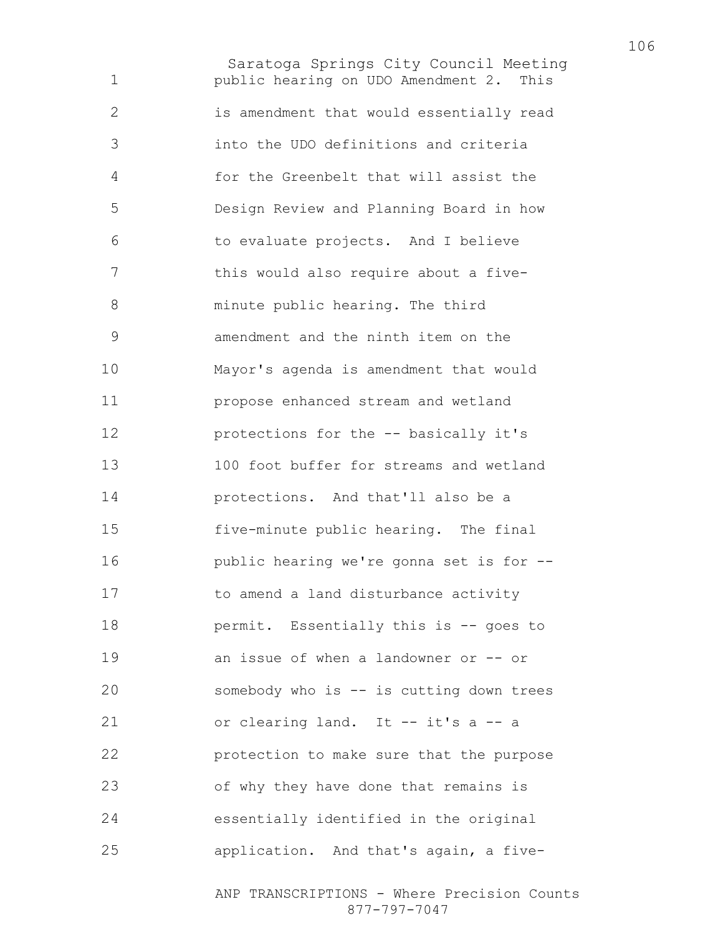Saratoga Springs City Council Meeting public hearing on UDO Amendment 2. This is amendment that would essentially read into the UDO definitions and criteria for the Greenbelt that will assist the Design Review and Planning Board in how to evaluate projects. And I believe this would also require about a five-minute public hearing. The third amendment and the ninth item on the Mayor's agenda is amendment that would propose enhanced stream and wetland protections for the -- basically it's 100 foot buffer for streams and wetland protections. And that'll also be a five-minute public hearing. The final public hearing we're gonna set is for -- 17 to amend a land disturbance activity **permit.** Essentially this is -- goes to an issue of when a landowner or -- or somebody who is -- is cutting down trees or clearing land. It -- it's a -- a protection to make sure that the purpose of why they have done that remains is essentially identified in the original application. And that's again, a five-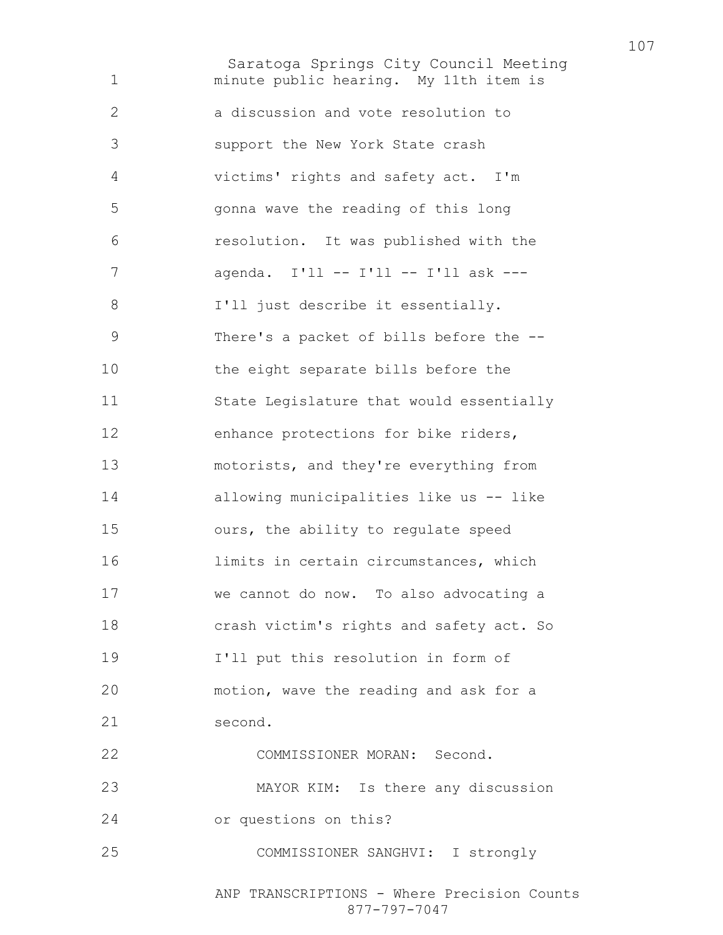Saratoga Springs City Council Meeting minute public hearing. My 11th item is a discussion and vote resolution to support the New York State crash victims' rights and safety act. I'm gonna wave the reading of this long resolution. It was published with the agenda. I'll -- I'll -- I'll ask --- I'll just describe it essentially. There's a packet of bills before the -- the eight separate bills before the State Legislature that would essentially enhance protections for bike riders, motorists, and they're everything from allowing municipalities like us -- like ours, the ability to regulate speed limits in certain circumstances, which we cannot do now. To also advocating a crash victim's rights and safety act. So I'll put this resolution in form of motion, wave the reading and ask for a second. COMMISSIONER MORAN: Second. MAYOR KIM: Is there any discussion or questions on this? COMMISSIONER SANGHVI: I strongly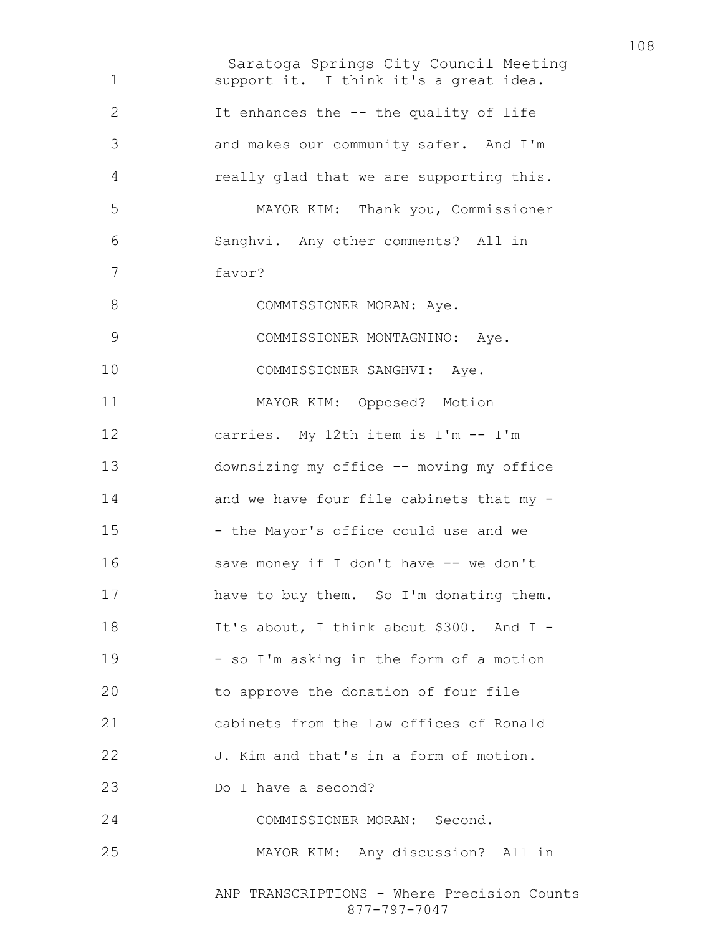Saratoga Springs City Council Meeting ANP TRANSCRIPTIONS - Where Precision Counts 877-797-7047 support it. I think it's a great idea. It enhances the -- the quality of life and makes our community safer. And I'm really glad that we are supporting this. MAYOR KIM: Thank you, Commissioner Sanghvi. Any other comments? All in favor? 8 COMMISSIONER MORAN: Aye. COMMISSIONER MONTAGNINO: Aye. 10 COMMISSIONER SANGHVI: Aye. MAYOR KIM: Opposed? Motion carries. My 12th item is I'm -- I'm downsizing my office -- moving my office and we have four file cabinets that my - 15 - the Mayor's office could use and we save money if I don't have -- we don't 17 have to buy them. So I'm donating them. 18 It's about, I think about \$300. And I -- so I'm asking in the form of a motion to approve the donation of four file cabinets from the law offices of Ronald J. Kim and that's in a form of motion. Do I have a second? COMMISSIONER MORAN: Second. MAYOR KIM: Any discussion? All in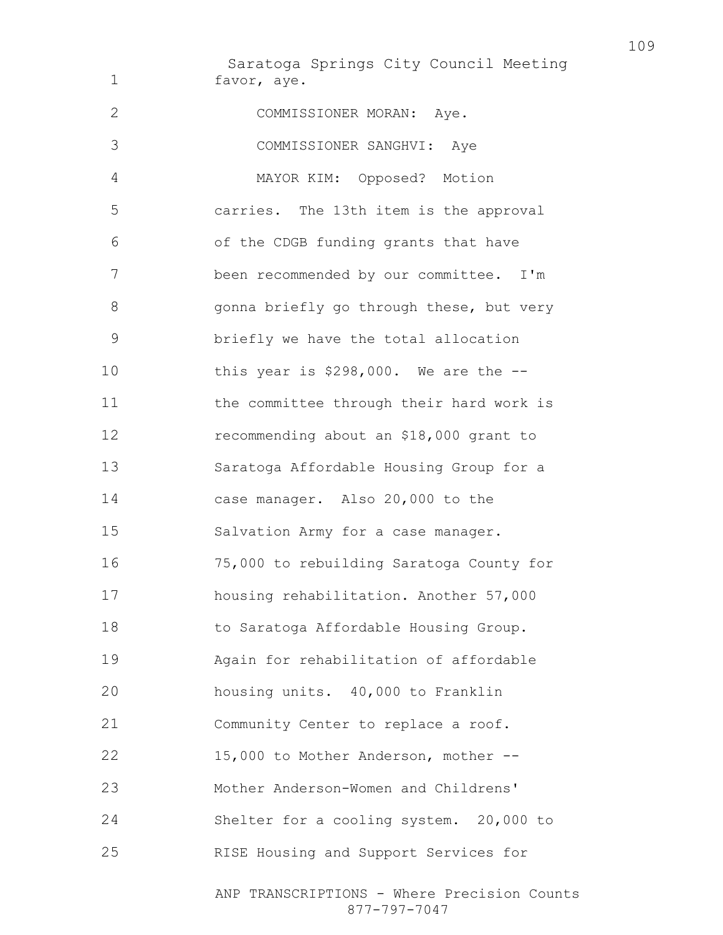Saratoga Springs City Council Meeting favor, aye. COMMISSIONER MORAN: Aye. COMMISSIONER SANGHVI: Aye MAYOR KIM: Opposed? Motion carries. The 13th item is the approval of the CDGB funding grants that have been recommended by our committee. I'm 8 gonna briefly go through these, but very briefly we have the total allocation this year is \$298,000. We are the -- 11 the committee through their hard work is recommending about an \$18,000 grant to Saratoga Affordable Housing Group for a case manager. Also 20,000 to the Salvation Army for a case manager. 75,000 to rebuilding Saratoga County for housing rehabilitation. Another 57,000 to Saratoga Affordable Housing Group. Again for rehabilitation of affordable housing units. 40,000 to Franklin Community Center to replace a roof. 15,000 to Mother Anderson, mother -- Mother Anderson-Women and Childrens' Shelter for a cooling system. 20,000 to RISE Housing and Support Services for

> ANP TRANSCRIPTIONS - Where Precision Counts 877-797-7047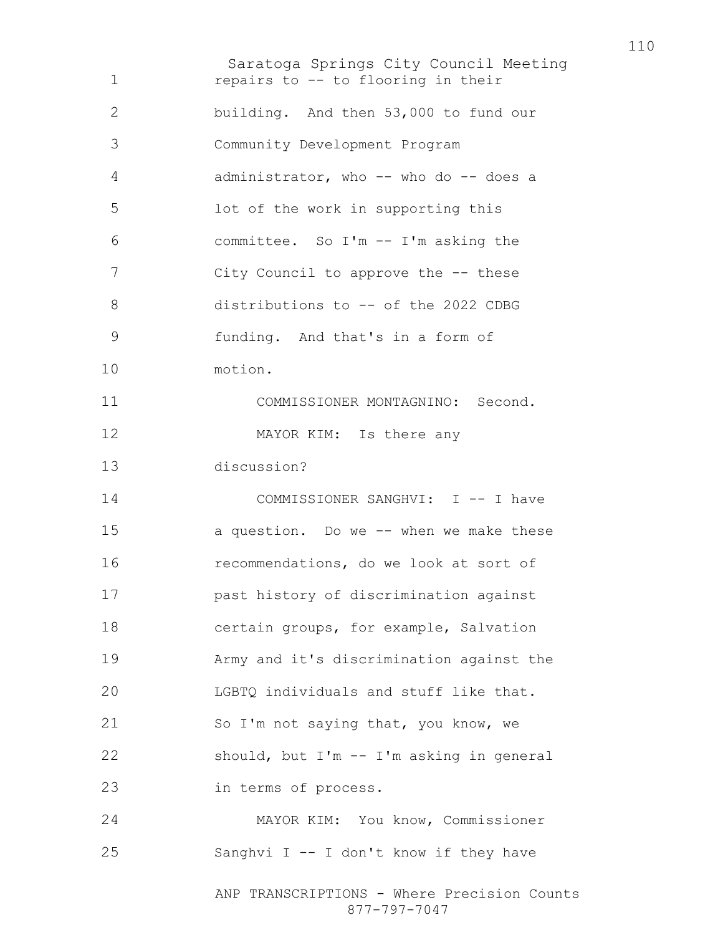Saratoga Springs City Council Meeting ANP TRANSCRIPTIONS - Where Precision Counts 877-797-7047 **repairs to -- to flooring in their** building. And then 53,000 to fund our Community Development Program administrator, who -- who do -- does a lot of the work in supporting this committee. So I'm -- I'm asking the City Council to approve the -- these distributions to -- of the 2022 CDBG funding. And that's in a form of motion. COMMISSIONER MONTAGNINO: Second. 12 MAYOR KIM: Is there any discussion? COMMISSIONER SANGHVI: I -- I have a question. Do we -- when we make these recommendations, do we look at sort of past history of discrimination against certain groups, for example, Salvation Army and it's discrimination against the LGBTQ individuals and stuff like that. So I'm not saying that, you know, we should, but I'm -- I'm asking in general in terms of process. MAYOR KIM: You know, Commissioner Sanghvi I -- I don't know if they have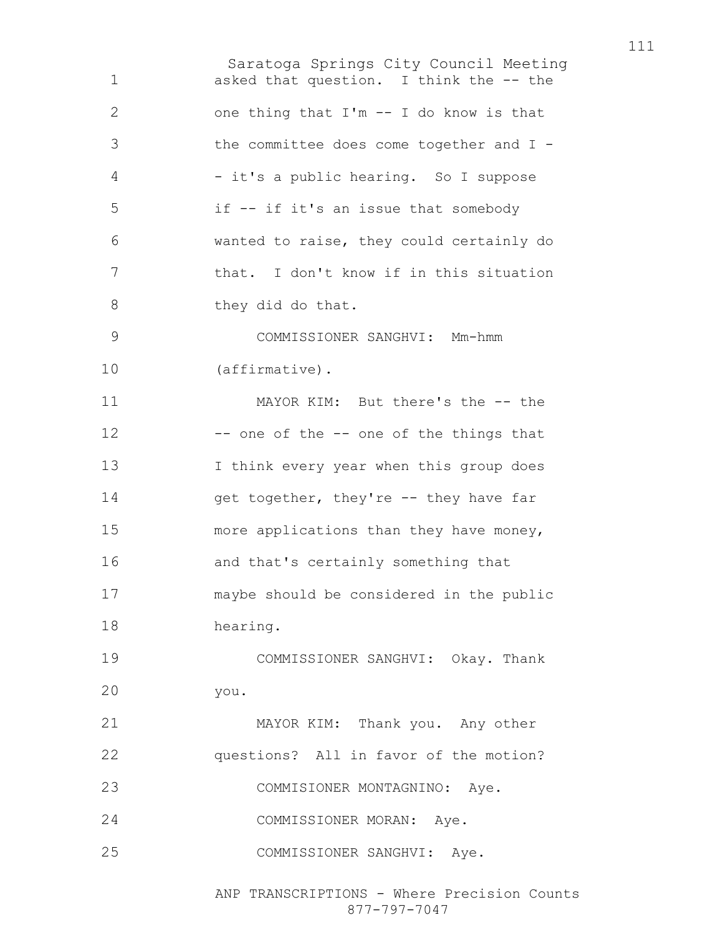Saratoga Springs City Council Meeting asked that question. I think the -- the one thing that I'm -- I do know is that the committee does come together and I - - it's a public hearing. So I suppose if -- if it's an issue that somebody wanted to raise, they could certainly do that. I don't know if in this situation 8 they did do that. COMMISSIONER SANGHVI: Mm-hmm (affirmative). MAYOR KIM: But there's the -- the 12 -- one of the -- one of the things that 13 I think every year when this group does 14 get together, they're -- they have far more applications than they have money, and that's certainly something that maybe should be considered in the public hearing. COMMISSIONER SANGHVI: Okay. Thank you. MAYOR KIM: Thank you. Any other questions? All in favor of the motion? COMMISIONER MONTAGNINO: Aye. COMMISSIONER MORAN: Aye. COMMISSIONER SANGHVI: Aye.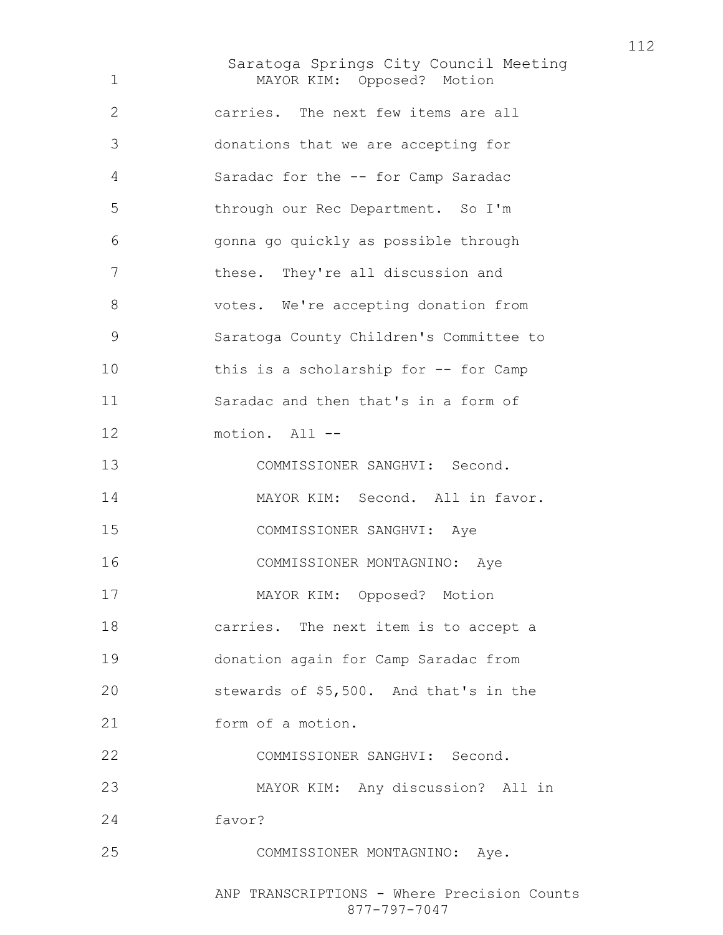Saratoga Springs City Council Meeting MAYOR KIM: Opposed? Motion carries. The next few items are all donations that we are accepting for Saradac for the -- for Camp Saradac through our Rec Department. So I'm gonna go quickly as possible through these. They're all discussion and votes. We're accepting donation from Saratoga County Children's Committee to this is a scholarship for -- for Camp Saradac and then that's in a form of motion. All -- COMMISSIONER SANGHVI: Second. MAYOR KIM: Second. All in favor. COMMISSIONER SANGHVI: Aye COMMISSIONER MONTAGNINO: Aye MAYOR KIM: Opposed? Motion carries. The next item is to accept a donation again for Camp Saradac from stewards of \$5,500. And that's in the form of a motion. COMMISSIONER SANGHVI: Second. MAYOR KIM: Any discussion? All in favor? COMMISSIONER MONTAGNINO: Aye.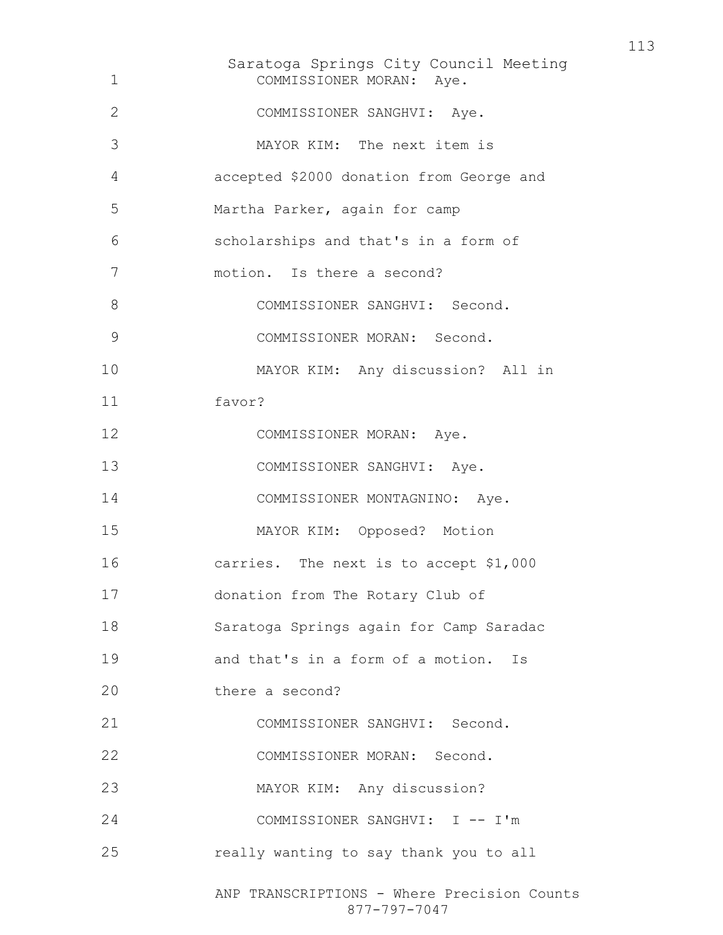| 1             | Saratoga Springs City Council Meeting<br>COMMISSIONER MORAN: Aye. |
|---------------|-------------------------------------------------------------------|
| $\mathbf{2}$  | COMMISSIONER SANGHVI: Aye.                                        |
| 3             | MAYOR KIM: The next item is                                       |
| 4             | accepted \$2000 donation from George and                          |
| 5             | Martha Parker, again for camp                                     |
| 6             | scholarships and that's in a form of                              |
| 7             | motion. Is there a second?                                        |
| 8             | COMMISSIONER SANGHVI: Second.                                     |
| $\mathcal{G}$ | COMMISSIONER MORAN: Second.                                       |
| 10            | MAYOR KIM: Any discussion? All in                                 |
| 11            | favor?                                                            |
| 12            | COMMISSIONER MORAN: Aye.                                          |
| 13            | COMMISSIONER SANGHVI: Aye.                                        |
| 14            | COMMISSIONER MONTAGNINO: Aye.                                     |
| 15            | MAYOR KIM: Opposed? Motion                                        |
| 16            | carries. The next is to accept \$1,000                            |
| 17            | donation from The Rotary Club of                                  |
| 18            | Saratoga Springs again for Camp Saradac                           |
| 19            | and that's in a form of a motion. Is                              |
| 20            | there a second?                                                   |
| 21            | COMMISSIONER SANGHVI: Second.                                     |
| 22            | COMMISSIONER MORAN: Second.                                       |
| 23            | MAYOR KIM: Any discussion?                                        |
| 24            | COMMISSIONER SANGHVI: I -- I'm                                    |
| 25            | really wanting to say thank you to all                            |
|               | ANP TRANSCRIPTIONS - Where Precision Counts<br>877-797-7047       |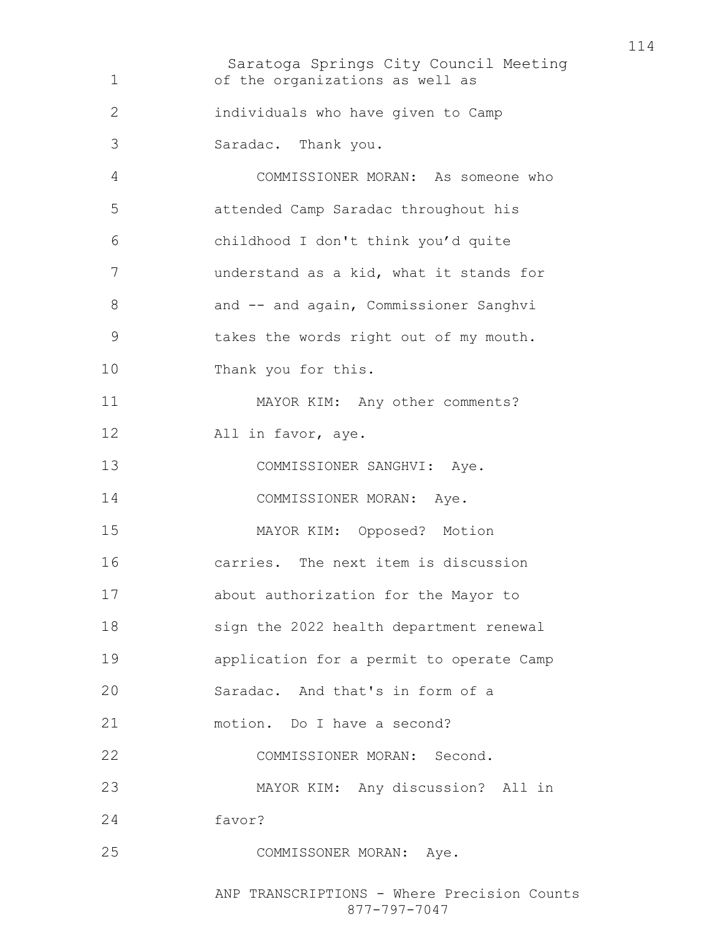Saratoga Springs City Council Meeting of the organizations as well as individuals who have given to Camp Saradac. Thank you. COMMISSIONER MORAN: As someone who attended Camp Saradac throughout his childhood I don't think you'd quite understand as a kid, what it stands for 8 and -- and again, Commissioner Sanghvi takes the words right out of my mouth. Thank you for this. MAYOR KIM: Any other comments? All in favor, aye. COMMISSIONER SANGHVI: Aye. 14 COMMISSIONER MORAN: Aye. MAYOR KIM: Opposed? Motion carries. The next item is discussion about authorization for the Mayor to sign the 2022 health department renewal application for a permit to operate Camp Saradac. And that's in form of a motion. Do I have a second? COMMISSIONER MORAN: Second. MAYOR KIM: Any discussion? All in favor? COMMISSONER MORAN: Aye.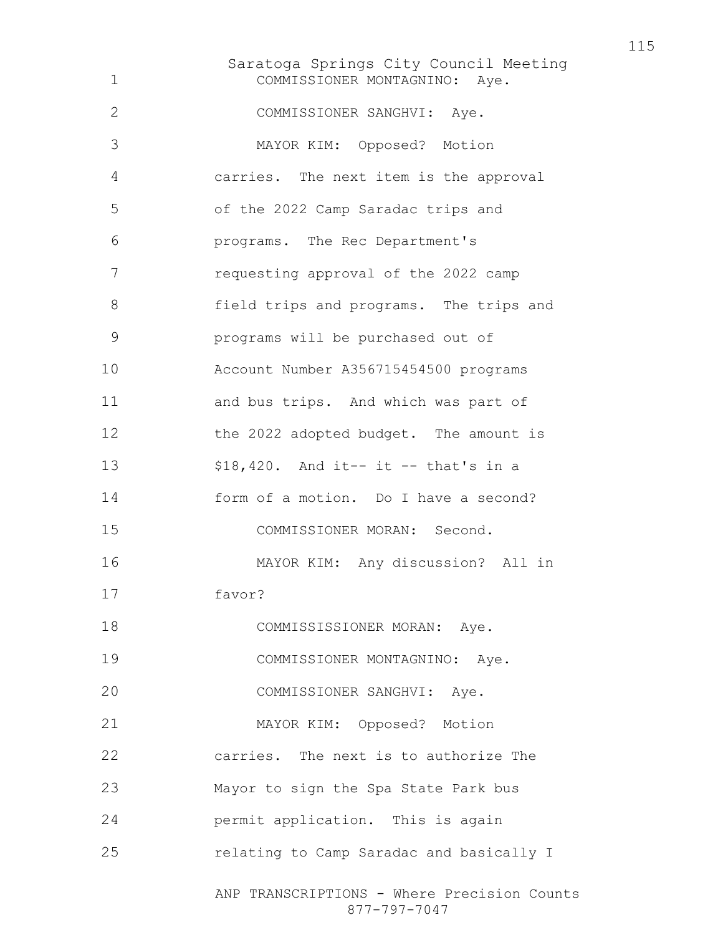Saratoga Springs City Council Meeting ANP TRANSCRIPTIONS - Where Precision Counts COMMISSIONER MONTAGNINO: Aye. COMMISSIONER SANGHVI: Aye. MAYOR KIM: Opposed? Motion carries. The next item is the approval of the 2022 Camp Saradac trips and programs. The Rec Department's requesting approval of the 2022 camp field trips and programs. The trips and programs will be purchased out of Account Number A356715454500 programs and bus trips. And which was part of the 2022 adopted budget. The amount is \$18,420. And it-- it -- that's in a form of a motion. Do I have a second? COMMISSIONER MORAN: Second. MAYOR KIM: Any discussion? All in favor? 18 COMMISSISSIONER MORAN: Aye. COMMISSIONER MONTAGNINO: Aye. COMMISSIONER SANGHVI: Aye. MAYOR KIM: Opposed? Motion carries. The next is to authorize The Mayor to sign the Spa State Park bus permit application. This is again relating to Camp Saradac and basically I

877-797-7047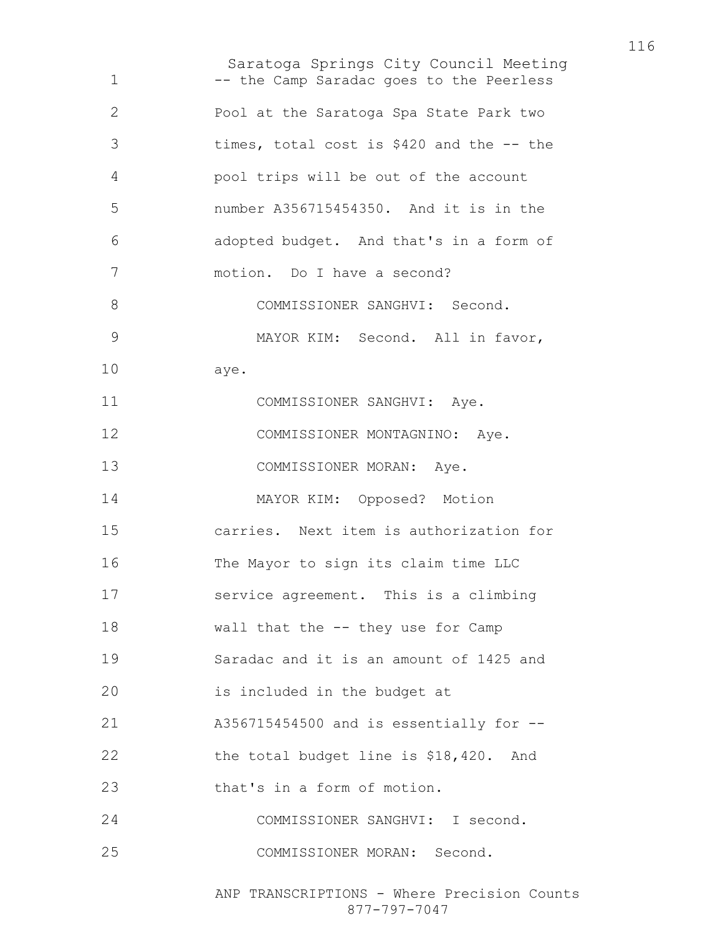Saratoga Springs City Council Meeting 1 -- the Camp Saradac goes to the Peerless Pool at the Saratoga Spa State Park two times, total cost is \$420 and the -- the pool trips will be out of the account number A356715454350. And it is in the adopted budget. And that's in a form of motion. Do I have a second? 8 COMMISSIONER SANGHVI: Second. 9 MAYOR KIM: Second. All in favor, aye. 11 COMMISSIONER SANGHVI: Aye. COMMISSIONER MONTAGNINO: Aye. 13 COMMISSIONER MORAN: Aye. MAYOR KIM: Opposed? Motion carries. Next item is authorization for The Mayor to sign its claim time LLC service agreement. This is a climbing wall that the -- they use for Camp Saradac and it is an amount of 1425 and is included in the budget at A356715454500 and is essentially for -- the total budget line is \$18,420. And 23 that's in a form of motion. COMMISSIONER SANGHVI: I second. COMMISSIONER MORAN: Second.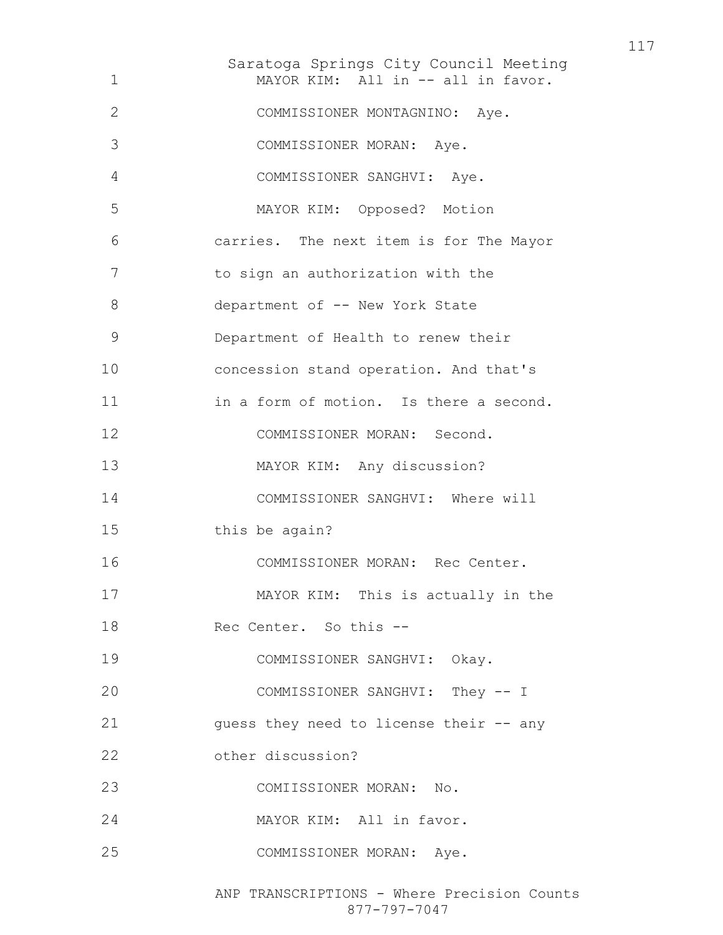Saratoga Springs City Council Meeting 1 MAYOR KIM: All in -- all in favor. COMMISSIONER MONTAGNINO: Aye. COMMISSIONER MORAN: Aye. COMMISSIONER SANGHVI: Aye. MAYOR KIM: Opposed? Motion carries. The next item is for The Mayor to sign an authorization with the 8 department of -- New York State Department of Health to renew their concession stand operation. And that's in a form of motion. Is there a second. COMMISSIONER MORAN: Second. MAYOR KIM: Any discussion? COMMISSIONER SANGHVI: Where will this be again? COMMISSIONER MORAN: Rec Center. MAYOR KIM: This is actually in the Rec Center. So this -- COMMISSIONER SANGHVI: Okay. COMMISSIONER SANGHVI: They -- I guess they need to license their -- any other discussion? COMIISSIONER MORAN: No. MAYOR KIM: All in favor. COMMISSIONER MORAN: Aye.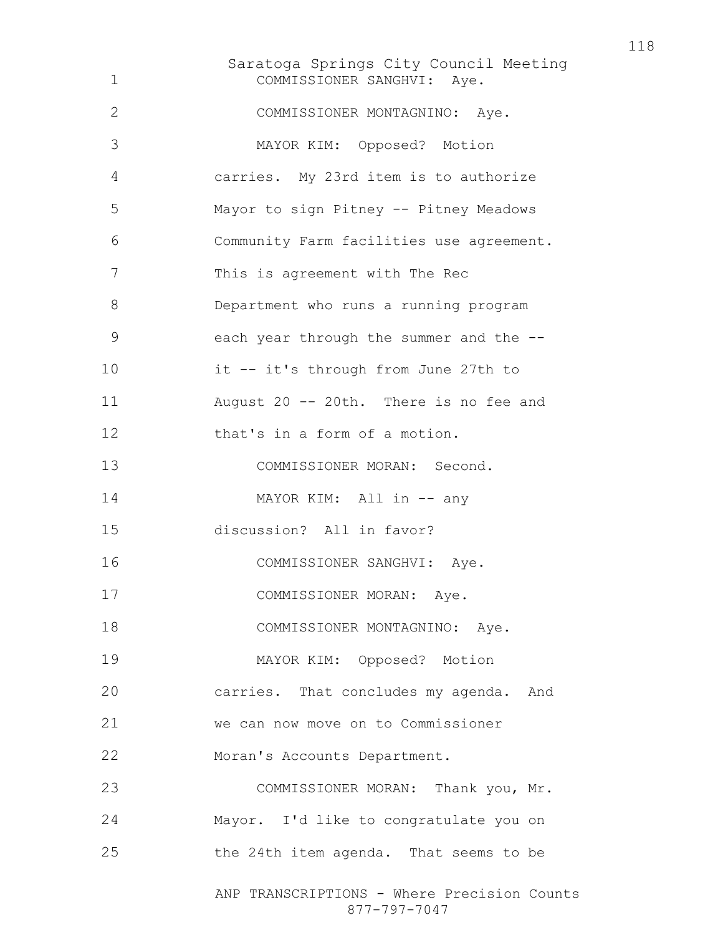Saratoga Springs City Council Meeting ANP TRANSCRIPTIONS - Where Precision Counts COMMISSIONER SANGHVI: Aye. COMMISSIONER MONTAGNINO: Aye. MAYOR KIM: Opposed? Motion carries. My 23rd item is to authorize Mayor to sign Pitney -- Pitney Meadows Community Farm facilities use agreement. This is agreement with The Rec Department who runs a running program each year through the summer and the -- it -- it's through from June 27th to August 20 -- 20th. There is no fee and that's in a form of a motion. COMMISSIONER MORAN: Second. 14 MAYOR KIM: All in -- any discussion? All in favor? COMMISSIONER SANGHVI: Aye. COMMISSIONER MORAN: Aye. 18 COMMISSIONER MONTAGNINO: Aye. MAYOR KIM: Opposed? Motion carries. That concludes my agenda. And we can now move on to Commissioner Moran's Accounts Department. COMMISSIONER MORAN: Thank you, Mr. Mayor. I'd like to congratulate you on the 24th item agenda. That seems to be

877-797-7047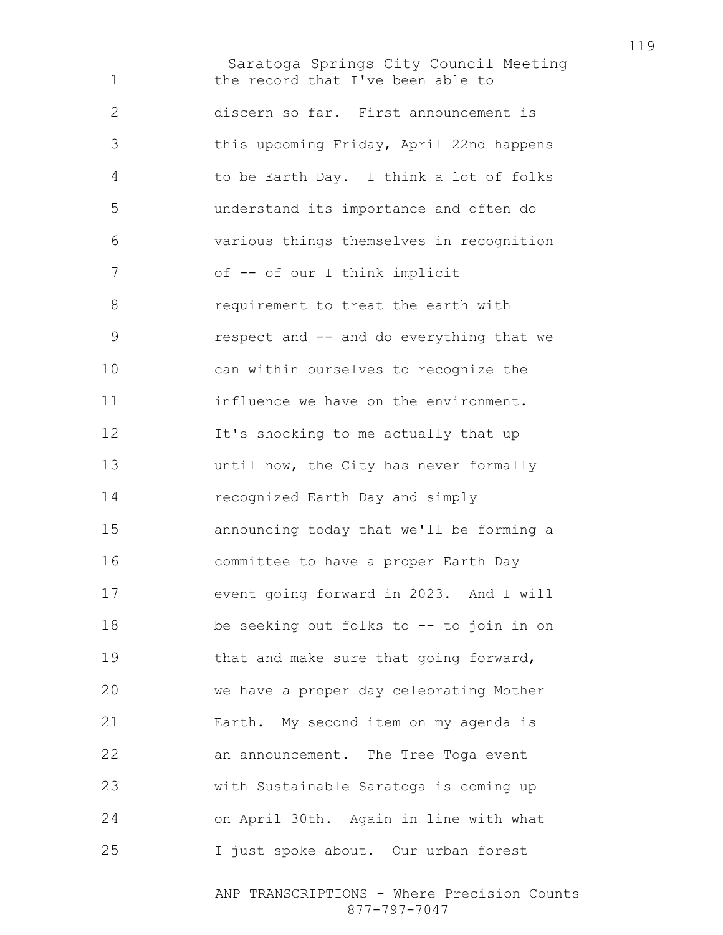Saratoga Springs City Council Meeting 1 the record that I've been able to discern so far. First announcement is this upcoming Friday, April 22nd happens to be Earth Day. I think a lot of folks understand its importance and often do various things themselves in recognition 7 of -- of our I think implicit 8 requirement to treat the earth with respect and -- and do everything that we can within ourselves to recognize the 11 influence we have on the environment. It's shocking to me actually that up **until now, the City has never formally** recognized Earth Day and simply announcing today that we'll be forming a committee to have a proper Earth Day event going forward in 2023. And I will be seeking out folks to -- to join in on that and make sure that going forward, we have a proper day celebrating Mother Earth. My second item on my agenda is an announcement. The Tree Toga event with Sustainable Saratoga is coming up on April 30th. Again in line with what I just spoke about. Our urban forest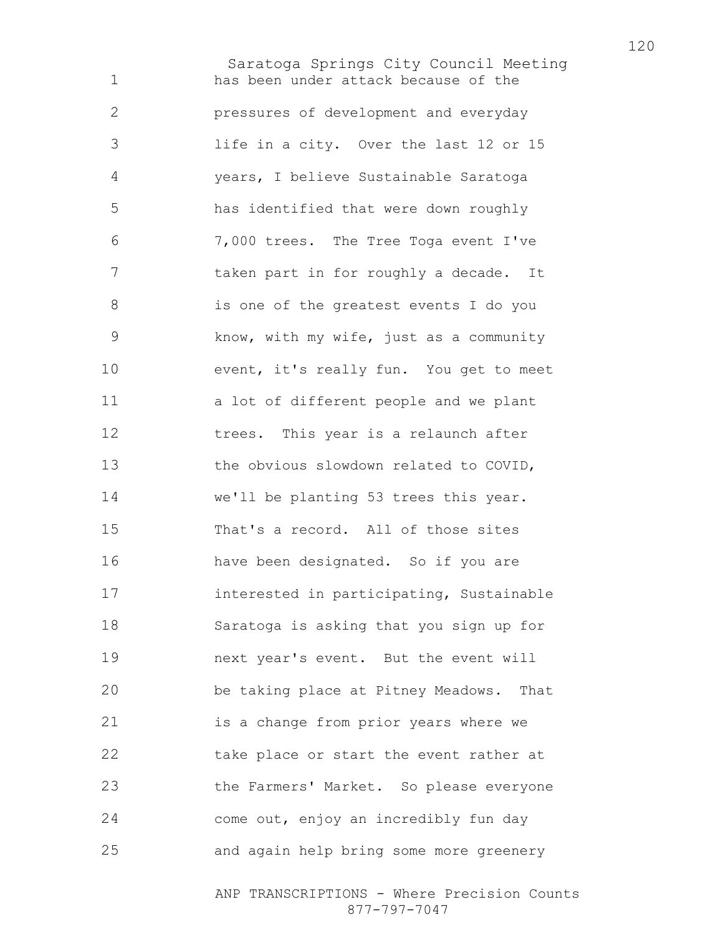Saratoga Springs City Council Meeting has been under attack because of the pressures of development and everyday life in a city. Over the last 12 or 15 years, I believe Sustainable Saratoga has identified that were down roughly 7,000 trees. The Tree Toga event I've taken part in for roughly a decade. It is one of the greatest events I do you know, with my wife, just as a community event, it's really fun. You get to meet a lot of different people and we plant trees. This year is a relaunch after the obvious slowdown related to COVID, we'll be planting 53 trees this year. That's a record. All of those sites have been designated. So if you are interested in participating, Sustainable Saratoga is asking that you sign up for next year's event. But the event will be taking place at Pitney Meadows. That is a change from prior years where we take place or start the event rather at the Farmers' Market. So please everyone come out, enjoy an incredibly fun day and again help bring some more greenery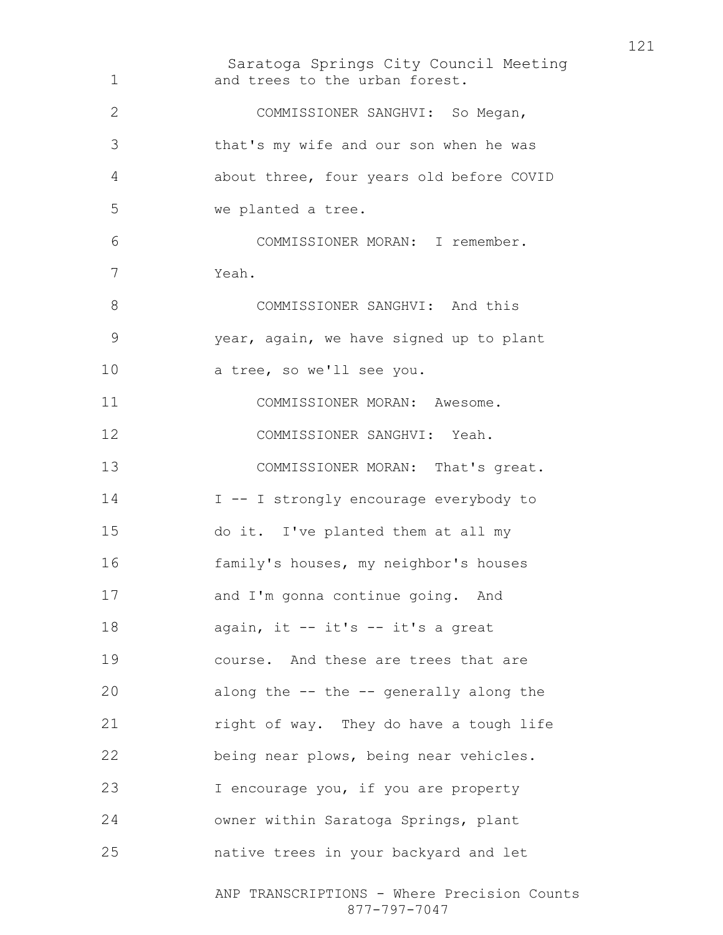Saratoga Springs City Council Meeting ANP TRANSCRIPTIONS - Where Precision Counts 877-797-7047 and trees to the urban forest. COMMISSIONER SANGHVI: So Megan, that's my wife and our son when he was about three, four years old before COVID we planted a tree. COMMISSIONER MORAN: I remember. Yeah. 8 COMMISSIONER SANGHVI: And this year, again, we have signed up to plant a tree, so we'll see you. COMMISSIONER MORAN: Awesome. COMMISSIONER SANGHVI: Yeah. 13 COMMISSIONER MORAN: That's great. 14 I -- I strongly encourage everybody to do it. I've planted them at all my family's houses, my neighbor's houses and I'm gonna continue going. And 18 again, it -- it's -- it's a great course. And these are trees that are along the -- the -- generally along the right of way. They do have a tough life being near plows, being near vehicles. I encourage you, if you are property owner within Saratoga Springs, plant native trees in your backyard and let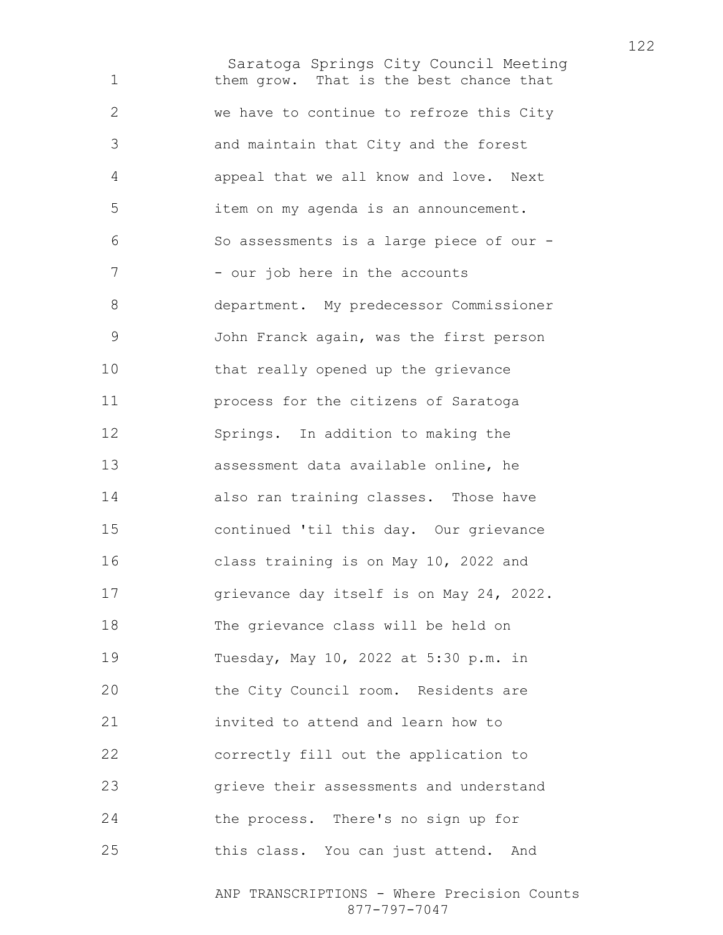Saratoga Springs City Council Meeting them grow. That is the best chance that we have to continue to refroze this City and maintain that City and the forest appeal that we all know and love. Next item on my agenda is an announcement. So assessments is a large piece of our - 7 - our job here in the accounts department. My predecessor Commissioner John Franck again, was the first person that really opened up the grievance process for the citizens of Saratoga Springs. In addition to making the assessment data available online, he also ran training classes. Those have continued 'til this day. Our grievance class training is on May 10, 2022 and grievance day itself is on May 24, 2022. The grievance class will be held on Tuesday, May 10, 2022 at 5:30 p.m. in the City Council room. Residents are invited to attend and learn how to correctly fill out the application to grieve their assessments and understand the process. There's no sign up for this class. You can just attend. And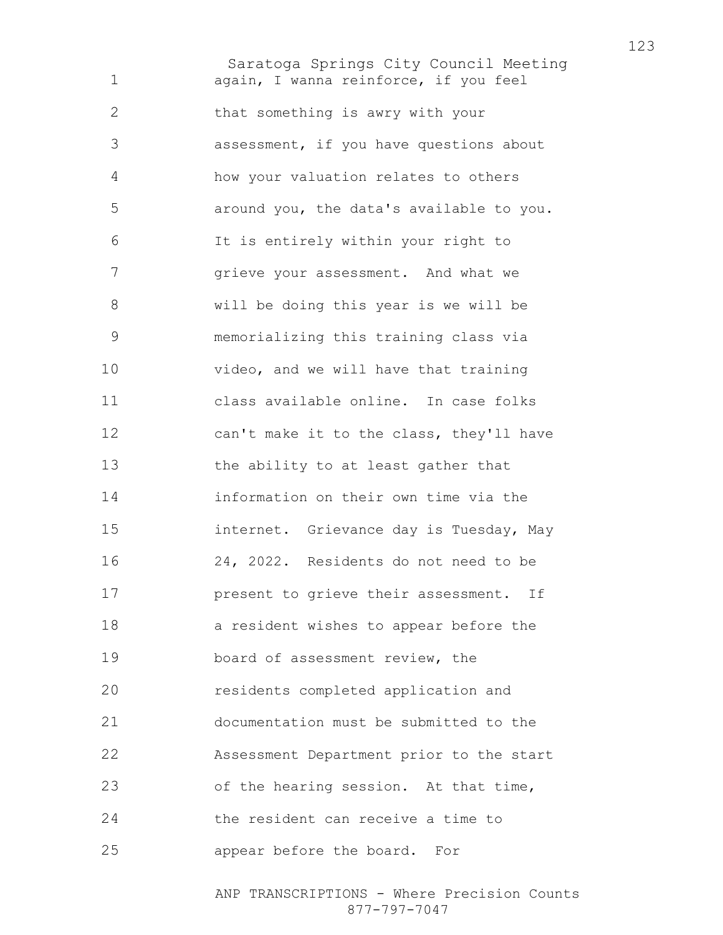Saratoga Springs City Council Meeting again, I wanna reinforce, if you feel that something is awry with your assessment, if you have questions about how your valuation relates to others around you, the data's available to you. It is entirely within your right to 7 grieve your assessment. And what we will be doing this year is we will be memorializing this training class via video, and we will have that training class available online. In case folks can't make it to the class, they'll have the ability to at least gather that information on their own time via the internet. Grievance day is Tuesday, May 24, 2022. Residents do not need to be **present to grieve their assessment.** If a resident wishes to appear before the board of assessment review, the residents completed application and documentation must be submitted to the Assessment Department prior to the start of the hearing session. At that time, the resident can receive a time to appear before the board. For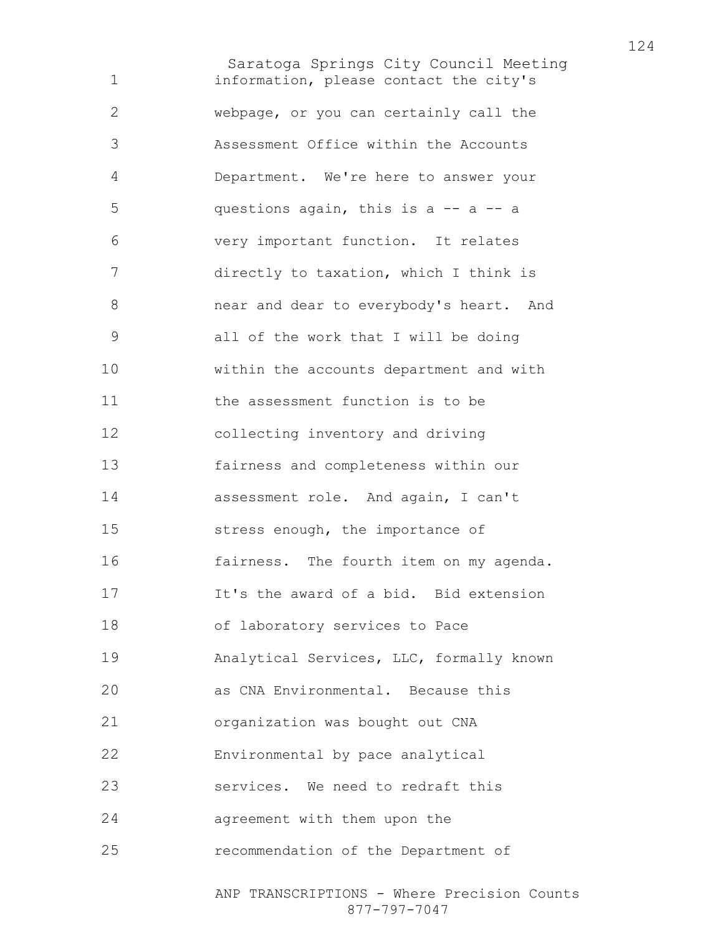Saratoga Springs City Council Meeting information, please contact the city's webpage, or you can certainly call the Assessment Office within the Accounts Department. We're here to answer your questions again, this is a -- a -- a very important function. It relates directly to taxation, which I think is near and dear to everybody's heart. And all of the work that I will be doing within the accounts department and with the assessment function is to be collecting inventory and driving fairness and completeness within our assessment role. And again, I can't stress enough, the importance of fairness. The fourth item on my agenda. It's the award of a bid. Bid extension of laboratory services to Pace Analytical Services, LLC, formally known as CNA Environmental. Because this organization was bought out CNA Environmental by pace analytical services. We need to redraft this agreement with them upon the recommendation of the Department of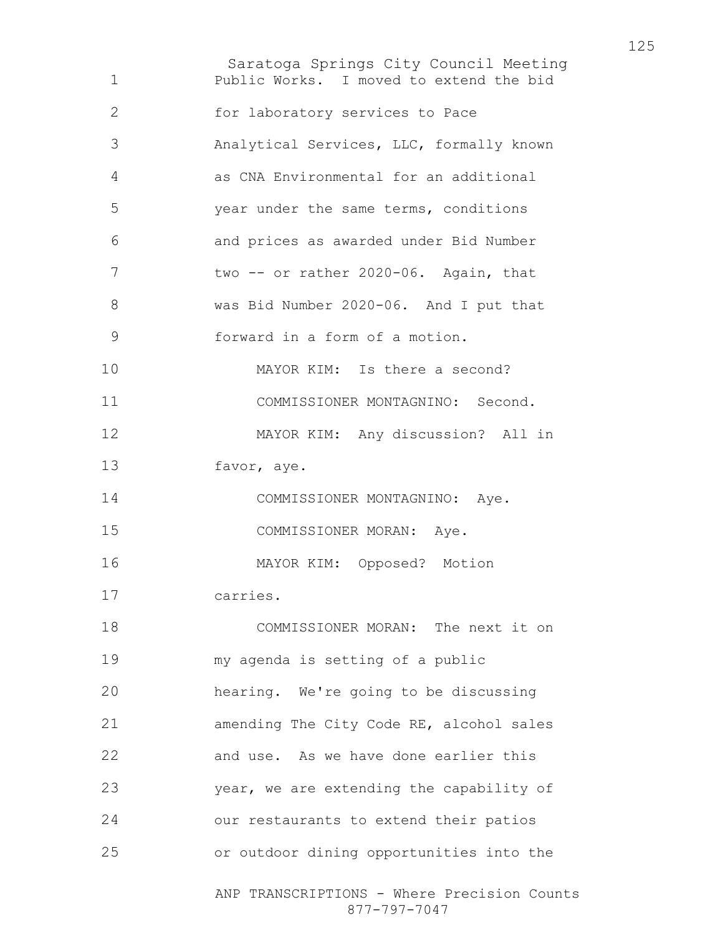Saratoga Springs City Council Meeting ANP TRANSCRIPTIONS - Where Precision Counts 877-797-7047 Public Works. I moved to extend the bid for laboratory services to Pace Analytical Services, LLC, formally known as CNA Environmental for an additional year under the same terms, conditions and prices as awarded under Bid Number 7 two -- or rather 2020-06. Again, that was Bid Number 2020-06. And I put that forward in a form of a motion. 10 MAYOR KIM: Is there a second? COMMISSIONER MONTAGNINO: Second. MAYOR KIM: Any discussion? All in favor, aye. 14 COMMISSIONER MONTAGNINO: Aye. COMMISSIONER MORAN: Aye. MAYOR KIM: Opposed? Motion carries. 18 COMMISSIONER MORAN: The next it on my agenda is setting of a public hearing. We're going to be discussing amending The City Code RE, alcohol sales and use. As we have done earlier this year, we are extending the capability of our restaurants to extend their patios or outdoor dining opportunities into the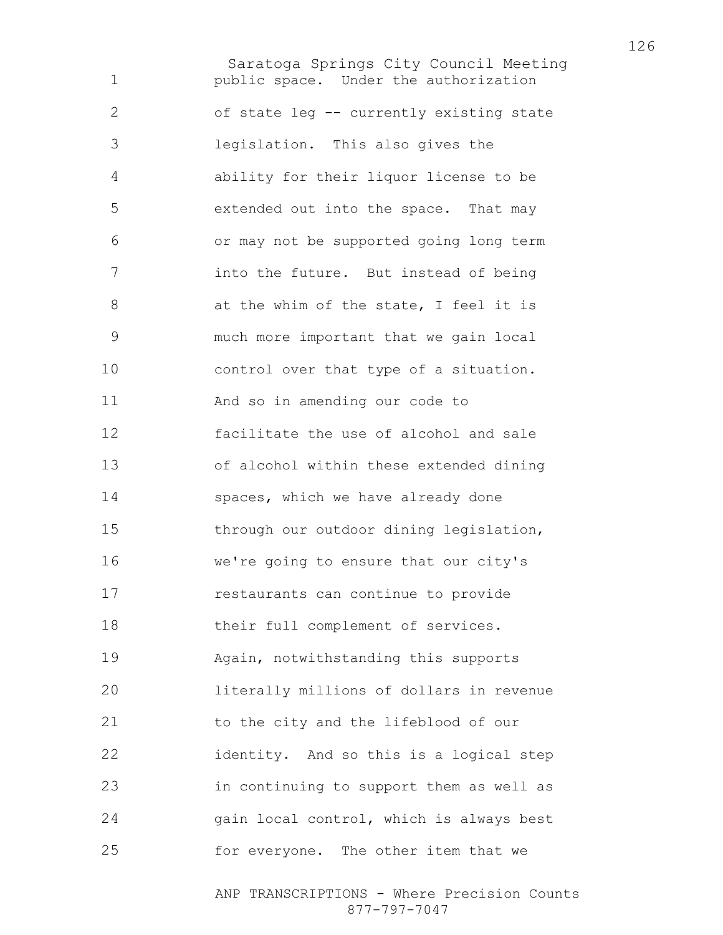Saratoga Springs City Council Meeting public space. Under the authorization of state leg -- currently existing state legislation. This also gives the ability for their liquor license to be extended out into the space. That may or may not be supported going long term into the future. But instead of being 8 at the whim of the state, I feel it is much more important that we gain local control over that type of a situation. And so in amending our code to facilitate the use of alcohol and sale of alcohol within these extended dining 14 spaces, which we have already done through our outdoor dining legislation, we're going to ensure that our city's restaurants can continue to provide 18 their full complement of services. Again, notwithstanding this supports literally millions of dollars in revenue to the city and the lifeblood of our identity. And so this is a logical step in continuing to support them as well as gain local control, which is always best for everyone. The other item that we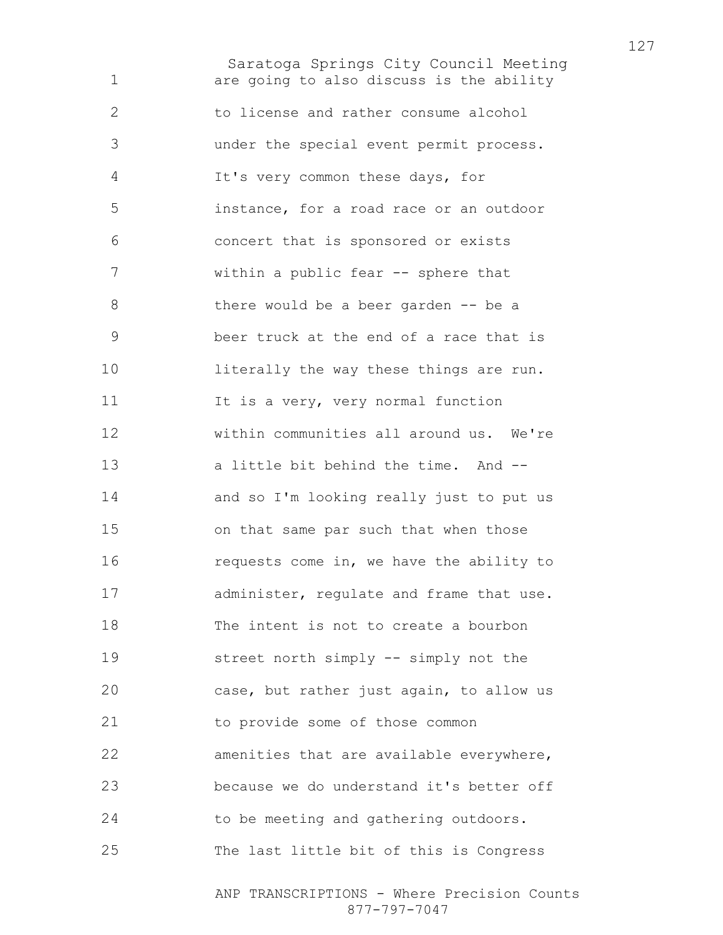Saratoga Springs City Council Meeting are going to also discuss is the ability to license and rather consume alcohol under the special event permit process. It's very common these days, for instance, for a road race or an outdoor concert that is sponsored or exists within a public fear -- sphere that 8 there would be a beer garden -- be a beer truck at the end of a race that is 10 literally the way these things are run. 11 It is a very, very normal function within communities all around us. We're a little bit behind the time. And -- and so I'm looking really just to put us on that same par such that when those 16 requests come in, we have the ability to 17 administer, requlate and frame that use. The intent is not to create a bourbon street north simply -- simply not the case, but rather just again, to allow us to provide some of those common amenities that are available everywhere, because we do understand it's better off to be meeting and gathering outdoors. The last little bit of this is Congress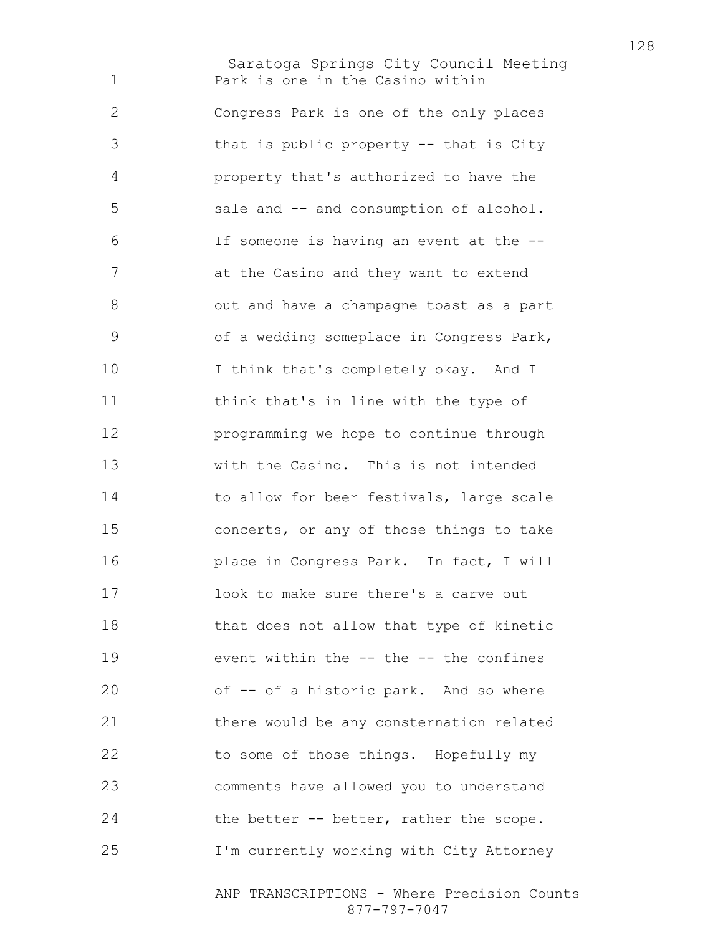Saratoga Springs City Council Meeting Park is one in the Casino within Congress Park is one of the only places that is public property -- that is City property that's authorized to have the sale and -- and consumption of alcohol. If someone is having an event at the -- at the Casino and they want to extend out and have a champagne toast as a part of a wedding someplace in Congress Park, I think that's completely okay. And I think that's in line with the type of programming we hope to continue through with the Casino. This is not intended 14 to allow for beer festivals, large scale concerts, or any of those things to take place in Congress Park. In fact, I will look to make sure there's a carve out that does not allow that type of kinetic event within the -- the -- the confines of -- of a historic park. And so where there would be any consternation related to some of those things. Hopefully my comments have allowed you to understand 24 the better -- better, rather the scope. I'm currently working with City Attorney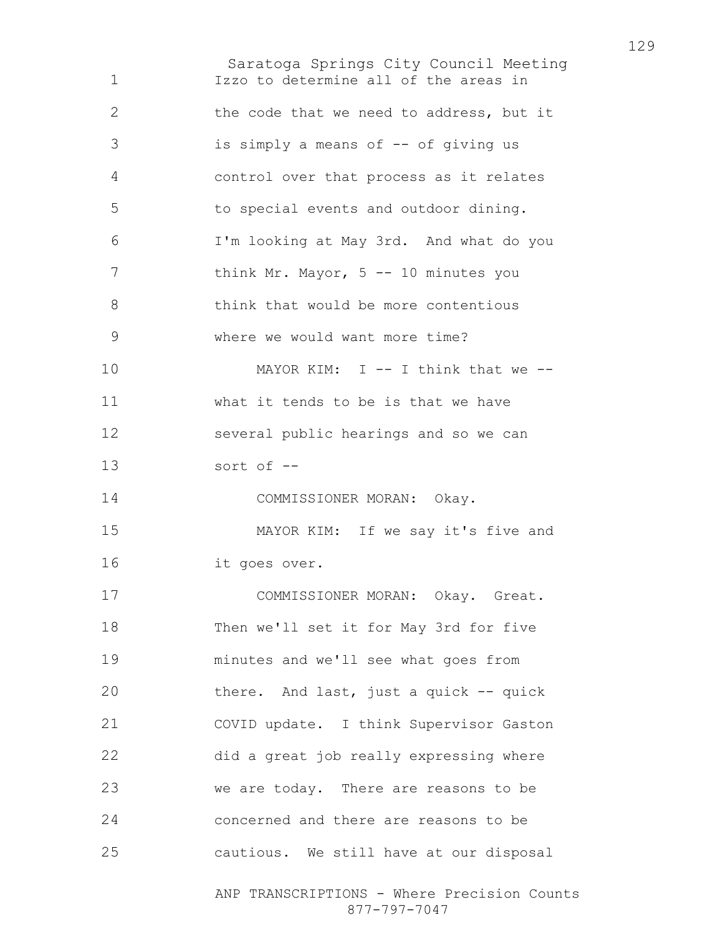Saratoga Springs City Council Meeting Izzo to determine all of the areas in the code that we need to address, but it is simply a means of -- of giving us control over that process as it relates to special events and outdoor dining. I'm looking at May 3rd. And what do you 7 think Mr. Mayor, 5 -- 10 minutes you 8 think that would be more contentious where we would want more time? 10 MAYOR KIM: I -- I think that we --what it tends to be is that we have several public hearings and so we can sort of -- COMMISSIONER MORAN: Okay. MAYOR KIM: If we say it's five and it goes over. COMMISSIONER MORAN: Okay. Great. Then we'll set it for May 3rd for five minutes and we'll see what goes from there. And last, just a quick -- quick COVID update. I think Supervisor Gaston did a great job really expressing where we are today. There are reasons to be concerned and there are reasons to be cautious. We still have at our disposal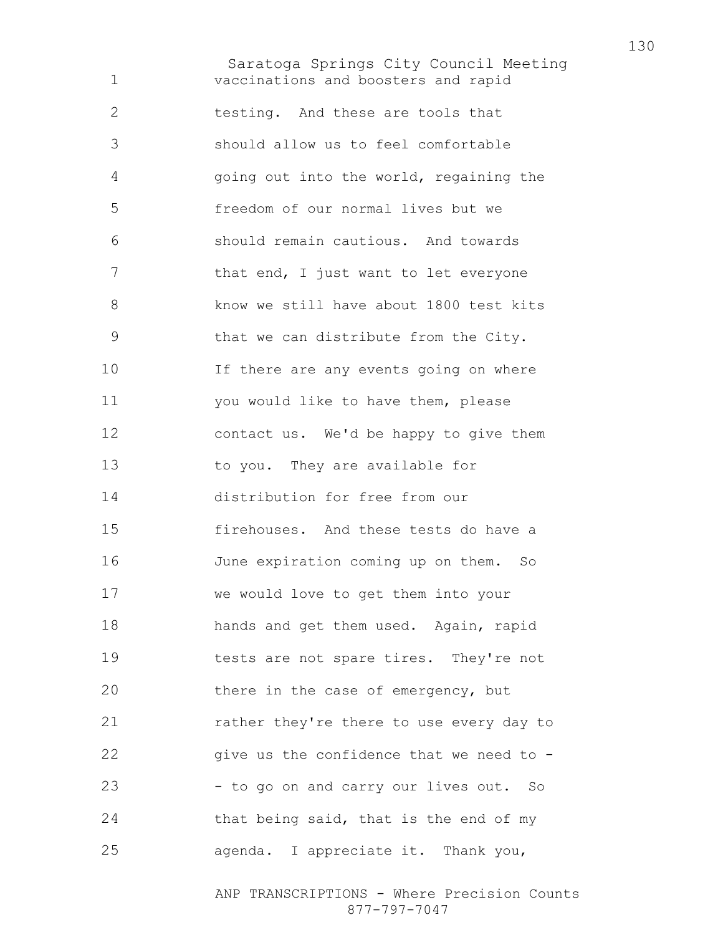Saratoga Springs City Council Meeting vaccinations and boosters and rapid testing. And these are tools that should allow us to feel comfortable going out into the world, regaining the freedom of our normal lives but we should remain cautious. And towards 7 that end, I just want to let everyone 8 know we still have about 1800 test kits that we can distribute from the City. If there are any events going on where you would like to have them, please contact us. We'd be happy to give them to you. They are available for distribution for free from our firehouses. And these tests do have a June expiration coming up on them. So we would love to get them into your hands and get them used. Again, rapid tests are not spare tires. They're not 20 there in the case of emergency, but rather they're there to use every day to 22 give us the confidence that we need to -23 - to go on and carry our lives out. So 24 that being said, that is the end of my agenda. I appreciate it. Thank you,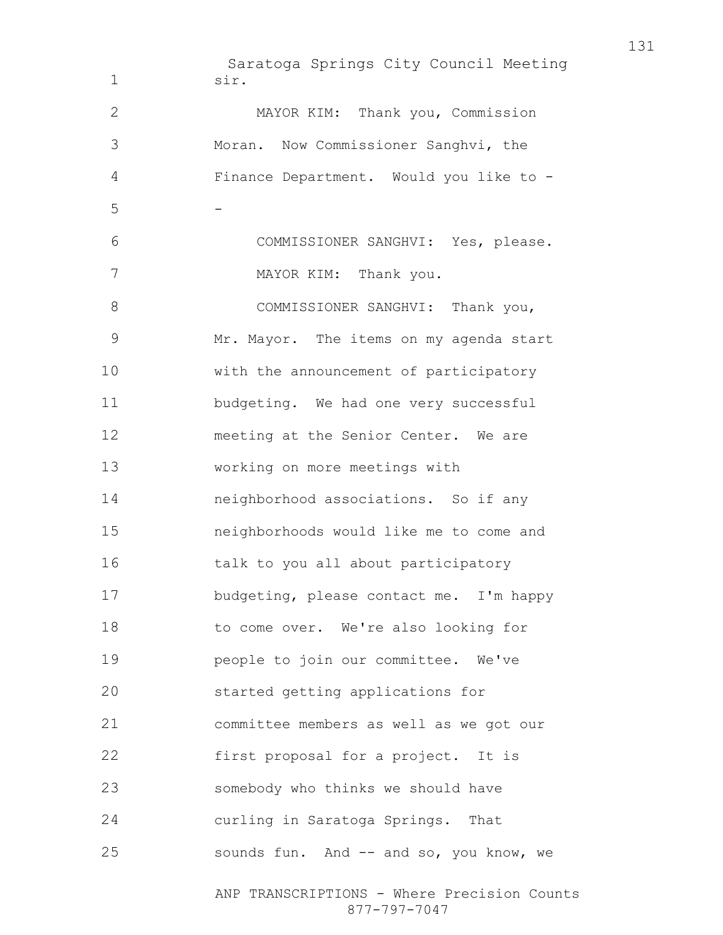Saratoga Springs City Council Meeting ANP TRANSCRIPTIONS - Where Precision Counts 877-797-7047 sir. MAYOR KIM: Thank you, Commission Moran. Now Commissioner Sanghvi, the Finance Department. Would you like to - -COMMISSIONER SANGHVI: Yes, please. 7 MAYOR KIM: Thank you. 8 COMMISSIONER SANGHVI: Thank you, Mr. Mayor. The items on my agenda start with the announcement of participatory budgeting. We had one very successful 12 meeting at the Senior Center. We are working on more meetings with neighborhood associations. So if any neighborhoods would like me to come and 16 talk to you all about participatory budgeting, please contact me. I'm happy to come over. We're also looking for people to join our committee. We've started getting applications for committee members as well as we got our first proposal for a project. It is somebody who thinks we should have curling in Saratoga Springs. That sounds fun. And -- and so, you know, we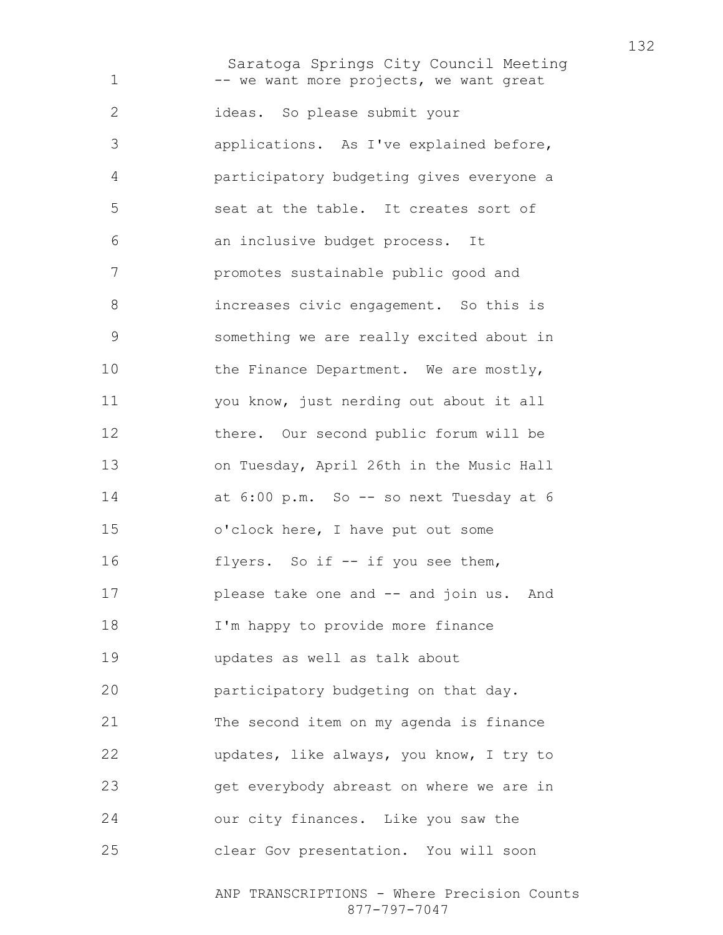Saratoga Springs City Council Meeting 1 -- we want more projects, we want great ideas. So please submit your applications. As I've explained before, participatory budgeting gives everyone a seat at the table. It creates sort of an inclusive budget process. It promotes sustainable public good and increases civic engagement. So this is something we are really excited about in 10 the Finance Department. We are mostly, you know, just nerding out about it all there. Our second public forum will be on Tuesday, April 26th in the Music Hall 14 at 6:00 p.m. So -- so next Tuesday at 6 o'clock here, I have put out some 16 flyers. So if -- if you see them, please take one and -- and join us. And I'm happy to provide more finance updates as well as talk about participatory budgeting on that day. The second item on my agenda is finance updates, like always, you know, I try to get everybody abreast on where we are in our city finances. Like you saw the clear Gov presentation. You will soon

> ANP TRANSCRIPTIONS - Where Precision Counts 877-797-7047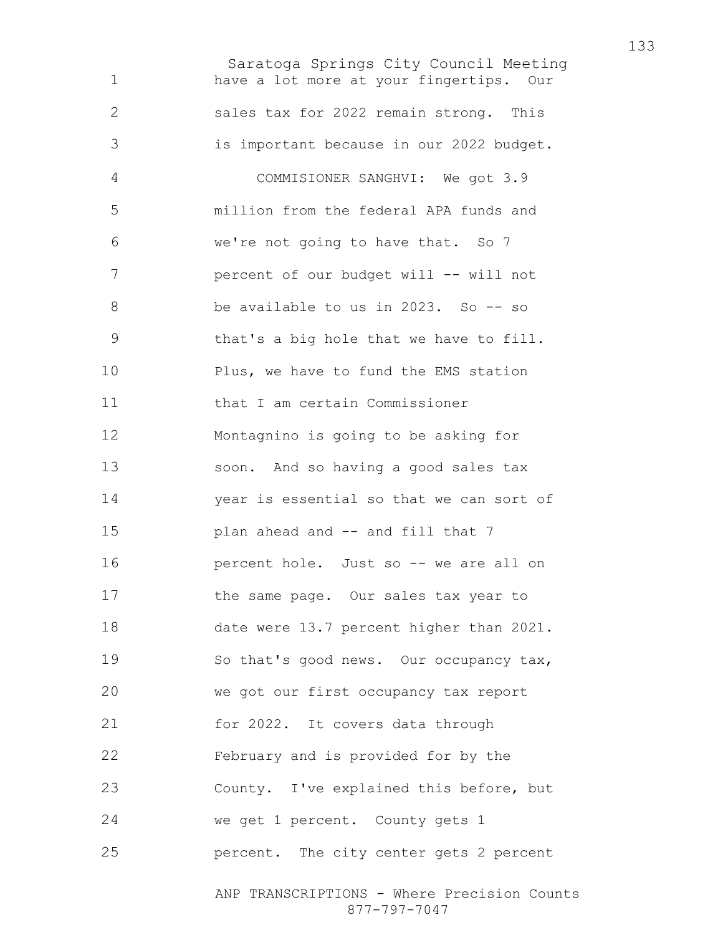Saratoga Springs City Council Meeting have a lot more at your fingertips. Our sales tax for 2022 remain strong. This is important because in our 2022 budget. COMMISIONER SANGHVI: We got 3.9 million from the federal APA funds and we're not going to have that. So 7 7 percent of our budget will -- will not be available to us in 2023. So -- so that's a big hole that we have to fill. Plus, we have to fund the EMS station that I am certain Commissioner Montagnino is going to be asking for soon. And so having a good sales tax year is essential so that we can sort of **plan ahead and -- and fill that 7 percent hole.** Just so -- we are all on the same page. Our sales tax year to date were 13.7 percent higher than 2021. So that's good news. Our occupancy tax, we got our first occupancy tax report for 2022. It covers data through February and is provided for by the County. I've explained this before, but we get 1 percent. County gets 1 percent. The city center gets 2 percent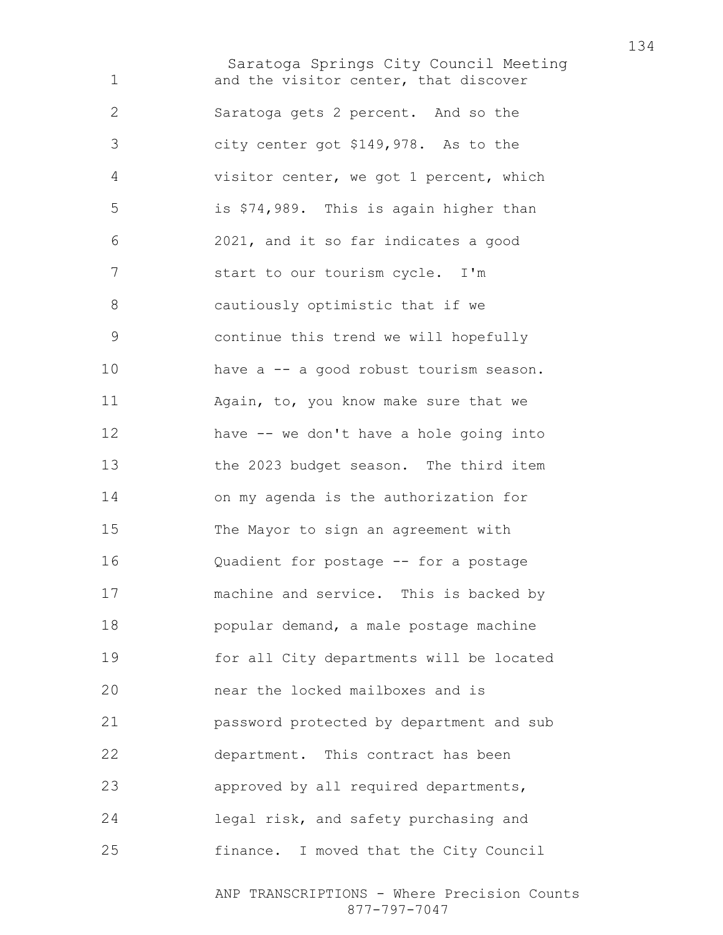Saratoga Springs City Council Meeting and the visitor center, that discover Saratoga gets 2 percent. And so the city center got \$149,978. As to the visitor center, we got 1 percent, which is \$74,989. This is again higher than 2021, and it so far indicates a good start to our tourism cycle. I'm cautiously optimistic that if we continue this trend we will hopefully have a -- a good robust tourism season. Again, to, you know make sure that we have -- we don't have a hole going into the 2023 budget season. The third item on my agenda is the authorization for The Mayor to sign an agreement with Quadient for postage -- for a postage machine and service. This is backed by popular demand, a male postage machine for all City departments will be located near the locked mailboxes and is password protected by department and sub department. This contract has been approved by all required departments, legal risk, and safety purchasing and finance. I moved that the City Council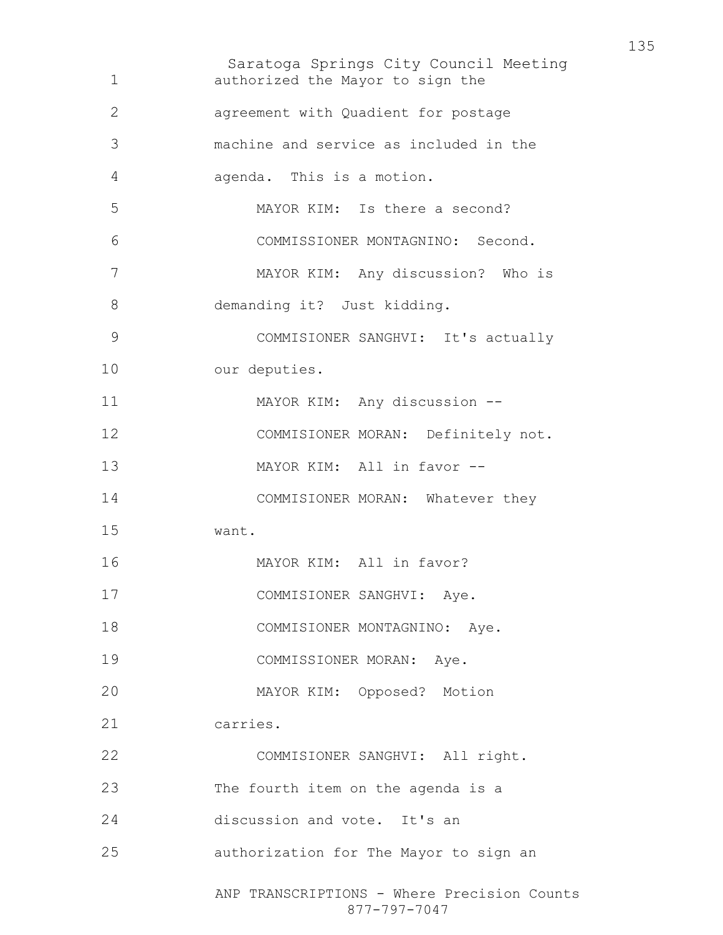| 1  | Saratoga Springs City Council Meeting<br>authorized the Mayor to sign the |
|----|---------------------------------------------------------------------------|
| 2  | agreement with Quadient for postage                                       |
| 3  | machine and service as included in the                                    |
| 4  | agenda. This is a motion.                                                 |
| 5  | MAYOR KIM: Is there a second?                                             |
| 6  | COMMISSIONER MONTAGNINO: Second.                                          |
| 7  | MAYOR KIM: Any discussion? Who is                                         |
| 8  | demanding it? Just kidding.                                               |
| 9  | COMMISIONER SANGHVI: It's actually                                        |
| 10 | our deputies.                                                             |
| 11 | MAYOR KIM: Any discussion --                                              |
| 12 | COMMISIONER MORAN: Definitely not.                                        |
| 13 | MAYOR KIM: All in favor --                                                |
| 14 | COMMISIONER MORAN: Whatever they                                          |
| 15 | want.                                                                     |
| 16 | MAYOR KIM: All in favor?                                                  |
| 17 | COMMISIONER SANGHVI: Aye.                                                 |
| 18 | COMMISIONER MONTAGNINO: Aye.                                              |
| 19 | COMMISSIONER MORAN: Aye.                                                  |
| 20 | MAYOR KIM: Opposed? Motion                                                |
| 21 | carries.                                                                  |
| 22 | COMMISIONER SANGHVI: All right.                                           |
| 23 | The fourth item on the agenda is a                                        |
| 24 | discussion and vote. It's an                                              |
| 25 | authorization for The Mayor to sign an                                    |
|    | ANP TRANSCRIPTIONS - Where Precision Counts<br>877-797-7047               |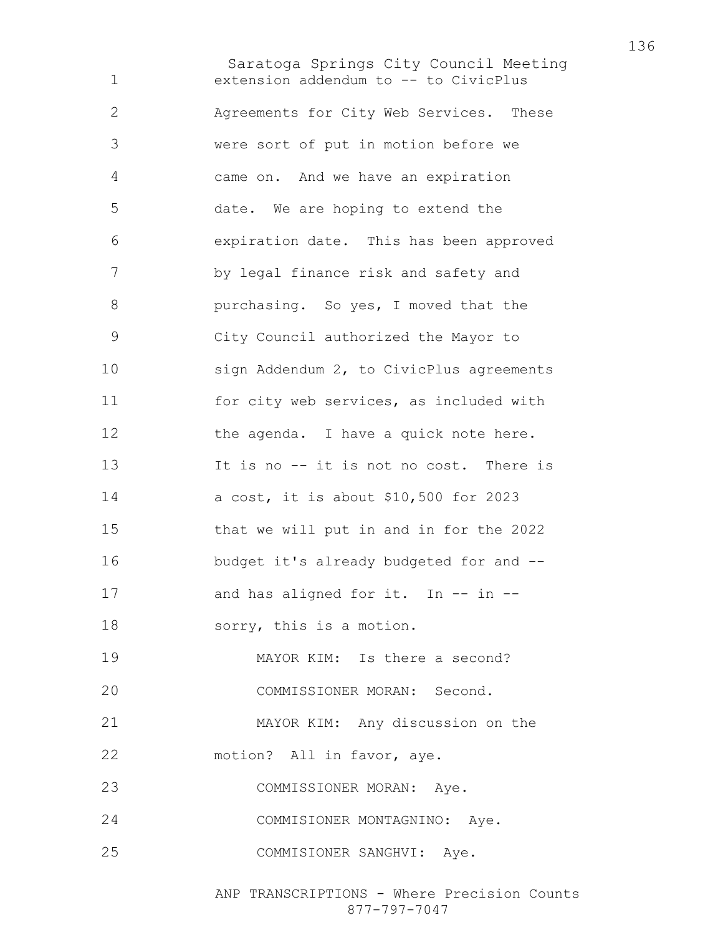Saratoga Springs City Council Meeting extension addendum to -- to CivicPlus Agreements for City Web Services. These were sort of put in motion before we came on. And we have an expiration date. We are hoping to extend the expiration date. This has been approved by legal finance risk and safety and **burchasing.** So yes, I moved that the City Council authorized the Mayor to sign Addendum 2, to CivicPlus agreements for city web services, as included with 12 the agenda. I have a quick note here. 13 It is no -- it is not no cost. There is a cost, it is about \$10,500 for 2023 that we will put in and in for the 2022 budget it's already budgeted for and -- 17 and has aligned for it. In -- in --sorry, this is a motion. MAYOR KIM: Is there a second? COMMISSIONER MORAN: Second. MAYOR KIM: Any discussion on the motion? All in favor, aye. COMMISSIONER MORAN: Aye. COMMISIONER MONTAGNINO: Aye. COMMISIONER SANGHVI: Aye.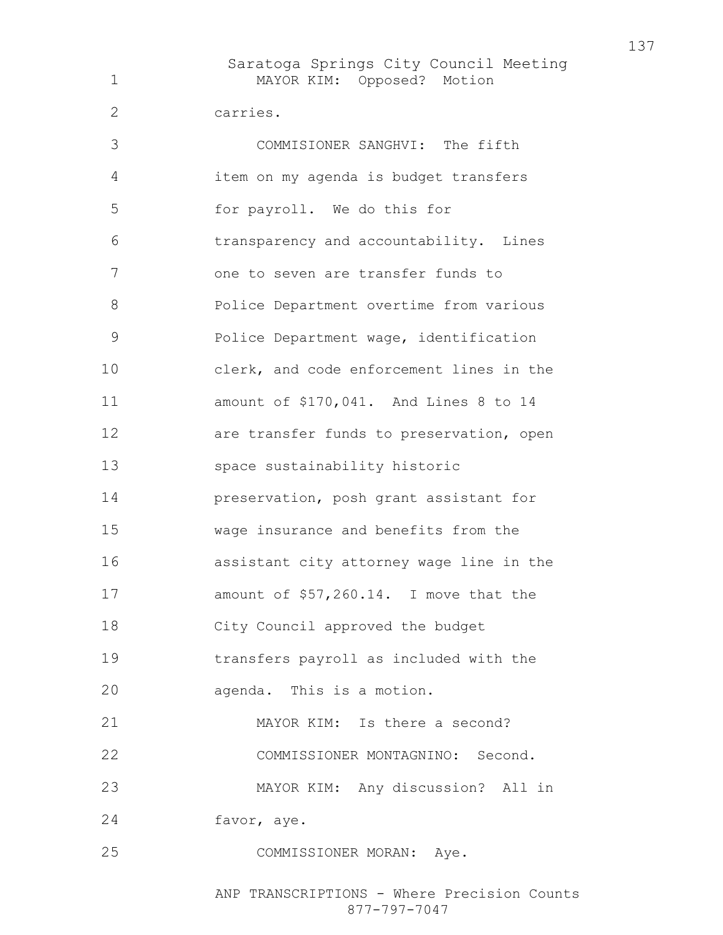Saratoga Springs City Council Meeting MAYOR KIM: Opposed? Motion carries. COMMISIONER SANGHVI: The fifth item on my agenda is budget transfers for payroll. We do this for transparency and accountability. Lines one to seven are transfer funds to Police Department overtime from various Police Department wage, identification clerk, and code enforcement lines in the amount of \$170,041. And Lines 8 to 14 are transfer funds to preservation, open space sustainability historic preservation, posh grant assistant for wage insurance and benefits from the assistant city attorney wage line in the amount of \$57,260.14. I move that the City Council approved the budget transfers payroll as included with the agenda. This is a motion. MAYOR KIM: Is there a second? COMMISSIONER MONTAGNINO: Second. MAYOR KIM: Any discussion? All in favor, aye. COMMISSIONER MORAN: Aye.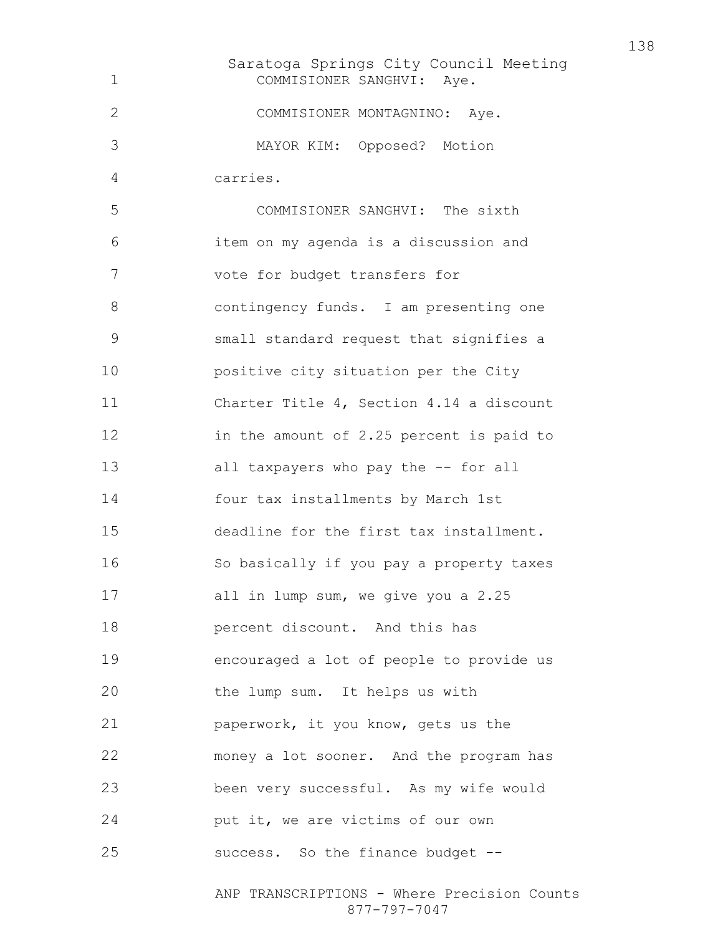Saratoga Springs City Council Meeting COMMISIONER SANGHVI: Aye. COMMISIONER MONTAGNINO: Aye. MAYOR KIM: Opposed? Motion carries. COMMISIONER SANGHVI: The sixth item on my agenda is a discussion and vote for budget transfers for contingency funds. I am presenting one small standard request that signifies a positive city situation per the City Charter Title 4, Section 4.14 a discount in the amount of 2.25 percent is paid to all taxpayers who pay the -- for all four tax installments by March 1st deadline for the first tax installment. So basically if you pay a property taxes all in lump sum, we give you a 2.25 percent discount. And this has encouraged a lot of people to provide us the lump sum. It helps us with paperwork, it you know, gets us the money a lot sooner. And the program has been very successful. As my wife would put it, we are victims of our own success. So the finance budget --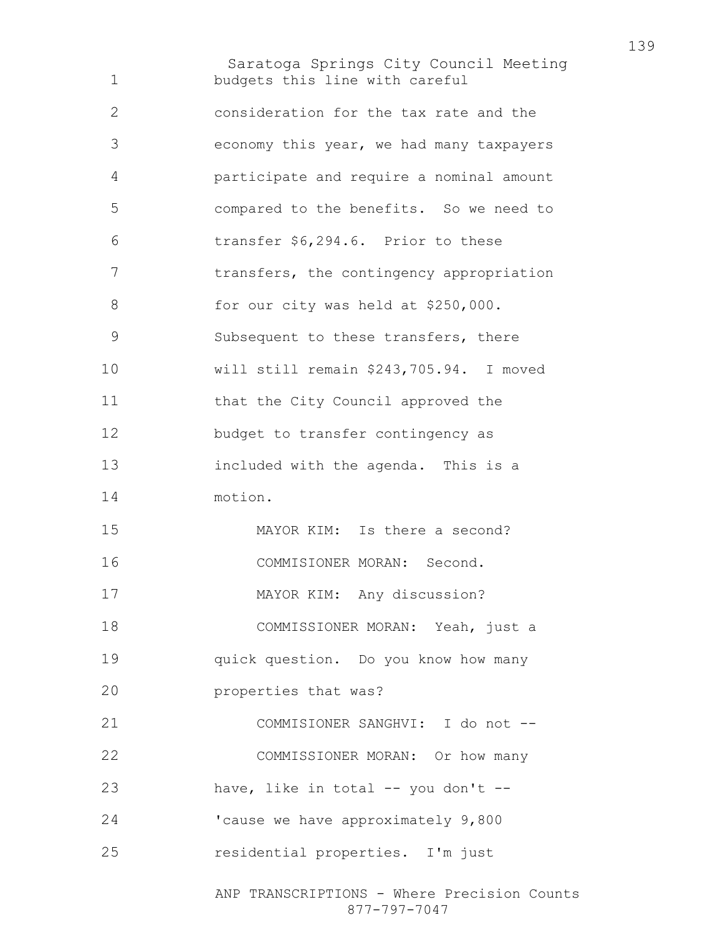Saratoga Springs City Council Meeting ANP TRANSCRIPTIONS - Where Precision Counts budgets this line with careful consideration for the tax rate and the economy this year, we had many taxpayers participate and require a nominal amount compared to the benefits. So we need to transfer \$6,294.6. Prior to these 7 transfers, the contingency appropriation 8 for our city was held at \$250,000. Subsequent to these transfers, there will still remain \$243,705.94. I moved 11 that the City Council approved the budget to transfer contingency as included with the agenda. This is a motion. MAYOR KIM: Is there a second? COMMISIONER MORAN: Second. MAYOR KIM: Any discussion? COMMISSIONER MORAN: Yeah, just a quick question. Do you know how many properties that was? COMMISIONER SANGHVI: I do not -- COMMISSIONER MORAN: Or how many 23 have, like in total -- you don't --'cause we have approximately 9,800 residential properties. I'm just

877-797-7047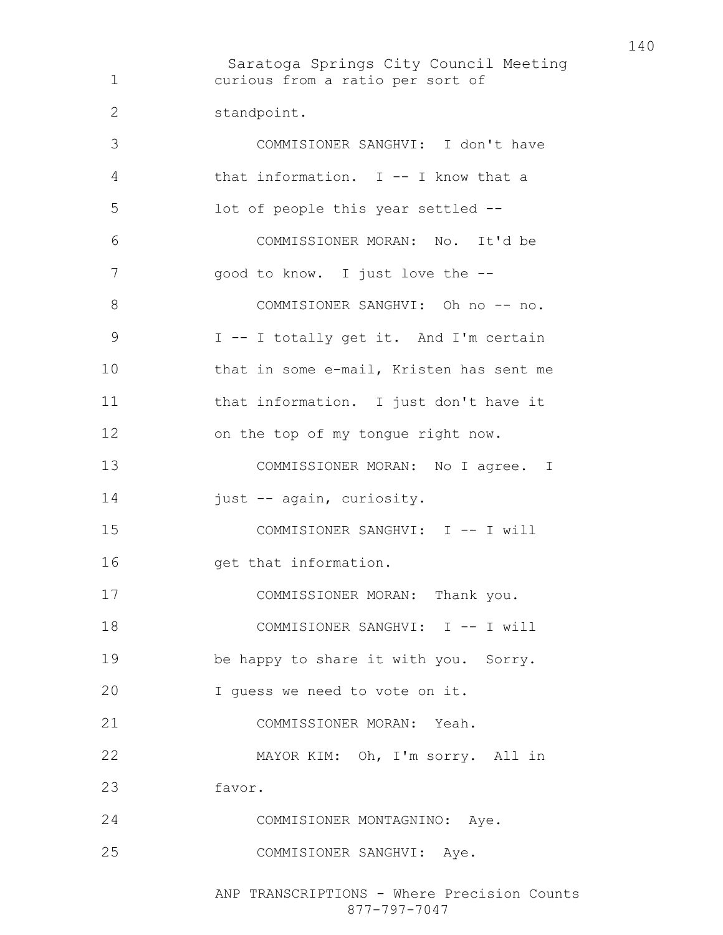Saratoga Springs City Council Meeting curious from a ratio per sort of standpoint. COMMISIONER SANGHVI: I don't have that information. I -- I know that a lot of people this year settled -- COMMISSIONER MORAN: No. It'd be good to know. I just love the -- 8 COMMISIONER SANGHVI: Oh no -- no. I -- I totally get it. And I'm certain that in some e-mail, Kristen has sent me that information. I just don't have it on the top of my tongue right now. 13 COMMISSIONER MORAN: No I agree. I 14 just -- again, curiosity. 15 COMMISIONER SANGHVI: I -- I will 16 get that information. COMMISSIONER MORAN: Thank you. 18 COMMISIONER SANGHVI: I -- I will be happy to share it with you. Sorry. I guess we need to vote on it. COMMISSIONER MORAN: Yeah. MAYOR KIM: Oh, I'm sorry. All in favor. COMMISIONER MONTAGNINO: Aye. COMMISIONER SANGHVI: Aye.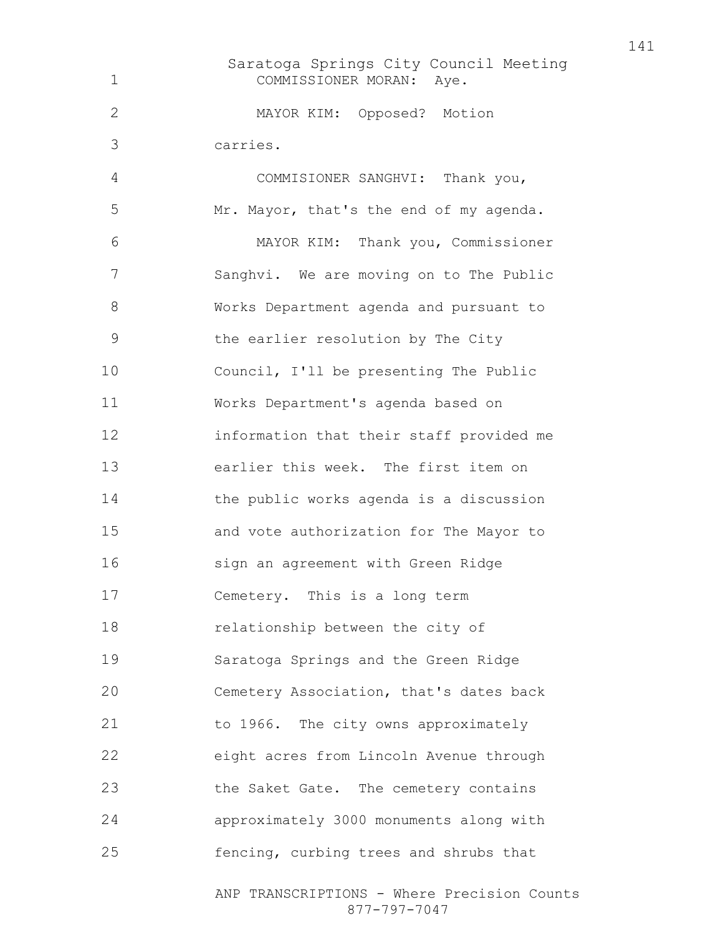Saratoga Springs City Council Meeting COMMISSIONER MORAN: Aye. MAYOR KIM: Opposed? Motion carries. COMMISIONER SANGHVI: Thank you, Mr. Mayor, that's the end of my agenda. MAYOR KIM: Thank you, Commissioner Sanghvi. We are moving on to The Public Works Department agenda and pursuant to the earlier resolution by The City Council, I'll be presenting The Public Works Department's agenda based on information that their staff provided me earlier this week. The first item on the public works agenda is a discussion and vote authorization for The Mayor to sign an agreement with Green Ridge Cemetery. This is a long term relationship between the city of Saratoga Springs and the Green Ridge Cemetery Association, that's dates back to 1966. The city owns approximately eight acres from Lincoln Avenue through the Saket Gate. The cemetery contains approximately 3000 monuments along with fencing, curbing trees and shrubs that

> ANP TRANSCRIPTIONS - Where Precision Counts 877-797-7047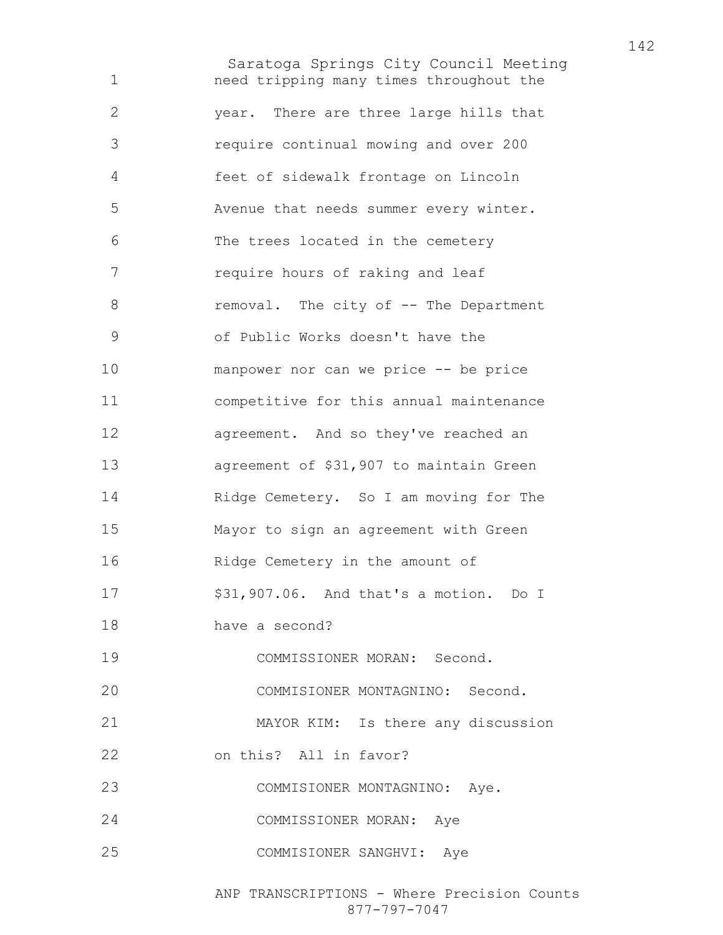Saratoga Springs City Council Meeting need tripping many times throughout the year. There are three large hills that require continual mowing and over 200 feet of sidewalk frontage on Lincoln Avenue that needs summer every winter. The trees located in the cemetery require hours of raking and leaf 8 removal. The city of -- The Department of Public Works doesn't have the manpower nor can we price -- be price competitive for this annual maintenance agreement. And so they've reached an agreement of \$31,907 to maintain Green Ridge Cemetery. So I am moving for The Mayor to sign an agreement with Green Ridge Cemetery in the amount of \$31,907.06. And that's a motion. Do I have a second? COMMISSIONER MORAN: Second. COMMISIONER MONTAGNINO: Second. MAYOR KIM: Is there any discussion on this? All in favor? COMMISIONER MONTAGNINO: Aye. COMMISSIONER MORAN: Aye COMMISIONER SANGHVI: Aye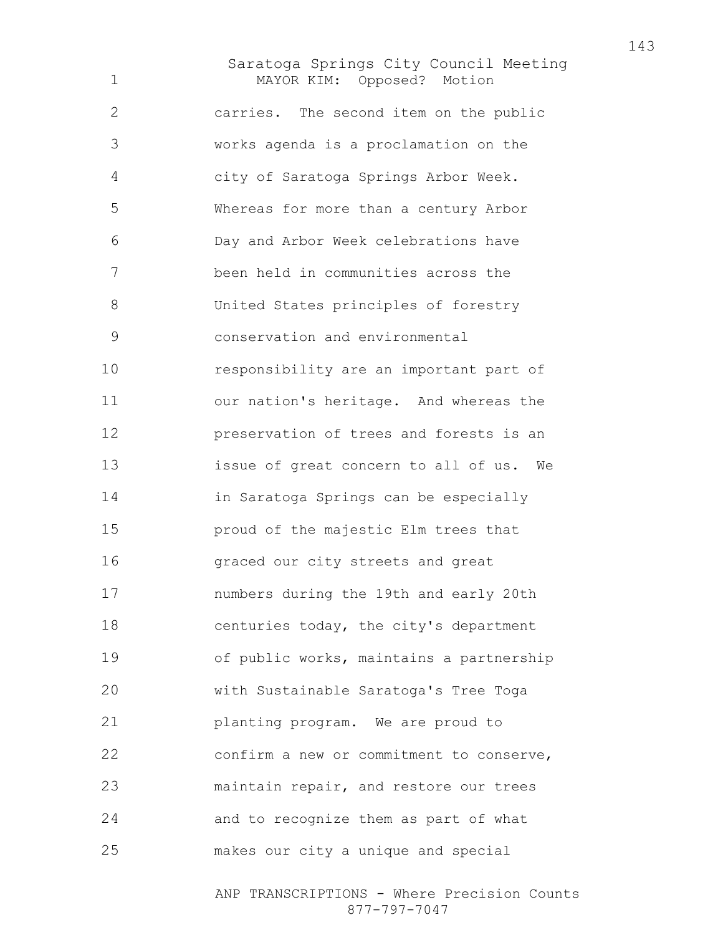Saratoga Springs City Council Meeting MAYOR KIM: Opposed? Motion carries. The second item on the public works agenda is a proclamation on the city of Saratoga Springs Arbor Week. Whereas for more than a century Arbor Day and Arbor Week celebrations have been held in communities across the United States principles of forestry conservation and environmental responsibility are an important part of our nation's heritage. And whereas the preservation of trees and forests is an issue of great concern to all of us. We in Saratoga Springs can be especially proud of the majestic Elm trees that graced our city streets and great numbers during the 19th and early 20th centuries today, the city's department of public works, maintains a partnership with Sustainable Saratoga's Tree Toga planting program. We are proud to confirm a new or commitment to conserve, maintain repair, and restore our trees and to recognize them as part of what makes our city a unique and special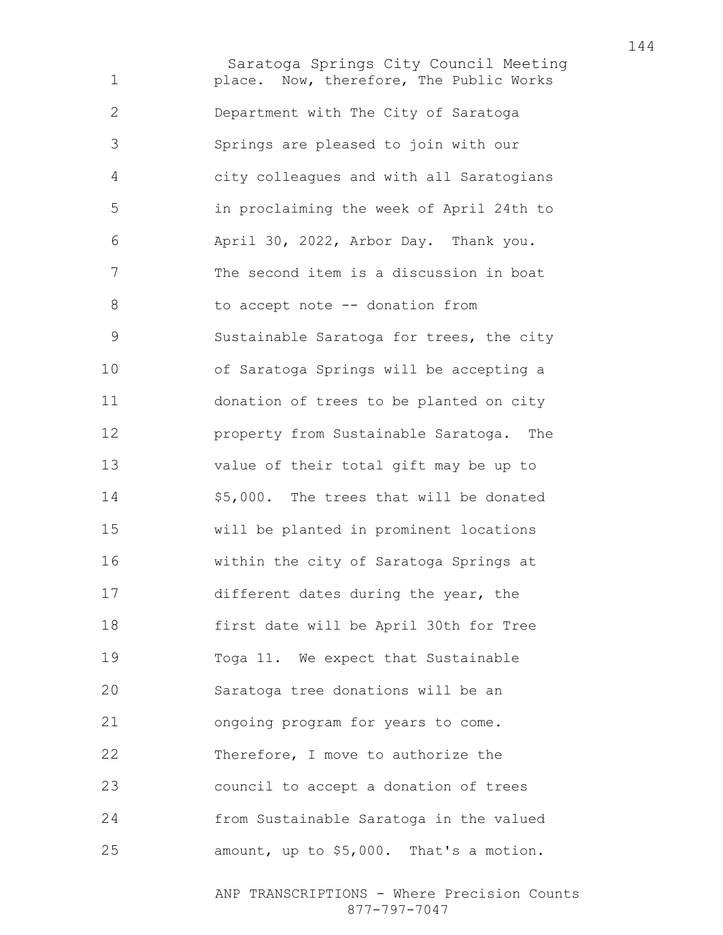Saratoga Springs City Council Meeting place. Now, therefore, The Public Works Department with The City of Saratoga Springs are pleased to join with our city colleagues and with all Saratogians in proclaiming the week of April 24th to April 30, 2022, Arbor Day. Thank you. The second item is a discussion in boat 8 to accept note -- donation from Sustainable Saratoga for trees, the city of Saratoga Springs will be accepting a donation of trees to be planted on city property from Sustainable Saratoga. The value of their total gift may be up to \$5,000. The trees that will be donated will be planted in prominent locations within the city of Saratoga Springs at different dates during the year, the first date will be April 30th for Tree Toga 11. We expect that Sustainable Saratoga tree donations will be an ongoing program for years to come. 22 Therefore, I move to authorize the council to accept a donation of trees from Sustainable Saratoga in the valued amount, up to \$5,000. That's a motion.

> ANP TRANSCRIPTIONS - Where Precision Counts 877-797-7047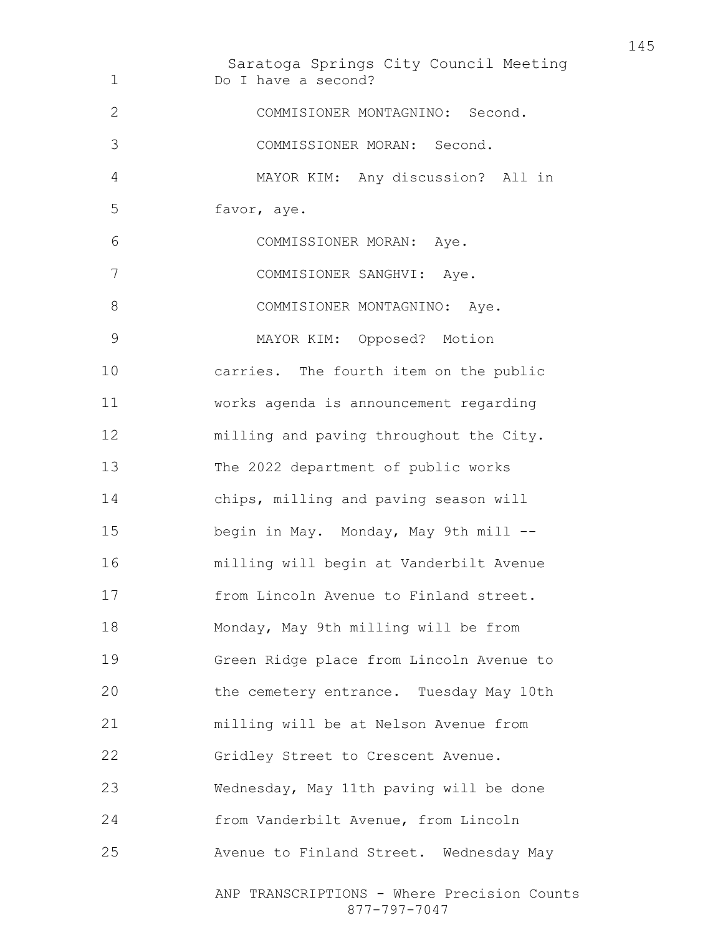Saratoga Springs City Council Meeting ANP TRANSCRIPTIONS - Where Precision Counts 877-797-7047 Do I have a second? COMMISIONER MONTAGNINO: Second. COMMISSIONER MORAN: Second. MAYOR KIM: Any discussion? All in favor, aye. COMMISSIONER MORAN: Aye. COMMISIONER SANGHVI: Aye. 8 COMMISIONER MONTAGNINO: Aye. MAYOR KIM: Opposed? Motion carries. The fourth item on the public works agenda is announcement regarding milling and paving throughout the City. The 2022 department of public works chips, milling and paving season will begin in May. Monday, May 9th mill -- milling will begin at Vanderbilt Avenue from Lincoln Avenue to Finland street. Monday, May 9th milling will be from Green Ridge place from Lincoln Avenue to the cemetery entrance. Tuesday May 10th milling will be at Nelson Avenue from Gridley Street to Crescent Avenue. Wednesday, May 11th paving will be done from Vanderbilt Avenue, from Lincoln Avenue to Finland Street. Wednesday May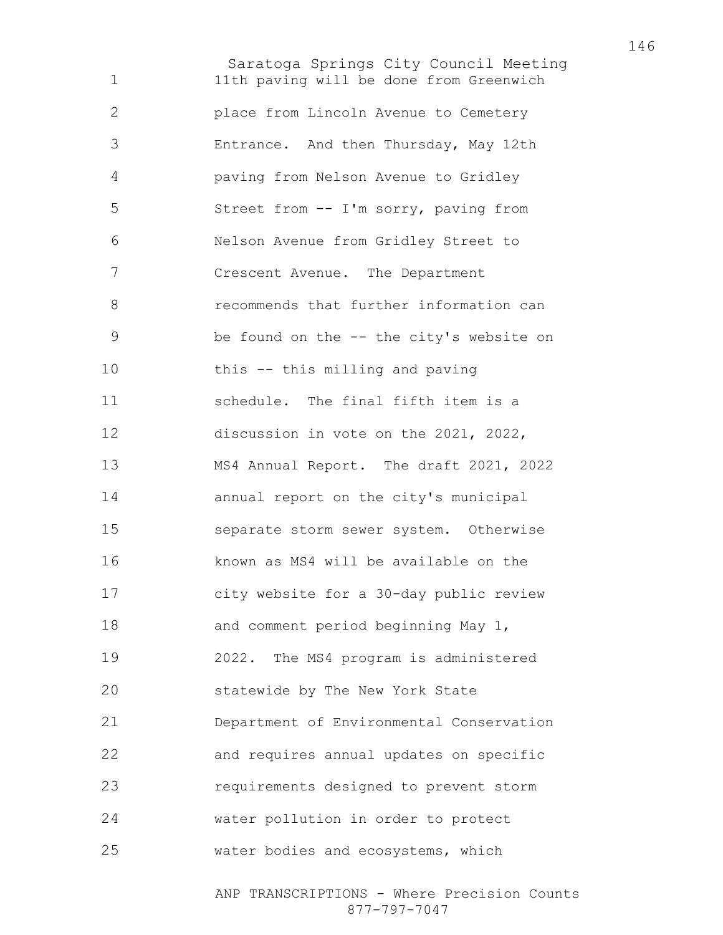Saratoga Springs City Council Meeting 11th paving will be done from Greenwich place from Lincoln Avenue to Cemetery Entrance. And then Thursday, May 12th paving from Nelson Avenue to Gridley Street from -- I'm sorry, paving from Nelson Avenue from Gridley Street to Crescent Avenue. The Department recommends that further information can be found on the -- the city's website on this -- this milling and paving schedule. The final fifth item is a discussion in vote on the 2021, 2022, MS4 Annual Report. The draft 2021, 2022 annual report on the city's municipal separate storm sewer system. Otherwise known as MS4 will be available on the city website for a 30-day public review and comment period beginning May 1, 2022. The MS4 program is administered statewide by The New York State Department of Environmental Conservation and requires annual updates on specific requirements designed to prevent storm water pollution in order to protect water bodies and ecosystems, which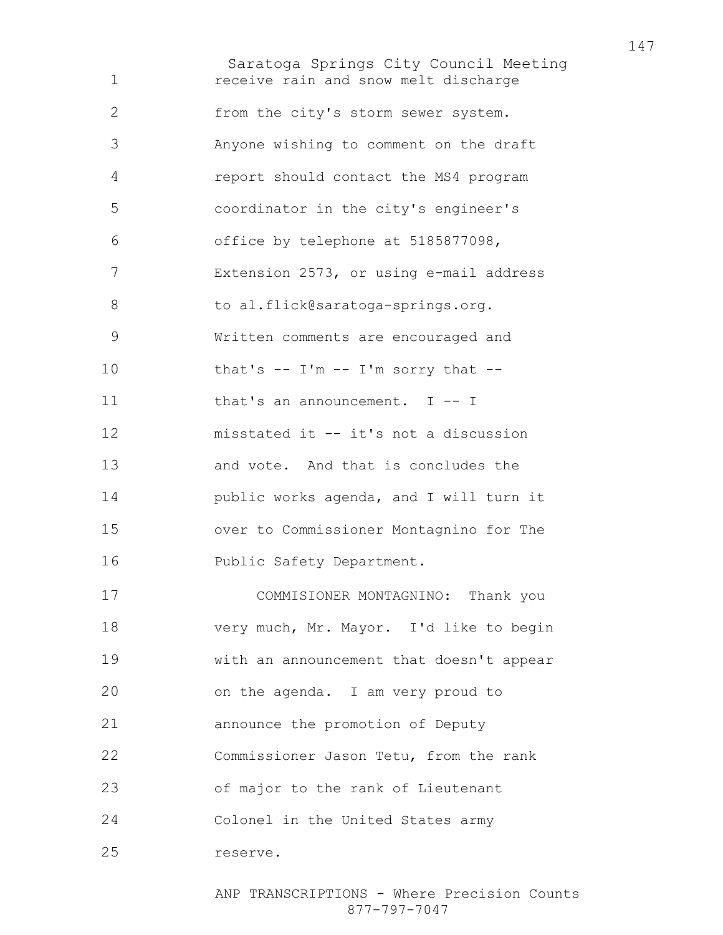Saratoga Springs City Council Meeting receive rain and snow melt discharge from the city's storm sewer system. Anyone wishing to comment on the draft report should contact the MS4 program coordinator in the city's engineer's office by telephone at 5185877098, Extension 2573, or using e-mail address 8 to al.flick@saratoga-springs.org. Written comments are encouraged and 10 that's  $--$  I'm  $--$  I'm sorry that  $--$ 11 that's an announcement. I -- I misstated it -- it's not a discussion and vote. And that is concludes the public works agenda, and I will turn it over to Commissioner Montagnino for The Public Safety Department. COMMISIONER MONTAGNINO: Thank you very much, Mr. Mayor. I'd like to begin with an announcement that doesn't appear on the agenda. I am very proud to

announce the promotion of Deputy

Commissioner Jason Tetu, from the rank

of major to the rank of Lieutenant

Colonel in the United States army

reserve.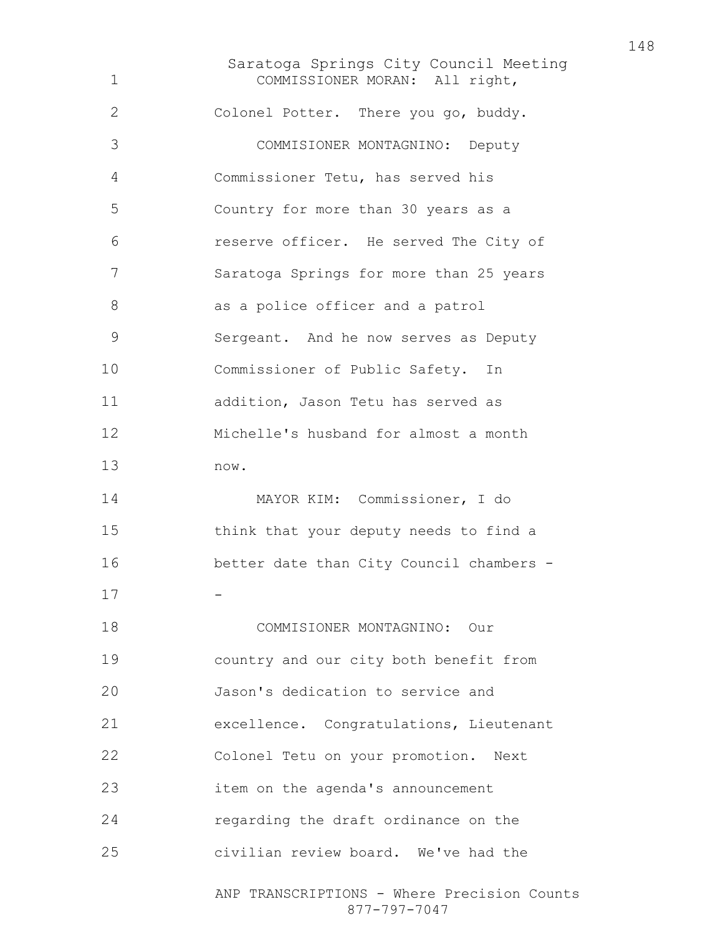Saratoga Springs City Council Meeting ANP TRANSCRIPTIONS - Where Precision Counts COMMISSIONER MORAN: All right, Colonel Potter. There you go, buddy. COMMISIONER MONTAGNINO: Deputy Commissioner Tetu, has served his Country for more than 30 years as a reserve officer. He served The City of Saratoga Springs for more than 25 years 8 as a police officer and a patrol Sergeant. And he now serves as Deputy Commissioner of Public Safety. In addition, Jason Tetu has served as Michelle's husband for almost a month now. MAYOR KIM: Commissioner, I do think that your deputy needs to find a better date than City Council chambers - -COMMISIONER MONTAGNINO: Our country and our city both benefit from Jason's dedication to service and excellence. Congratulations, Lieutenant Colonel Tetu on your promotion. Next item on the agenda's announcement regarding the draft ordinance on the civilian review board. We've had the

877-797-7047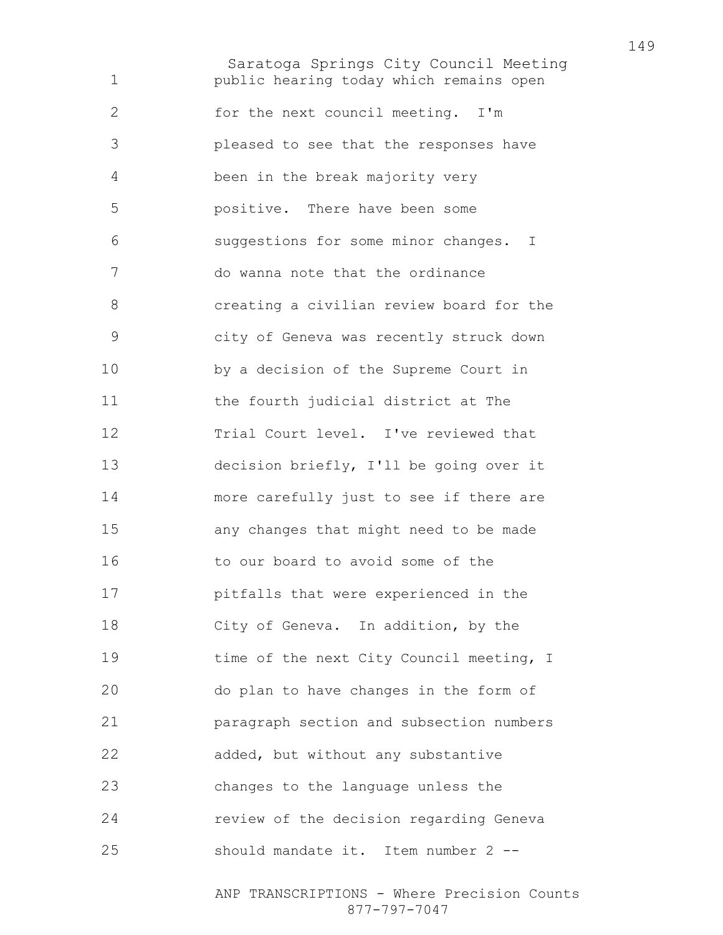Saratoga Springs City Council Meeting public hearing today which remains open for the next council meeting. I'm pleased to see that the responses have been in the break majority very positive. There have been some suggestions for some minor changes. I do wanna note that the ordinance creating a civilian review board for the city of Geneva was recently struck down by a decision of the Supreme Court in the fourth judicial district at The Trial Court level. I've reviewed that decision briefly, I'll be going over it more carefully just to see if there are any changes that might need to be made to our board to avoid some of the pitfalls that were experienced in the City of Geneva. In addition, by the 19 time of the next City Council meeting, I do plan to have changes in the form of paragraph section and subsection numbers added, but without any substantive changes to the language unless the review of the decision regarding Geneva should mandate it. Item number 2 --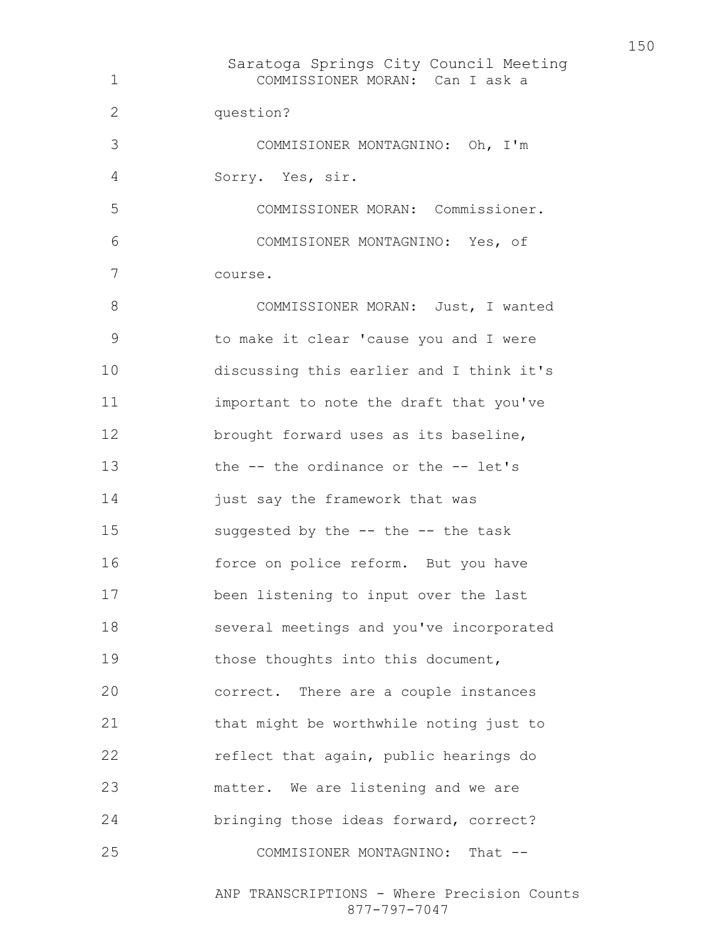Saratoga Springs City Council Meeting COMMISSIONER MORAN: Can I ask a question? COMMISIONER MONTAGNINO: Oh, I'm Sorry. Yes, sir. COMMISSIONER MORAN: Commissioner. COMMISIONER MONTAGNINO: Yes, of course. 8 COMMISSIONER MORAN: Just, I wanted to make it clear 'cause you and I were discussing this earlier and I think it's important to note the draft that you've brought forward uses as its baseline, the -- the ordinance or the -- let's 14 just say the framework that was suggested by the -- the -- the task force on police reform. But you have been listening to input over the last several meetings and you've incorporated 19 those thoughts into this document, correct. There are a couple instances that might be worthwhile noting just to reflect that again, public hearings do matter. We are listening and we are bringing those ideas forward, correct? 25 COMMISIONER MONTAGNINO: That --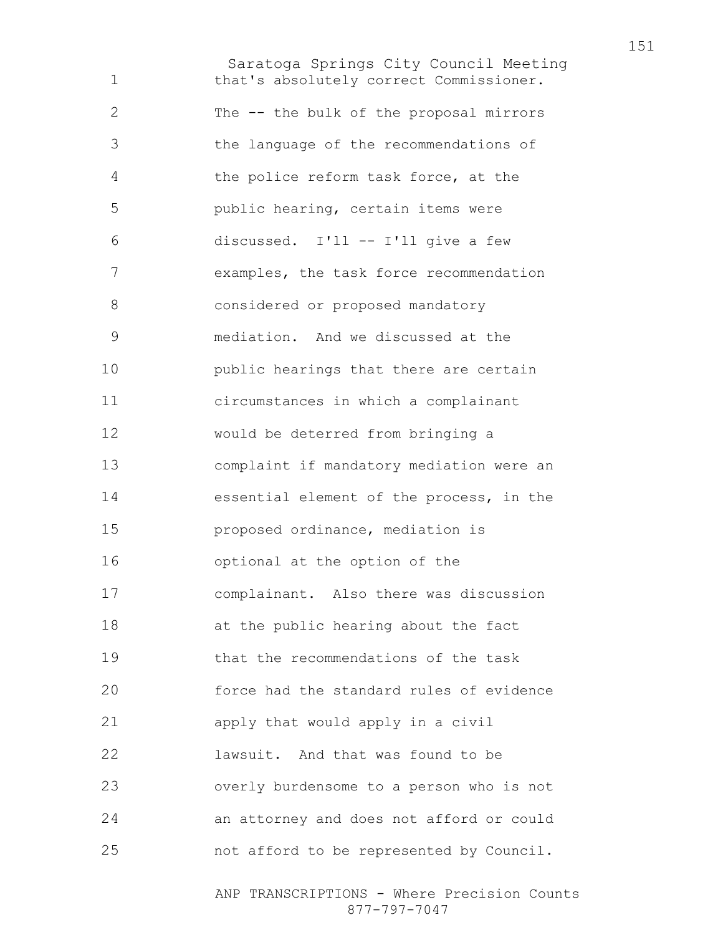Saratoga Springs City Council Meeting that's absolutely correct Commissioner. The -- the bulk of the proposal mirrors the language of the recommendations of the police reform task force, at the public hearing, certain items were discussed. I'll -- I'll give a few examples, the task force recommendation considered or proposed mandatory mediation. And we discussed at the public hearings that there are certain circumstances in which a complainant would be deterred from bringing a complaint if mandatory mediation were an essential element of the process, in the proposed ordinance, mediation is optional at the option of the complainant. Also there was discussion at the public hearing about the fact that the recommendations of the task force had the standard rules of evidence apply that would apply in a civil lawsuit. And that was found to be overly burdensome to a person who is not an attorney and does not afford or could not afford to be represented by Council.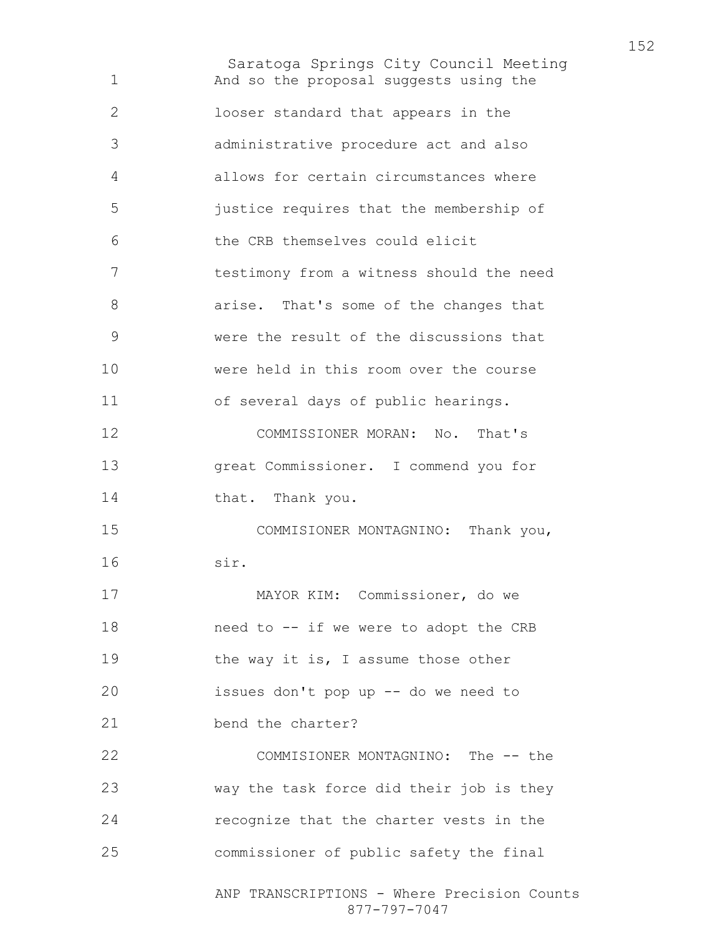Saratoga Springs City Council Meeting ANP TRANSCRIPTIONS - Where Precision Counts And so the proposal suggests using the looser standard that appears in the administrative procedure act and also allows for certain circumstances where justice requires that the membership of the CRB themselves could elicit testimony from a witness should the need arise. That's some of the changes that were the result of the discussions that were held in this room over the course of several days of public hearings. COMMISSIONER MORAN: No. That's great Commissioner. I commend you for 14 that. Thank you. COMMISIONER MONTAGNINO: Thank you, sir. MAYOR KIM: Commissioner, do we need to -- if we were to adopt the CRB 19 the way it is, I assume those other issues don't pop up -- do we need to 21 bend the charter? COMMISIONER MONTAGNINO: The -- the way the task force did their job is they recognize that the charter vests in the commissioner of public safety the final

877-797-7047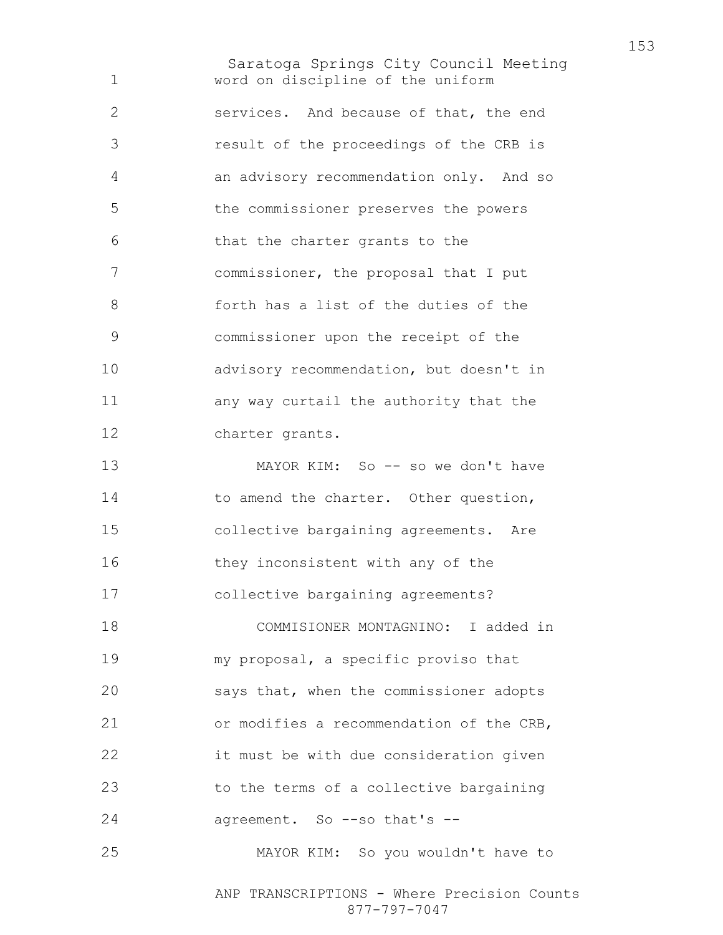Saratoga Springs City Council Meeting word on discipline of the uniform services. And because of that, the end result of the proceedings of the CRB is an advisory recommendation only. And so the commissioner preserves the powers that the charter grants to the commissioner, the proposal that I put forth has a list of the duties of the commissioner upon the receipt of the advisory recommendation, but doesn't in any way curtail the authority that the charter grants. 13 MAYOR KIM: So -- so we don't have 14 to amend the charter. Other question, collective bargaining agreements. Are 16 they inconsistent with any of the collective bargaining agreements? COMMISIONER MONTAGNINO: I added in my proposal, a specific proviso that says that, when the commissioner adopts or modifies a recommendation of the CRB, it must be with due consideration given to the terms of a collective bargaining agreement. So --so that's -- MAYOR KIM: So you wouldn't have to

> ANP TRANSCRIPTIONS - Where Precision Counts 877-797-7047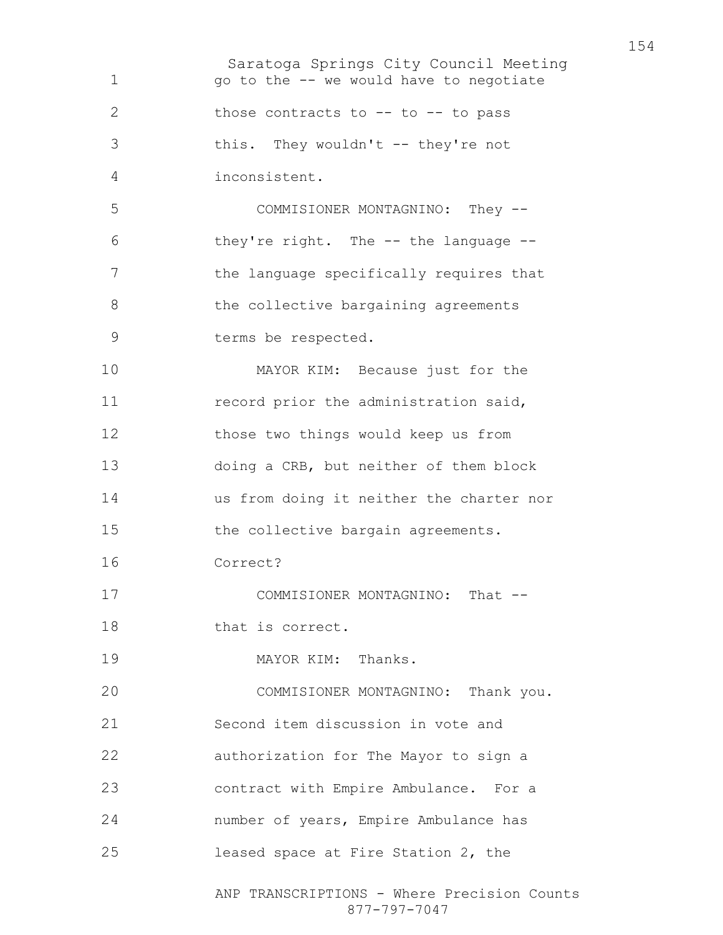Saratoga Springs City Council Meeting ANP TRANSCRIPTIONS - Where Precision Counts go to the -- we would have to negotiate 2 those contracts to -- to -- to pass this. They wouldn't -- they're not inconsistent. COMMISIONER MONTAGNINO: They -- they're right. The -- the language -- the language specifically requires that 8 the collective bargaining agreements terms be respected. MAYOR KIM: Because just for the 11 record prior the administration said, those two things would keep us from doing a CRB, but neither of them block us from doing it neither the charter nor 15 the collective bargain agreements. Correct? 17 COMMISIONER MONTAGNINO: That --18 that is correct. 19 MAYOR KIM: Thanks. COMMISIONER MONTAGNINO: Thank you. Second item discussion in vote and authorization for The Mayor to sign a contract with Empire Ambulance. For a number of years, Empire Ambulance has leased space at Fire Station 2, the

877-797-7047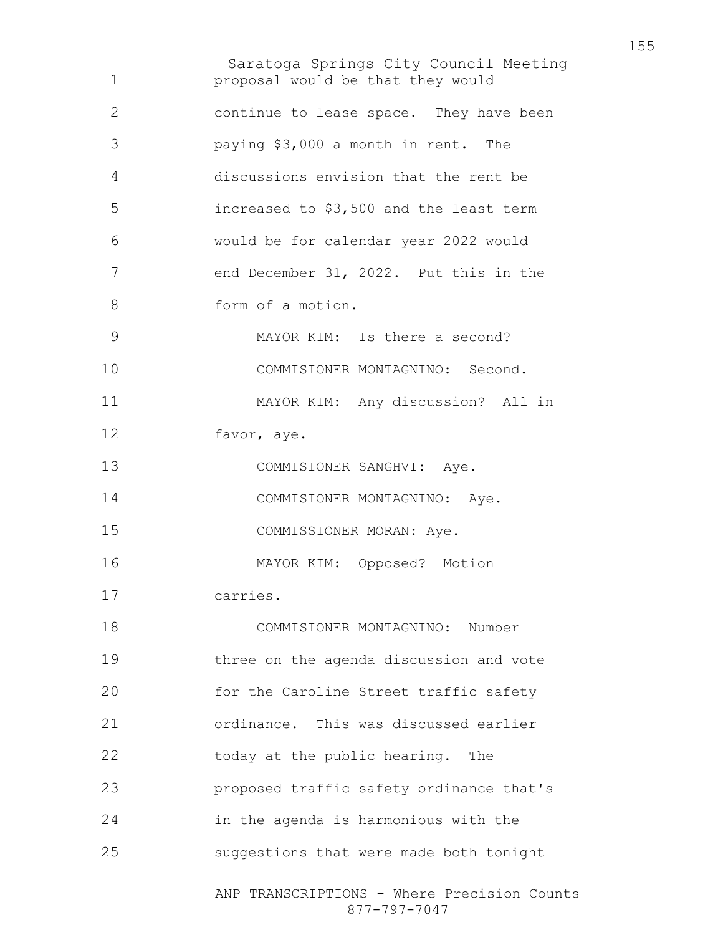Saratoga Springs City Council Meeting ANP TRANSCRIPTIONS - Where Precision Counts 877-797-7047 proposal would be that they would continue to lease space. They have been paying \$3,000 a month in rent. The discussions envision that the rent be increased to \$3,500 and the least term would be for calendar year 2022 would end December 31, 2022. Put this in the form of a motion. MAYOR KIM: Is there a second? COMMISIONER MONTAGNINO: Second. MAYOR KIM: Any discussion? All in favor, aye. 13 COMMISIONER SANGHVI: Aye. 14 COMMISIONER MONTAGNINO: Aye. COMMISSIONER MORAN: Aye. MAYOR KIM: Opposed? Motion carries. COMMISIONER MONTAGNINO: Number three on the agenda discussion and vote for the Caroline Street traffic safety ordinance. This was discussed earlier 22 today at the public hearing. The proposed traffic safety ordinance that's in the agenda is harmonious with the suggestions that were made both tonight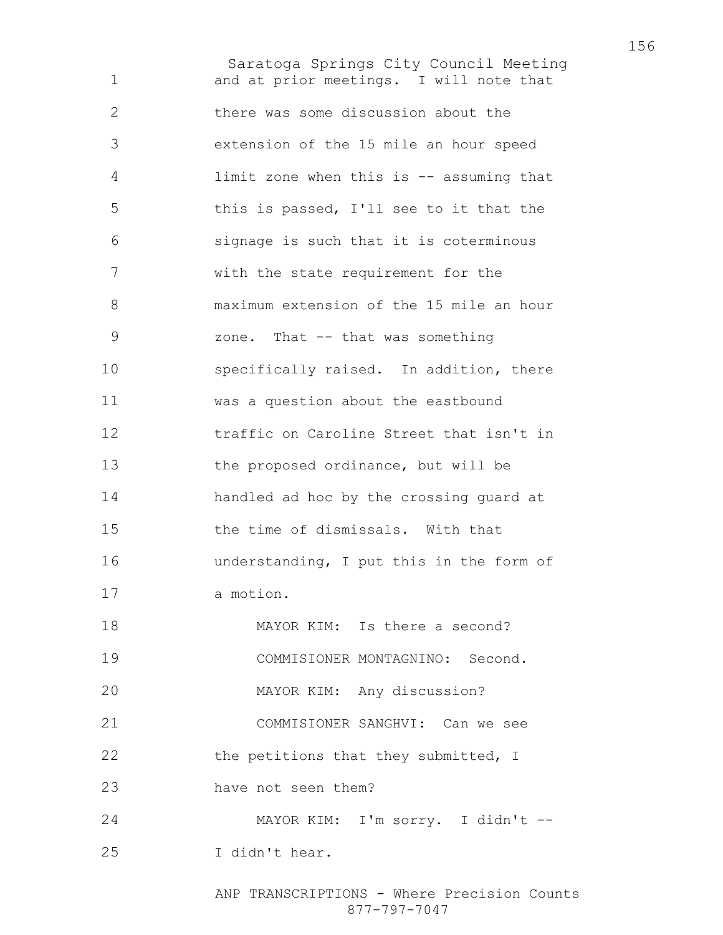Saratoga Springs City Council Meeting and at prior meetings. I will note that there was some discussion about the extension of the 15 mile an hour speed limit zone when this is -- assuming that this is passed, I'll see to it that the signage is such that it is coterminous with the state requirement for the maximum extension of the 15 mile an hour zone. That -- that was something specifically raised. In addition, there was a question about the eastbound traffic on Caroline Street that isn't in the proposed ordinance, but will be handled ad hoc by the crossing guard at the time of dismissals. With that understanding, I put this in the form of a motion. 18 MAYOR KIM: Is there a second? COMMISIONER MONTAGNINO: Second. MAYOR KIM: Any discussion? COMMISIONER SANGHVI: Can we see 22 the petitions that they submitted, I have not seen them? MAYOR KIM: I'm sorry. I didn't -- I didn't hear.

> ANP TRANSCRIPTIONS - Where Precision Counts 877-797-7047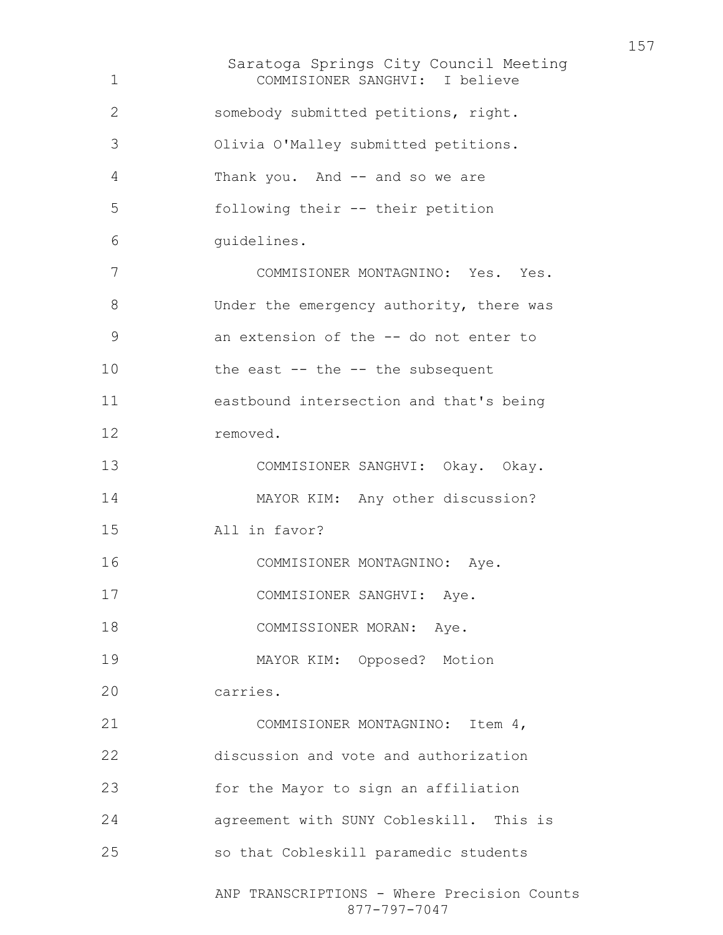Saratoga Springs City Council Meeting ANP TRANSCRIPTIONS - Where Precision Counts 877-797-7047 COMMISIONER SANGHVI: I believe somebody submitted petitions, right. Olivia O'Malley submitted petitions. Thank you. And -- and so we are following their -- their petition guidelines. COMMISIONER MONTAGNINO: Yes. Yes. 8 Under the emergency authority, there was an extension of the -- do not enter to 10 the east -- the -- the subsequent eastbound intersection and that's being removed. COMMISIONER SANGHVI: Okay. Okay. MAYOR KIM: Any other discussion? All in favor? COMMISIONER MONTAGNINO: Aye. 17 COMMISIONER SANGHVI: Aye. 18 COMMISSIONER MORAN: Aye. MAYOR KIM: Opposed? Motion carries. COMMISIONER MONTAGNINO: Item 4, discussion and vote and authorization for the Mayor to sign an affiliation agreement with SUNY Cobleskill. This is so that Cobleskill paramedic students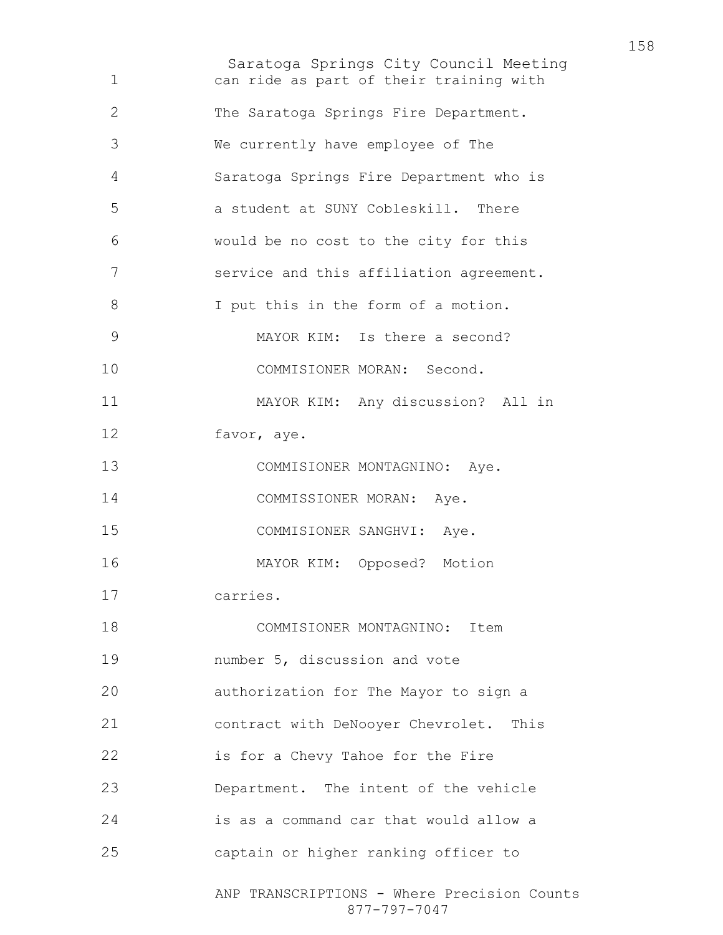Saratoga Springs City Council Meeting ANP TRANSCRIPTIONS - Where Precision Counts can ride as part of their training with The Saratoga Springs Fire Department. We currently have employee of The Saratoga Springs Fire Department who is a student at SUNY Cobleskill. There would be no cost to the city for this service and this affiliation agreement. I put this in the form of a motion. MAYOR KIM: Is there a second? COMMISIONER MORAN: Second. MAYOR KIM: Any discussion? All in favor, aye. 13 COMMISIONER MONTAGNINO: Aye. 14 COMMISSIONER MORAN: Aye. COMMISIONER SANGHVI: Aye. MAYOR KIM: Opposed? Motion carries. COMMISIONER MONTAGNINO: Item number 5, discussion and vote authorization for The Mayor to sign a contract with DeNooyer Chevrolet. This is for a Chevy Tahoe for the Fire Department. The intent of the vehicle is as a command car that would allow a captain or higher ranking officer to

877-797-7047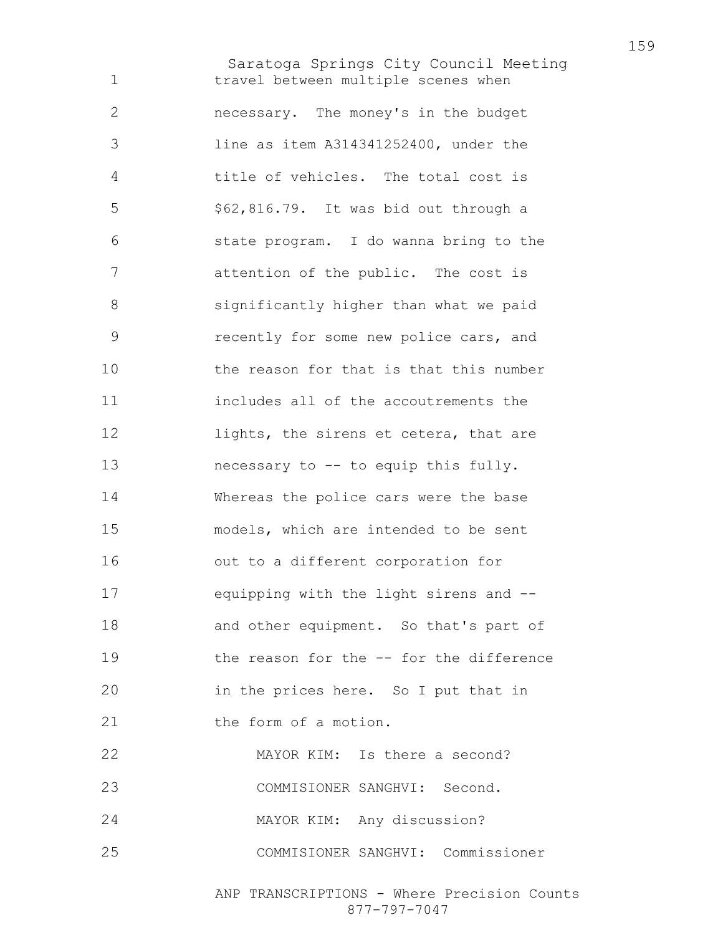Saratoga Springs City Council Meeting travel between multiple scenes when necessary. The money's in the budget line as item A314341252400, under the title of vehicles. The total cost is \$62,816.79. It was bid out through a state program. I do wanna bring to the attention of the public. The cost is significantly higher than what we paid recently for some new police cars, and the reason for that is that this number includes all of the accoutrements the 12 lights, the sirens et cetera, that are necessary to -- to equip this fully. Whereas the police cars were the base models, which are intended to be sent out to a different corporation for equipping with the light sirens and -- and other equipment. So that's part of the reason for the -- for the difference in the prices here. So I put that in 21 the form of a motion. MAYOR KIM: Is there a second? COMMISIONER SANGHVI: Second. MAYOR KIM: Any discussion? COMMISIONER SANGHVI: Commissioner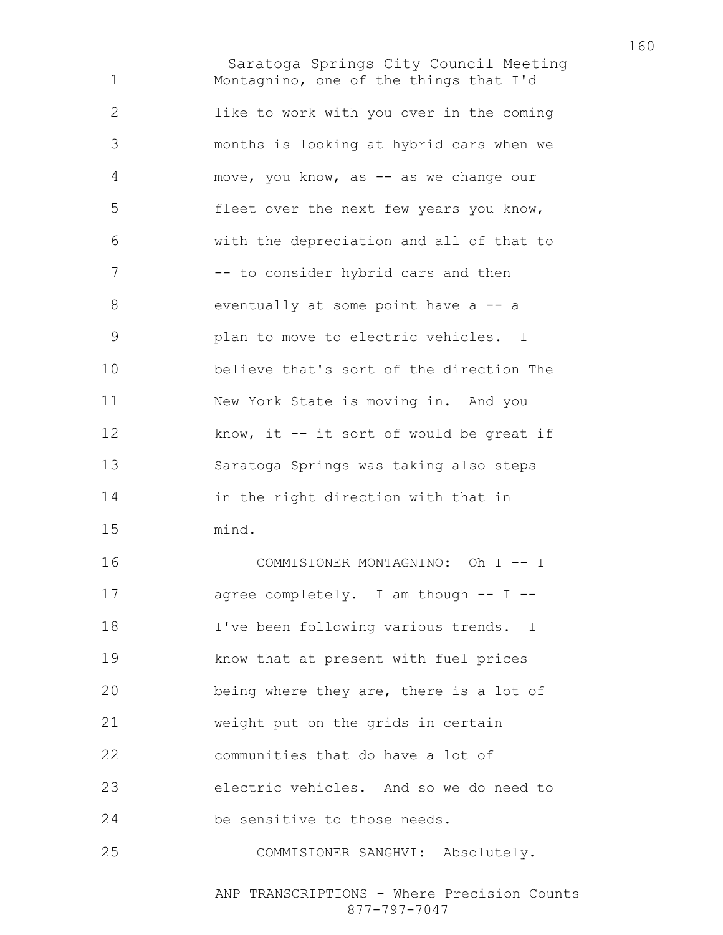Saratoga Springs City Council Meeting Montagnino, one of the things that I'd like to work with you over in the coming months is looking at hybrid cars when we move, you know, as -- as we change our fleet over the next few years you know, with the depreciation and all of that to 7 -- to consider hybrid cars and then 8 eventually at some point have a -- a plan to move to electric vehicles. I believe that's sort of the direction The New York State is moving in. And you 12 know, it -- it sort of would be great if Saratoga Springs was taking also steps in the right direction with that in mind. COMMISIONER MONTAGNINO: Oh I -- I agree completely. I am though -- I -- I've been following various trends. I know that at present with fuel prices being where they are, there is a lot of weight put on the grids in certain communities that do have a lot of electric vehicles. And so we do need to be sensitive to those needs.

COMMISIONER SANGHVI: Absolutely.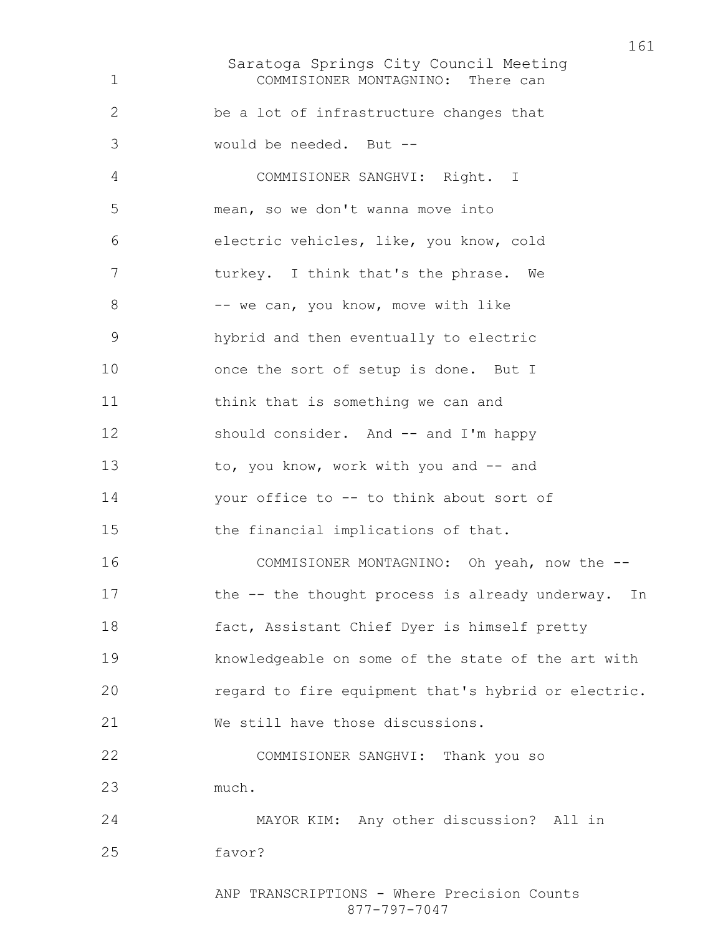Saratoga Springs City Council Meeting COMMISIONER MONTAGNINO: There can be a lot of infrastructure changes that would be needed. But -- COMMISIONER SANGHVI: Right. I mean, so we don't wanna move into electric vehicles, like, you know, cold 7 turkey. I think that's the phrase. We 8 -- we can, you know, move with like hybrid and then eventually to electric 10 once the sort of setup is done. But I think that is something we can and 12 should consider. And -- and I'm happy 13 to, you know, work with you and -- and your office to -- to think about sort of the financial implications of that. 16 COMMISIONER MONTAGNINO: Oh yeah, now the --17 the -- the thought process is already underway. In fact, Assistant Chief Dyer is himself pretty knowledgeable on some of the state of the art with regard to fire equipment that's hybrid or electric. We still have those discussions. COMMISIONER SANGHVI: Thank you so much. MAYOR KIM: Any other discussion? All in favor?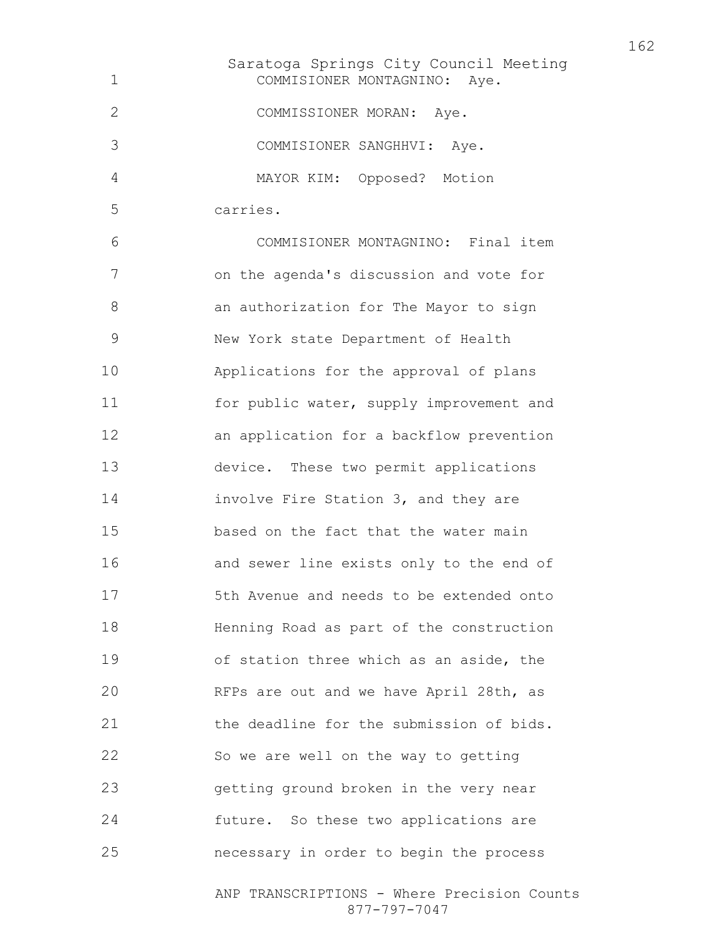Saratoga Springs City Council Meeting COMMISIONER MONTAGNINO: Aye. COMMISSIONER MORAN: Aye. COMMISIONER SANGHHVI: Aye. MAYOR KIM: Opposed? Motion carries. COMMISIONER MONTAGNINO: Final item on the agenda's discussion and vote for an authorization for The Mayor to sign New York state Department of Health Applications for the approval of plans 11 for public water, supply improvement and an application for a backflow prevention device. These two permit applications involve Fire Station 3, and they are based on the fact that the water main and sewer line exists only to the end of 5th Avenue and needs to be extended onto Henning Road as part of the construction of station three which as an aside, the RFPs are out and we have April 28th, as **the deadline for the submission of bids.** So we are well on the way to getting getting ground broken in the very near future. So these two applications are necessary in order to begin the process

> ANP TRANSCRIPTIONS - Where Precision Counts 877-797-7047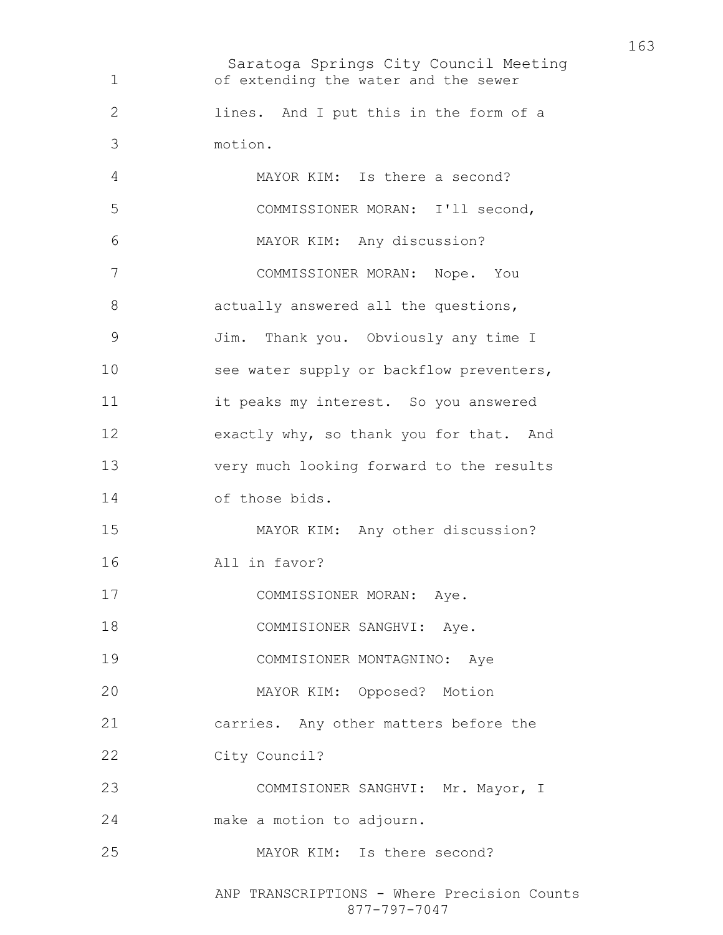Saratoga Springs City Council Meeting ANP TRANSCRIPTIONS - Where Precision Counts of extending the water and the sewer lines. And I put this in the form of a motion. MAYOR KIM: Is there a second? COMMISSIONER MORAN: I'll second, MAYOR KIM: Any discussion? COMMISSIONER MORAN: Nope. You 8 actually answered all the questions, Jim. Thank you. Obviously any time I 10 see water supply or backflow preventers, it peaks my interest. So you answered exactly why, so thank you for that. And very much looking forward to the results of those bids. MAYOR KIM: Any other discussion? All in favor? 17 COMMISSIONER MORAN: Aye. 18 COMMISIONER SANGHVI: Aye. COMMISIONER MONTAGNINO: Aye MAYOR KIM: Opposed? Motion carries. Any other matters before the City Council? COMMISIONER SANGHVI: Mr. Mayor, I make a motion to adjourn. MAYOR KIM: Is there second?

877-797-7047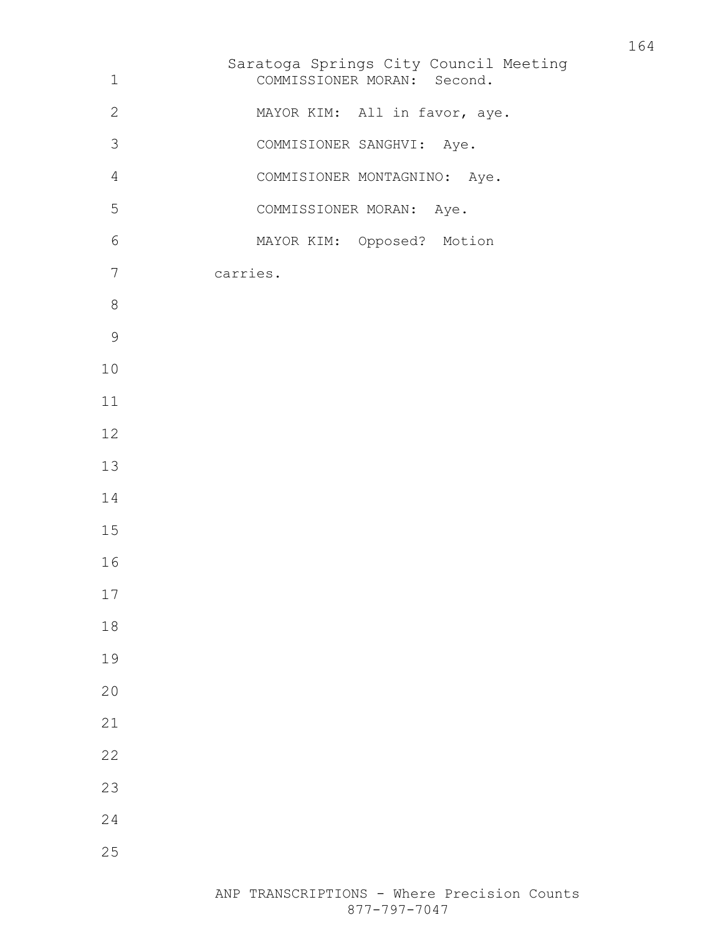| $\mathbf 1$    | Saratoga Springs City Council Meeting<br>COMMISSIONER MORAN: Second. |
|----------------|----------------------------------------------------------------------|
| $\mathbf{2}$   | MAYOR KIM: All in favor, aye.                                        |
| 3              | COMMISIONER SANGHVI: Aye.                                            |
| $\overline{4}$ | COMMISIONER MONTAGNINO: Aye.                                         |
| 5              | COMMISSIONER MORAN: Aye.                                             |
| $\epsilon$     | MAYOR KIM: Opposed? Motion                                           |
| 7              | carries.                                                             |
| $8\,$          |                                                                      |
| $\mathcal{G}$  |                                                                      |
| $10$           |                                                                      |
| $11\,$         |                                                                      |
| 12             |                                                                      |
| 13             |                                                                      |
| 14             |                                                                      |
| 15             |                                                                      |
| 16             |                                                                      |
| 17             |                                                                      |
| 18             |                                                                      |
| 19             |                                                                      |
| 20             |                                                                      |
| 21             |                                                                      |
| 22             |                                                                      |
| 23             |                                                                      |
| 24             |                                                                      |
| 25             |                                                                      |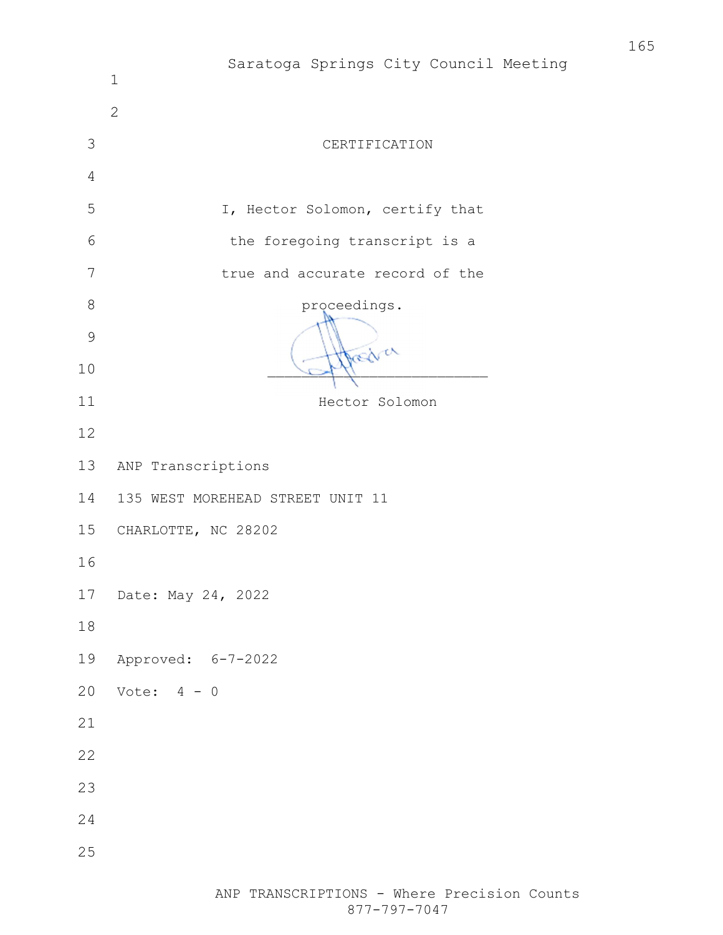|                | Saratoga Springs City Council Meeting<br>$1\,$ |
|----------------|------------------------------------------------|
|                | $\overline{2}$                                 |
| 3              | CERTIFICATION                                  |
| $\overline{4}$ |                                                |
| 5              | I, Hector Solomon, certify that                |
| 6              | the foregoing transcript is a                  |
| 7              | true and accurate record of the                |
| $\,8\,$        | proceedings.                                   |
| $\mathcal{G}$  |                                                |
| 10             | Dasglver                                       |
| 11             | Hector Solomon                                 |
| 12             |                                                |
| 13             | ANP Transcriptions                             |
| 14             | 135 WEST MOREHEAD STREET UNIT 11               |
| 15             | CHARLOTTE, NC 28202                            |
| 16             |                                                |
| 17             | Date: May 24, 2022                             |
| $1\,8$         |                                                |
| 19             | Approved: 6-7-2022                             |
| 20             | Vote: $4 - 0$                                  |
| 21             |                                                |
| 22             |                                                |
| 23             |                                                |
| 24             |                                                |
| 25             |                                                |